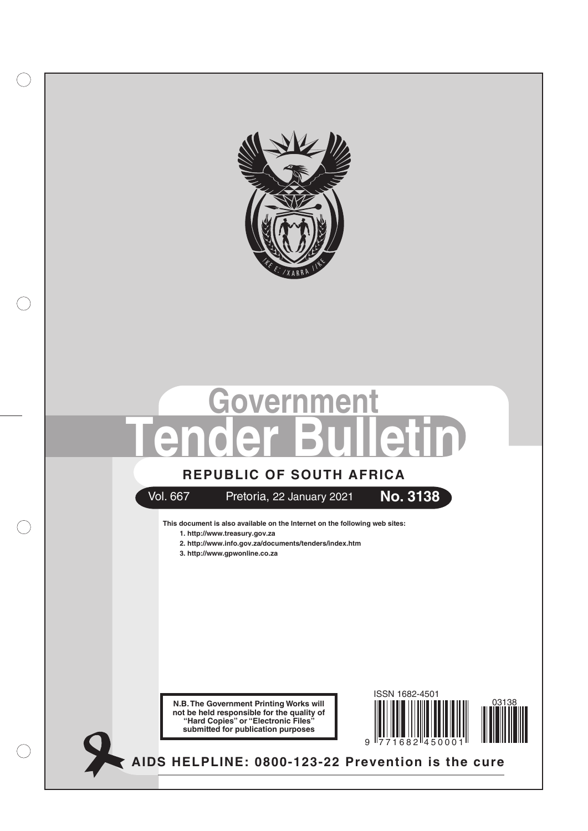

# **Government Tender Bulletin**

# **REPUBLIC OF SOUTH AFRICA**



# Vol. 667 Pretoria, 22 January 2021 **No. 3138**



**This document is also available on the Internet on the following web sites: 1. http://www.treasury.gov.za**

- **2. http://www.info.gov.za/documents/tenders/index.htm**
- **3. http://www.gpwonline.co.za**





**AIDS HELPLINE: 0800-123-22 Prevention is the cure**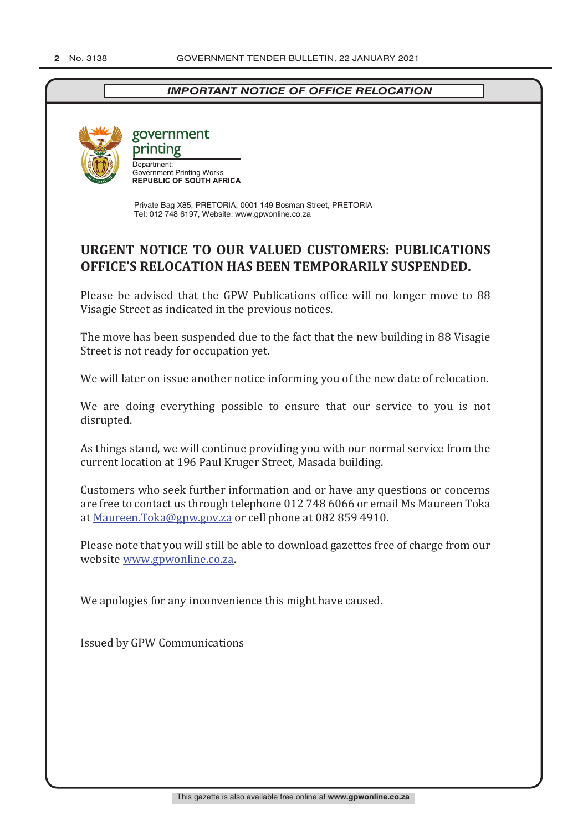# *IMPORTANT NOTICE OF OFFICE RELOCATION*



government printing Department: **Government Printing Works<br>REPUBLIC OF SOUTH AFRICA** 

Private Bag X85, PRETORIA, 0001 149 Bosman Street, PRETORIA Tel: 012 748 6197, Website: www.gpwonline.co.za

# **URGENT NOTICE TO OUR VALUED CUSTOMERS: PUBLICATIONS OFFICE'S RELOCATION HAS BEEN TEMPORARILY SUSPENDED.**

Please be advised that the GPW Publications office will no longer move to 88 Visagie Street as indicated in the previous notices.

The move has been suspended due to the fact that the new building in 88 Visagie Street is not ready for occupation yet.

We will later on issue another notice informing you of the new date of relocation.

We are doing everything possible to ensure that our service to you is not disrupted.

As things stand, we will continue providing you with our normal service from the current location at 196 Paul Kruger Street, Masada building.

Customers who seek further information and or have any questions or concerns are free to contact us through telephone 012 748 6066 or email Ms Maureen Toka at Maureen.Toka@gpw.gov.za or cell phone at 082 859 4910.

Please note that you will still be able to download gazettes free of charge from our website www.gpwonline.co.za.

We apologies for any inconvenience this might have caused.

Issued by GPW Communications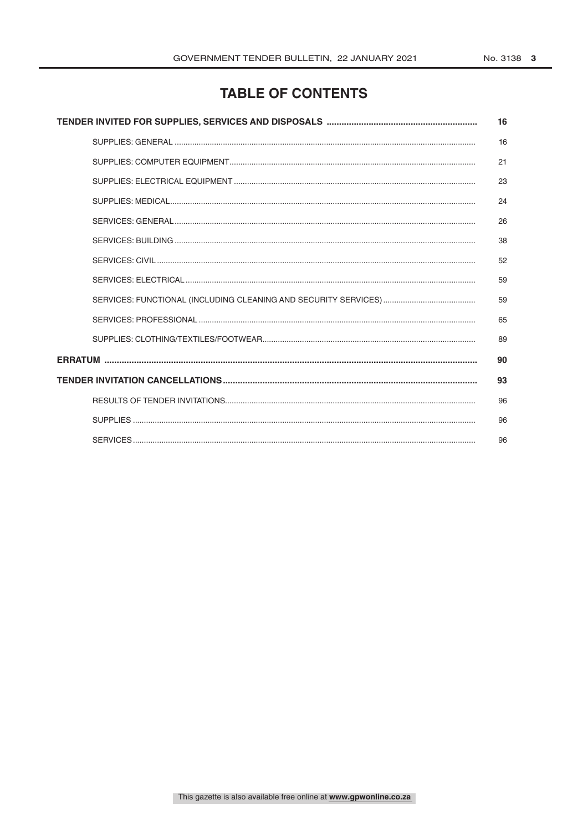# **TABLE OF CONTENTS**

| 16 |
|----|
| 16 |
| 21 |
| 23 |
| 24 |
| 26 |
| 38 |
| 52 |
| 59 |
| 59 |
| 65 |
| 89 |
| 90 |
| 93 |
| 96 |
| 96 |
| 96 |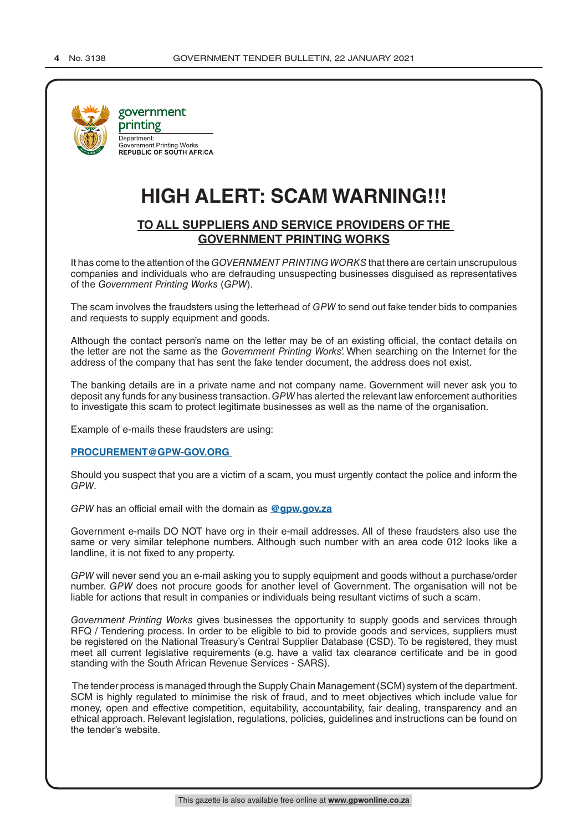

# **HIGH ALERT: SCAM WARNING!!!**

## **TO ALL SUPPLIERS AND SERVICE PROVIDERS OF THE GOVERNMENT PRINTING WORKS**

It has come to the attention of the *GOVERNMENT PRINTING WORKS* that there are certain unscrupulous companies and individuals who are defrauding unsuspecting businesses disguised as representatives of the *Government Printing Works* (*GPW*).

The scam involves the fraudsters using the letterhead of *GPW* to send out fake tender bids to companies and requests to supply equipment and goods.

Although the contact person's name on the letter may be of an existing official, the contact details on the letter are not the same as the *Government Printing Works*'. When searching on the Internet for the address of the company that has sent the fake tender document, the address does not exist.

The banking details are in a private name and not company name. Government will never ask you to deposit any funds for any business transaction. *GPW* has alerted the relevant law enforcement authorities to investigate this scam to protect legitimate businesses as well as the name of the organisation.

Example of e-mails these fraudsters are using:

#### **PROCUREMENT@GPW-GOV.ORG**

Should you suspect that you are a victim of a scam, you must urgently contact the police and inform the *GPW*.

*GPW* has an official email with the domain as **@gpw.gov.za**

Government e-mails DO NOT have org in their e-mail addresses. All of these fraudsters also use the same or very similar telephone numbers. Although such number with an area code 012 looks like a landline, it is not fixed to any property.

*GPW* will never send you an e-mail asking you to supply equipment and goods without a purchase/order number. *GPW* does not procure goods for another level of Government. The organisation will not be liable for actions that result in companies or individuals being resultant victims of such a scam.

*Government Printing Works* gives businesses the opportunity to supply goods and services through RFQ / Tendering process. In order to be eligible to bid to provide goods and services, suppliers must be registered on the National Treasury's Central Supplier Database (CSD). To be registered, they must meet all current legislative requirements (e.g. have a valid tax clearance certificate and be in good standing with the South African Revenue Services - SARS).

 The tender process is managed through the Supply Chain Management (SCM) system of the department. SCM is highly regulated to minimise the risk of fraud, and to meet objectives which include value for money, open and effective competition, equitability, accountability, fair dealing, transparency and an ethical approach. Relevant legislation, regulations, policies, guidelines and instructions can be found on the tender's website.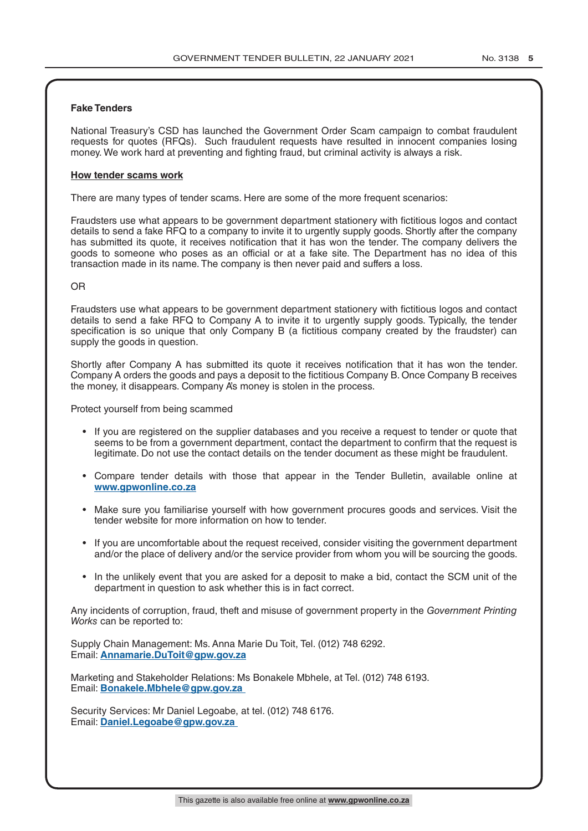#### **Fake Tenders**

National Treasury's CSD has launched the Government Order Scam campaign to combat fraudulent requests for quotes (RFQs). Such fraudulent requests have resulted in innocent companies losing money. We work hard at preventing and fighting fraud, but criminal activity is always a risk.

#### **How tender scams work**

There are many types of tender scams. Here are some of the more frequent scenarios:

Fraudsters use what appears to be government department stationery with fictitious logos and contact details to send a fake RFQ to a company to invite it to urgently supply goods. Shortly after the company has submitted its quote, it receives notification that it has won the tender. The company delivers the goods to someone who poses as an official or at a fake site. The Department has no idea of this transaction made in its name. The company is then never paid and suffers a loss.

#### OR

Fraudsters use what appears to be government department stationery with fictitious logos and contact details to send a fake RFQ to Company A to invite it to urgently supply goods. Typically, the tender specification is so unique that only Company B (a fictitious company created by the fraudster) can supply the goods in question.

Shortly after Company A has submitted its quote it receives notification that it has won the tender. Company A orders the goods and pays a deposit to the fictitious Company B. Once Company B receives the money, it disappears. Company A's money is stolen in the process.

Protect yourself from being scammed

- If you are registered on the supplier databases and you receive a request to tender or quote that seems to be from a government department, contact the department to confirm that the request is legitimate. Do not use the contact details on the tender document as these might be fraudulent.
- Compare tender details with those that appear in the Tender Bulletin, available online at **www.gpwonline.co.za**
- Make sure you familiarise yourself with how government procures goods and services. Visit the tender website for more information on how to tender.
- If you are uncomfortable about the request received, consider visiting the government department and/or the place of delivery and/or the service provider from whom you will be sourcing the goods.
- In the unlikely event that you are asked for a deposit to make a bid, contact the SCM unit of the department in question to ask whether this is in fact correct.

Any incidents of corruption, fraud, theft and misuse of government property in the *Government Printing Works* can be reported to:

Supply Chain Management: Ms. Anna Marie Du Toit, Tel. (012) 748 6292. Email: **Annamarie.DuToit@gpw.gov.za**

Marketing and Stakeholder Relations: Ms Bonakele Mbhele, at Tel. (012) 748 6193. Email: **Bonakele.Mbhele@gpw.gov.za** 

Security Services: Mr Daniel Legoabe, at tel. (012) 748 6176. Email: **Daniel.Legoabe@gpw.gov.za**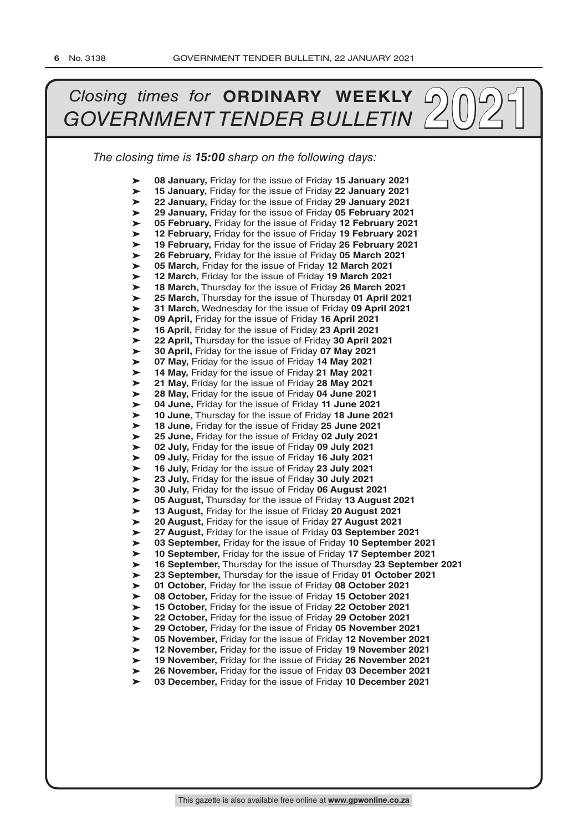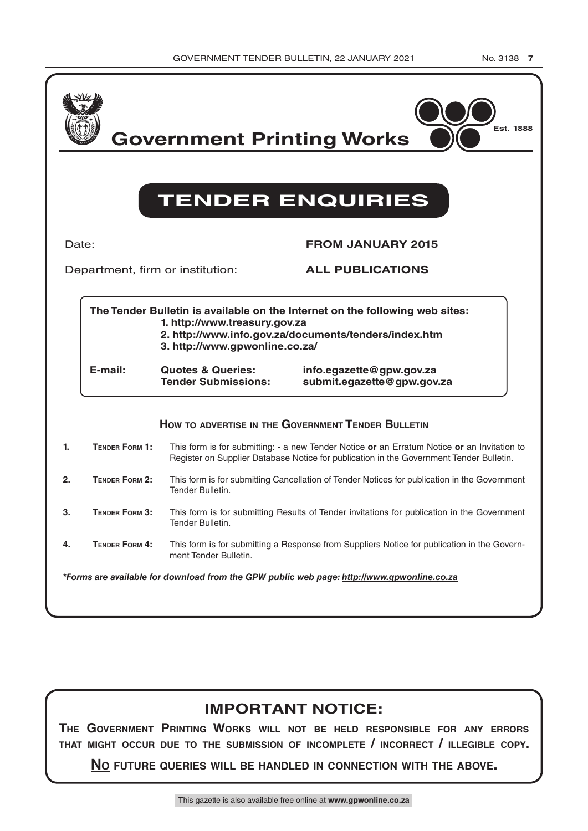| GOVERNMENT TENDER BULLETIN, 22 JANUARY 2021 |  |  |  |
|---------------------------------------------|--|--|--|

|    |                       | <b>Government Printing Works</b>                                                                                              | Est. 1888<br><b>TENDER ENQUIRIES</b>                                                                                                                                                            |
|----|-----------------------|-------------------------------------------------------------------------------------------------------------------------------|-------------------------------------------------------------------------------------------------------------------------------------------------------------------------------------------------|
|    | Date:                 |                                                                                                                               | <b>FROM JANUARY 2015</b>                                                                                                                                                                        |
|    |                       | Department, firm or institution:                                                                                              | <b>ALL PUBLICATIONS</b>                                                                                                                                                                         |
|    | E-mail:               | 1. http://www.treasury.gov.za<br>3. http://www.gpwonline.co.za/<br><b>Quotes &amp; Queries:</b><br><b>Tender Submissions:</b> | The Tender Bulletin is available on the Internet on the following web sites:<br>2. http://www.info.gov.za/documents/tenders/index.htm<br>info.egazette@gpw.gov.za<br>submit.egazette@gpw.gov.za |
|    |                       |                                                                                                                               | HOW TO ADVERTISE IN THE GOVERNMENT TENDER BULLETIN                                                                                                                                              |
| 1. | <b>TENDER FORM 1:</b> |                                                                                                                               | This form is for submitting: - a new Tender Notice or an Erratum Notice or an Invitation to<br>Register on Supplier Database Notice for publication in the Government Tender Bulletin.          |
| 2. | TENDER FORM 2:        | Tender Bulletin.                                                                                                              | This form is for submitting Cancellation of Tender Notices for publication in the Government                                                                                                    |
| 3. | TENDER FORM 3:        | Tender Bulletin.                                                                                                              | This form is for submitting Results of Tender invitations for publication in the Government                                                                                                     |
| 4. | <b>TENDER FORM 4:</b> | ment Tender Bulletin.                                                                                                         | This form is for submitting a Response from Suppliers Notice for publication in the Govern-                                                                                                     |
|    |                       |                                                                                                                               | *Forms are available for download from the GPW public web page: http://www.gpwonline.co.za                                                                                                      |

# **IMPORTANT NOTICE:**

**tHe Government PrintinG worKs will not Be Held resPonsiBle For anY errors tHat miGHt oCCur due to tHe suBmission oF inComPlete / inCorreCt / illeGiBle CoPY.**

**no Future Queries will Be Handled in ConneCtion witH tHe aBove.**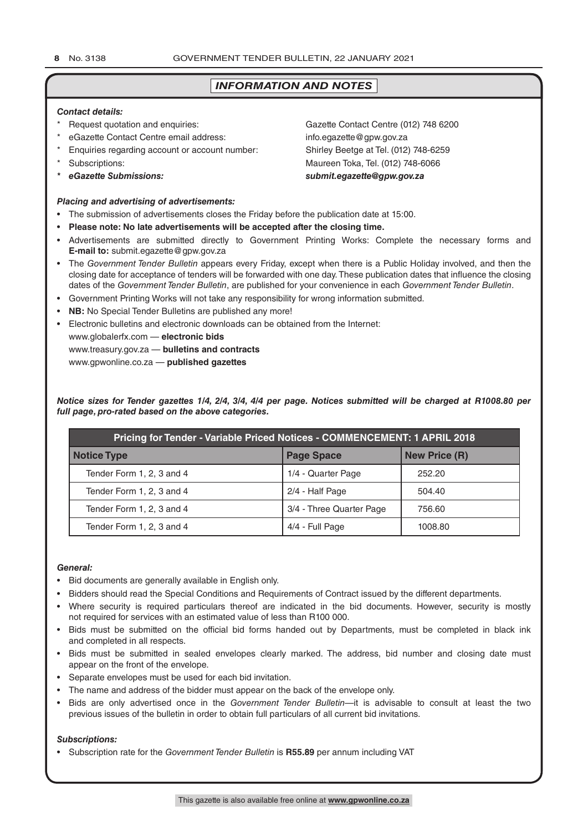## *INFORMATION AND NOTES*

#### *Contact details:*

- 
- eGazette Contact Centre email address: info.egazette@gpw.gov.za
- Enquiries regarding account or account number: Shirley Beetge at Tel. (012) 748-6259
- 
- 

#### *Placing and advertising of advertisements:*

- The submission of advertisements closes the Friday before the publication date at 15:00.
- **Please note: No late advertisements will be accepted after the closing time.**
- Advertisements are submitted directly to Government Printing Works: Complete the necessary forms and **E-mail to:** submit.egazette@gpw.gov.za
- The *Government Tender Bulletin* appears every Friday, except when there is a Public Holiday involved, and then the closing date for acceptance of tenders will be forwarded with one day. These publication dates that influence the closing dates of the *Government Tender Bulletin*, are published for your convenience in each *Government Tender Bulletin*.
- Government Printing Works will not take any responsibility for wrong information submitted.
- **NB:** No Special Tender Bulletins are published any more!
- Electronic bulletins and electronic downloads can be obtained from the Internet:

www.globalerfx.com — **electronic bids**

www.treasury.gov.za — **bulletins and contracts**

www.gpwonline.co.za — **published gazettes**

*Notice sizes for Tender gazettes 1/4, 2/4, 3/4, 4/4 per page. Notices submitted will be charged at R1008.80 per full page, pro-rated based on the above categories.*

| Pricing for Tender - Variable Priced Notices - COMMENCEMENT: 1 APRIL 2018 |                          |                      |  |  |
|---------------------------------------------------------------------------|--------------------------|----------------------|--|--|
| <b>Notice Type</b>                                                        | <b>Page Space</b>        | <b>New Price (R)</b> |  |  |
| Tender Form 1, 2, 3 and 4                                                 | 1/4 - Quarter Page       | 252.20               |  |  |
| Tender Form 1, 2, 3 and 4                                                 | 2/4 - Half Page          | 504.40               |  |  |
| Tender Form 1, 2, 3 and 4                                                 | 3/4 - Three Quarter Page | 756.60               |  |  |
| Tender Form 1, 2, 3 and 4                                                 | 4/4 - Full Page          | 1008.80              |  |  |

#### *General:*

- Bid documents are generally available in English only.
- Bidders should read the Special Conditions and Requirements of Contract issued by the different departments.
- Where security is required particulars thereof are indicated in the bid documents. However, security is mostly not required for services with an estimated value of less than R100 000.
- Bids must be submitted on the official bid forms handed out by Departments, must be completed in black ink and completed in all respects.
- Bids must be submitted in sealed envelopes clearly marked. The address, bid number and closing date must appear on the front of the envelope.
- Separate envelopes must be used for each bid invitation.
- The name and address of the bidder must appear on the back of the envelope only.
- Bids are only advertised once in the *Government Tender Bulletin*—it is advisable to consult at least the two previous issues of the bulletin in order to obtain full particulars of all current bid invitations.

#### *Subscriptions:*

• Subscription rate for the *Government Tender Bulletin* is **R55.89** per annum including VAT

\* Request quotation and enquiries: Gazette Contact Centre (012) 748 6200 \* Subscriptions: Maureen Toka, Tel. (012) 748-6066 *\* eGazette Submissions: submit.egazette@gpw.gov.za*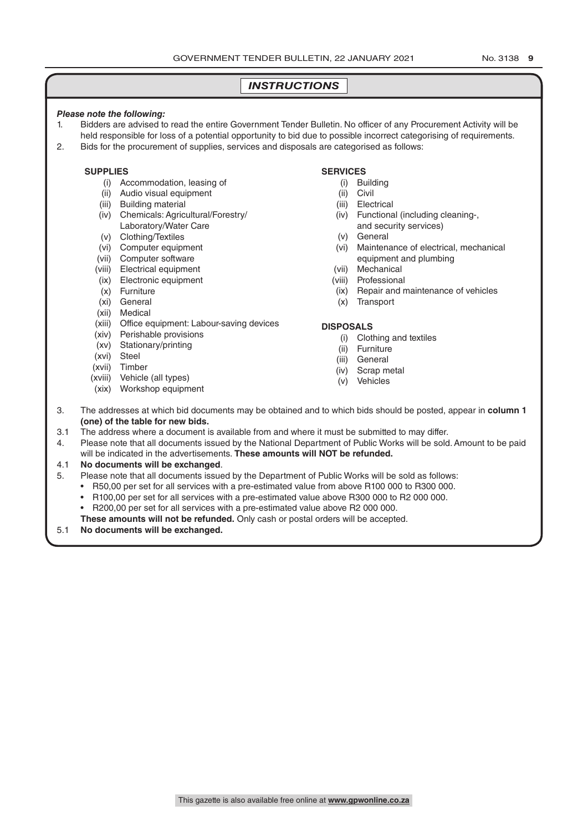#### *INSTRUCTIONS*

#### *Please note the following:*

- 1. Bidders are advised to read the entire Government Tender Bulletin. No officer of any Procurement Activity will be held responsible for loss of a potential opportunity to bid due to possible incorrect categorising of requirements.
- 2. Bids for the procurement of supplies, services and disposals are categorised as follows:

#### **SUPPLIES**

- (i) Accommodation, leasing of
- (ii) Audio visual equipment
- (iii) Building material
- (iv) Chemicals: Agricultural/Forestry/ Laboratory/Water Care
- (v) Clothing/Textiles
- (vi) Computer equipment
- (vii) Computer software
- (viii) Electrical equipment
- (ix) Electronic equipment
- (x) Furniture
- (xi) General
- (xii) Medical
- (xiii) Office equipment: Labour-saving devices
- (xiv) Perishable provisions
- (xv) Stationary/printing
- (xvi) Steel
- (xvii) Timber
- (xviii) Vehicle (all types)
- (xix) Workshop equipment

#### **SERVICES**

- (i) Building
- (ii) Civil
- (iii) Electrical
- (iv) Functional (including cleaning-, and security services)
	-
- (v) General
- (vi) Maintenance of electrical, mechanical equipment and plumbing
- (vii) Mechanical
- (viii) Professional
- (ix) Repair and maintenance of vehicles
- (x) Transport

#### **DISPOSALS**

- (i) Clothing and textiles
- (ii) Furniture
- (iii) General
- (iv) Scrap metal
- (v) Vehicles
- 3. The addresses at which bid documents may be obtained and to which bids should be posted, appear in **column 1 (one) of the table for new bids.**
- 3.1 The address where a document is available from and where it must be submitted to may differ.
- 4. Please note that all documents issued by the National Department of Public Works will be sold. Amount to be paid will be indicated in the advertisements. **These amounts will NOT be refunded.**

#### 4.1 **No documents will be exchanged**.

- 5. Please note that all documents issued by the Department of Public Works will be sold as follows:
	- R50,00 per set for all services with a pre-estimated value from above R100 000 to R300 000.
	- R100,00 per set for all services with a pre-estimated value above R300 000 to R2 000 000.
	- R200,00 per set for all services with a pre-estimated value above R2 000 000.
	- **These amounts will not be refunded.** Only cash or postal orders will be accepted.

#### 5.1 **No documents will be exchanged.**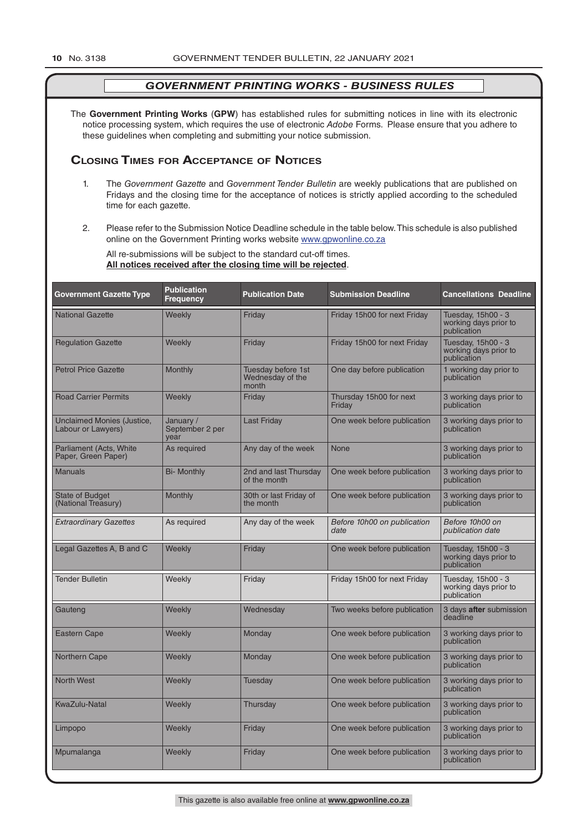The **Government Printing Works** (**GPW**) has established rules for submitting notices in line with its electronic notice processing system, which requires the use of electronic *Adobe* Forms. Please ensure that you adhere to these guidelines when completing and submitting your notice submission.

#### **Closing Times for ACCepTAnCe of noTiCes**

- 1. The *Government Gazette* and *Government Tender Bulletin* are weekly publications that are published on Fridays and the closing time for the acceptance of notices is strictly applied according to the scheduled time for each gazette.
- 2. Please refer to the Submission Notice Deadline schedule in the table below. This schedule is also published online on the Government Printing works website www.gpwonline.co.za

All re-submissions will be subject to the standard cut-off times. **All notices received after the closing time will be rejected**.

| <b>Government Gazette Type</b>                   | <b>Publication</b><br><b>Frequency</b> | <b>Publication Date</b>                         | <b>Submission Deadline</b>          | <b>Cancellations Deadline</b>                              |
|--------------------------------------------------|----------------------------------------|-------------------------------------------------|-------------------------------------|------------------------------------------------------------|
| <b>National Gazette</b>                          | Weekly                                 | Friday                                          | Friday 15h00 for next Friday        | Tuesday, 15h00 - 3<br>working days prior to<br>publication |
| <b>Regulation Gazette</b>                        | Weekly                                 | Friday                                          | Friday 15h00 for next Friday        | Tuesday, 15h00 - 3<br>working days prior to<br>publication |
| <b>Petrol Price Gazette</b>                      | Monthly                                | Tuesday before 1st<br>Wednesday of the<br>month | One day before publication          | 1 working day prior to<br>publication                      |
| <b>Road Carrier Permits</b>                      | Weekly                                 | Friday                                          | Thursday 15h00 for next<br>Friday   | 3 working days prior to<br>publication                     |
| Unclaimed Monies (Justice,<br>Labour or Lawyers) | January /<br>September 2 per<br>year   | <b>Last Friday</b>                              | One week before publication         | 3 working days prior to<br>publication                     |
| Parliament (Acts, White<br>Paper, Green Paper)   | As required                            | Any day of the week                             | None                                | 3 working days prior to<br>publication                     |
| <b>Manuals</b>                                   | <b>Bi-</b> Monthly                     | 2nd and last Thursday<br>of the month           | One week before publication         | 3 working days prior to<br>publication                     |
| <b>State of Budget</b><br>(National Treasury)    | Monthly                                | 30th or last Friday of<br>the month             | One week before publication         | 3 working days prior to<br>publication                     |
| <b>Extraordinary Gazettes</b>                    | As required                            | Any day of the week                             | Before 10h00 on publication<br>date | Before 10h00 on<br>publication date                        |
| Legal Gazettes A, B and C                        | Weekly                                 | Friday                                          | One week before publication         | Tuesday, 15h00 - 3<br>working days prior to<br>publication |
| <b>Tender Bulletin</b>                           | Weekly                                 | Friday                                          | Friday 15h00 for next Friday        | Tuesday, 15h00 - 3<br>working days prior to<br>publication |
| Gauteng                                          | Weekly                                 | Wednesday                                       | Two weeks before publication        | 3 days after submission<br>deadline                        |
| <b>Eastern Cape</b>                              | Weekly                                 | Monday                                          | One week before publication         | 3 working days prior to<br>publication                     |
| Northern Cape                                    | Weekly                                 | Monday                                          | One week before publication         | 3 working days prior to<br>publication                     |
| <b>North West</b>                                | Weekly                                 | Tuesday                                         | One week before publication         | 3 working days prior to<br>publication                     |
| <b>KwaZulu-Natal</b>                             | Weekly                                 | Thursday                                        | One week before publication         | 3 working days prior to<br>publication                     |
| Limpopo                                          | Weekly                                 | Friday                                          | One week before publication         | 3 working days prior to<br>publication                     |
| Mpumalanga                                       | Weekly                                 | Friday                                          | One week before publication         | 3 working days prior to<br>publication                     |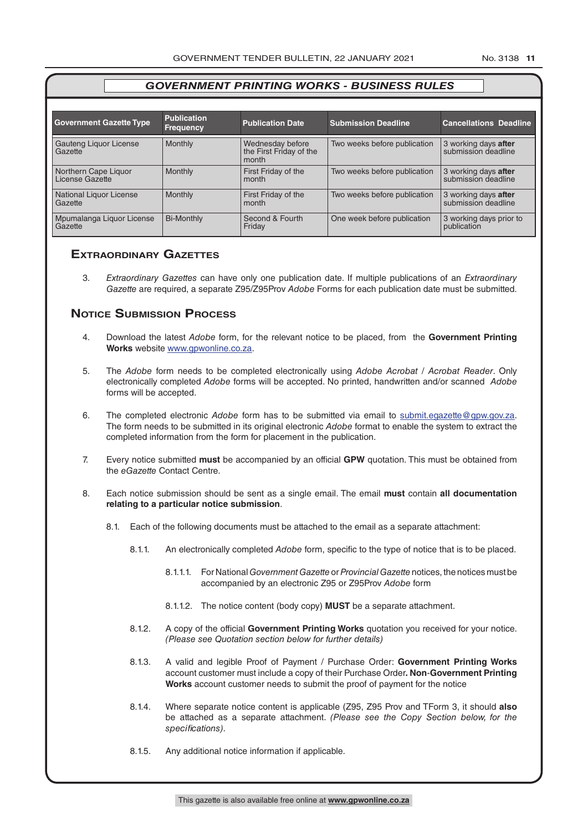| <b>Government Gazette Type</b>          | <b>Publication</b><br><b>Frequency</b> | <b>Publication Date</b>                              | <b>Submission Deadline</b>   | <b>Cancellations Deadline</b>               |
|-----------------------------------------|----------------------------------------|------------------------------------------------------|------------------------------|---------------------------------------------|
|                                         | Monthly                                |                                                      |                              |                                             |
| Gauteng Liquor License<br>Gazette       |                                        | Wednesday before<br>the First Friday of the<br>month | Two weeks before publication | 3 working days after<br>submission deadline |
| Northern Cape Liquor<br>License Gazette | <b>Monthly</b>                         | First Friday of the<br>month                         | Two weeks before publication | 3 working days after<br>submission deadline |
| National Liquor License<br>Gazette      | <b>Monthly</b>                         | First Friday of the<br>month                         | Two weeks before publication | 3 working days after<br>submission deadline |
| Mpumalanga Liquor License<br>Gazette    | <b>Bi-Monthly</b>                      | Second & Fourth<br>Friday                            | One week before publication  | 3 working days prior to<br>publication      |

#### **exTrAordinAry gAzeTTes**

3. *Extraordinary Gazettes* can have only one publication date. If multiple publications of an *Extraordinary Gazette* are required, a separate Z95/Z95Prov *Adobe* Forms for each publication date must be submitted.

#### **NOTICE SUBMISSION PROCESS**

- 4. Download the latest *Adobe* form, for the relevant notice to be placed, from the **Government Printing Works** website www.gpwonline.co.za.
- 5. The *Adobe* form needs to be completed electronically using *Adobe Acrobat* / *Acrobat Reader*. Only electronically completed *Adobe* forms will be accepted. No printed, handwritten and/or scanned *Adobe* forms will be accepted.
- 6. The completed electronic *Adobe* form has to be submitted via email to submit.egazette@gpw.gov.za. The form needs to be submitted in its original electronic *Adobe* format to enable the system to extract the completed information from the form for placement in the publication.
- 7. Every notice submitted **must** be accompanied by an official **GPW** quotation. This must be obtained from the *eGazette* Contact Centre.
- 8. Each notice submission should be sent as a single email. The email **must** contain **all documentation relating to a particular notice submission**.
	- 8.1. Each of the following documents must be attached to the email as a separate attachment:
		- 8.1.1. An electronically completed *Adobe* form, specific to the type of notice that is to be placed.
			- 8.1.1.1. For National *Government Gazette* or *Provincial Gazette* notices, the notices must be accompanied by an electronic Z95 or Z95Prov *Adobe* form
			- 8.1.1.2. The notice content (body copy) **MUST** be a separate attachment.
		- 8.1.2. A copy of the official **Government Printing Works** quotation you received for your notice. *(Please see Quotation section below for further details)*
		- 8.1.3. A valid and legible Proof of Payment / Purchase Order: **Government Printing Works** account customer must include a copy of their Purchase Order*.* **Non**-**Government Printing Works** account customer needs to submit the proof of payment for the notice
		- 8.1.4. Where separate notice content is applicable (Z95, Z95 Prov and TForm 3, it should **also** be attached as a separate attachment. *(Please see the Copy Section below, for the specifications)*.
		- 8.1.5. Any additional notice information if applicable.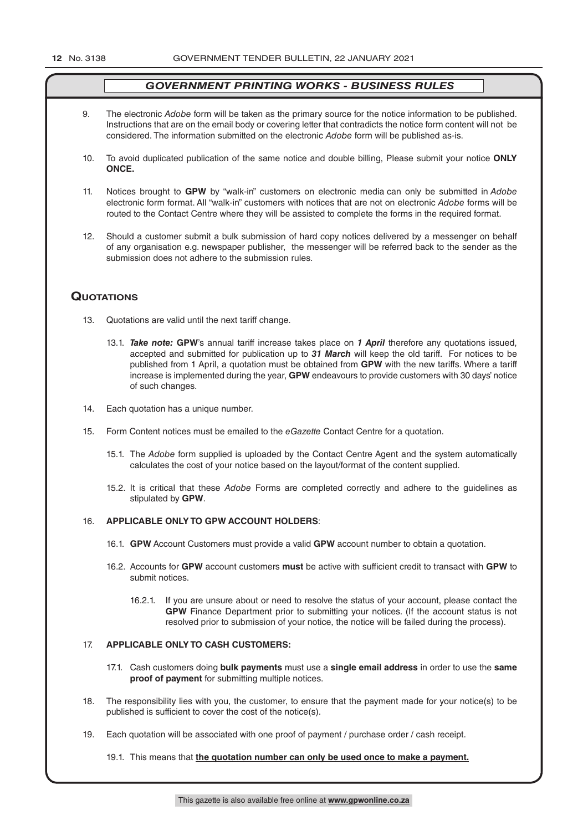- 9. The electronic *Adobe* form will be taken as the primary source for the notice information to be published. Instructions that are on the email body or covering letter that contradicts the notice form content will not be considered. The information submitted on the electronic *Adobe* form will be published as-is.
- 10. To avoid duplicated publication of the same notice and double billing, Please submit your notice **ONLY ONCE.**
- 11. Notices brought to **GPW** by "walk-in" customers on electronic media can only be submitted in *Adobe* electronic form format. All "walk-in" customers with notices that are not on electronic *Adobe* forms will be routed to the Contact Centre where they will be assisted to complete the forms in the required format.
- 12. Should a customer submit a bulk submission of hard copy notices delivered by a messenger on behalf of any organisation e.g. newspaper publisher, the messenger will be referred back to the sender as the submission does not adhere to the submission rules.

#### **QuoTATions**

- 13. Quotations are valid until the next tariff change.
	- 13.1. *Take note:* **GPW**'s annual tariff increase takes place on *1 April* therefore any quotations issued, accepted and submitted for publication up to *31 March* will keep the old tariff. For notices to be published from 1 April, a quotation must be obtained from **GPW** with the new tariffs. Where a tariff increase is implemented during the year, **GPW** endeavours to provide customers with 30 days' notice of such changes.
- 14. Each quotation has a unique number.
- 15. Form Content notices must be emailed to the *eGazette* Contact Centre for a quotation.
	- 15.1. The *Adobe* form supplied is uploaded by the Contact Centre Agent and the system automatically calculates the cost of your notice based on the layout/format of the content supplied.
	- 15.2. It is critical that these *Adobe* Forms are completed correctly and adhere to the guidelines as stipulated by **GPW**.

#### 16. **APPLICABLE ONLY TO GPW ACCOUNT HOLDERS**:

- 16.1. **GPW** Account Customers must provide a valid **GPW** account number to obtain a quotation.
- 16.2. Accounts for **GPW** account customers **must** be active with sufficient credit to transact with **GPW** to submit notices.
	- 16.2.1. If you are unsure about or need to resolve the status of your account, please contact the **GPW** Finance Department prior to submitting your notices. (If the account status is not resolved prior to submission of your notice, the notice will be failed during the process).

#### 17. **APPLICABLE ONLY TO CASH CUSTOMERS:**

- 17.1. Cash customers doing **bulk payments** must use a **single email address** in order to use the **same proof of payment** for submitting multiple notices.
- 18. The responsibility lies with you, the customer, to ensure that the payment made for your notice(s) to be published is sufficient to cover the cost of the notice(s).
- 19. Each quotation will be associated with one proof of payment / purchase order / cash receipt.

19.1. This means that **the quotation number can only be used once to make a payment.**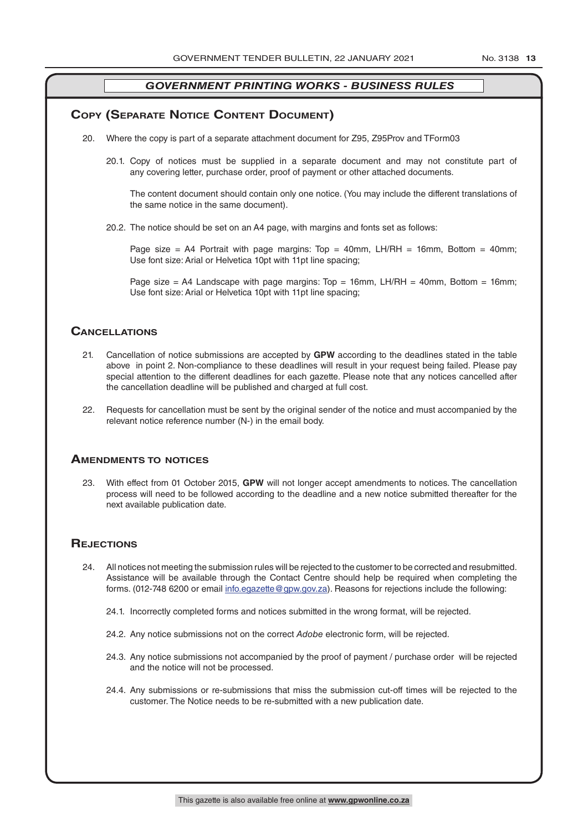#### **COPY (SEPARATE NOTICE CONTENT DOCUMENT)**

- 20. Where the copy is part of a separate attachment document for Z95, Z95Prov and TForm03
	- 20.1. Copy of notices must be supplied in a separate document and may not constitute part of any covering letter, purchase order, proof of payment or other attached documents.

The content document should contain only one notice. (You may include the different translations of the same notice in the same document).

20.2. The notice should be set on an A4 page, with margins and fonts set as follows:

Page size = A4 Portrait with page margins: Top = 40mm, LH/RH = 16mm, Bottom = 40mm; Use font size: Arial or Helvetica 10pt with 11pt line spacing;

Page size = A4 Landscape with page margins: Top = 16mm, LH/RH = 40mm, Bottom = 16mm; Use font size: Arial or Helvetica 10pt with 11pt line spacing;

#### **CAnCellATions**

- 21. Cancellation of notice submissions are accepted by **GPW** according to the deadlines stated in the table above in point 2. Non-compliance to these deadlines will result in your request being failed. Please pay special attention to the different deadlines for each gazette. Please note that any notices cancelled after the cancellation deadline will be published and charged at full cost.
- 22. Requests for cancellation must be sent by the original sender of the notice and must accompanied by the relevant notice reference number (N-) in the email body.

#### **AmendmenTs To noTiCes**

23. With effect from 01 October 2015, **GPW** will not longer accept amendments to notices. The cancellation process will need to be followed according to the deadline and a new notice submitted thereafter for the next available publication date.

#### **REJECTIONS**

- 24. All notices not meeting the submission rules will be rejected to the customer to be corrected and resubmitted. Assistance will be available through the Contact Centre should help be required when completing the forms. (012-748 6200 or email info.egazette@gpw.gov.za). Reasons for rejections include the following:
	- 24.1. Incorrectly completed forms and notices submitted in the wrong format, will be rejected.
	- 24.2. Any notice submissions not on the correct *Adobe* electronic form, will be rejected.
	- 24.3. Any notice submissions not accompanied by the proof of payment / purchase order will be rejected and the notice will not be processed.
	- 24.4. Any submissions or re-submissions that miss the submission cut-off times will be rejected to the customer. The Notice needs to be re-submitted with a new publication date.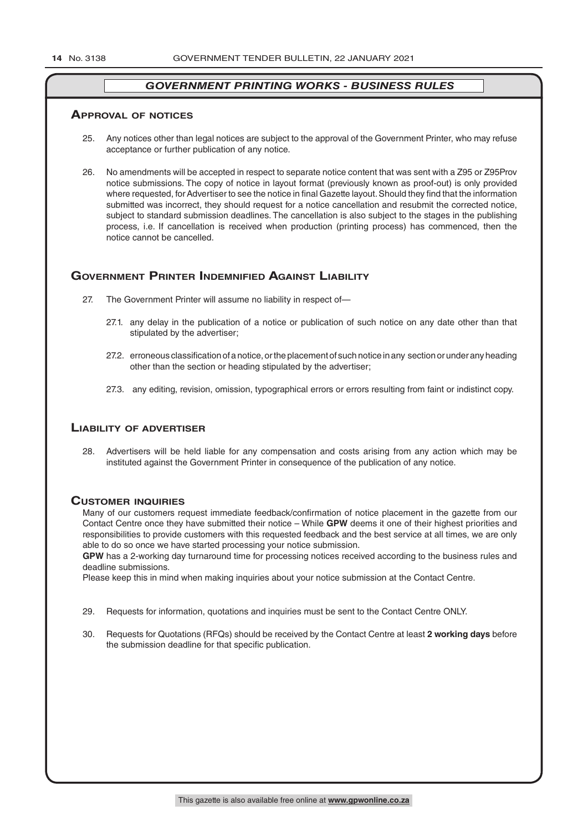#### **ApprovAl of noTiCes**

- 25. Any notices other than legal notices are subject to the approval of the Government Printer, who may refuse acceptance or further publication of any notice.
- 26. No amendments will be accepted in respect to separate notice content that was sent with a Z95 or Z95Prov notice submissions. The copy of notice in layout format (previously known as proof-out) is only provided where requested, for Advertiser to see the notice in final Gazette layout. Should they find that the information submitted was incorrect, they should request for a notice cancellation and resubmit the corrected notice, subject to standard submission deadlines. The cancellation is also subject to the stages in the publishing process, i.e. If cancellation is received when production (printing process) has commenced, then the notice cannot be cancelled.

#### **GOVERNMENT PRINTER INDEMNIFIED AGAINST LIABILITY**

- 27. The Government Printer will assume no liability in respect of—
	- 27.1. any delay in the publication of a notice or publication of such notice on any date other than that stipulated by the advertiser;
	- 27.2. erroneous classification of a notice, or the placement of such notice in any section or under any heading other than the section or heading stipulated by the advertiser;
	- 27.3. any editing, revision, omission, typographical errors or errors resulting from faint or indistinct copy.

#### **liAbiliTy of AdverTiser**

28. Advertisers will be held liable for any compensation and costs arising from any action which may be instituted against the Government Printer in consequence of the publication of any notice.

#### **CusTomer inQuiries**

Many of our customers request immediate feedback/confirmation of notice placement in the gazette from our Contact Centre once they have submitted their notice – While **GPW** deems it one of their highest priorities and responsibilities to provide customers with this requested feedback and the best service at all times, we are only able to do so once we have started processing your notice submission.

**GPW** has a 2-working day turnaround time for processing notices received according to the business rules and deadline submissions.

Please keep this in mind when making inquiries about your notice submission at the Contact Centre.

- 29. Requests for information, quotations and inquiries must be sent to the Contact Centre ONLY.
- 30. Requests for Quotations (RFQs) should be received by the Contact Centre at least **2 working days** before the submission deadline for that specific publication.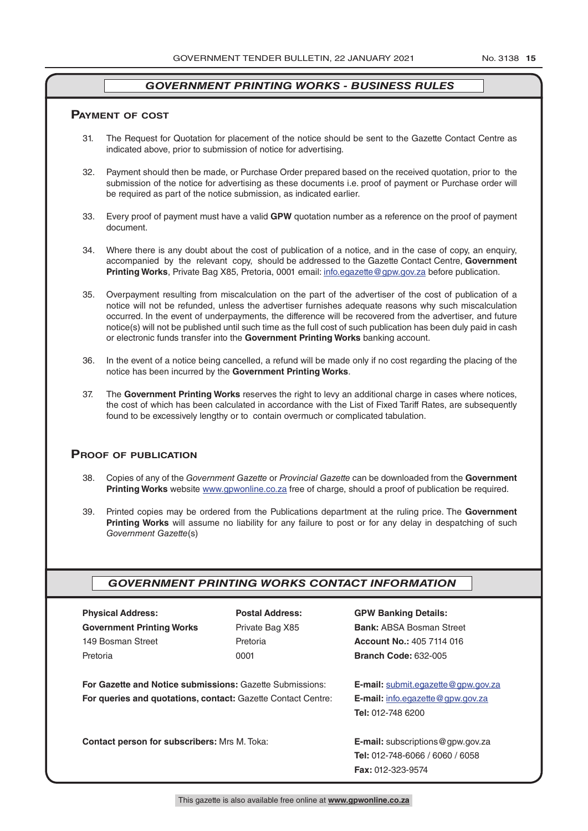#### **pAymenT of CosT**

- 31. The Request for Quotation for placement of the notice should be sent to the Gazette Contact Centre as indicated above, prior to submission of notice for advertising.
- 32. Payment should then be made, or Purchase Order prepared based on the received quotation, prior to the submission of the notice for advertising as these documents i.e. proof of payment or Purchase order will be required as part of the notice submission, as indicated earlier.
- 33. Every proof of payment must have a valid **GPW** quotation number as a reference on the proof of payment document.
- 34. Where there is any doubt about the cost of publication of a notice, and in the case of copy, an enquiry, accompanied by the relevant copy, should be addressed to the Gazette Contact Centre, **Government Printing Works**, Private Bag X85, Pretoria, 0001 email: info.egazette@gpw.gov.za before publication.
- 35. Overpayment resulting from miscalculation on the part of the advertiser of the cost of publication of a notice will not be refunded, unless the advertiser furnishes adequate reasons why such miscalculation occurred. In the event of underpayments, the difference will be recovered from the advertiser, and future notice(s) will not be published until such time as the full cost of such publication has been duly paid in cash or electronic funds transfer into the **Government Printing Works** banking account.
- 36. In the event of a notice being cancelled, a refund will be made only if no cost regarding the placing of the notice has been incurred by the **Government Printing Works**.
- 37. The **Government Printing Works** reserves the right to levy an additional charge in cases where notices, the cost of which has been calculated in accordance with the List of Fixed Tariff Rates, are subsequently found to be excessively lengthy or to contain overmuch or complicated tabulation.

#### **proof of publiCATion**

- 38. Copies of any of the *Government Gazette* or *Provincial Gazette* can be downloaded from the **Government Printing Works** website www.gpwonline.co.za free of charge, should a proof of publication be required.
- 39. Printed copies may be ordered from the Publications department at the ruling price. The **Government Printing Works** will assume no liability for any failure to post or for any delay in despatching of such *Government Gazette*(s)

#### *GOVERNMENT PRINTING WORKS CONTACT INFORMATION*

| <b>Postal Address:</b> | <b>GPW Banking Details:</b>                                                                                                                                                                   |
|------------------------|-----------------------------------------------------------------------------------------------------------------------------------------------------------------------------------------------|
| Private Bag X85        | <b>Bank: ABSA Bosman Street</b>                                                                                                                                                               |
| Pretoria               | <b>Account No.: 405 7114 016</b>                                                                                                                                                              |
| 0001                   | <b>Branch Code: 632-005</b>                                                                                                                                                                   |
|                        |                                                                                                                                                                                               |
|                        | <b>E-mail:</b> submit.egazette@gpw.gov.za                                                                                                                                                     |
|                        | <b>E-mail:</b> info.egazette@gpw.gov.za                                                                                                                                                       |
|                        | Tel: 012-748 6200                                                                                                                                                                             |
|                        |                                                                                                                                                                                               |
|                        | <b>E-mail:</b> subscriptions $@$ gpw.gov.za                                                                                                                                                   |
|                        | <b>Tel: 012-748-6066 / 6060 / 6058</b>                                                                                                                                                        |
|                        | <b>Fax: 012-323-9574</b>                                                                                                                                                                      |
|                        | <b>For Gazette and Notice submissions: Gazette Submissions:</b><br><b>For queries and quotations, contact: Gazette Contact Centre:</b><br><b>Contact person for subscribers: Mrs M. Toka:</b> |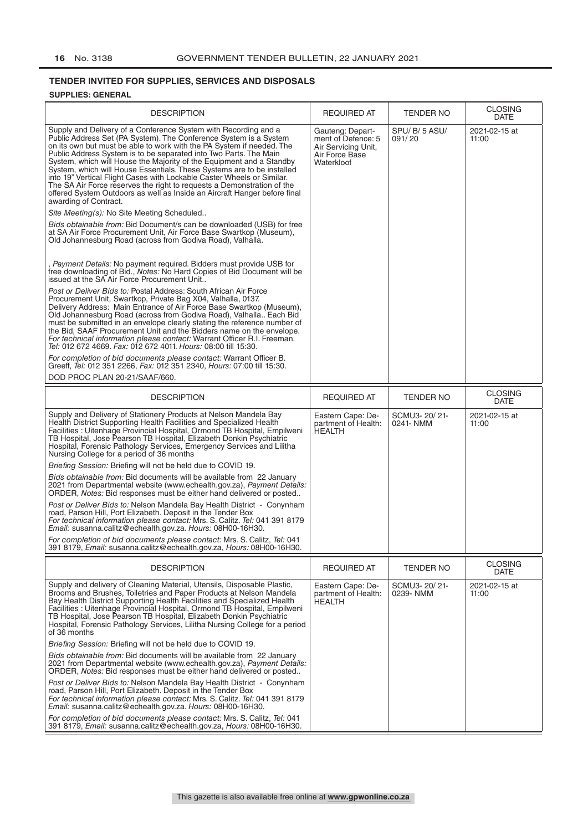## **TENDER INVITED FOR SUPPLIES, SERVICES AND DISPOSALS**

#### **SUPPLIES: GENERAL**

| <b>DESCRIPTION</b>                                                                                                                                                                                                                                                                                                                                                                                                                                                                                                                                                                                                                                                                                                                                                                                                                                                                                                                                                                                                                                                                                                                                                                                                                                                                                                                                                                                                                                                                                                                                                                                                                                                                                                                                                                                                                                                                                                                    | <b>REQUIRED AT</b>                                                                            | TENDER NO                 | <b>CLOSING</b><br><b>DATE</b>         |
|---------------------------------------------------------------------------------------------------------------------------------------------------------------------------------------------------------------------------------------------------------------------------------------------------------------------------------------------------------------------------------------------------------------------------------------------------------------------------------------------------------------------------------------------------------------------------------------------------------------------------------------------------------------------------------------------------------------------------------------------------------------------------------------------------------------------------------------------------------------------------------------------------------------------------------------------------------------------------------------------------------------------------------------------------------------------------------------------------------------------------------------------------------------------------------------------------------------------------------------------------------------------------------------------------------------------------------------------------------------------------------------------------------------------------------------------------------------------------------------------------------------------------------------------------------------------------------------------------------------------------------------------------------------------------------------------------------------------------------------------------------------------------------------------------------------------------------------------------------------------------------------------------------------------------------------|-----------------------------------------------------------------------------------------------|---------------------------|---------------------------------------|
| Supply and Delivery of a Conference System with Recording and a<br>Public Address Set (PA System). The Conference System is a System<br>on its own but must be able to work with the PA System if needed. The<br>Public Address System is to be separated into Two Parts. The Main<br>System, which will House the Majority of the Equipment and a Standby<br>System, which will House Essentials. These Systems are to be installed<br>into 19" Vertical Flight Cases with Lockable Caster Wheels or Similar.<br>The SA Air Force reserves the right to requests a Demonstration of the<br>offered System Outdoors as well as Inside an Aircraft Hanger before final<br>awarding of Contract.<br>Site Meeting(s): No Site Meeting Scheduled<br><i>Bids obtainable from:</i> Bid Document/s can be downloaded (USB) for free<br>at SA Air Force Procurement Unit, Air Force Base Swartkop (Museum),<br>Old Johannesburg Road (across from Godiva Road), Valhalla.<br>Payment Details: No payment required. Bidders must provide USB for<br>free downloading of Bid., Notes: No Hard Copies of Bid Document will be<br>issued at the SA Air Force Procurement Unit<br>Post or Deliver Bids to: Postal Address: South African Air Force<br>Procurement Unit, Swartkop, Private Bag X04, Valhalla, 0137.<br>Delivery Address: Main Entrance of Air Force Base Swartkop (Museum),<br>Old Johannesburg Road (across from Godiva Road), Valhalla Each Bid<br>must be submitted in an envelope clearly stating the reference number of<br>the Bid, SAAF Procurement Unit and the Bidders name on the envelope.<br>For technical information please contact: Warrant Officer R.I. Freeman.<br>Tel: 012 672 4669. Fax: 012 672 4011. Hours: 08:00 till 15:30.<br>For completion of bid documents please contact: Warrant Officer B.<br>Greeff, Tel: 012 351 2266, Fax: 012 351 2340, Hours: 07:00 till 15:30.<br>DOD PROC PLAN 20-21/SAAF/660. | Gauteng: Depart-<br>ment of Defence: 5<br>Air Servicing Unit,<br>Air Force Base<br>Waterkloof | SPU/ B/ 5 ASU/<br>091/20  | 2021-02-15 at<br>11:00                |
| <b>DESCRIPTION</b>                                                                                                                                                                                                                                                                                                                                                                                                                                                                                                                                                                                                                                                                                                                                                                                                                                                                                                                                                                                                                                                                                                                                                                                                                                                                                                                                                                                                                                                                                                                                                                                                                                                                                                                                                                                                                                                                                                                    | <b>REQUIRED AT</b>                                                                            | TENDER NO                 | <b>CLOSING</b>                        |
| Supply and Delivery of Stationery Products at Nelson Mandela Bay<br>Health District Supporting Health Facilities and Specialized Health<br>Facilities : Uitenhage Provincial Hospital, Ormond TB Hospital, Empilweni<br>TB Hospital, Jose Pearson TB Hospital, Elizabeth Donkin Psychiatric<br>Hospital, Forensic Pathology Services, Emergency Services and Lilitha<br>Nursing College for a period of 36 months<br><i>Briefing Session: Briefing will not be held due to COVID 19.</i><br><i>Bids obtainable from:</i> Bid documents will be available from 22 January<br>2021 from Departmental website (www.echealth.gov.za), Payment Details:<br>ORDER, Notes: Bid responses must be either hand delivered or posted<br>Post or Deliver Bids to: Nelson Mandela Bay Health District - Conynham<br>road, Parson Hill, Port Elizabeth. Deposit in the Tender Box<br>For technical information please contact: Mrs. S. Calitz. Tel: 041 391 8179<br>Email: susanna.calitz@echealth.gov.za. Hours: 08H00-16H30.<br>For completion of bid documents please contact: Mrs. S. Calitz, Tel: 041                                                                                                                                                                                                                                                                                                                                                                                                                                                                                                                                                                                                                                                                                                                                                                                                                                          | Eastern Cape: De-<br>partment of Health:<br><b>HEALTH</b>                                     | SCMU3-20/21-<br>0241- NMM | <b>DATE</b><br>2021-02-15 at<br>11:00 |
| 391 8179, <i>Email:</i> susanna.calitz@echealth.gov.za, <i>Hours:</i> 08H00-16H30.                                                                                                                                                                                                                                                                                                                                                                                                                                                                                                                                                                                                                                                                                                                                                                                                                                                                                                                                                                                                                                                                                                                                                                                                                                                                                                                                                                                                                                                                                                                                                                                                                                                                                                                                                                                                                                                    |                                                                                               |                           | <b>CLOSING</b>                        |
| <b>DESCRIPTION</b>                                                                                                                                                                                                                                                                                                                                                                                                                                                                                                                                                                                                                                                                                                                                                                                                                                                                                                                                                                                                                                                                                                                                                                                                                                                                                                                                                                                                                                                                                                                                                                                                                                                                                                                                                                                                                                                                                                                    | <b>REQUIRED AT</b>                                                                            | <b>TENDER NO</b>          | DATE                                  |
| Supply and delivery of Cleaning Material, Utensils, Disposable Plastic,<br>Brooms and Brushes, Toiletries and Paper Products at Nelson Mandela<br>Bay Health District Supporting Health Facilities and Specialized Health<br>Facilities : Uitenhage Provincial Hospital, Ormond TB Hospital, Empilweni<br>TB Hospital, Jose Pearson TB Hospital, Elizabeth Donkin Psychiatric<br>Hospital, Forensic Pathology Services, Lilitha Nursing College for a period<br>of 36 months<br>Briefing Session: Briefing will not be held due to COVID 19.<br><i>Bids obtainable from:</i> Bid documents will be available from 22 January<br>2021 from Departmental website (www.echealth.gov.za), Payment Details:<br>ORDER, Notes: Bid responses must be either hand delivered or posted<br>Post or Deliver Bids to: Nelson Mandela Bay Health District - Conynham<br>road, Parson Hill, Port Elizabeth. Deposit in the Tender Box<br>For technical information please contact: Mrs. S. Calitz. Tel: 041 391 8179<br>Email: susanna.calitz@echealth.gov.za. Hours: 08H00-16H30.<br>For completion of bid documents please contact: Mrs. S. Calitz, Tel: 041<br>391 8179, Email: susanna.calitz@echealth.gov.za, Hours: 08H00-16H30.                                                                                                                                                                                                                                                                                                                                                                                                                                                                                                                                                                                                                                                                                                              | Eastern Cape: De-<br>partment of Health:<br><b>HEALTH</b>                                     | SCMU3-20/21-<br>0239-NMM  | 2021-02-15 at<br>11:00                |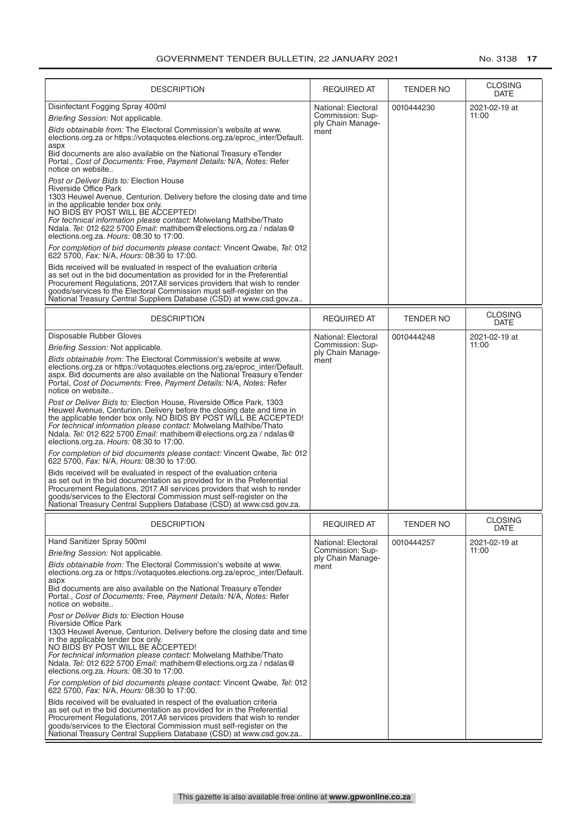| <b>DESCRIPTION</b>                                                                                                                                                                                                                                                                                                                                                                                                     | <b>REQUIRED AT</b>                    | <b>TENDER NO</b> | <b>CLOSING</b>                |
|------------------------------------------------------------------------------------------------------------------------------------------------------------------------------------------------------------------------------------------------------------------------------------------------------------------------------------------------------------------------------------------------------------------------|---------------------------------------|------------------|-------------------------------|
| Disinfectant Fogging Spray 400ml                                                                                                                                                                                                                                                                                                                                                                                       | National: Electoral                   | 0010444230       | <b>DATE</b><br>2021-02-19 at  |
| Briefing Session: Not applicable.                                                                                                                                                                                                                                                                                                                                                                                      | Commission: Sup-                      |                  | 11:00                         |
| Bids obtainable from: The Electoral Commission's website at www.<br>elections.org.za or https://votaquotes.elections.org.za/eproc_inter/Default.                                                                                                                                                                                                                                                                       | ply Chain Manage-<br>ment             |                  |                               |
| aspx<br>Bid documents are also available on the National Treasury eTender<br>Portal., Cost of Documents: Free, Payment Details: N/A, Notes: Refer<br>notice on website                                                                                                                                                                                                                                                 |                                       |                  |                               |
| Post or Deliver Bids to: Election House<br>Riverside Office Park<br>1303 Heuwel Avenue, Centurion. Delivery before the closing date and time<br>in the applicable tender box only.<br>NO BIDS BY POST WILL BE ACCEPTED!<br>For technical information please contact: Molwelang Mathibe/Thato<br>Ndala. Tel: 012 622 5700 Email: mathibem@elections.org.za / ndalas@<br>elections.org.za. Hours: 08:30 to 17:00.        |                                       |                  |                               |
| For completion of bid documents please contact: Vincent Qwabe, Tel: 012<br>622 5700, Fax: N/A, Hours: 08:30 to 17:00.                                                                                                                                                                                                                                                                                                  |                                       |                  |                               |
| Bids received will be evaluated in respect of the evaluation criteria<br>as set out in the bid documentation as provided for in the Preferential<br>Procurement Regulations, 2017.All services providers that wish to render<br>goods/services to the Electoral Commission must self-register on the<br>National Treasury Central Suppliers Database (CSD) at www.csd.gov.za                                           |                                       |                  |                               |
| <b>DESCRIPTION</b>                                                                                                                                                                                                                                                                                                                                                                                                     | REQUIRED AT                           | TENDER NO        | <b>CLOSING</b><br><b>DATE</b> |
| Disposable Rubber Gloves                                                                                                                                                                                                                                                                                                                                                                                               | National: Electoral                   | 0010444248       | 2021-02-19 at                 |
| Briefing Session: Not applicable.                                                                                                                                                                                                                                                                                                                                                                                      | Commission: Sup-<br>ply Chain Manage- |                  | 11:00                         |
| Bids obtainable from: The Electoral Commission's website at www.<br>elections.org.za or https://votaquotes.elections.org.za/eproc_inter/Default.<br>aspx. Bid documents are also available on the National Treasury eTender<br>Portal, Cost of Documents: Free, Payment Details: N/A, Notes: Refer<br>notice on website                                                                                                | ment                                  |                  |                               |
| Post or Deliver Bids to: Election House, Riverside Office Park, 1303<br>Heuwel Avenue, Centurion. Delivery before the closing date and time in<br>the applicable tender box only. NO BIDS BY POST WILL BE ACCEPTED!<br>For technical information please contact: Molwelang Mathibe/Thato<br>Ndala. Tel: 012 622 5700 Email: mathibem@elections.org.za / ndalas@<br>elections.org.za. Hours: 08:30 to 17:00.            |                                       |                  |                               |
| For completion of bid documents please contact: Vincent Qwabe, Tel: 012<br>622 5700, Fax: N/A, Hours: 08:30 to 17:00.                                                                                                                                                                                                                                                                                                  |                                       |                  |                               |
| Bids received will be evaluated in respect of the evaluation criteria<br>as set out in the bid documentation as provided for in the Preferential<br>Procurement Regulations, 2017. All services providers that wish to render<br>goods/services to the Electoral Commission must self-register on the<br>National Treasury Central Suppliers Database (CSD) at www.csd.gov.za.                                         |                                       |                  |                               |
| <b>DESCRIPTION</b>                                                                                                                                                                                                                                                                                                                                                                                                     | <b>REQUIRED AT</b>                    | TENDER NO        | <b>CLOSING</b><br>DATE        |
| Hand Sanitizer Spray 500ml                                                                                                                                                                                                                                                                                                                                                                                             | National: Electoral                   | 0010444257       | 2021-02-19 at                 |
| Briefing Session: Not applicable.                                                                                                                                                                                                                                                                                                                                                                                      | Commission: Sup-                      |                  | 11:00                         |
| Bids obtainable from: The Electoral Commission's website at www.<br>elections.org.za or https://votaquotes.elections.org.za/eproc_inter/Default.<br>aspx<br>Bid documents are also available on the National Treasury eTender<br>Portal., Cost of Documents: Free, Payment Details: N/A, Notes: Refer<br>notice on website                                                                                             | ply Chain Manage-<br>ment             |                  |                               |
| Post or Deliver Bids to: Election House<br><b>Riverside Office Park</b><br>1303 Heuwel Avenue, Centurion. Delivery before the closing date and time<br>in the applicable tender box only.<br>NO BIDS BY POST WILL BE ACCEPTED!<br>For technical information please contact: Molwelang Mathibe/Thato<br>Ndala. Tel: 012 622 5700 Email: mathibem@elections.org.za / ndalas@<br>elections.org.za. Hours: 08:30 to 17:00. |                                       |                  |                               |
| For completion of bid documents please contact: Vincent Qwabe, Tel: 012<br>622 5700, Fax: N/A, Hours: 08:30 to 17:00.                                                                                                                                                                                                                                                                                                  |                                       |                  |                               |
| Bids received will be evaluated in respect of the evaluation criteria<br>as set out in the bid documentation as provided for in the Preferential<br>Procurement Regulations, 2017.All services providers that wish to render<br>goods/services to the Electoral Commission must self-register on the<br>National Treasury Central Suppliers Database (CSD) at www.csd.gov.za                                           |                                       |                  |                               |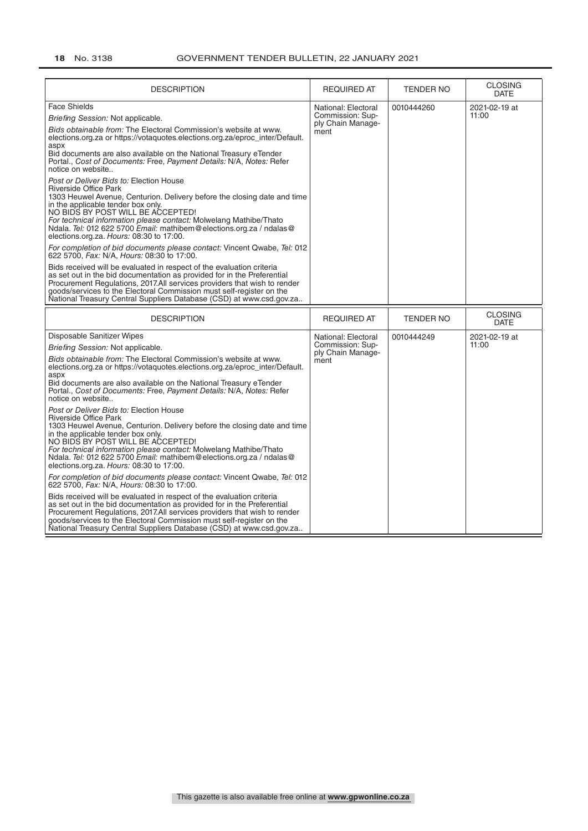| <b>DESCRIPTION</b>                                                                                                                                                                                                                                                                                                                                                                                                                                                                                | <b>REQUIRED AT</b>                                                   | <b>TENDER NO</b> | <b>CLOSING</b><br><b>DATE</b> |
|---------------------------------------------------------------------------------------------------------------------------------------------------------------------------------------------------------------------------------------------------------------------------------------------------------------------------------------------------------------------------------------------------------------------------------------------------------------------------------------------------|----------------------------------------------------------------------|------------------|-------------------------------|
| <b>Face Shields</b><br>Briefing Session: Not applicable.<br>Bids obtainable from: The Electoral Commission's website at www.<br>elections.org.za or https://votaquotes.elections.org.za/eproc_inter/Default.<br>aspx<br>Bid documents are also available on the National Treasury eTender<br>Portal., Cost of Documents: Free, Payment Details: N/A, Notes: Refer<br>notice on website                                                                                                            | National: Electoral<br>Commission: Sup-<br>ply Chain Manage-<br>ment | 0010444260       | 2021-02-19 at<br>11:00        |
| Post or Deliver Bids to: Election House<br><b>Riverside Office Park</b><br>1303 Heuwel Avenue, Centurion. Delivery before the closing date and time<br>in the applicable tender box only.<br>NO BIDS BY POST WILL BE ACCEPTED!<br>For technical information please contact: Molwelang Mathibe/Thato<br>Ndala. Tel: 012 622 5700 Email: mathibem@elections.org.za / ndalas@<br>elections.org.za. Hours: 08:30 to 17:00.<br>For completion of bid documents please contact: Vincent Qwabe, Tel: 012 |                                                                      |                  |                               |
| 622 5700, Fax: N/A, Hours: 08:30 to 17:00.<br>Bids received will be evaluated in respect of the evaluation criteria<br>as set out in the bid documentation as provided for in the Preferential<br>Procurement Regulations, 2017.All services providers that wish to render<br>goods/services to the Electoral Commission must self-register on the<br>National Treasury Central Suppliers Database (CSD) at www.csd.gov.za                                                                        |                                                                      |                  |                               |
| <b>DESCRIPTION</b>                                                                                                                                                                                                                                                                                                                                                                                                                                                                                | <b>REQUIRED AT</b>                                                   | <b>TENDER NO</b> | <b>CLOSING</b><br><b>DATE</b> |
| Disposable Sanitizer Wipes<br>Briefing Session: Not applicable.                                                                                                                                                                                                                                                                                                                                                                                                                                   | National: Electoral<br>Commission: Sup-                              | 0010444249       | 2021-02-19 at                 |
| Bids obtainable from: The Electoral Commission's website at www.<br>elections.org.za or https://votaquotes.elections.org.za/eproc_inter/Default.<br>aspx<br>Bid documents are also available on the National Treasury eTender<br>Portal., Cost of Documents: Free, Payment Details: N/A, Notes: Refer<br>notice on website                                                                                                                                                                        | ply Chain Manage-<br>ment                                            |                  | 11:00                         |
| Post or Deliver Bids to: Election House<br><b>Riverside Office Park</b><br>1303 Heuwel Avenue, Centurion. Delivery before the closing date and time<br>in the applicable tender box only.<br>NO BIDS BY POST WILL BE ACCEPTED!<br>For technical information please contact: Molwelang Mathibe/Thato<br>Ndala. Tel: 012 622 5700 Email: mathibem@elections.org.za / ndalas@<br>elections.org.za. Hours: 08:30 to 17:00.<br>For completion of bid documents please contact: Vincent Qwabe, Tel: 012 |                                                                      |                  |                               |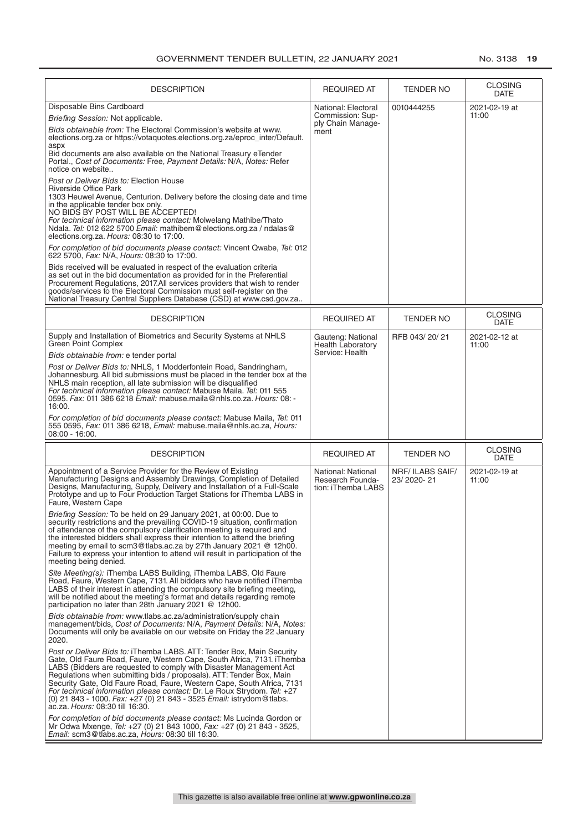| <b>DESCRIPTION</b>                                                                                                                                                                                                                                                                                                                                                                                                                                                                                                                                              | <b>REQUIRED AT</b>                                                   | <b>TENDER NO</b>                     | <b>CLOSING</b><br><b>DATE</b> |
|-----------------------------------------------------------------------------------------------------------------------------------------------------------------------------------------------------------------------------------------------------------------------------------------------------------------------------------------------------------------------------------------------------------------------------------------------------------------------------------------------------------------------------------------------------------------|----------------------------------------------------------------------|--------------------------------------|-------------------------------|
| Disposable Bins Cardboard<br>Briefing Session: Not applicable.<br>Bids obtainable from: The Electoral Commission's website at www.<br>elections.org.za or https://votaquotes.elections.org.za/eproc_inter/Default.<br>aspx<br>Bid documents are also available on the National Treasury eTender<br>Portal., Cost of Documents: Free, Payment Details: N/A, Notes: Refer<br>notice on website<br>Post or Deliver Bids to: Election House<br>Riverside Office Park<br>1303 Heuwel Avenue, Centurion. Delivery before the closing date and time                    | National: Electoral<br>Commission: Sup-<br>ply Chain Manage-<br>ment | 0010444255                           | 2021-02-19 at<br>11:00        |
| in the applicable tender box only.<br>NO BIDS BY POST WILL BE ACCEPTED!<br>For technical information please contact: Molwelang Mathibe/Thato<br>Ndala. Tel: 012 622 5700 Email: mathibem@elections.org.za / ndalas@<br>elections.org.za. Hours: 08:30 to 17:00.<br>For completion of bid documents please contact: Vincent Qwabe, Tel: 012                                                                                                                                                                                                                      |                                                                      |                                      |                               |
| 622 5700, Fax: N/A, Hours: 08:30 to 17:00.<br>Bids received will be evaluated in respect of the evaluation criteria<br>as set out in the bid documentation as provided for in the Preferential<br>Procurement Regulations, 2017.All services providers that wish to render<br>goods/services to the Electoral Commission must self-register on the<br>National Treasury Central Suppliers Database (CSD) at www.csd.gov.za                                                                                                                                      |                                                                      |                                      |                               |
| <b>DESCRIPTION</b>                                                                                                                                                                                                                                                                                                                                                                                                                                                                                                                                              | <b>REQUIRED AT</b>                                                   | TENDER NO                            | <b>CLOSING</b><br><b>DATE</b> |
| Supply and Installation of Biometrics and Security Systems at NHLS<br>Green Point Complex<br>Bids obtainable from: e tender portal                                                                                                                                                                                                                                                                                                                                                                                                                              | Gauteng: National<br><b>Health Laboratory</b><br>Service: Health     | RFB 043/20/21                        | 2021-02-12 at<br>11:00        |
| Post or Deliver Bids to: NHLS, 1 Modderfontein Road, Sandringham,<br>Johannesburg. All bid submissions must be placed in the tender box at the<br>NHLS main reception, all late submission will be disqualified<br>For technical information please contact: Mabuse Maila. Tel: 011 555<br>0595. Fax: 011 386 6218 Email: mabuse.maila@nhls.co.za. Hours: 08: -<br>16:00.                                                                                                                                                                                       |                                                                      |                                      |                               |
| For completion of bid documents please contact: Mabuse Maila, Tel: 011<br>555 0595, Fax: 011 386 6218, Email: mabuse.maila@nhls.ac.za, Hours:<br>$08:00 - 16:00.$                                                                                                                                                                                                                                                                                                                                                                                               |                                                                      |                                      |                               |
| <b>DESCRIPTION</b>                                                                                                                                                                                                                                                                                                                                                                                                                                                                                                                                              | <b>REQUIRED AT</b>                                                   | TENDER NO                            | <b>CLOSING</b><br><b>DATE</b> |
| Appointment of a Service Provider for the Review of Existing<br>Manufacturing Designs and Assembly Drawings, Completion of Detailed<br>Designs, Manufacturing, Supply, Delivery and Installation of a Full-Scale<br>Prototype and up to Four Production Target Stations for iThemba LABS in<br>Faure, Western Cape                                                                                                                                                                                                                                              | National: National<br>Research Founda-<br>tion: iThemba LABS         | <b>NRF/ILABS SAIF/</b><br>23/2020-21 | 2021-02-19 at<br>11:00        |
| Briefing Session: To be held on 29 January 2021, at 00:00. Due to<br>security restrictions and the prevailing COVID-19 situation, confirmation<br>of attendance of the compulsory clarification meeting is required and<br>the interested bidders shall express their intention to attend the briefing<br>meeting by email to scm3@tlabs.ac.za by 27th January 2021 @ 12h00.<br>Failure to express your intention to attend will result in participation of the<br>meeting being denied.                                                                        |                                                                      |                                      |                               |
| Site Meeting(s): iThemba LABS Building, iThemba LABS, Old Faure<br>Road, Faure, Western Cape, 7131. All bidders who have notified iThemba<br>LABS of their interest in attending the compulsory site briefing meeting,<br>will be notified about the meeting's format and details regarding remote<br>participation no later than 28th January 2021 @ 12h00.                                                                                                                                                                                                    |                                                                      |                                      |                               |
| Bids obtainable from: www.tlabs.ac.za/administration/supply chain<br>management/bids, Cost of Documents: N/A, Payment Details: N/A, Notes:<br>Documents will only be available on our website on Friday the 22 January<br>2020.                                                                                                                                                                                                                                                                                                                                 |                                                                      |                                      |                               |
| Post or Deliver Bids to: iThemba LABS. ATT: Tender Box, Main Security<br>Gate, Old Faure Road, Faure, Western Cape, South Africa, 7131. iThemba<br>LABS (Bidders are requested to comply with Disaster Management Act<br>Regulations when submitting bids / proposals). ATT: Tender Box, Main<br>Security Gate, Old Faure Road, Faure, Western Cape, South Africa, 7131<br>For technical information please contact: Dr. Le Roux Strydom. Tel: +27<br>(0) 21 843 - 1000. Fax: $+27$ (0) 21 843 - 3525 Email: istrydom@tlabs.<br>ac.za. Hours: 08:30 till 16:30. |                                                                      |                                      |                               |
| For completion of bid documents please contact: Ms Lucinda Gordon or<br>Mr Odwa Mxenge, Tel: +27 (0) 21 843 1000, Fax: +27 (0) 21 843 - 3525,<br>Email: scm3@tlabs.ac.za, Hours: 08:30 till 16:30.                                                                                                                                                                                                                                                                                                                                                              |                                                                      |                                      |                               |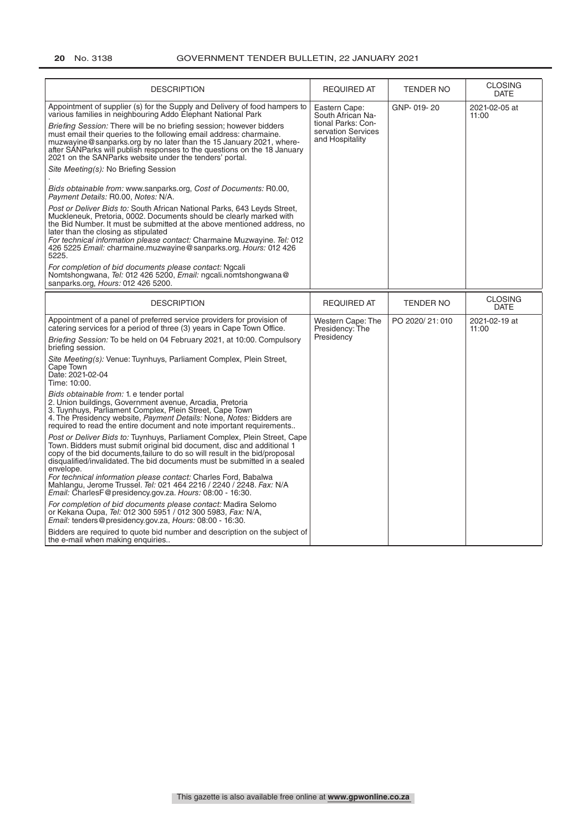| <b>DESCRIPTION</b>                                                                                                                                                                                                                                                                                                                                                                                                                                                                                                                                                                                                                                                                                                                                                                                                                                                                                                                                                                                                                                                                                                                                                                                                                                          | <b>REQUIRED AT</b>                                                                                | <b>TENDER NO</b> | <b>CLOSING</b><br><b>DATE</b> |
|-------------------------------------------------------------------------------------------------------------------------------------------------------------------------------------------------------------------------------------------------------------------------------------------------------------------------------------------------------------------------------------------------------------------------------------------------------------------------------------------------------------------------------------------------------------------------------------------------------------------------------------------------------------------------------------------------------------------------------------------------------------------------------------------------------------------------------------------------------------------------------------------------------------------------------------------------------------------------------------------------------------------------------------------------------------------------------------------------------------------------------------------------------------------------------------------------------------------------------------------------------------|---------------------------------------------------------------------------------------------------|------------------|-------------------------------|
| Appointment of supplier (s) for the Supply and Delivery of food hampers to<br>various families in neighbouring Addo Elephant National Park<br>Briefing Session: There will be no briefing session; however bidders<br>must email their queries to the following email address: charmaine.<br>muzwayine@sanparks.org by no later than the 15 January 2021, where-<br>after SANParks will publish responses to the questions on the 18 January<br>2021 on the SANParks website under the tenders' portal.<br>Site Meeting(s): No Briefing Session<br>Bids obtainable from: www.sanparks.org, Cost of Documents: R0.00,<br>Payment Details: R0.00, Notes: N/A.<br>Post or Deliver Bids to: South African National Parks, 643 Leyds Street,<br>Muckleneuk, Pretoria, 0002. Documents should be clearly marked with<br>the Bid Number. It must be submitted at the above mentioned address, no<br>later than the closing as stipulated<br>For technical information please contact: Charmaine Muzwayine. Tel: 012<br>426 5225 Email: charmaine.muzwayine@sanparks.org. Hours: 012 426<br>5225.<br>For completion of bid documents please contact: Ngcali<br>Nomtshongwana, Tel: 012 426 5200, Email: ngcali.nomtshongwana@<br>sanparks.org, Hours: 012 426 5200. | Eastern Cape:<br>South African Na-<br>tional Parks: Con-<br>servation Services<br>and Hospitality | GNP-019-20       | 2021-02-05 at<br>11:00        |
|                                                                                                                                                                                                                                                                                                                                                                                                                                                                                                                                                                                                                                                                                                                                                                                                                                                                                                                                                                                                                                                                                                                                                                                                                                                             |                                                                                                   |                  | <b>CLOSING</b>                |
| <b>DESCRIPTION</b>                                                                                                                                                                                                                                                                                                                                                                                                                                                                                                                                                                                                                                                                                                                                                                                                                                                                                                                                                                                                                                                                                                                                                                                                                                          | <b>REQUIRED AT</b>                                                                                | <b>TENDER NO</b> | <b>DATE</b>                   |
| Appointment of a panel of preferred service providers for provision of<br>catering services for a period of three (3) years in Cape Town Office.<br>Briefing Session: To be held on 04 February 2021, at 10:00. Compulsory<br>briefing session.<br>Site Meeting(s): Venue: Tuynhuys, Parliament Complex, Plein Street,<br>Cape Town<br>Date: 2021-02-04<br>Time: 10:00.<br>Bids obtainable from: 1. e tender portal<br>2. Union buildings, Government avenue, Arcadia, Pretoria<br>3. Tuynhuys, Parliament Complex, Plein Street, Cape Town<br>4. The Presidency website, Payment Details: None, Notes: Bidders are                                                                                                                                                                                                                                                                                                                                                                                                                                                                                                                                                                                                                                         | Western Cape: The<br>Presidency: The<br>Presidency                                                | PO 2020/21:010   | 2021-02-19 at<br>11:00        |
| required to read the entire document and note important requirements<br>Post or Deliver Bids to: Tuynhuys, Parliament Complex, Plein Street, Cape<br>Town. Bidders must submit original bid document, disc and additional 1<br>copy of the bid documents, failure to do so will result in the bid/proposal<br>disqualified/invalidated. The bid documents must be submitted in a sealed<br>envelope.<br>For technical information please contact: Charles Ford, Babalwa<br>Mahlangu, Jerome Trussel. <i>Tel:</i> 021 464 2216 / 2240 / 2248. Fax: N/A<br>Email: CharlesF@presidency.gov.za. Hours: 08:00 - 16:30.<br>For completion of bid documents please contact: Madira Selomo<br>or Kekana Oupa, Tel: 012 300 5951 / 012 300 5983, Fax: N/A,<br>Email: tenders@presidency.gov.za, Hours: 08:00 - 16:30.<br>Bidders are required to quote bid number and description on the subject of<br>the e-mail when making enquiries                                                                                                                                                                                                                                                                                                                              |                                                                                                   |                  |                               |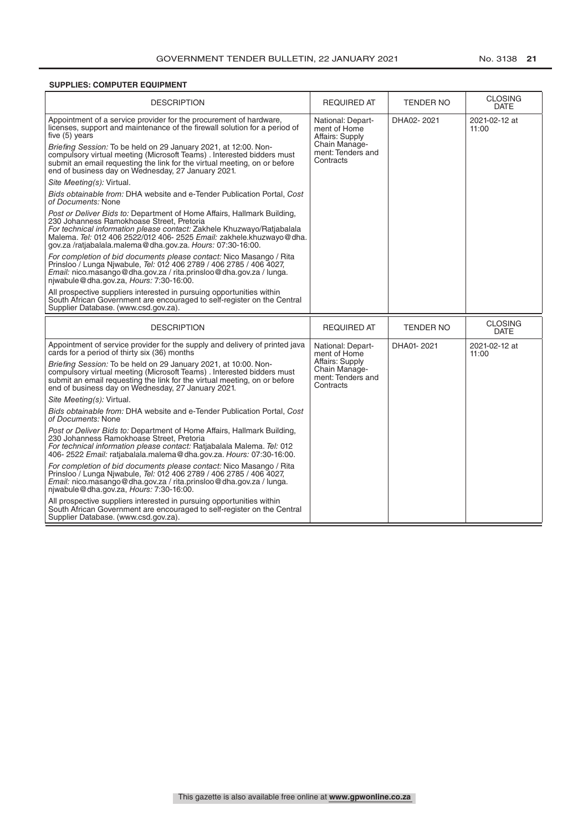#### **SUPPLIES: COMPUTER EQUIPMENT**

| <b>DESCRIPTION</b>                                                                                                                                                                                                                                                                                                                                                                                                                                                                                                                                                                                                                                                                                                                                                                                                                                                                                                       | <b>REQUIRED AT</b>                                                                                      | <b>TENDER NO</b> | <b>CLOSING</b><br><b>DATE</b> |
|--------------------------------------------------------------------------------------------------------------------------------------------------------------------------------------------------------------------------------------------------------------------------------------------------------------------------------------------------------------------------------------------------------------------------------------------------------------------------------------------------------------------------------------------------------------------------------------------------------------------------------------------------------------------------------------------------------------------------------------------------------------------------------------------------------------------------------------------------------------------------------------------------------------------------|---------------------------------------------------------------------------------------------------------|------------------|-------------------------------|
| Appointment of a service provider for the procurement of hardware,<br>licenses, support and maintenance of the firewall solution for a period of<br>five (5) years<br>Briefing Session: To be held on 29 January 2021, at 12:00. Non-<br>compulsory virtual meeting (Microsoft Teams) . Interested bidders must<br>submit an email requesting the link for the virtual meeting, on or before<br>end of business day on Wednesday, 27 January 2021.<br>Site Meeting(s): Virtual.<br>Bids obtainable from: DHA website and e-Tender Publication Portal, Cost<br>of Documents: None<br>Post or Deliver Bids to: Department of Home Affairs, Hallmark Building,<br>230 Johanness Ramokhoase Street. Pretoria<br>For technical information please contact: Zakhele Khuzwayo/Ratjabalala<br>Malema. Tel: 012 406 2522/012 406- 2525 Email: zakhele.khuzwayo@dha.<br>gov.za /ratjabalala.malema@dha.gov.za. Hours: 07:30-16:00. | National: Depart-<br>ment of Home<br>Affairs: Supply<br>Chain Manage-<br>ment: Tenders and<br>Contracts | DHA02-2021       | 2021-02-12 at<br>11:00        |
| For completion of bid documents please contact: Nico Masango / Rita<br>Prinsloo / Lunga Njwabule, Tel: 012 406 2789 / 406 2785 / 406 4027,<br>Email: nico.masango@dha.gov.za / rita.prinsloo@dha.gov.za / lunga.<br>njwabule@dha.gov.za, Hours: 7:30-16:00.                                                                                                                                                                                                                                                                                                                                                                                                                                                                                                                                                                                                                                                              |                                                                                                         |                  |                               |
| All prospective suppliers interested in pursuing opportunities within<br>South African Government are encouraged to self-register on the Central<br>Supplier Database. (www.csd.gov.za).                                                                                                                                                                                                                                                                                                                                                                                                                                                                                                                                                                                                                                                                                                                                 |                                                                                                         |                  |                               |
|                                                                                                                                                                                                                                                                                                                                                                                                                                                                                                                                                                                                                                                                                                                                                                                                                                                                                                                          |                                                                                                         |                  |                               |
| <b>DESCRIPTION</b>                                                                                                                                                                                                                                                                                                                                                                                                                                                                                                                                                                                                                                                                                                                                                                                                                                                                                                       | <b>REQUIRED AT</b>                                                                                      | <b>TENDER NO</b> | <b>CLOSING</b><br><b>DATE</b> |
| Appointment of service provider for the supply and delivery of printed java<br>cards for a period of thirty six (36) months                                                                                                                                                                                                                                                                                                                                                                                                                                                                                                                                                                                                                                                                                                                                                                                              | National: Depart-<br>ment of Home                                                                       | DHA01-2021       | 2021-02-12 at<br>11:00        |
| Briefing Session: To be held on 29 January 2021, at 10:00. Non-<br>compulsory virtual meeting (Microsoft Teams). Interested bidders must<br>submit an email requesting the link for the virtual meeting, on or before<br>end of business day on Wednesday, 27 January 2021.                                                                                                                                                                                                                                                                                                                                                                                                                                                                                                                                                                                                                                              | Affairs: Supply<br>Chain Manage-<br>ment: Tenders and<br>Contracts                                      |                  |                               |
| Site Meeting(s): Virtual.                                                                                                                                                                                                                                                                                                                                                                                                                                                                                                                                                                                                                                                                                                                                                                                                                                                                                                |                                                                                                         |                  |                               |
| Bids obtainable from: DHA website and e-Tender Publication Portal, Cost<br>of Documents: None                                                                                                                                                                                                                                                                                                                                                                                                                                                                                                                                                                                                                                                                                                                                                                                                                            |                                                                                                         |                  |                               |
| <i>Post or Deliver Bids to: Department of Home Affairs, Hallmark Building,</i><br>230 Johanness Ramokhoase Street, Pretoria<br>For technical information please contact: Ratjabalala Malema. Tel: 012<br>406-2522 Email: ratiabalala.malema@dha.gov.za. Hours: 07:30-16:00.                                                                                                                                                                                                                                                                                                                                                                                                                                                                                                                                                                                                                                              |                                                                                                         |                  |                               |
| For completion of bid documents please contact: Nico Masango / Rita<br>Prinsloo / Lunga Njwabule, Tel: 012 406 2789 / 406 2785 / 406 4027,<br>Email: nico.masango@dha.gov.za / rita.prinsloo@dha.gov.za / lunga.<br>njwabule@dha.gov.za, Hours: 7:30-16:00.                                                                                                                                                                                                                                                                                                                                                                                                                                                                                                                                                                                                                                                              |                                                                                                         |                  |                               |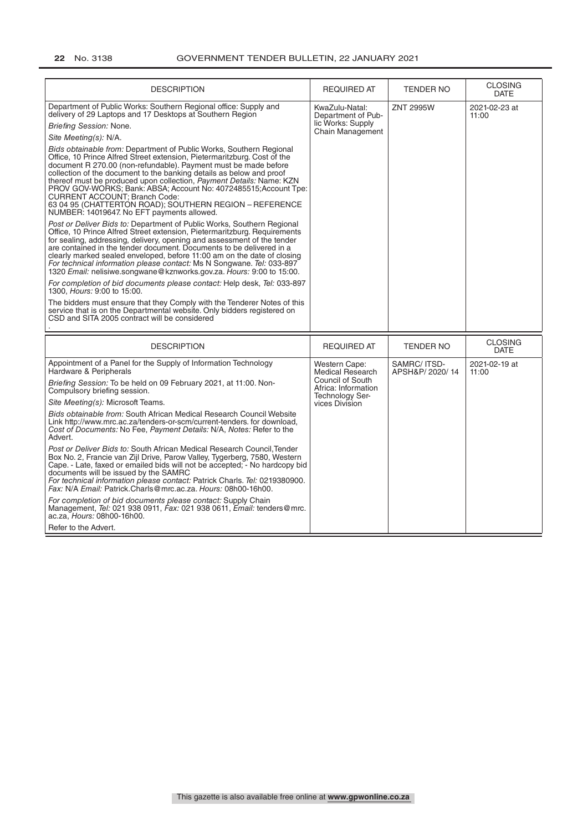| <b>DESCRIPTION</b>                                                                                                                                                                                                                                                                                                                                                                                                                                                                                                                                                                      | <b>REQUIRED AT</b>                                         | <b>TENDER NO</b>               | <b>CLOSING</b><br><b>DATE</b> |
|-----------------------------------------------------------------------------------------------------------------------------------------------------------------------------------------------------------------------------------------------------------------------------------------------------------------------------------------------------------------------------------------------------------------------------------------------------------------------------------------------------------------------------------------------------------------------------------------|------------------------------------------------------------|--------------------------------|-------------------------------|
| Department of Public Works: Southern Regional office: Supply and<br>delivery of 29 Laptops and 17 Desktops at Southern Region<br>Briefing Session: None.                                                                                                                                                                                                                                                                                                                                                                                                                                | KwaZulu-Natal:<br>Department of Pub-<br>lic Works: Supply  | <b>ZNT 2995W</b>               | 2021-02-23 at<br>11:00        |
| Site Meeting(s): N/A.                                                                                                                                                                                                                                                                                                                                                                                                                                                                                                                                                                   | <b>Chain Management</b>                                    |                                |                               |
| Bids obtainable from: Department of Public Works, Southern Regional<br>Office. 10 Prince Alfred Street extension. Pietermaritzburg. Cost of the<br>document R 270.00 (non-refundable). Payment must be made before<br>collection of the document to the banking details as below and proof<br>thereof must be produced upon collection, Payment Details: Name: KZN<br>PROV GOV-WORKS; Bank: ABSA; Account No: 4072485515; Account Tpe:<br><b>CURRENT ACCOUNT: Branch Code:</b><br>63 04 95 (CHATTERTON ROAD); SOUTHERN REGION - REFERENCE<br>NUMBER: 14019647. No EFT payments allowed. |                                                            |                                |                               |
| Post or Deliver Bids to: Department of Public Works, Southern Regional<br>Office, 10 Prince Alfred Street extension, Pietermaritzburg. Requirements<br>for sealing, addressing, delivery, opening and assessment of the tender<br>are contained in the tender document. Documents to be delivered in a<br>clearly marked sealed enveloped, before 11:00 am on the date of closing<br>For technical information please contact: Ms N Songwane. Tel: 033-897<br>1320 <i>Email:</i> nelisiwe.songwane@kznworks.gov.za. Hours: 9:00 to 15:00.                                               |                                                            |                                |                               |
| For completion of bid documents please contact: Help desk, Tel: 033-897<br>1300. Hours: 9:00 to 15:00.                                                                                                                                                                                                                                                                                                                                                                                                                                                                                  |                                                            |                                |                               |
| The bidders must ensure that they Comply with the Tenderer Notes of this<br>service that is on the Departmental website. Only bidders registered on<br>CSD and SITA 2005 contract will be considered                                                                                                                                                                                                                                                                                                                                                                                    |                                                            |                                |                               |
| <b>DESCRIPTION</b>                                                                                                                                                                                                                                                                                                                                                                                                                                                                                                                                                                      | <b>REQUIRED AT</b>                                         | <b>TENDER NO</b>               | <b>CLOSING</b><br><b>DATE</b> |
| Appointment of a Panel for the Supply of Information Technology<br>Hardware & Peripherals                                                                                                                                                                                                                                                                                                                                                                                                                                                                                               | Western Cape:<br><b>Medical Research</b>                   | SAMRC/ ITSD-<br>APSH&P/2020/14 | 2021-02-19 at<br>11:00        |
| Briefing Session: To be held on 09 February 2021, at 11:00. Non-<br>Compulsory briefing session.                                                                                                                                                                                                                                                                                                                                                                                                                                                                                        | Council of South<br>Africa: Information<br>Technology Ser- |                                |                               |
| Site Meeting(s): Microsoft Teams.                                                                                                                                                                                                                                                                                                                                                                                                                                                                                                                                                       | vices Division                                             |                                |                               |
| Bids obtainable from: South African Medical Research Council Website<br>Link http://www.mrc.ac.za/tenders-or-scm/current-tenders. for download,<br>Cost of Documents: No Fee, Payment Details: N/A, Notes: Refer to the<br>Advert.                                                                                                                                                                                                                                                                                                                                                      |                                                            |                                |                               |
| Post or Deliver Bids to: South African Medical Research Council Tender<br>Box No. 2, Francie van Zijl Drive, Parow Valley, Tygerberg, 7580, Western<br>Cape. - Late, faxed or emailed bids will not be accepted; - No hardcopy bid<br>documents will be issued by the SAMRC<br>For technical information please contact: Patrick Charls. Tel: 0219380900.<br>Fax: N/A Email: Patrick.Charls@mrc.ac.za. Hours: 08h00-16h00.                                                                                                                                                              |                                                            |                                |                               |
| For completion of bid documents please contact: Supply Chain<br>Management, Tel: 021 938 0911, Fax: 021 938 0611, Email: tenders@mrc.<br>ac.za, Hours: 08h00-16h00.                                                                                                                                                                                                                                                                                                                                                                                                                     |                                                            |                                |                               |
| Refer to the Advert.                                                                                                                                                                                                                                                                                                                                                                                                                                                                                                                                                                    |                                                            |                                |                               |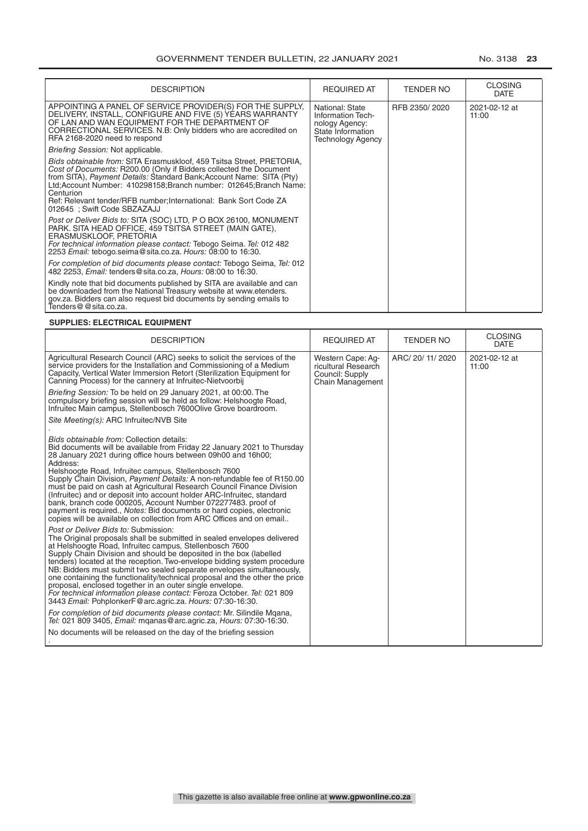| <b>DESCRIPTION</b>                                                                                                                                                                                                                                                                                                                                                                                           | <b>REQUIRED AT</b>                                                                                      | <b>TENDER NO</b> | <b>CLOSING</b><br><b>DATE</b> |
|--------------------------------------------------------------------------------------------------------------------------------------------------------------------------------------------------------------------------------------------------------------------------------------------------------------------------------------------------------------------------------------------------------------|---------------------------------------------------------------------------------------------------------|------------------|-------------------------------|
| APPOINTING A PANEL OF SERVICE PROVIDER(S) FOR THE SUPPLY.<br>DELIVERY, INSTALL, CONFIGURE AND FIVE (5) YEARS WARRANTY<br>OF LAN AND WAN EQUIPMENT FOR THE DEPARTMENT OF<br>CORRECTIONAL SERVICES. N.B: Only bidders who are accredited on<br>RFA 2168-2020 need to respond                                                                                                                                   | National: State<br>Information Tech-<br>nology Agency:<br>State Information<br><b>Technology Agency</b> | RFB 2350/2020    | 2021-02-12 at<br>11:00        |
| Briefing Session: Not applicable.                                                                                                                                                                                                                                                                                                                                                                            |                                                                                                         |                  |                               |
| Bids obtainable from: SITA Erasmuskloof, 459 Tsitsa Street, PRETORIA,<br>Cost of Documents: R200.00 (Only if Bidders collected the Document<br>from SITA), Payment Details: Standard Bank; Account Name: SITA (Pty)<br>Ltd; Account Number: 410298158; Branch number: 012645; Branch Name:<br>Centurion<br>Ref: Relevant tender/RFB number; International: Bank Sort Code ZA<br>012645 : Swift Code SBZAZAJJ |                                                                                                         |                  |                               |
| Post or Deliver Bids to: SITA (SOC) LTD, P O BOX 26100, MONUMENT<br>PARK. SITA HEAD OFFICE, 459 TSITSA STREET (MAIN GATE),<br>ERASMUSKLOOF, PRETORIA<br>For technical information please contact: Tebogo Seima. Tel: 012 482<br>2253 Email: tebogo.seima@sita.co.za. Hours: 08:00 to 16:30.                                                                                                                  |                                                                                                         |                  |                               |
| For completion of bid documents please contact: Tebogo Seima, Tel: 012<br>482 2253, <i>Email:</i> tenders@sita.co.za, <i>Hours:</i> 08:00 to 16:30.                                                                                                                                                                                                                                                          |                                                                                                         |                  |                               |
| Kindly note that bid documents published by SITA are available and can<br>be downloaded from the National Treasury website at www.etenders.<br>gov.za. Bidders can also request bid documents by sending emails to<br>Tenders@@sita.co.za.                                                                                                                                                                   |                                                                                                         |                  |                               |

#### **SUPPLIES: ELECTRICAL EQUIPMENT**

| <b>DESCRIPTION</b>                                                                                                                                                                                                                                                                                                                                                                                                                                                                                                                                                                                                                                                                                       | <b>REQUIRED AT</b>                                                              | <b>TENDER NO</b>  | <b>CLOSING</b><br><b>DATE</b> |
|----------------------------------------------------------------------------------------------------------------------------------------------------------------------------------------------------------------------------------------------------------------------------------------------------------------------------------------------------------------------------------------------------------------------------------------------------------------------------------------------------------------------------------------------------------------------------------------------------------------------------------------------------------------------------------------------------------|---------------------------------------------------------------------------------|-------------------|-------------------------------|
| Agricultural Research Council (ARC) seeks to solicit the services of the<br>service providers for the Installation and Commissioning of a Medium<br>Capacity, Vertical Water Immersion Retort (Sterilization Equipment for<br>Canning Process) for the cannery at Infruitec-Nietvoorbij                                                                                                                                                                                                                                                                                                                                                                                                                  | Western Cape: Ag-<br>ricultural Research<br>Council: Supply<br>Chain Management | ARC/ 20/ 11/ 2020 | 2021-02-12 at<br>11:00        |
| Briefing Session: To be held on 29 January 2021, at 00:00. The<br>compulsory briefing session will be held as follow: Helshoogte Road,<br>Infruitec Main campus, Stellenbosch 7600 Olive Grove boardroom.                                                                                                                                                                                                                                                                                                                                                                                                                                                                                                |                                                                                 |                   |                               |
| Site Meeting(s): ARC Infruitec/NVB Site                                                                                                                                                                                                                                                                                                                                                                                                                                                                                                                                                                                                                                                                  |                                                                                 |                   |                               |
| Bids obtainable from: Collection details:<br>Bid documents will be available from Friday 22 January 2021 to Thursday<br>28 January 2021 during office hours between 09h00 and 16h00;<br>Address:<br>Helshoogte Road, Infruitec campus, Stellenbosch 7600<br>Supply Chain Division, Payment Details: A non-refundable fee of R150.00<br>must be paid on cash at Agricultural Research Council Finance Division<br>(Infruitec) and or deposit into account holder ARC-Infruitec, standard<br>bank, branch code 000205, Account Number 072277483, proof of<br>payment is required., Notes: Bid documents or hard copies, electronic<br>copies will be available on collection from ARC Offices and on email |                                                                                 |                   |                               |
| Post or Deliver Bids to: Submission:<br>The Original proposals shall be submitted in sealed envelopes delivered<br>at Helshoogte Road, Infruitec campus, Stellenbosch 7600<br>Supply Chain Division and should be deposited in the box (labelled<br>tenders) located at the reception. Two-envelope bidding system procedure<br>NB: Bidders must submit two sealed separate envelopes simultaneously.<br>one containing the functionality/technical proposal and the other the price<br>proposal, enclosed together in an outer single envelope.<br>For technical information please contact: Feroza October. Tel: 021 809<br>3443 Email: PohplonkerF@arc.agric.za. Hours: 07:30-16:30.                  |                                                                                 |                   |                               |
| For completion of bid documents please contact: Mr. Silindile Mqana,<br>Tel: 021 809 3405, <i>Email:</i> mganas@arc.agric.za, <i>Hours:</i> 07:30-16:30.                                                                                                                                                                                                                                                                                                                                                                                                                                                                                                                                                 |                                                                                 |                   |                               |
| No documents will be released on the day of the briefing session                                                                                                                                                                                                                                                                                                                                                                                                                                                                                                                                                                                                                                         |                                                                                 |                   |                               |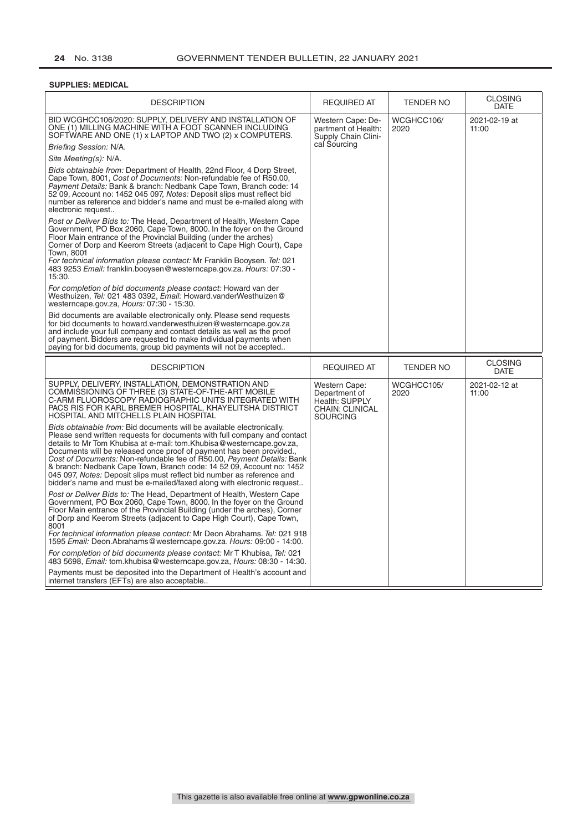#### **SUPPLIES: MEDICAL**

| <b>DESCRIPTION</b>                                                                                                                                                                                                                                                                                                                                                                                                                                                                                                                                                                                     | <b>REQUIRED AT</b>                                                                     | <b>TENDER NO</b>   | <b>CLOSING</b><br><b>DATE</b> |
|--------------------------------------------------------------------------------------------------------------------------------------------------------------------------------------------------------------------------------------------------------------------------------------------------------------------------------------------------------------------------------------------------------------------------------------------------------------------------------------------------------------------------------------------------------------------------------------------------------|----------------------------------------------------------------------------------------|--------------------|-------------------------------|
| BID WCGHCC106/2020: SUPPLY, DELIVERY AND INSTALLATION OF<br>ONE (1) MILLING MACHINE WITH A FOOT SCANNER INCLUDING<br>SOFTWARE AND ONE (1) x LAPTOP AND TWO (2) x COMPUTERS.                                                                                                                                                                                                                                                                                                                                                                                                                            | Western Cape: De-<br>partment of Health:<br>Supply Chain Clini-<br>cal Sourcing        | WCGHCC106/<br>2020 | 2021-02-19 at<br>11:00        |
| Briefing Session: N/A.                                                                                                                                                                                                                                                                                                                                                                                                                                                                                                                                                                                 |                                                                                        |                    |                               |
| Site Meeting(s): N/A.                                                                                                                                                                                                                                                                                                                                                                                                                                                                                                                                                                                  |                                                                                        |                    |                               |
| Bids obtainable from: Department of Health, 22nd Floor, 4 Dorp Street,<br>Cape Town, 8001, Cost of Documents: Non-refundable fee of R50.00,<br>Payment Details: Bank & branch: Nedbank Cape Town, Branch code: 14<br>52 09, Account no: 1452 045 097, Notes: Deposit slips must reflect bid<br>number as reference and bidder's name and must be e-mailed along with<br>electronic request                                                                                                                                                                                                             |                                                                                        |                    |                               |
| Post or Deliver Bids to: The Head, Department of Health, Western Cape<br>Government, PO Box 2060, Cape Town, 8000. In the foyer on the Ground<br>Floor Main entrance of the Provincial Building (under the arches)<br>Corner of Dorp and Keerom Streets (adjacent to Cape High Court), Cape<br>Town, 8001<br>For technical information please contact: Mr Franklin Booysen. Tel: 021<br>483 9253 Email: franklin.booysen@westerncape.gov.za. Hours: 07:30 -<br>15:30.                                                                                                                                  |                                                                                        |                    |                               |
| For completion of bid documents please contact: Howard van der<br>Westhuizen, <i>Tel:</i> 021 483 0392, Email: Howard.vanderWesthuizen@<br>westerncape.gov.za, Hours: 07:30 - 15:30.                                                                                                                                                                                                                                                                                                                                                                                                                   |                                                                                        |                    |                               |
| Bid documents are available electronically only. Please send requests<br>for bid documents to howard vanderwesthuizen@westerncape.gov.za<br>and include your full company and contact details as well as the proof<br>of payment. Bidders are requested to make individual payments when<br>paying for bid documents, group bid payments will not be accepted                                                                                                                                                                                                                                          |                                                                                        |                    |                               |
| <b>DESCRIPTION</b>                                                                                                                                                                                                                                                                                                                                                                                                                                                                                                                                                                                     | <b>REQUIRED AT</b>                                                                     | <b>TENDER NO</b>   | <b>CLOSING</b><br><b>DATE</b> |
| SUPPLY, DELIVERY, INSTALLATION, DEMONSTRATION AND<br>COMMISSIONING OF THREE (3) STATE-OF-THE-ART MOBILE<br>C-ARM FLUOROSCOPY RADIÒGRAPHIC UNITS INTEGRATED WITH<br>PACS RIS FOR KARL BREMER HOSPITAL, KHAYELITSHA DISTRICT<br><b>HOSPITAL AND MITCHELLS PLAIN HOSPITAL</b>                                                                                                                                                                                                                                                                                                                             | Western Cape:<br>Department of<br>Health: SUPPLY<br>CHAIN: CLINICAL<br><b>SOURCING</b> | WCGHCC105/<br>2020 | 2021-02-12 at<br>11:00        |
| Bids obtainable from: Bid documents will be available electronically.<br>Please send written requests for documents with full company and contact<br>details to Mr Tom Khubisa at e-mail: tom. Khubisa@westerncape.gov.za,<br>Documents will be released once proof of payment has been provided<br>Cost of Documents: Non-refundable fee of R50.00, Payment Details: Bank<br>& branch: Nedbank Cape Town, Branch code: 14 52 09, Account no: 1452<br>045 097, Notes: Deposit slips must reflect bid number as reference and<br>bidder's name and must be e-mailed/faxed along with electronic request |                                                                                        |                    |                               |
| Post or Deliver Bids to: The Head, Department of Health, Western Cape<br>Government, PO Box 2060, Cape Town, 8000. In the foyer on the Ground<br>Floor Main entrance of the Provincial Building (under the arches), Corner<br>of Dorp and Keerom Streets (adjacent to Cape High Court), Cape Town,<br>8001<br>For technical information please contact: Mr Deon Abrahams. Tel: 021 918                                                                                                                                                                                                                 |                                                                                        |                    |                               |
| 1595 Email: Deon. Abrahams@westerncape.gov.za. Hours: 09:00 - 14:00.                                                                                                                                                                                                                                                                                                                                                                                                                                                                                                                                   |                                                                                        |                    |                               |
| For completion of bid documents please contact: Mr T Khubisa, Tel: 021<br>483 5698, Email: tom.khubisa@westerncape.gov.za, Hours: 08:30 - 14:30.                                                                                                                                                                                                                                                                                                                                                                                                                                                       |                                                                                        |                    |                               |
| Payments must be deposited into the Department of Health's account and<br>internet transfers (EFTs) are also acceptable                                                                                                                                                                                                                                                                                                                                                                                                                                                                                |                                                                                        |                    |                               |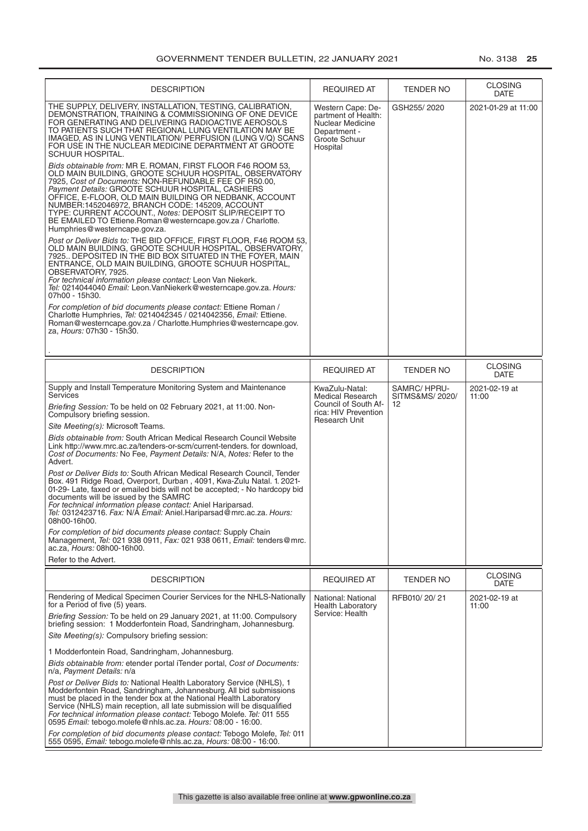| <b>DESCRIPTION</b>                                                                                                                                                                                                                                                                                                                                                                                                                                                                                                                                                                                                                                                                                                                                                                                                                                                                                                                                                                                                                                                                                                                                                                                                                                                                                                                                                                                                                                                                                                                                                            | <b>REQUIRED AT</b>                                                                                                | TENDER NO                            | <b>CLOSING</b><br>DATE        |
|-------------------------------------------------------------------------------------------------------------------------------------------------------------------------------------------------------------------------------------------------------------------------------------------------------------------------------------------------------------------------------------------------------------------------------------------------------------------------------------------------------------------------------------------------------------------------------------------------------------------------------------------------------------------------------------------------------------------------------------------------------------------------------------------------------------------------------------------------------------------------------------------------------------------------------------------------------------------------------------------------------------------------------------------------------------------------------------------------------------------------------------------------------------------------------------------------------------------------------------------------------------------------------------------------------------------------------------------------------------------------------------------------------------------------------------------------------------------------------------------------------------------------------------------------------------------------------|-------------------------------------------------------------------------------------------------------------------|--------------------------------------|-------------------------------|
| THE SUPPLY, DELIVERY, INSTALLATION, TESTING, CALIBRATION,<br>DEMONSTRATION, TRAINING & COMMISSIONING OF ONE DEVICE<br>FOR GENERATING AND DELIVERING RADIOACTIVE AEROSOLS<br>TO PATIENTS SUCH THAT REGIONAL LUNG VENTILATION MAY BE<br>IMAGED, AS IN LUNG VENTILATION/ PERFUSION (LUNG V/Q) SCANS<br>FOR USE IN THE NUCLEAR MEDICINE DEPARTMENT AT GROOTE<br><b>SCHUUR HOSPITAL.</b><br>Bids obtainable from: MR E. ROMAN, FIRST FLOOR F46 ROOM 53,<br>OLD MAIN BUILDING, GROOTE SCHUUR HOSPITAL, OBSERVATORY<br>7925, Cost of Documents: NON-REFUNDABLE FEE OF R50.00,<br>Payment Details: GROOTE SCHUUR HOSPITAL, CASHIERS<br>OFFICE, E-FLOOR, OLD MAIN BUILDING OR NEDBANK, ACCOUNT<br>NUMBER:1452046972, BRANCH CODE: 145209, ACCOUNT<br>TYPE: CURRENT ACCOUNT., Notes: DEPOSIT SLIP/RECEIPT TO<br>BE EMAILED TO Ettiene.Roman@westerncape.gov.za / Charlotte.<br>Humphries@westerncape.gov.za.<br>Post or Deliver Bids to: THE BID OFFICE, FIRST FLOOR, F46 ROOM 53,<br>OLD MAIN BUILDING, GROOTE SCHUUR HOSPITAL, OBSERVATORY,<br>7925 DEPOSITED IN THE BID BOX SITUATED IN THE FOYER, MAIN<br>ENTRANCE, OLD MAIN BUILDING, GROOTE SCHUUR HOSPITAL,<br>OBSERVATORY, 7925.<br>For technical information please contact: Leon Van Niekerk.<br>Tel: 0214044040 Email: Leon.VanNiekerk@westerncape.gov.za. Hours:<br>07h00 - 15h30.<br>For completion of bid documents please contact: Ettiene Roman /<br>Charlotte Humphries, Tel: 0214042345 / 0214042356, Email: Ettiene.<br>Roman@westerncape.gov.za / Charlotte.Humphries@westerncape.gov.<br>za, Hours: 07h30 - 15h30. | Western Cape: De-<br>partment of Health:<br>Nuclear Medicine<br>Department -<br>Groote Schuur<br>Hospital         | GSH255/2020                          | 2021-01-29 at 11:00           |
| <b>DESCRIPTION</b>                                                                                                                                                                                                                                                                                                                                                                                                                                                                                                                                                                                                                                                                                                                                                                                                                                                                                                                                                                                                                                                                                                                                                                                                                                                                                                                                                                                                                                                                                                                                                            | <b>REQUIRED AT</b>                                                                                                | TENDER NO                            | <b>CLOSING</b><br><b>DATE</b> |
| Supply and Install Temperature Monitoring System and Maintenance<br>Services<br>Briefing Session: To be held on 02 February 2021, at 11:00. Non-<br>Compulsory briefing session.<br>Site Meeting(s): Microsoft Teams.                                                                                                                                                                                                                                                                                                                                                                                                                                                                                                                                                                                                                                                                                                                                                                                                                                                                                                                                                                                                                                                                                                                                                                                                                                                                                                                                                         | KwaZulu-Natal:<br><b>Medical Research</b><br>Council of South Af-<br>rica: HIV Prevention<br><b>Research Unit</b> | SAMRC/HPRU-<br>SITMS&MS/ 2020/<br>12 | 2021-02-19 at<br>11:00        |
| Bids obtainable from: South African Medical Research Council Website<br>Link http://www.mrc.ac.za/tenders-or-scm/current-tenders. for download,<br>Cost of Documents: No Fee, Payment Details: N/A, Notes: Refer to the<br>Advert.<br>Post or Deliver Bids to: South African Medical Research Council, Tender<br>Box. 491 Ridge Road, Overport, Durban, 4091, Kwa-Zulu Natal. 1. 2021-<br>01-29- Late, faxed or emailed bids will not be accepted; - No hardcopy bid<br>documents will be issued by the SAMRC<br>For technical information please contact: Aniel Hariparsad.<br>Tel: 0312423716. Fax: N/A Email: Aniel.Hariparsad@mrc.ac.za. Hours:<br>08h00-16h00.<br>For completion of bid documents please contact: Supply Chain<br>Management, Tel: 021 938 0911, Fax: 021 938 0611, Email: tenders@mrc.<br>ac.za, Hours: 08h00-16h00.<br>Refer to the Advert.                                                                                                                                                                                                                                                                                                                                                                                                                                                                                                                                                                                                                                                                                                            |                                                                                                                   |                                      |                               |
| <b>DESCRIPTION</b>                                                                                                                                                                                                                                                                                                                                                                                                                                                                                                                                                                                                                                                                                                                                                                                                                                                                                                                                                                                                                                                                                                                                                                                                                                                                                                                                                                                                                                                                                                                                                            | <b>REQUIRED AT</b>                                                                                                | <b>TENDER NO</b>                     | <b>CLOSING</b><br><b>DATE</b> |
| Rendering of Medical Specimen Courier Services for the NHLS-Nationally<br>for a Period of five (5) years.<br>Briefing Session: To be held on 29 January 2021, at 11:00. Compulsory<br>briefing session: 1 Modderfontein Road, Sandringham, Johannesburg.<br>Site Meeting(s): Compulsory briefing session:<br>1 Modderfontein Road, Sandringham, Johannesburg.<br>Bids obtainable from: etender portal iTender portal, Cost of Documents:<br>n/a, Payment Details: n/a<br><i>Post or Deliver Bids to:</i> National Health Laboratory Service (NHLS), 1<br>Modderfontein Road, Sandringham, Johannesburg. All bid submissions<br>must be placed in the tender box at the National Health Laboratory<br>Service (NHLS) main reception, all late submission will be disqualified                                                                                                                                                                                                                                                                                                                                                                                                                                                                                                                                                                                                                                                                                                                                                                                                  | National: National<br><b>Health Laboratory</b><br>Service: Health                                                 | RFB010/20/21                         | 2021-02-19 at<br>11:00        |
| For technical information please contact: Tebogo Molefe. Tel: 011 555<br>0595 Email: tebogo.molefe@nhls.ac.za. Hours: 08:00 - 16:00.<br>For completion of bid documents please contact: Tebogo Molefe, Tel: 011<br>555 0595, Email: tebogo.molefe@nhls.ac.za, Hours: 08:00 - 16:00.                                                                                                                                                                                                                                                                                                                                                                                                                                                                                                                                                                                                                                                                                                                                                                                                                                                                                                                                                                                                                                                                                                                                                                                                                                                                                           |                                                                                                                   |                                      |                               |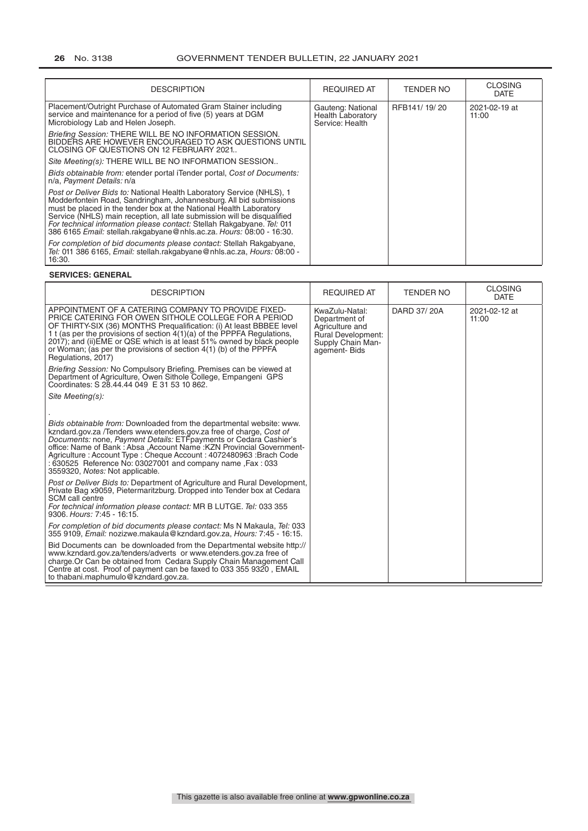| <b>DESCRIPTION</b>                                                                                                                                                                                                                                                                                                                                                                                                                             | <b>REQUIRED AT</b>                                               | TENDER NO    | <b>CLOSING</b><br><b>DATE</b> |
|------------------------------------------------------------------------------------------------------------------------------------------------------------------------------------------------------------------------------------------------------------------------------------------------------------------------------------------------------------------------------------------------------------------------------------------------|------------------------------------------------------------------|--------------|-------------------------------|
| Placement/Outright Purchase of Automated Gram Stainer including<br>service and maintenance for a period of five (5) years at DGM<br>Microbiology Lab and Helen Joseph.                                                                                                                                                                                                                                                                         | Gauteng: National<br><b>Health Laboratory</b><br>Service: Health | RFB141/19/20 | 2021-02-19 at<br>11:00        |
| Briefing Session: THERE WILL BE NO INFORMATION SESSION.<br>BIDDERS ARE HOWEVER ENCOURAGED TO ASK QUESTIONS UNTIL<br>CLOSING OF QUESTIONS ON 12 FEBRUARY 2021                                                                                                                                                                                                                                                                                   |                                                                  |              |                               |
| Site Meeting(s): THERE WILL BE NO INFORMATION SESSION                                                                                                                                                                                                                                                                                                                                                                                          |                                                                  |              |                               |
| Bids obtainable from: etender portal iTender portal, Cost of Documents:<br>n/a, Payment Details: n/a                                                                                                                                                                                                                                                                                                                                           |                                                                  |              |                               |
| Post or Deliver Bids to: National Health Laboratory Service (NHLS), 1<br>Modderfontein Road, Sandringham, Johannesburg. All bid submissions<br>must be placed in the tender box at the National Health Laboratory<br>Service (NHLS) main reception, all late submission will be disqualified<br>For technical information please contact: Stellah Rakgabyane. Tel: 011<br>386 6165 Email: stellah.rakgabyane@nhls.ac.za. Hours: 08:00 - 16:30. |                                                                  |              |                               |
| For completion of bid documents please contact: Stellah Rakgabyane,<br>Tel: 011 386 6165, Email: stellah.rakgabyane@nhls.ac.za, Hours: 08:00 -<br>16:30.                                                                                                                                                                                                                                                                                       |                                                                  |              |                               |

#### **SERVICES: GENERAL**

| <b>DESCRIPTION</b>                                                                                                                                                                                                                                                                                                                                                                                                                                                                                                                                                                                                                                                                                                                              | <b>REQUIRED AT</b>                                                                                            | <b>TENDER NO</b> | <b>CLOSING</b><br><b>DATE</b> |
|-------------------------------------------------------------------------------------------------------------------------------------------------------------------------------------------------------------------------------------------------------------------------------------------------------------------------------------------------------------------------------------------------------------------------------------------------------------------------------------------------------------------------------------------------------------------------------------------------------------------------------------------------------------------------------------------------------------------------------------------------|---------------------------------------------------------------------------------------------------------------|------------------|-------------------------------|
| APPOINTMENT OF A CATERING COMPANY TO PROVIDE FIXED-<br>PRICE CATERING FOR OWEN SITHOLE COLLEGE FOR A PERIOD<br>OF THIRTY-SIX (36) MONTHS Prequalification: (i) At least BBBEE level<br>1 t (as per the provisions of section 4(1)(a) of the PPPFA Regulations,<br>2017); and (ii) EME or QSE which is at least 51% owned by black people<br>or Woman; (as per the provisions of section 4(1) (b) of the PPPFA<br>Regulations, 2017)                                                                                                                                                                                                                                                                                                             | KwaZulu-Natal:<br>Department of<br>Agriculture and<br>Rural Development:<br>Supply Chain Man-<br>agement-Bids | DARD 37/20A      | 2021-02-12 at<br>11:00        |
| Briefing Session: No Compulsory Briefing. Premises can be viewed at<br>Department of Agriculture, Owen Sithole College, Empangeni GPS<br>Coordinates: S 28.44.44 049 E 31 53 10 862.                                                                                                                                                                                                                                                                                                                                                                                                                                                                                                                                                            |                                                                                                               |                  |                               |
| Site Meeting(s):                                                                                                                                                                                                                                                                                                                                                                                                                                                                                                                                                                                                                                                                                                                                |                                                                                                               |                  |                               |
| Bids obtainable from: Downloaded from the departmental website: www.<br>kzndard.gov.za /Tenders www.etenders.gov.za free of charge. Cost of<br>Documents: none, Payment Details: ETFpayments or Cedara Cashier's<br>office: Name of Bank: Absa , Account Name: KZN Provincial Government-<br>Agriculture: Account Type: Cheque Account: 4072480963 : Brach Code<br>: 630525 Reference No: 03027001 and company name , Fax: 033<br>3559320, Notes: Not applicable.<br>Post or Deliver Bids to: Department of Agriculture and Rural Development,<br>Private Bag x9059, Pietermaritzburg. Dropped into Tender box at Cedara<br>SCM call centre<br>For technical information please contact: MR B LUTGE. Tel: 033 355<br>9306. Hours: 7:45 - 16:15. |                                                                                                               |                  |                               |
| For completion of bid documents please contact: Ms N Makaula, Tel: 033<br>355 9109, Email: nozizwe.makaula@kzndard.gov.za, Hours: 7:45 - 16:15.                                                                                                                                                                                                                                                                                                                                                                                                                                                                                                                                                                                                 |                                                                                                               |                  |                               |
| Bid Documents can be downloaded from the Departmental website http://<br>www.kzndard.gov.za/tenders/adverts or www.etenders.gov.za free of<br>charge. Or Can be obtained from Cedara Supply Chain Management Call<br>Centre at cost. Proof of payment can be faxed to 033 355 9320, EMAIL<br>to thabani.maphumulo@kzndard.gov.za.                                                                                                                                                                                                                                                                                                                                                                                                               |                                                                                                               |                  |                               |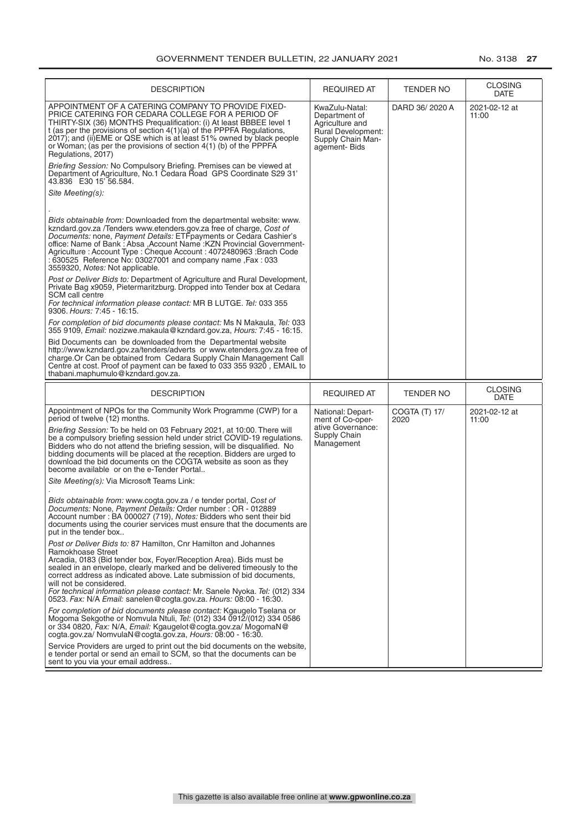| <b>DESCRIPTION</b>                                                                                                                                                                                                                                                                                                                                                                                                                                                                           | REQUIRED AT                                                                                                          | TENDER NO        | <b>CLOSING</b><br><b>DATE</b> |
|----------------------------------------------------------------------------------------------------------------------------------------------------------------------------------------------------------------------------------------------------------------------------------------------------------------------------------------------------------------------------------------------------------------------------------------------------------------------------------------------|----------------------------------------------------------------------------------------------------------------------|------------------|-------------------------------|
| APPOINTMENT OF A CATERING COMPANY TO PROVIDE FIXED-<br>PRICE CATERING FOR CEDARA COLLEGE FOR A PERIOD OF<br>THIRTY-SIX (36) MONTHS Prequalification: (i) At least BBBEE level 1<br>t (as per the provisions of section $4(1)(a)$ of the PPPFA Regulations,<br>2017); and (ii) EME or QSE which is at least 51% owned by black people<br>or Woman; (as per the provisions of section 4(1) (b) of the PPPFA<br>Regulations, 2017)                                                              | KwaZulu-Natal:<br>Department of<br>Agriculture and<br><b>Rural Development:</b><br>Supply Chain Man-<br>agement-Bids | DARD 36/2020 A   | 2021-02-12 at<br>11:00        |
| Briefing Session: No Compulsory Briefing. Premises can be viewed at<br>Department of Agriculture, No.1 Cedara Road GPS Coordinate S29 31'<br>43.836 E30 15' 56.584.                                                                                                                                                                                                                                                                                                                          |                                                                                                                      |                  |                               |
| Site Meeting(s):                                                                                                                                                                                                                                                                                                                                                                                                                                                                             |                                                                                                                      |                  |                               |
| <i>Bids obtainable from:</i> Downloaded from the departmental website: www.<br>kzndard.gov.za /Tenders www.etenders.gov.za free of charge, Cost of<br>Documents: none, Payment Details: ETFpayments or Cedara Cashier's<br>office: Name of Bank: Absa , Account Name : KZN Provincial Government-<br>Agriculture: Account Type: Cheque Account: 4072480963 : Brach Code<br>: 630525 Reference No: 03027001 and company name , Fax: 033<br>3559320, Notes: Not applicable.                    |                                                                                                                      |                  |                               |
| Post or Deliver Bids to: Department of Agriculture and Rural Development,<br>Private Bag x9059, Pietermaritzburg. Dropped into Tender box at Cedara<br>SCM call centre<br>For technical information please contact: MR B LUTGE. Tel: 033 355<br>9306. Hours: 7:45 - 16:15.                                                                                                                                                                                                                   |                                                                                                                      |                  |                               |
| For completion of bid documents please contact: Ms N Makaula, Tel: 033<br>355 9109, Email: nozizwe.makaula@kzndard.gov.za, Hours: 7:45 - 16:15.                                                                                                                                                                                                                                                                                                                                              |                                                                                                                      |                  |                               |
| Bid Documents can be downloaded from the Departmental website<br>http://www.kzndard.gov.za/tenders/adverts or www.etenders.gov.za free of<br>charge Or Can be obtained from Cedara Supply Chain Management Call<br>Centre at cost. Proof of payment can be faxed to 033 355 9320, EMAIL to                                                                                                                                                                                                   |                                                                                                                      |                  |                               |
| thabani.maphumulo@kzndard.gov.za.                                                                                                                                                                                                                                                                                                                                                                                                                                                            |                                                                                                                      |                  |                               |
| <b>DESCRIPTION</b>                                                                                                                                                                                                                                                                                                                                                                                                                                                                           | <b>REQUIRED AT</b>                                                                                                   | <b>TENDER NO</b> | <b>CLOSING</b><br><b>DATE</b> |
| Appointment of NPOs for the Community Work Programme (CWP) for a<br>period of twelve (12) months.                                                                                                                                                                                                                                                                                                                                                                                            | National: Depart-                                                                                                    | COGTA (T) 17/    | 2021-02-12 at                 |
| Briefing Session: To be held on 03 February 2021, at 10:00. There will<br>be a compulsory briefing session held under strict COVID-19 regulations.<br>Bidders who do not attend the briefing session, will be disqualified. No<br>bidding documents will be placed at the reception. Bidders are urged to<br>download the bid documents on the COGTA website as soon as they<br>become available or on the e-Tender Portal                                                                   | ment of Co-oper-<br>ative Governance:<br>Supply Chain<br>Management                                                  | 2020             | 11:00                         |
| Site Meeting(s): Via Microsoft Teams Link:                                                                                                                                                                                                                                                                                                                                                                                                                                                   |                                                                                                                      |                  |                               |
| Bids obtainable from: www.cogta.gov.za / e tender portal, Cost of<br>Documents: None, Payment Details: Order number: OR - 012889<br>Account number: BA 000027 (719), Notes: Bidders who sent their bid<br>documents using the courier services must ensure that the documents are<br>put in the tender box                                                                                                                                                                                   |                                                                                                                      |                  |                               |
| Post or Deliver Bids to: 87 Hamilton, Cnr Hamilton and Johannes<br>Ramokhoase Street<br>Arcadia, 0183 (Bid tender box, Foyer/Reception Area). Bids must be<br>sealed in an envelope, clearly marked and be delivered timeously to the<br>correct address as indicated above. Late submission of bid documents,<br>will not be considered.<br>For technical information please contact: Mr. Sanele Nyoka. Tel: (012) 334<br>0523. Fax: N/A Email: sanelen@cogta.gov.za. Hours: 08:00 - 16:30. |                                                                                                                      |                  |                               |
| For completion of bid documents please contact: Kgaugelo Tselana or<br>Mogoma Sekgothe or Nomvula Ntuli, Tel: (012) 334 0912/(012) 334 0586<br>or 334 0820, Fax: N/A, Email: Kgaugelot@cogta.gov.za/ MogomaN@<br>cogta.gov.za/ NomvulaN@cogta.gov.za, Hours: 08:00 - 16:30.<br>Service Providers are urged to print out the bid documents on the website,                                                                                                                                    |                                                                                                                      |                  |                               |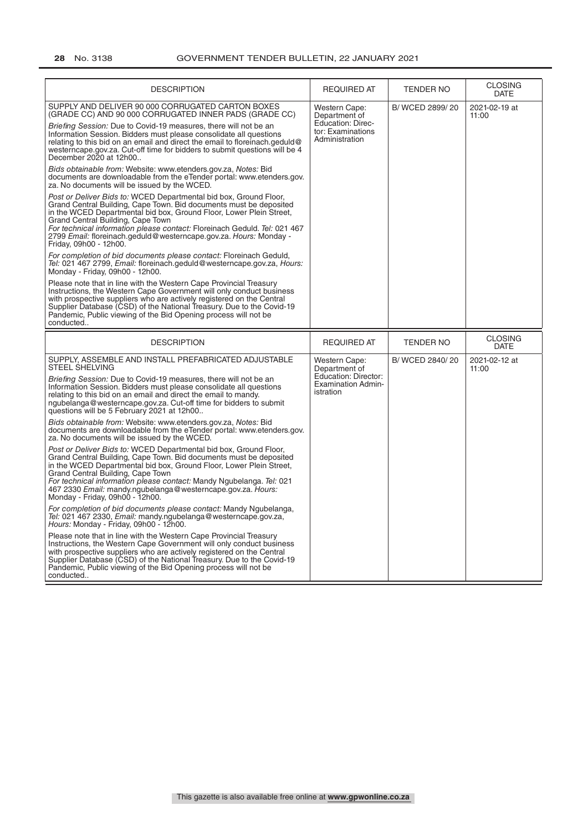| <b>DESCRIPTION</b>                                                                                                                                                                                                                                                                                                                                                                                                                                                                                                                                                                                                                                                                                                                                                                                                                                                                                                                                                                                                                                                                                                                                                                                                                                                                                                                                                                                                                                                                                                                                            | <b>REQUIRED AT</b>                                                                                       | <b>TENDER NO</b> | CLOSING<br><b>DATE</b>        |
|---------------------------------------------------------------------------------------------------------------------------------------------------------------------------------------------------------------------------------------------------------------------------------------------------------------------------------------------------------------------------------------------------------------------------------------------------------------------------------------------------------------------------------------------------------------------------------------------------------------------------------------------------------------------------------------------------------------------------------------------------------------------------------------------------------------------------------------------------------------------------------------------------------------------------------------------------------------------------------------------------------------------------------------------------------------------------------------------------------------------------------------------------------------------------------------------------------------------------------------------------------------------------------------------------------------------------------------------------------------------------------------------------------------------------------------------------------------------------------------------------------------------------------------------------------------|----------------------------------------------------------------------------------------------------------|------------------|-------------------------------|
| SUPPLY AND DELIVER 90 000 CORRUGATED CARTON BOXES<br>(GRADE CC) AND 90 000 CORRUGATED INNER PADS (GRADE CC)<br>Briefing Session: Due to Covid-19 measures, there will not be an<br>Information Session. Bidders must please consolidate all questions<br>relating to this bid on an email and direct the email to floreinach geduld@<br>westerncape.gov.za. Cut-off time for bidders to submit questions will be 4<br>December 2020 at 12h00<br>Bids obtainable from: Website: www.etenders.gov.za, Notes: Bid<br>documents are downloadable from the eTender portal: www.etenders.gov.<br>za. No documents will be issued by the WCED.<br>Post or Deliver Bids to: WCED Departmental bid box, Ground Floor,<br>Grand Central Building, Cape Town. Bid documents must be deposited<br>in the WCED Departmental bid box, Ground Floor, Lower Plein Street,<br>Grand Central Building, Cape Town<br>For technical information please contact: Floreinach Geduld. Tel: 021 467<br>2799 Email: floreinach.geduld@westerncape.gov.za. Hours: Monday -<br>Friday, 09h00 - 12h00.<br>For completion of bid documents please contact: Floreinach Geduld,<br>Tel: 021 467 2799, Email: floreinach.geduld@westerncape.gov.za, Hours:<br>Monday - Friday, 09h00 - 12h00.<br>Please note that in line with the Western Cape Provincial Treasury<br>Instructions, the Western Cape Government will only conduct business<br>with prospective suppliers who are actively registered on the Central<br>Supplier Database (CSD) of the National Treasury. Due to the Covid-19 | <b>Western Cape:</b><br>Department of<br><b>Education: Direc-</b><br>tor: Examinations<br>Administration | B/WCED 2899/20   | 2021-02-19 at<br>11:00        |
| Pandemic, Public viewing of the Bid Opening process will not be<br>conducted                                                                                                                                                                                                                                                                                                                                                                                                                                                                                                                                                                                                                                                                                                                                                                                                                                                                                                                                                                                                                                                                                                                                                                                                                                                                                                                                                                                                                                                                                  |                                                                                                          |                  |                               |
| <b>DESCRIPTION</b>                                                                                                                                                                                                                                                                                                                                                                                                                                                                                                                                                                                                                                                                                                                                                                                                                                                                                                                                                                                                                                                                                                                                                                                                                                                                                                                                                                                                                                                                                                                                            | <b>REQUIRED AT</b>                                                                                       | <b>TENDER NO</b> | <b>CLOSING</b><br><b>DATE</b> |
| SUPPLY, ASSEMBLE AND INSTALL PREFABRICATED ADJUSTABLE<br><b>STEEL SHELVING</b><br>Briefing Session: Due to Covid-19 measures, there will not be an<br>Information Session. Bidders must please consolidate all questions<br>relating to this bid on an email and direct the email to mandy.<br>ngubelanga@westerncape.gov.za. Cut-off time for bidders to submit<br>questions will be 5 February 2021 at 12h00<br>Bids obtainable from: Website: www.etenders.gov.za, Notes: Bid                                                                                                                                                                                                                                                                                                                                                                                                                                                                                                                                                                                                                                                                                                                                                                                                                                                                                                                                                                                                                                                                              | Western Cape:<br>Department of<br>Education: Director:<br><b>Examination Admin-</b><br>istration         | B/WCED 2840/20   | 2021-02-12 at<br>11:00        |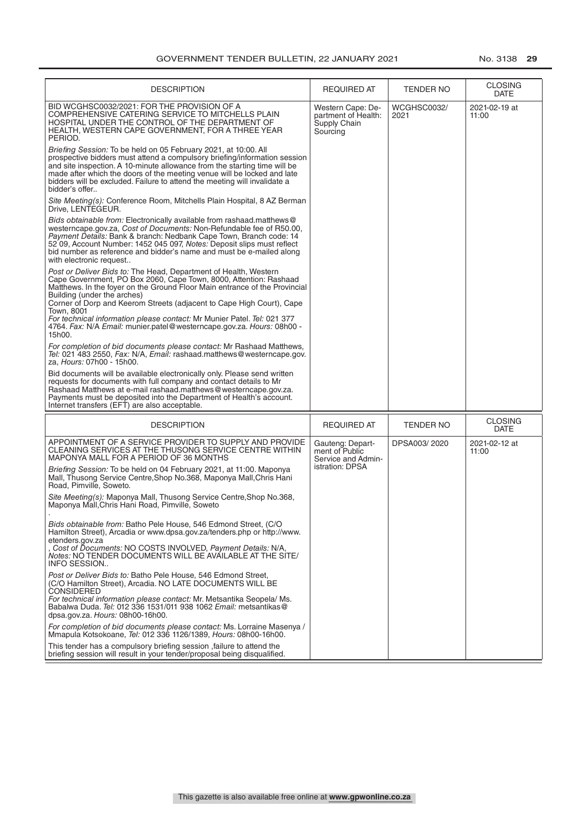| <b>DESCRIPTION</b>                                                                                                                                                                                                                                                                                                                                                                                                                                                                            | <b>REQUIRED AT</b>                                                   | TENDER NO           | <b>CLOSING</b><br>DATE        |
|-----------------------------------------------------------------------------------------------------------------------------------------------------------------------------------------------------------------------------------------------------------------------------------------------------------------------------------------------------------------------------------------------------------------------------------------------------------------------------------------------|----------------------------------------------------------------------|---------------------|-------------------------------|
| BID WCGHSC0032/2021: FOR THE PROVISION OF A<br>COMPREHENSIVE CATERING SERVICE TO MITCHELLS PLAIN<br>HOSPITAL UNDER THE CONTROL OF THE DEPARTMENT OF<br>HEALTH, WESTERN CAPE GOVERNMENT, FOR A THREE YEAR<br>PERIOD.                                                                                                                                                                                                                                                                           | Western Cape: De-<br>partment of Health:<br>Supply Chain<br>Sourcing | WCGHSC0032/<br>2021 | 2021-02-19 at<br>11:00        |
| Briefing Session: To be held on 05 February 2021, at 10:00. All<br>prospective bidders must attend a compulsory briefing/information session<br>and site inspection. A 10-minute allowance from the starting time will be<br>made after which the doors of the meeting venue will be locked and late<br>bidders will be excluded. Failure to attend the meeting will invalidate a<br>bidder's offer                                                                                           |                                                                      |                     |                               |
| Site Meeting(s): Conference Room, Mitchells Plain Hospital, 8 AZ Berman<br>Drive. LENTEGEUR.                                                                                                                                                                                                                                                                                                                                                                                                  |                                                                      |                     |                               |
| Bids obtainable from: Electronically available from rashaad.matthews@<br>westerncape.gov.za, Cost of Documents: Non-Refundable fee of R50.00,<br>Payment Details: Bank & branch: Nedbank Cape Town, Branch code: 14<br>52 09, Account Number: 1452 045 097, Notes: Deposit slips must reflect<br>bid number as reference and bidder's name and must be e-mailed along<br>with electronic request                                                                                              |                                                                      |                     |                               |
| Post or Deliver Bids to: The Head, Department of Health, Western<br>Cape Government, PO Box 2060, Cape Town, 8000, Attention: Rashaad<br>Matthews. In the foyer on the Ground Floor Main entrance of the Provincial<br>Building (under the arches)<br>Corner of Dorp and Keerom Streets (adjacent to Cape High Court), Cape<br>Town, 8001<br>For technical information please contact: Mr Munier Patel. Tel: 021 377<br>4764. Fax: N/A Email: munier.patel@westerncape.gov.za. Hours: 08h00 - |                                                                      |                     |                               |
| 15h00.<br>For completion of bid documents please contact: Mr Rashaad Matthews,<br>Tel: 021 483 2550, Fax: N/A, Email: rashaad.matthews@westerncape.gov.<br>za, Hours: 07h00 - 15h00.                                                                                                                                                                                                                                                                                                          |                                                                      |                     |                               |
| Bid documents will be available electronically only. Please send written<br>requests for documents with full company and contact details to Mr<br>Rashaad Matthews at e-mail rashaad.matthews@westerncape.gov.za.<br>Payments must be deposited into the Department of Health's account.<br>Internet transfers (EFT) are also acceptable.                                                                                                                                                     |                                                                      |                     |                               |
| <b>DESCRIPTION</b>                                                                                                                                                                                                                                                                                                                                                                                                                                                                            | <b>REQUIRED AT</b>                                                   | <b>TENDER NO</b>    | <b>CLOSING</b><br><b>DATE</b> |
| APPOINTMENT OF A SERVICE PROVIDER TO SUPPLY AND PROVIDE<br>CLEANING SERVICES AT THE THUSONG SERVICE CENTRE WITHIN<br>MAPONYA MALL FOR A PERIOD OF 36 MONTHS                                                                                                                                                                                                                                                                                                                                   | Gauteng: Depart-<br>ment of Public<br>Service and Admin-             | DPSA003/2020        | 2021-02-12 at<br>11:00        |
| Briefing Session: To be held on 04 February 2021, at 11:00. Maponya<br>Mall, Thusong Service Centre, Shop No.368, Maponya Mall, Chris Hani<br>Road, Pimville, Soweto,                                                                                                                                                                                                                                                                                                                         | istration: DPSA                                                      |                     |                               |
| Site Meeting(s): Maponya Mall, Thusong Service Centre, Shop No.368,<br>Maponya Mall, Chris Hani Road, Pimville, Soweto                                                                                                                                                                                                                                                                                                                                                                        |                                                                      |                     |                               |
| Bids obtainable from: Batho Pele House, 546 Edmond Street, (C/O<br>Hamilton Street), Arcadia or www.dpsa.gov.za/tenders.php or http://www.<br>etenders.gov.za                                                                                                                                                                                                                                                                                                                                 |                                                                      |                     |                               |
| Cost of Documents: NO COSTS INVOLVED, Payment Details: N/A,<br><i>Notes:</i> NO TENDER DOCUMENTS WILL BE AVAILABLE AT THE SITE/<br><b>INFO SESSION</b>                                                                                                                                                                                                                                                                                                                                        |                                                                      |                     |                               |
| Post or Deliver Bids to: Batho Pele House, 546 Edmond Street,<br>(C/O Hamilton Street), Arcadia. NO LATE DOCUMENTS WILL BE<br><b>CONSIDERED</b><br>For technical information please contact: Mr. Metsantika Seopela/ Ms.<br>Babalwa Duda. Tel: 012 336 1531/011 938 1062 Email: metsantikas@<br>dpsa.gov.za. Hours: 08h00-16h00.                                                                                                                                                              |                                                                      |                     |                               |
| For completion of bid documents please contact: Ms. Lorraine Masenya /<br>Mmapula Kotsokoane, Tel: 012 336 1126/1389, Hours: 08h00-16h00.                                                                                                                                                                                                                                                                                                                                                     |                                                                      |                     |                               |
| This tender has a compulsory briefing session , failure to attend the<br>briefing session will result in your tender/proposal being disqualified.                                                                                                                                                                                                                                                                                                                                             |                                                                      |                     |                               |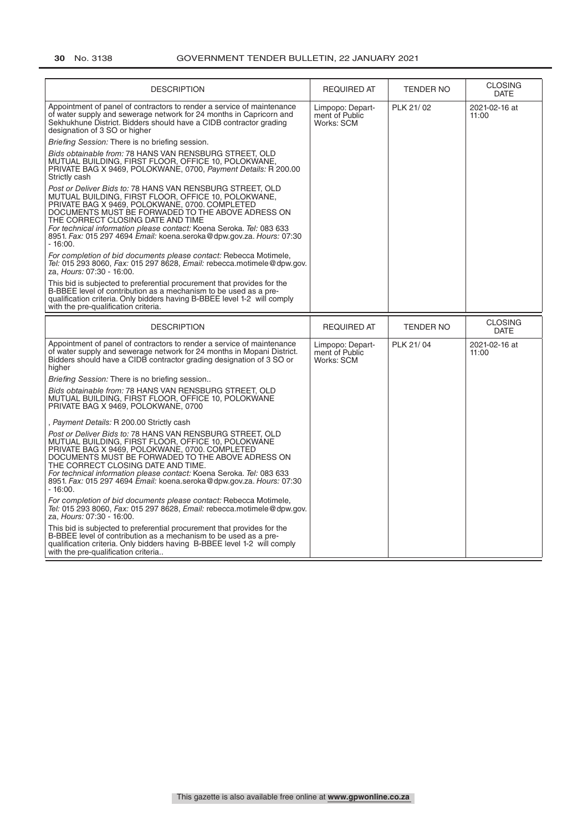| <b>DESCRIPTION</b>                                                                                                                                                                                                                                                                                                                                                                                                        | <b>REQUIRED AT</b>                               | <b>TENDER NO</b> | <b>CLOSING</b><br><b>DATE</b> |
|---------------------------------------------------------------------------------------------------------------------------------------------------------------------------------------------------------------------------------------------------------------------------------------------------------------------------------------------------------------------------------------------------------------------------|--------------------------------------------------|------------------|-------------------------------|
| Appointment of panel of contractors to render a service of maintenance<br>of water supply and sewerage network for 24 months in Capricorn and<br>Sekhukhune District. Bidders should have a CIDB contractor grading<br>designation of 3 SO or higher                                                                                                                                                                      | Limpopo: Depart-<br>ment of Public<br>Works: SCM | PLK 21/02        | 2021-02-16 at<br>11:00        |
| Briefing Session: There is no briefing session.                                                                                                                                                                                                                                                                                                                                                                           |                                                  |                  |                               |
| Bids obtainable from: 78 HANS VAN RENSBURG STREET, OLD<br>MUTUAL BUILDING, FIRST FLOOR, OFFICE 10, POLOKWANE,<br>PRIVATE BAG X 9469, POLOKWANE, 0700, Payment Details: R 200.00<br>Strictly cash                                                                                                                                                                                                                          |                                                  |                  |                               |
| Post or Deliver Bids to: 78 HANS VAN RENSBURG STREET, OLD<br>MUTUAL BUILDING, FIRST FLOOR, OFFICE 10, POLOKWANE,<br>PRIVATE BAG X 9469, POLOKWANE, 0700. COMPLETED<br>DOCUMENTS MUST BE FORWADED TO THE ABOVE ADRESS ON<br>THE CORRECT CLOSING DATE AND TIME<br>For technical information please contact: Koena Seroka. Tel: 083 633<br>8951. Fax: 015 297 4694 Email: koena.seroka@dpw.gov.za. Hours: 07:30<br>$-16:00.$ |                                                  |                  |                               |
| For completion of bid documents please contact: Rebecca Motimele,<br>Tel: 015 293 8060, Fax: 015 297 8628, Email: rebecca.motimele@dpw.gov.<br>za, Hours: 07:30 - 16:00.                                                                                                                                                                                                                                                  |                                                  |                  |                               |
| This bid is subjected to preferential procurement that provides for the<br>B-BBEE level of contribution as a mechanism to be used as a pre-<br>qualification criteria. Only bidders having B-BBEE level 1-2 will comply<br>with the pre-qualification criteria.                                                                                                                                                           |                                                  |                  |                               |
| <b>DESCRIPTION</b>                                                                                                                                                                                                                                                                                                                                                                                                        | <b>REQUIRED AT</b>                               | <b>TENDER NO</b> | <b>CLOSING</b><br><b>DATE</b> |
| Appointment of panel of contractors to render a service of maintenance<br>of water supply and sewerage network for 24 months in Mopani District.<br>Bidders should have a CIDB contractor grading designation of 3 SO or<br>higher                                                                                                                                                                                        | Limpopo: Depart-<br>ment of Public<br>Works: SCM | PLK 21/04        | 2021-02-16 at<br>11:00        |
| Briefing Session: There is no briefing session                                                                                                                                                                                                                                                                                                                                                                            |                                                  |                  |                               |
| Bids obtainable from: 78 HANS VAN RENSBURG STREET, OLD<br>MUTUAL BUILDING, FIRST FLOOR, OFFICE 10, POLOKWANE                                                                                                                                                                                                                                                                                                              |                                                  |                  |                               |
| PRIVATE BAG X 9469, POLOKWANE, 0700                                                                                                                                                                                                                                                                                                                                                                                       |                                                  |                  |                               |
| Payment Details: R 200.00 Strictly cash                                                                                                                                                                                                                                                                                                                                                                                   |                                                  |                  |                               |
| Post or Deliver Bids to: 78 HANS VAN RENSBURG STREET, OLD<br>MUTUAL BUILDING, FIRST FLOOR, OFFICE 10, POLOKWANE<br>PRIVATE BAG X 9469, POLOKWANE, 0700. COMPLETED<br>DOCUMENTS MUST BE FORWADED TO THE ABOVE ADRESS ON<br>THE CORRECT CLOSING DATE AND TIME.<br>For technical information please contact: Koena Seroka. Tel: 083 633<br>8951. Fax: 015 297 4694 Email: koena.seroka@dpw.gov.za. Hours: 07:30<br>$-16:00.$ |                                                  |                  |                               |
| For completion of bid documents please contact: Rebecca Motimele,<br>Tel: 015 293 8060, Fax: 015 297 8628, Email: rebecca.motimele@dpw.gov.<br>za, Hours: 07:30 - 16:00.                                                                                                                                                                                                                                                  |                                                  |                  |                               |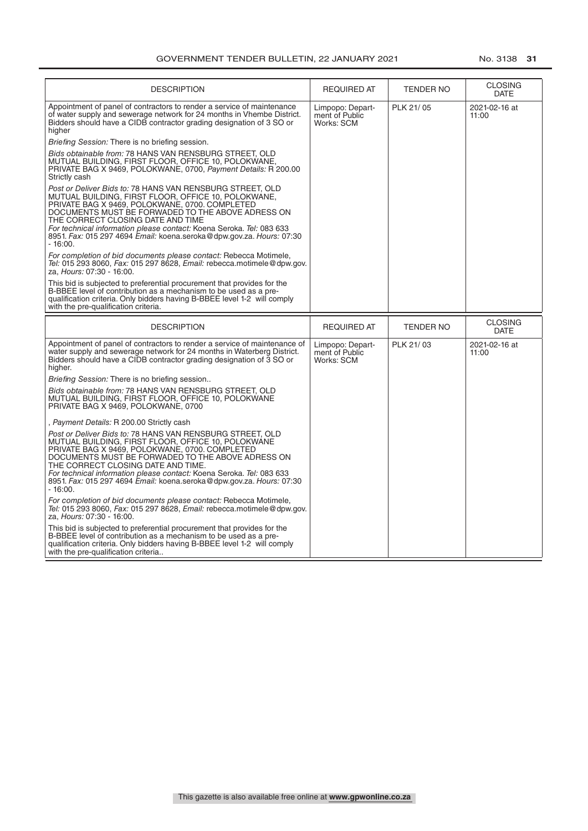| <b>DESCRIPTION</b>                                                                                                                                                                                                                                                                                                                                                                                                        | <b>REQUIRED AT</b>                               | <b>TENDER NO</b> | <b>CLOSING</b><br><b>DATE</b> |
|---------------------------------------------------------------------------------------------------------------------------------------------------------------------------------------------------------------------------------------------------------------------------------------------------------------------------------------------------------------------------------------------------------------------------|--------------------------------------------------|------------------|-------------------------------|
| Appointment of panel of contractors to render a service of maintenance<br>of water supply and sewerage network for 24 months in Vhembe District.<br>Bidders should have a CIDB contractor grading designation of 3 SO or<br>higher                                                                                                                                                                                        | Limpopo: Depart-<br>ment of Public<br>Works: SCM | PLK 21/05        | 2021-02-16 at<br>11:00        |
| Briefing Session: There is no briefing session.                                                                                                                                                                                                                                                                                                                                                                           |                                                  |                  |                               |
| Bids obtainable from: 78 HANS VAN RENSBURG STREET, OLD<br>MUTUAL BUILDING, FIRST FLOOR, OFFICE 10, POLOKWANE,<br>PRIVATE BAG X 9469, POLOKWANE, 0700, Payment Details: R 200.00<br>Strictly cash                                                                                                                                                                                                                          |                                                  |                  |                               |
| Post or Deliver Bids to: 78 HANS VAN RENSBURG STREET, OLD<br>MUTUAL BUILDING, FIRST FLOOR, OFFICE 10, POLOKWANE,<br>PRIVATE BAG X 9469, POLOKWANE, 0700. COMPLETED<br>DOCUMENTS MUST BE FORWADED TO THE ABOVE ADRESS ON<br>THE CORRECT CLOSING DATE AND TIME<br>For technical information please contact: Koena Seroka. Tel: 083 633<br>8951. Fax: 015 297 4694 Email: koena.seroka@dpw.gov.za. Hours: 07:30<br>- 16:00.  |                                                  |                  |                               |
| For completion of bid documents please contact: Rebecca Motimele,<br>Tel: 015 293 8060, Fax: 015 297 8628, Email: rebecca.motimele@dpw.gov.<br>za. Hours: 07:30 - 16:00.                                                                                                                                                                                                                                                  |                                                  |                  |                               |
| This bid is subjected to preferential procurement that provides for the<br>B-BBEE level of contribution as a mechanism to be used as a pre-<br>qualification criteria. Only bidders having B-BBEE level 1-2 will comply<br>with the pre-qualification criteria.                                                                                                                                                           |                                                  |                  |                               |
| <b>DESCRIPTION</b>                                                                                                                                                                                                                                                                                                                                                                                                        | <b>REQUIRED AT</b>                               | <b>TENDER NO</b> | <b>CLOSING</b><br><b>DATE</b> |
| Appointment of panel of contractors to render a service of maintenance of                                                                                                                                                                                                                                                                                                                                                 |                                                  |                  |                               |
| water supply and sewerage network for 24 months in Waterberg District.<br>Bidders should have a CIDB contractor grading designation of 3 SO or<br>higher.                                                                                                                                                                                                                                                                 | Limpopo: Depart-<br>ment of Public<br>Works: SCM | PLK 21/03        | 2021-02-16 at<br>11:00        |
| Briefing Session: There is no briefing session                                                                                                                                                                                                                                                                                                                                                                            |                                                  |                  |                               |
| Bids obtainable from: 78 HANS VAN RENSBURG STREET, OLD<br>MUTUAL BUILDING, FIRST FLOOR, OFFICE 10, POLOKWANE<br>PRIVATE BAG X 9469, POLOKWANE, 0700                                                                                                                                                                                                                                                                       |                                                  |                  |                               |
| Payment Details: R 200.00 Strictly cash                                                                                                                                                                                                                                                                                                                                                                                   |                                                  |                  |                               |
| Post or Deliver Bids to: 78 HANS VAN RENSBURG STREET, OLD<br>MUTUAL BUILDING, FIRST FLOOR, OFFICE 10, POLOKWANE<br>PRIVATE BAG X 9469, POLOKWANE, 0700. COMPLETED<br>DOCUMENTS MUST BE FORWADED TO THE ABOVE ADRESS ON<br>THE CORRECT CLOSING DATE AND TIME.<br>For technical information please contact: Koena Seroka. Tel: 083 633<br>8951. Fax: 015 297 4694 Email: koena.seroka@dpw.gov.za. Hours: 07:30<br>$-16:00.$ |                                                  |                  |                               |
| For completion of bid documents please contact: Rebecca Motimele,<br>Tel: 015 293 8060, Fax: 015 297 8628, Email: rebecca.motimele@dpw.gov.<br>za. Hours: 07:30 - 16:00.                                                                                                                                                                                                                                                  |                                                  |                  |                               |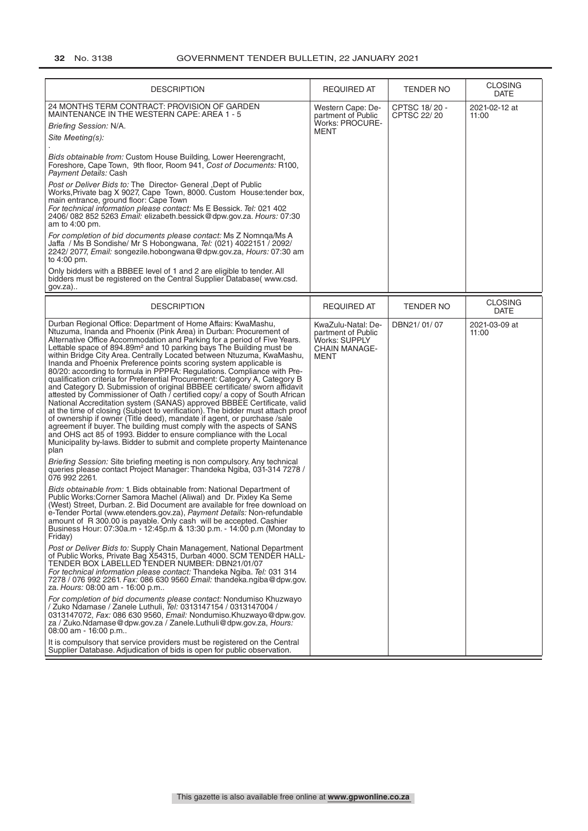| <b>DESCRIPTION</b>                                                                                                                                                                                                                                                                                                                                                                                                                                                                                                                                                                                                                                                                                                                                                                                                                                                                                                                                                                                                                                                                                                                                                                                                                                                                                                                                                                                                                                                                                                                                                                                                                                                                                                                                                                                                                                                                                                                                                                                                                                                                                                                                                                                                                                                                                                                                                                                                                                                                                                                                                                                                                                                                                                                                       | <b>REQUIRED AT</b>                                                                 | TENDER NO                    | <b>CLOSING</b><br><b>DATE</b> |
|----------------------------------------------------------------------------------------------------------------------------------------------------------------------------------------------------------------------------------------------------------------------------------------------------------------------------------------------------------------------------------------------------------------------------------------------------------------------------------------------------------------------------------------------------------------------------------------------------------------------------------------------------------------------------------------------------------------------------------------------------------------------------------------------------------------------------------------------------------------------------------------------------------------------------------------------------------------------------------------------------------------------------------------------------------------------------------------------------------------------------------------------------------------------------------------------------------------------------------------------------------------------------------------------------------------------------------------------------------------------------------------------------------------------------------------------------------------------------------------------------------------------------------------------------------------------------------------------------------------------------------------------------------------------------------------------------------------------------------------------------------------------------------------------------------------------------------------------------------------------------------------------------------------------------------------------------------------------------------------------------------------------------------------------------------------------------------------------------------------------------------------------------------------------------------------------------------------------------------------------------------------------------------------------------------------------------------------------------------------------------------------------------------------------------------------------------------------------------------------------------------------------------------------------------------------------------------------------------------------------------------------------------------------------------------------------------------------------------------------------------------|------------------------------------------------------------------------------------|------------------------------|-------------------------------|
| 24 MONTHS TERM CONTRACT: PROVISION OF GARDEN<br>MAINTENANCE IN THE WESTERN CAPE: AREA 1 - 5<br>Briefing Session: N/A.<br>Site Meeting(s):<br>Bids obtainable from: Custom House Building, Lower Heerengracht,<br>Foreshore, Cape Town, 9th floor, Room 941, Cost of Documents: R100,<br><i>Payment Details:</i> Cash<br>Post or Deliver Bids to: The Director- General , Dept of Public<br>Works, Private bag X 9027, Cape Town, 8000. Custom House: tender box,<br>main entrance, ground floor: Cape Town<br>For technical information please contact: Ms E Bessick. Tel: 021 402<br>2406/082 852 5263 Email: elizabeth.bessick@dpw.gov.za. Hours: 07:30<br>am to 4:00 pm.<br>For completion of bid documents please contact: Ms Z Nomnga/Ms A<br>Jaffa / Ms B Sondishe/ Mr S Hobongwana, Tel: (021) 4022151 / 2092/<br>2242/2077, Email: songezile.hobongwana@dpw.gov.za, Hours: 07:30 am<br>to 4:00 pm.<br>Only bidders with a BBBEE level of 1 and 2 are eligible to tender. All<br>bidders must be registered on the Central Supplier Database(www.csd.                                                                                                                                                                                                                                                                                                                                                                                                                                                                                                                                                                                                                                                                                                                                                                                                                                                                                                                                                                                                                                                                                                                                                                                                                                                                                                                                                                                                                                                                                                                                                                                                                                                                                             | Western Cape: De-<br>partment of Public<br>Works: PROCURE-<br>MENT                 | CPTSC 18/20 -<br>CPTSC 22/20 | 2021-02-12 at<br>11:00        |
| $gov.za$ )                                                                                                                                                                                                                                                                                                                                                                                                                                                                                                                                                                                                                                                                                                                                                                                                                                                                                                                                                                                                                                                                                                                                                                                                                                                                                                                                                                                                                                                                                                                                                                                                                                                                                                                                                                                                                                                                                                                                                                                                                                                                                                                                                                                                                                                                                                                                                                                                                                                                                                                                                                                                                                                                                                                                               |                                                                                    |                              | <b>CLOSING</b>                |
| <b>DESCRIPTION</b>                                                                                                                                                                                                                                                                                                                                                                                                                                                                                                                                                                                                                                                                                                                                                                                                                                                                                                                                                                                                                                                                                                                                                                                                                                                                                                                                                                                                                                                                                                                                                                                                                                                                                                                                                                                                                                                                                                                                                                                                                                                                                                                                                                                                                                                                                                                                                                                                                                                                                                                                                                                                                                                                                                                                       | <b>REQUIRED AT</b>                                                                 | <b>TENDER NO</b>             | DATE                          |
| Durban Regional Office: Department of Home Affairs: KwaMashu,<br>Ntuzuma, Inanda and Phoenix (Pink Area) in Durban: Procurement of<br>Alternative Office Accommodation and Parking for a period of Five Years.<br>Lettable space of 894.89m <sup>2</sup> and 10 parking bays The Building must be<br>within Bridge City Area. Centrally Located between Ntuzuma, KwaMashu,<br>Inanda and Phoenix Preference points scoring system applicable is<br>80/20: according to formula in PPPFA: Regulations. Compliance with Pre-<br>qualification criteria for Preferential Procurement: Category A, Category B<br>and Category D. Submission of original BBBEE certificate/ sworn affidavit<br>attested by Commissioner of Oath 7 certified copy/ a copy of South African<br>National Accreditation system (SANAS) approved BBBEE Certificate, valid<br>at the time of closing (Subject to verification). The bidder must attach proof<br>of ownership if owner (Title deed), mandate if agent, or purchase /sale<br>agreement if buyer. The building must comply with the aspects of SANS<br>and OHS act 85 of 1993. Bidder to ensure compliance with the Local<br>Municipality by-laws. Bidder to submit and complete property Maintenance<br>plan<br>Briefing Session: Site briefing meeting is non compulsory. Any technical<br>queries please contact Project Manager: Thandeka Ngiba, 031-314 7278 /<br>076 992 2261.<br>Bids obtainable from: 1. Bids obtainable from: National Department of<br>Public Works: Corner Samora Machel (Aliwal) and Dr. Pixley Ka Seme<br>(West) Street, Durban. 2. Bid Document are available for free download on<br>e-Tender Portal (www.etenders.gov.za), Payment Details: Non-refundable<br>amount of R 300.00 is payable. Only cash will be accepted. Cashier<br>Business Hour: 07:30a.m - 12:45p.m & 13:30 p.m. - 14:00 p.m (Monday to<br>Friday)<br>Post or Deliver Bids to: Supply Chain Management, National Department<br>of Public Works, Private Bag X54315, Durban 4000. SCM TENDER HALL-<br>TENDER BOX LABELLED TENDER NUMBER: DBN21/01/07<br>For technical information please contact: Thandeka Ngiba. Tel: 031 314<br>7278 / 076 992 2261. Fax: 086 630 9560 Email: thandeka.ngiba@dpw.gov.<br>za. Hours: 08:00 am - 16:00 p.m<br>For completion of bid documents please contact: Nondumiso Khuzwayo<br>/ Zuko Ndamase / Zanele Luthuli, <i>Tel:</i> 0313147154 / 0313147004 /<br>0313147072, Fax: 086 630 9560, Email: Nondumiso. Khuzwayo@dpw.gov.<br>za / Zuko.Ndamase@dpw.gov.za / Zanele.Luthuli@dpw.gov.za, Hours:<br>08:00 am - 16:00 p.m<br>It is compulsory that service providers must be registered on the Central<br>Supplier Database. Adjudication of bids is open for public observation. | KwaZulu-Natal: De-<br>partment of Public<br>Works: SUPPLY<br>CHAIN MANAGE-<br>MENT | DBN21/01/07                  | 2021-03-09 at<br>11:00        |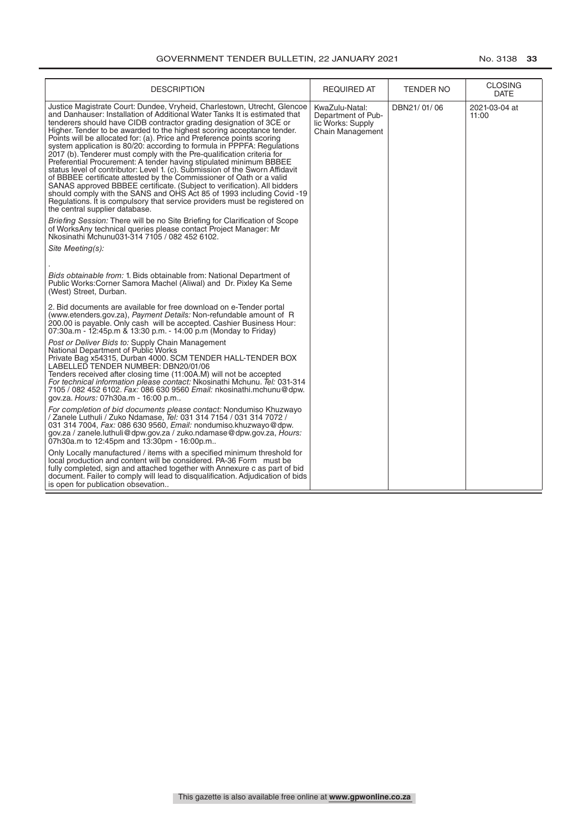| <b>DESCRIPTION</b>                                                                                                                                                                                                                                                                                                                                                                                                                                                                                                                                                                                                                                                                                                                                                                                                                                                                                                                                                                                                                                                                                                                                                                            | <b>REQUIRED AT</b>                                                            | <b>TENDER NO</b> | <b>CLOSING</b><br><b>DATE</b> |
|-----------------------------------------------------------------------------------------------------------------------------------------------------------------------------------------------------------------------------------------------------------------------------------------------------------------------------------------------------------------------------------------------------------------------------------------------------------------------------------------------------------------------------------------------------------------------------------------------------------------------------------------------------------------------------------------------------------------------------------------------------------------------------------------------------------------------------------------------------------------------------------------------------------------------------------------------------------------------------------------------------------------------------------------------------------------------------------------------------------------------------------------------------------------------------------------------|-------------------------------------------------------------------------------|------------------|-------------------------------|
| Justice Magistrate Court: Dundee, Vryheid, Charlestown, Utrecht, Glencoe<br>and Danhauser: Installation of Additional Water Tanks It is estimated that<br>tenderers should have CIDB contractor grading designation of 3CE or<br>Higher. Tender to be awarded to the highest scoring acceptance tender.<br>Points will be allocated for: (a). Price and Preference points scoring<br>system application is 80/20: according to formula in PPPFA: Regulations<br>2017 (b). Tenderer must comply with the Pre-qualification criteria for<br>Preferential Procurement: A tender having stipulated minimum BBBEE<br>status level of contributor: Level 1. (c). Submission of the Sworn Affidavit<br>of BBBEE certificate attested by the Commissioner of Oath or a valid<br>SANAS approved BBBEE certificate. (Subject to verification). All bidders<br>should comply with the SANS and OHS Act 85 of 1993 including Covid -19<br>Regulations. It is compulsory that service providers must be registered on<br>the central supplier database.<br>Briefing Session: There will be no Site Briefing for Clarification of Scope<br>of WorksAny technical queries please contact Project Manager: Mr | KwaZulu-Natal:<br>Department of Pub-<br>lic Works: Supply<br>Chain Management | DBN21/01/06      | 2021-03-04 at<br>11:00        |
| Nkosinathi Mchunu031-314 7105 / 082 452 6102.<br>Site Meeting(s):                                                                                                                                                                                                                                                                                                                                                                                                                                                                                                                                                                                                                                                                                                                                                                                                                                                                                                                                                                                                                                                                                                                             |                                                                               |                  |                               |
|                                                                                                                                                                                                                                                                                                                                                                                                                                                                                                                                                                                                                                                                                                                                                                                                                                                                                                                                                                                                                                                                                                                                                                                               |                                                                               |                  |                               |
| Bids obtainable from: 1. Bids obtainable from: National Department of<br>Public Works: Corner Samora Machel (Aliwal) and Dr. Pixley Ka Seme<br>(West) Street, Durban.                                                                                                                                                                                                                                                                                                                                                                                                                                                                                                                                                                                                                                                                                                                                                                                                                                                                                                                                                                                                                         |                                                                               |                  |                               |
| 2. Bid documents are available for free download on e-Tender portal<br>(www.etenders.gov.za), Payment Details: Non-refundable amount of R<br>200.00 is payable. Only cash will be accepted. Cashier Business Hour:<br>07:30a.m - 12:45p.m & 13:30 p.m. - 14:00 p.m (Monday to Friday)                                                                                                                                                                                                                                                                                                                                                                                                                                                                                                                                                                                                                                                                                                                                                                                                                                                                                                         |                                                                               |                  |                               |
| Post or Deliver Bids to: Supply Chain Management<br>National Department of Public Works<br>Private Bag x54315, Durban 4000. SCM TENDER HALL-TENDER BOX<br>LABELLED TENDER NUMBER: DBN20/01/06<br>Tenders received after closing time (11:00A.M) will not be accepted<br>For technical information please contact: Nkosinathi Mchunu. Tel: 031-314<br>7105 / 082 452 6102. Fax: 086 630 9560 Email: nkosinathi.mchunu@dpw.<br>gov.za. Hours: 07h30a.m - 16:00 p.m                                                                                                                                                                                                                                                                                                                                                                                                                                                                                                                                                                                                                                                                                                                              |                                                                               |                  |                               |
| For completion of bid documents please contact: Nondumiso Khuzwayo<br>/ Zanele Luthuli / Zuko Ndamase, Tel: 031 314 7154 / 031 314 7072 /<br>031 314 7004, Fax: 086 630 9560, Email: nondumiso.khuzwayo@dpw.<br>gov.za / zanele.luthuli@dpw.gov.za / zuko.ndamase@dpw.gov.za, Hours:<br>07h30a.m to 12:45pm and 13:30pm - 16:00p.m                                                                                                                                                                                                                                                                                                                                                                                                                                                                                                                                                                                                                                                                                                                                                                                                                                                            |                                                                               |                  |                               |
| Only Locally manufactured / items with a specified minimum threshold for<br>local production and content will be considered. PA-36 Form must be<br>fully completed, sign and attached together with Annexure c as part of bid<br>document. Failer to comply will lead to disqualification. Adjudication of bids<br>is open for publication obsevation                                                                                                                                                                                                                                                                                                                                                                                                                                                                                                                                                                                                                                                                                                                                                                                                                                         |                                                                               |                  |                               |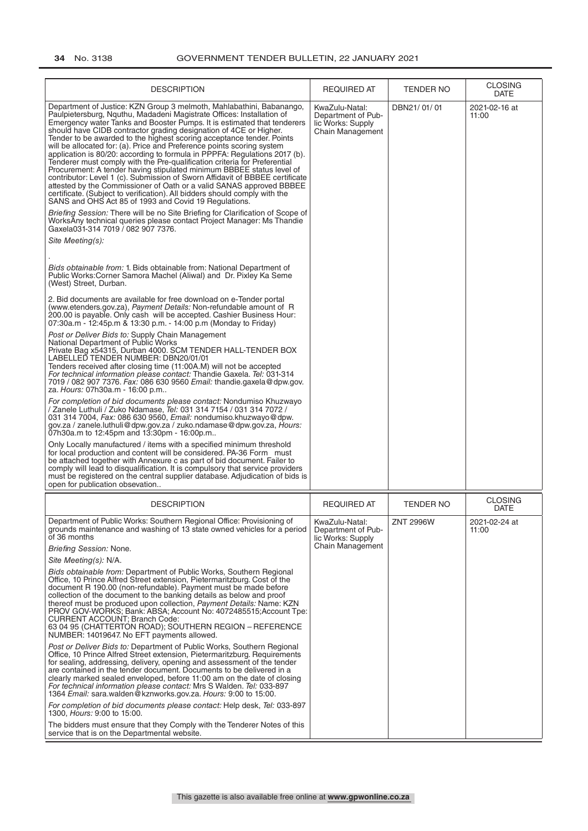| <b>DESCRIPTION</b>                                                                                                                                                                                                                                                                                                                                                                                                                                                                                                                                                                                                                                                                                                                                                                                                                                                                                                                                                                                                                                                                                                                                                                                                                                                                                                                                                                                                                                                                                                                                                                                                                                                                                                                                                                                                                                                                                                                                                                                                                                                                                                                                                                                                                                                                                                                                                                                                                                                                                                                                                                                                                                                                                                                                                                                                                                                                                                   | <b>REQUIRED AT</b>                                                                   | <b>TENDER NO</b> | <b>CLOSING</b><br>DATE        |
|----------------------------------------------------------------------------------------------------------------------------------------------------------------------------------------------------------------------------------------------------------------------------------------------------------------------------------------------------------------------------------------------------------------------------------------------------------------------------------------------------------------------------------------------------------------------------------------------------------------------------------------------------------------------------------------------------------------------------------------------------------------------------------------------------------------------------------------------------------------------------------------------------------------------------------------------------------------------------------------------------------------------------------------------------------------------------------------------------------------------------------------------------------------------------------------------------------------------------------------------------------------------------------------------------------------------------------------------------------------------------------------------------------------------------------------------------------------------------------------------------------------------------------------------------------------------------------------------------------------------------------------------------------------------------------------------------------------------------------------------------------------------------------------------------------------------------------------------------------------------------------------------------------------------------------------------------------------------------------------------------------------------------------------------------------------------------------------------------------------------------------------------------------------------------------------------------------------------------------------------------------------------------------------------------------------------------------------------------------------------------------------------------------------------------------------------------------------------------------------------------------------------------------------------------------------------------------------------------------------------------------------------------------------------------------------------------------------------------------------------------------------------------------------------------------------------------------------------------------------------------------------------------------------------|--------------------------------------------------------------------------------------|------------------|-------------------------------|
| Department of Justice: KZN Group 3 melmoth, Mahlabathini, Babanango,<br>Paulpietersburg, Nguthu, Madadeni Magistrate Offices: Installation of<br>Emergency water Tanks and Booster Pumps. It is estimated that tenderers<br>should have CIDB contractor grading designation of 4CE or Higher.<br>Tender to be awarded to the highest scoring acceptance tender. Points<br>will be allocated for: (a). Price and Preference points scoring system<br>application is 80/20: according to formula in PPPFA: Regulations 2017 (b).<br>Tenderer must comply with the Pre-qualification criteria for Preferential<br>Procurement: A tender having stipulated minimum BBBEE status level of<br>contributor: Level 1 (c). Submission of Sworn Affidavit of BBBEE certificate<br>attested by the Commissioner of Oath or a valid SANAS approved BBBEE<br>certificate. (Subject to verification). All bidders should comply with the<br>SANS and OHS Act 85 of 1993 and Covid 19 Regulations.<br>Briefing Session: There will be no Site Briefing for Clarification of Scope of<br>WorksAny technical queries please contact Project Manager: Ms Thandie<br>Gaxela031-314 7019 / 082 907 7376.<br>Site Meeting(s):<br><i>Bids obtainable from:</i> 1. Bids obtainable from: National Department of<br>Public Works: Corner Samora Machel (Aliwal) and Dr. Pixley Ka Seme<br>(West) Street, Durban.<br>2. Bid documents are available for free download on e-Tender portal<br>(www.etenders.gov.za), Payment Details: Non-refundable amount of R<br>200.00 is payable. Only cash will be accepted. Cashier Business Hour:<br>07:30a.m - 12:45p.m & 13:30 p.m. - 14:00 p.m (Monday to Friday)<br>Post or Deliver Bids to: Supply Chain Management<br>National Department of Public Works<br>Private Bag x54315, Durban 4000. SCM TENDER HALL-TENDER BOX<br>LABELLED TENDER NUMBER: DBN20/01/01<br>Tenders received after closing time (11:00A.M) will not be accepted<br>For technical information please contact: Thandie Gaxela. Tel: 031-314<br>7019 / 082 907 7376. Fax: 086 630 9560 Email: thandie.gaxela@dpw.gov.<br>za. Hours: 07h30a.m - 16:00 p.m<br>For completion of bid documents please contact: Nondumiso Khuzwayo<br>/ Zanele Luthuli / Zuko Ndamase, Tel: 031 314 7154 / 031 314 7072 /<br>031 314 7004, Fax: 086 630 9560, Email: nondumiso.khuzwayo@dpw.<br>gov.za / zanele.luthuli@dpw.gov.za / zuko.ndamase@dpw.gov.za, Hours:<br>07h30a.m to 12:45pm and 13:30pm - 16:00p.m<br>Only Locally manufactured / items with a specified minimum threshold<br>for local production and content will be considered. PA-36 Form must<br>be attached together with Annexure c as part of bid document. Failer to<br>comply will lead to disqualification. It is compulsory that service providers<br>must be registered on the central supplier database. Adjudication of bids is<br>open for publication obsevation | KwaZulu-Natal:<br>Department of Pub-<br>lic Works: Supply<br><b>Chain Management</b> | DBN21/01/01      | 2021-02-16 at<br>11:00        |
| <b>DESCRIPTION</b>                                                                                                                                                                                                                                                                                                                                                                                                                                                                                                                                                                                                                                                                                                                                                                                                                                                                                                                                                                                                                                                                                                                                                                                                                                                                                                                                                                                                                                                                                                                                                                                                                                                                                                                                                                                                                                                                                                                                                                                                                                                                                                                                                                                                                                                                                                                                                                                                                                                                                                                                                                                                                                                                                                                                                                                                                                                                                                   | <b>REQUIRED AT</b>                                                                   | <b>TENDER NO</b> | <b>CLOSING</b><br><b>DATE</b> |
| Department of Public Works: Southern Regional Office: Provisioning of<br>grounds maintenance and washing of 13 state owned vehicles for a period<br>of 36 months<br>Briefing Session: None.                                                                                                                                                                                                                                                                                                                                                                                                                                                                                                                                                                                                                                                                                                                                                                                                                                                                                                                                                                                                                                                                                                                                                                                                                                                                                                                                                                                                                                                                                                                                                                                                                                                                                                                                                                                                                                                                                                                                                                                                                                                                                                                                                                                                                                                                                                                                                                                                                                                                                                                                                                                                                                                                                                                          | KwaZulu-Natal:<br>Department of Pub-<br>lic Works: Supply<br>Chain Management        | <b>ZNT 2996W</b> | 2021-02-24 at<br>11:00        |
| Site Meeting(s): N/A.                                                                                                                                                                                                                                                                                                                                                                                                                                                                                                                                                                                                                                                                                                                                                                                                                                                                                                                                                                                                                                                                                                                                                                                                                                                                                                                                                                                                                                                                                                                                                                                                                                                                                                                                                                                                                                                                                                                                                                                                                                                                                                                                                                                                                                                                                                                                                                                                                                                                                                                                                                                                                                                                                                                                                                                                                                                                                                |                                                                                      |                  |                               |
| Bids obtainable from: Department of Public Works, Southern Regional<br>Office, 10 Prince Alfred Street extension, Pietermaritzburg. Cost of the<br>document R 190.00 (non-refundable). Payment must be made before<br>collection of the document to the banking details as below and proof<br>thereof must be produced upon collection, Payment Details: Name: KZN<br>PROV GOV-WORKS; Bank: ABSA; Account No: 4072485515; Account Tpe:<br><b>CURRENT ACCOUNT; Branch Code:</b><br>63 04 95 (CHATTERTON ROAD); SOUTHERN REGION - REFERENCE<br>NUMBER: 14019647. No EFT payments allowed.                                                                                                                                                                                                                                                                                                                                                                                                                                                                                                                                                                                                                                                                                                                                                                                                                                                                                                                                                                                                                                                                                                                                                                                                                                                                                                                                                                                                                                                                                                                                                                                                                                                                                                                                                                                                                                                                                                                                                                                                                                                                                                                                                                                                                                                                                                                              |                                                                                      |                  |                               |
| Post or Deliver Bids to: Department of Public Works, Southern Regional<br>Office, 10 Prince Alfred Street extension, Pietermaritzburg. Requirements<br>for sealing, addressing, delivery, opening and assessment of the tender<br>are contained in the tender document. Documents to be delivered in a<br>clearly marked sealed enveloped, before 11:00 am on the date of closing<br>For technical information please contact: Mrs S Walden. Tel: 033-897<br>1364 Email: sara.walden@kznworks.gov.za. Hours: 9:00 to 15:00.                                                                                                                                                                                                                                                                                                                                                                                                                                                                                                                                                                                                                                                                                                                                                                                                                                                                                                                                                                                                                                                                                                                                                                                                                                                                                                                                                                                                                                                                                                                                                                                                                                                                                                                                                                                                                                                                                                                                                                                                                                                                                                                                                                                                                                                                                                                                                                                          |                                                                                      |                  |                               |
| For completion of bid documents please contact: Help desk, Tel: 033-897<br>1300, Hours: 9:00 to 15:00.<br>The bidders must ensure that they Comply with the Tenderer Notes of this                                                                                                                                                                                                                                                                                                                                                                                                                                                                                                                                                                                                                                                                                                                                                                                                                                                                                                                                                                                                                                                                                                                                                                                                                                                                                                                                                                                                                                                                                                                                                                                                                                                                                                                                                                                                                                                                                                                                                                                                                                                                                                                                                                                                                                                                                                                                                                                                                                                                                                                                                                                                                                                                                                                                   |                                                                                      |                  |                               |
| service that is on the Departmental website.                                                                                                                                                                                                                                                                                                                                                                                                                                                                                                                                                                                                                                                                                                                                                                                                                                                                                                                                                                                                                                                                                                                                                                                                                                                                                                                                                                                                                                                                                                                                                                                                                                                                                                                                                                                                                                                                                                                                                                                                                                                                                                                                                                                                                                                                                                                                                                                                                                                                                                                                                                                                                                                                                                                                                                                                                                                                         |                                                                                      |                  |                               |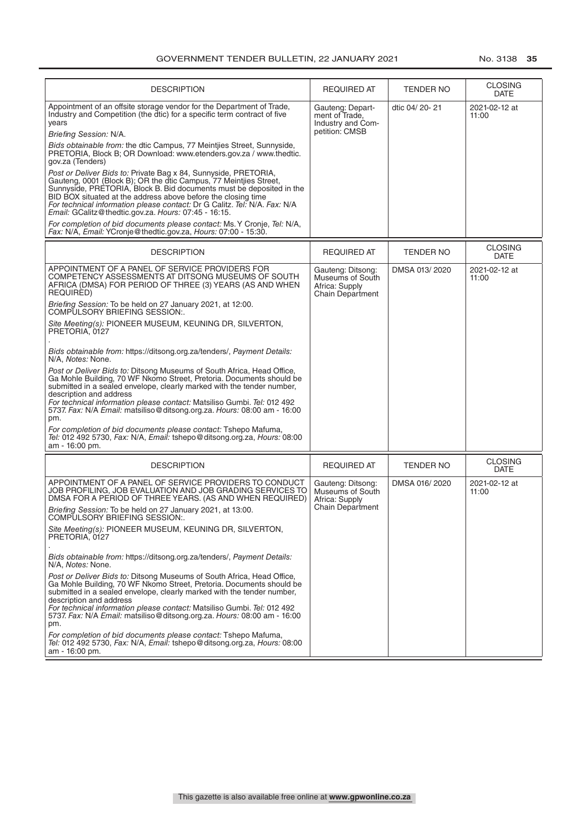| <b>DESCRIPTION</b>                                                                                                                                                                                                                                                                                                                                                                                                 | <b>REQUIRED AT</b>                                                                 | <b>TENDER NO</b> | <b>CLOSING</b><br><b>DATE</b> |
|--------------------------------------------------------------------------------------------------------------------------------------------------------------------------------------------------------------------------------------------------------------------------------------------------------------------------------------------------------------------------------------------------------------------|------------------------------------------------------------------------------------|------------------|-------------------------------|
| Appointment of an offsite storage vendor for the Department of Trade,<br>Industry and Competition (the dtic) for a specific term contract of five<br>years                                                                                                                                                                                                                                                         | Gauteng: Depart-<br>ment of Trade,<br>Industry and Com-                            | dtic 04/20-21    | 2021-02-12 at<br>11:00        |
| Briefing Session: N/A.                                                                                                                                                                                                                                                                                                                                                                                             | petition: CMSB                                                                     |                  |                               |
| Bids obtainable from: the dtic Campus, 77 Meintijes Street, Sunnyside,<br>PRETORIA, Block B; OR Download: www.etenders.gov.za / www.thedtic.<br>gov.za (Tenders)                                                                                                                                                                                                                                                   |                                                                                    |                  |                               |
| Post or Deliver Bids to: Private Bag x 84, Sunnyside, PRETORIA,<br>Gauteng, 0001 (Block B); OR the dtic Campus, 77 Meintiles Street,<br>Sunnyside, PRETORIA, Block B. Bid documents must be deposited in the<br>BID BOX situated at the address above before the closing time<br>For technical information please contact: Dr G Calitz. Tel: N/A. Fax: N/A<br>Email: GCalitz@thedtic.gov.za. Hours: 07:45 - 16:15. |                                                                                    |                  |                               |
| For completion of bid documents please contact: Ms. Y Cronje, Tel: N/A,<br>Fax: N/A, Email: YCronje@thedtic.gov.za, Hours: 07:00 - 15:30.                                                                                                                                                                                                                                                                          |                                                                                    |                  |                               |
| <b>DESCRIPTION</b>                                                                                                                                                                                                                                                                                                                                                                                                 | <b>REQUIRED AT</b>                                                                 | <b>TENDER NO</b> | <b>CLOSING</b><br><b>DATE</b> |
| APPOINTMENT OF A PANEL OF SERVICE PROVIDERS FOR<br>COMPETENCY ASSESSMENTS AT DITSONG MUSEUMS OF SOUTH<br>AFRICA (DMSA) FOR PERIOD OF THREE (3) YEARS (AS AND WHEN<br>REQUIRED)                                                                                                                                                                                                                                     | Gauteng: Ditsong:<br>Museums of South<br>Africa: Supply<br>Chain Department        | DMSA 013/2020    | 2021-02-12 at<br>11:00        |
| Briefing Session: To be held on 27 January 2021, at 12:00.<br>COMPULSORY BRIEFING SESSION:.                                                                                                                                                                                                                                                                                                                        |                                                                                    |                  |                               |
| Site Meeting(s): PIONEER MUSEUM, KEUNING DR, SILVERTON,<br>PRETORIA, 0127                                                                                                                                                                                                                                                                                                                                          |                                                                                    |                  |                               |
| Bids obtainable from: https://ditsong.org.za/tenders/, Payment Details:<br>N/A, Notes: None.                                                                                                                                                                                                                                                                                                                       |                                                                                    |                  |                               |
| Post or Deliver Bids to: Ditsong Museums of South Africa, Head Office,<br>Ga Mohle Building, 70 WF Nkomo Street, Pretoria. Documents should be<br>submitted in a sealed envelope, clearly marked with the tender number,<br>description and address<br>For technical information please contact: Matsiliso Gumbi. Tel: 012 492<br>5737. Fax: N/A Email: matsiliso@ditsong.org.za. Hours: 08:00 am - 16:00<br>pm.   |                                                                                    |                  |                               |
| For completion of bid documents please contact: Tshepo Mafuma,<br>Tel: 012 492 5730, Fax: N/A, Email: tshepo@ditsong.org.za, Hours: 08:00<br>am - 16:00 pm.                                                                                                                                                                                                                                                        |                                                                                    |                  |                               |
| <b>DESCRIPTION</b>                                                                                                                                                                                                                                                                                                                                                                                                 | <b>REQUIRED AT</b>                                                                 | <b>TENDER NO</b> | <b>CLOSING</b><br><b>DATE</b> |
| APPOINTMENT OF A PANEL OF SERVICE PROVIDERS TO CONDUCT<br>JOB PROFILING, JOB EVALUATION AND JOB GRADING SERVICES TO<br>DMSA FOR A PERIOD OF THREE YEARS. (AS AND WHEN REQUIRED)                                                                                                                                                                                                                                    | Gauteng: Ditsong:<br>Museums of South<br>Africa: Supply<br><b>Chain Department</b> | DMSA 016/2020    | 2021-02-12 at<br>11:00        |
| Briefing Session: To be held on 27 January 2021, at 13:00.<br>COMPULSORY BRIEFING SESSION:                                                                                                                                                                                                                                                                                                                         |                                                                                    |                  |                               |
| Site Meeting(s): PIONEER MUSEUM, KEUNING DR, SILVERTON,<br>PRETORIA, 0127                                                                                                                                                                                                                                                                                                                                          |                                                                                    |                  |                               |
| Bids obtainable from: https://ditsong.org.za/tenders/, Payment Details:<br>N/A, Notes: None.                                                                                                                                                                                                                                                                                                                       |                                                                                    |                  |                               |
| Post or Deliver Bids to: Ditsong Museums of South Africa, Head Office,<br>Ga Mohle Building, 70 WF Nkomo Street, Pretoria. Documents should be<br>submitted in a sealed envelope, clearly marked with the tender number,<br>description and address<br>For technical information please contact: Matsiliso Gumbi. Tel: 012 492<br>5737. Fax: N/A Email: matsiliso@ditsong.org.za. Hours: 08:00 am - 16:00<br>pm.   |                                                                                    |                  |                               |
| For completion of bid documents please contact: Tshepo Mafuma,<br>Tel: 012 492 5730, Fax: N/A, Email: tshepo@ditsong.org.za, Hours: 08:00<br>am - 16:00 pm.                                                                                                                                                                                                                                                        |                                                                                    |                  |                               |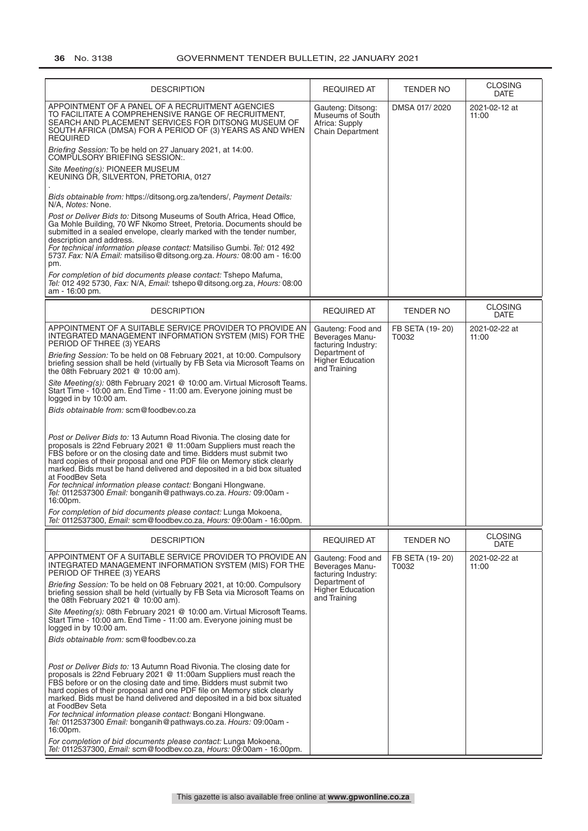| <b>DESCRIPTION</b>                                                                                                                                                                                                                                                                                                                                                                                                                                                                                                                         | <b>REQUIRED AT</b>                                                                                                      | <b>TENDER NO</b>         | <b>CLOSING</b><br><b>DATE</b> |
|--------------------------------------------------------------------------------------------------------------------------------------------------------------------------------------------------------------------------------------------------------------------------------------------------------------------------------------------------------------------------------------------------------------------------------------------------------------------------------------------------------------------------------------------|-------------------------------------------------------------------------------------------------------------------------|--------------------------|-------------------------------|
| APPOINTMENT OF A PANEL OF A RECRUITMENT AGENCIES<br>TO FACILITATE A COMPREHENSIVE RANGE OF RECRUITMENT.<br>SEARCH AND PLACEMENT SERVICES FOR DITSONG MUSEUM OF<br>SOUTH AFRICA (DMSA) FOR A PERIOD OF (3) YEARS AS AND WHEN<br><b>REQUIRED</b>                                                                                                                                                                                                                                                                                             | Gauteng: Ditsong:<br>Museums of South<br>Africa: Supply<br><b>Chain Department</b>                                      | DMSA 017/2020            | 2021-02-12 at<br>11:00        |
| Briefing Session: To be held on 27 January 2021, at 14:00.<br>COMPULSORY BRIEFING SESSION:.                                                                                                                                                                                                                                                                                                                                                                                                                                                |                                                                                                                         |                          |                               |
| Site Meeting(s): PIONEER MUSEUM<br>KEUNING DR. SILVERTON, PRETORIA, 0127                                                                                                                                                                                                                                                                                                                                                                                                                                                                   |                                                                                                                         |                          |                               |
| Bids obtainable from: https://ditsong.org.za/tenders/, Payment Details:<br>N/A, Notes: None.                                                                                                                                                                                                                                                                                                                                                                                                                                               |                                                                                                                         |                          |                               |
| Post or Deliver Bids to: Ditsong Museums of South Africa, Head Office,<br>Ga Mohle Building, 70 WF Nkomo Street, Pretoria. Documents should be<br>submitted in a sealed envelope, clearly marked with the tender number,<br>description and address.<br>For technical information please contact: Matsiliso Gumbi. Tel: 012 492<br>5737. Fax: N/A Email: matsiliso@ditsong.org.za. Hours: 08:00 am - 16:00<br>pm.                                                                                                                          |                                                                                                                         |                          |                               |
| For completion of bid documents please contact: Tshepo Mafuma,<br>Tel: 012 492 5730, Fax: N/A, Email: tshepo@ditsong.org.za, Hours: 08:00<br>am - 16:00 pm.                                                                                                                                                                                                                                                                                                                                                                                |                                                                                                                         |                          |                               |
| <b>DESCRIPTION</b>                                                                                                                                                                                                                                                                                                                                                                                                                                                                                                                         | <b>REQUIRED AT</b>                                                                                                      | <b>TENDER NO</b>         | <b>CLOSING</b><br><b>DATE</b> |
| APPOINTMENT OF A SUITABLE SERVICE PROVIDER TO PROVIDE AN<br>INTEGRATED MANAGEMENT INFORMATION SYSTEM (MIS) FOR THE<br>PERIOD OF THREE (3) YEARS                                                                                                                                                                                                                                                                                                                                                                                            | Gauteng: Food and<br>FB SETA (19-20)<br>Beverages Manu-<br>T0032<br>11:00<br>facturing Industry:                        | 2021-02-22 at            |                               |
| Briefing Session: To be held on 08 February 2021, at 10:00. Compulsory<br>briefing session shall be held (virtually by FB Seta via Microsoft Teams on<br>the 08th February 2021 $@$ 10:00 am).                                                                                                                                                                                                                                                                                                                                             | Department of<br><b>Higher Education</b><br>and Training                                                                |                          |                               |
| Site Meeting(s): 08th February 2021 @ 10:00 am. Virtual Microsoft Teams.<br>Start Time - 10:00 am. End Time - 11:00 am. Everyone joining must be<br>logged in by 10:00 am.                                                                                                                                                                                                                                                                                                                                                                 |                                                                                                                         |                          |                               |
| Bids obtainable from: scm@foodbev.co.za                                                                                                                                                                                                                                                                                                                                                                                                                                                                                                    |                                                                                                                         |                          |                               |
| Post or Deliver Bids to: 13 Autumn Road Rivonia. The closing date for<br>proposals is 22nd February 2021 @ 11:00am Suppliers must reach the<br>FBS before or on the closing date and time. Bidders must submit two<br>hard copies of their proposal and one PDF file on Memory stick clearly<br>marked. Bids must be hand delivered and deposited in a bid box situated<br>at FoodBev Seta<br>For technical information please contact: Bongani Hlongwane.<br>Tel: 0112537300 Email: bonganih@pathways.co.za. Hours: 09:00am -<br>16:00pm. |                                                                                                                         |                          |                               |
| For completion of bid documents please contact: Lunga Mokoena,<br>Tel: 0112537300, Email: scm@foodbev.co.za, Hours: 09:00am - 16:00pm.                                                                                                                                                                                                                                                                                                                                                                                                     |                                                                                                                         |                          |                               |
| <b>DESCRIPTION</b>                                                                                                                                                                                                                                                                                                                                                                                                                                                                                                                         | <b>REQUIRED AT</b>                                                                                                      | TENDER NO                | <b>CLOSING</b><br><b>DATE</b> |
| APPOINTMENT OF A SUITABLE SERVICE PROVIDER TO PROVIDE AN<br>INTEGRATED MANAGEMENT INFORMATION SYSTEM (MIS) FOR THE<br>PERIOD OF THREE (3) YEARS                                                                                                                                                                                                                                                                                                                                                                                            | Gauteng: Food and<br>Beverages Manu-<br>facturing Industry:<br>Department of<br><b>Higher Education</b><br>and Training | FB SETA (19-20)<br>T0032 | 2021-02-22 at<br>11:00        |
| Briefing Session: To be held on 08 February 2021, at 10:00. Compulsory<br>briefing session shall be held (virtually by FB Seta via Microsoft Teams on<br>the 08th February 2021 $@$ 10:00 am).                                                                                                                                                                                                                                                                                                                                             |                                                                                                                         |                          |                               |
| Site Meeting(s): 08th February 2021 @ 10:00 am. Virtual Microsoft Teams.<br>Start Time - 10:00 am. End Time - 11:00 am. Everyone joining must be<br>logged in by 10:00 am.                                                                                                                                                                                                                                                                                                                                                                 |                                                                                                                         |                          |                               |
| Bids obtainable from: scm@foodbev.co.za                                                                                                                                                                                                                                                                                                                                                                                                                                                                                                    |                                                                                                                         |                          |                               |
| Post or Deliver Bids to: 13 Autumn Road Rivonia. The closing date for<br>proposals is 22nd February 2021 @ 11:00am Suppliers must reach the<br>FBS before or on the closing date and time. Bidders must submit two<br>hard copies of their proposal and one PDF file on Memory stick clearly<br>marked. Bids must be hand delivered and deposited in a bid box situated<br>at FoodBev Seta<br>For technical information please contact: Bongani Hlongwane.<br>Tel: 0112537300 Email: bonganih@pathways.co.za. Hours: 09:00am -<br>16:00pm. |                                                                                                                         |                          |                               |
| For completion of bid documents please contact: Lunga Mokoena,<br>Tel: 0112537300, Email: scm@foodbev.co.za, Hours: 09:00am - 16:00pm.                                                                                                                                                                                                                                                                                                                                                                                                     |                                                                                                                         |                          |                               |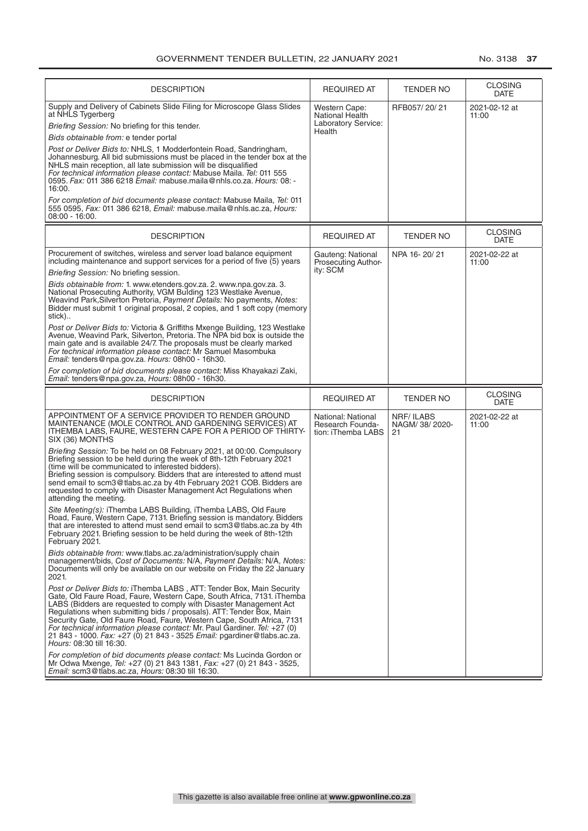| <b>DESCRIPTION</b>                                                                                                                                                                                                                                                                                                                                                                                                                                                                                                                                          | REQUIRED AT                                                    | <b>TENDER NO</b>                          | <b>CLOSING</b><br><b>DATE</b> |
|-------------------------------------------------------------------------------------------------------------------------------------------------------------------------------------------------------------------------------------------------------------------------------------------------------------------------------------------------------------------------------------------------------------------------------------------------------------------------------------------------------------------------------------------------------------|----------------------------------------------------------------|-------------------------------------------|-------------------------------|
| Supply and Delivery of Cabinets Slide Filing for Microscope Glass Slides<br>at NHLS Tygerberg<br><i>Briefing Session:</i> No briefing for this tender.                                                                                                                                                                                                                                                                                                                                                                                                      | Western Cape:<br><b>National Health</b><br>Laboratory Service: | RFB057/20/21                              | 2021-02-12 at<br>11:00        |
| Bids obtainable from: e tender portal                                                                                                                                                                                                                                                                                                                                                                                                                                                                                                                       | Health                                                         |                                           |                               |
| Post or Deliver Bids to: NHLS, 1 Modderfontein Road, Sandringham,<br>Johannesburg. All bid submissions must be placed in the tender box at the<br>NHLS main reception, all late submission will be disqualified<br>For technical information please contact: Mabuse Maila. Tel: 011 555<br>0595. Fax: 011 386 6218 Email: mabuse.maila@nhls.co.za. Hours: 08: -<br>16:00.                                                                                                                                                                                   |                                                                |                                           |                               |
| For completion of bid documents please contact: Mabuse Maila, Tel: 011<br>555 0595, Fax: 011 386 6218, Email: mabuse.maila@nhls.ac.za, Hours:<br>$08:00 - 16:00.$                                                                                                                                                                                                                                                                                                                                                                                           |                                                                |                                           |                               |
| <b>DESCRIPTION</b>                                                                                                                                                                                                                                                                                                                                                                                                                                                                                                                                          | REQUIRED AT                                                    | <b>TENDER NO</b>                          | <b>CLOSING</b><br><b>DATE</b> |
| Procurement of switches, wireless and server load balance equipment<br>including maintenance and support services for a period of five (5) years                                                                                                                                                                                                                                                                                                                                                                                                            | Gauteng: National<br>Prosecuting Author-                       | NPA 16-20/21                              | 2021-02-22 at<br>11:00        |
| Briefing Session: No briefing session.                                                                                                                                                                                                                                                                                                                                                                                                                                                                                                                      | ity: SCM                                                       |                                           |                               |
| Bids obtainable from: 1. www.etenders.gov.za. 2. www.npa.gov.za. 3.<br>National Prosecuting Authority, VGM Bulding 123 Westlake Avenue,<br>Weavind Park, Silverton Pretoria, Payment Details: No payments, Notes:<br>Bidder must submit 1 original proposal, 2 copies, and 1 soft copy (memory<br>stick)                                                                                                                                                                                                                                                    |                                                                |                                           |                               |
| Post or Deliver Bids to: Victoria & Griffiths Mxenge Building, 123 Westlake<br>Avenue, Weavind Park, Silverton, Pretoria. The NPA bid box is outside the<br>main gate and is available 24/7. The proposals must be clearly marked<br>For technical information please contact: Mr Samuel Masombuka<br><i>Email:</i> tenders@npa.gov.za. Hours: 08h00 - 16h30.                                                                                                                                                                                               |                                                                |                                           |                               |
| For completion of bid documents please contact: Miss Khayakazi Zaki,<br>Email: tenders@npa.gov.za, Hours: 08h00 - 16h30.                                                                                                                                                                                                                                                                                                                                                                                                                                    |                                                                |                                           |                               |
| <b>DESCRIPTION</b>                                                                                                                                                                                                                                                                                                                                                                                                                                                                                                                                          | <b>REQUIRED AT</b>                                             | <b>TENDER NO</b>                          | <b>CLOSING</b><br><b>DATE</b> |
| APPOINTMENT OF A SERVICE PROVIDER TO RENDER GROUND<br>MAINTENANCE (MOLE CONTROL AND GARDENING SERVICES) AT<br>ITHEMBA LABS, FAURE, WESTERN CAPE FOR A PERIOD OF THIRTY-<br>SIX (36) MONTHS                                                                                                                                                                                                                                                                                                                                                                  | National: National<br>Research Founda-<br>tion: iThemba LABS   | <b>NRF/ILABS</b><br>NAGM/ 38/ 2020-<br>21 | 2021-02-22 at<br>11:00        |
| Briefing Session: To be held on 08 February 2021, at 00:00. Compulsory<br>Briefing session to be held during the week of 8th-12th February 2021<br>(time will be communicated to interested bidders).<br>Briefing session is compulsory. Bidders that are interested to attend must<br>send email to scm3@tlabs.ac.za by 4th February 2021 COB. Bidders are<br>requested to comply with Disaster Management Act Regulations when<br>attending the meeting.                                                                                                  |                                                                |                                           |                               |
| Site Meeting(s): iThemba LABS Building, iThemba LABS, Old Faure<br>Road, Faure, Western Cape, 7131. Briefing session is mandatory. Bidders<br>that are interested to attend must send email to scm3@tlabs.ac.za by 4th<br>February 2021. Briefing session to be held during the week of 8th-12th<br>February 2021.                                                                                                                                                                                                                                          |                                                                |                                           |                               |
| Bids obtainable from: www.tlabs.ac.za/administration/supply chain<br>management/bids, Cost of Documents: N/A, Payment Details: N/A, Notes:<br>Documents will only be available on our website on Friday the 22 January<br>2021.                                                                                                                                                                                                                                                                                                                             |                                                                |                                           |                               |
| Post or Deliver Bids to: iThemba LABS, ATT: Tender Box, Main Security<br>Gate, Old Faure Road, Faure, Western Cape, South Africa, 7131. iThemba<br>LABS (Bidders are requested to comply with Disaster Management Act<br>Regulations when submitting bids / proposals). ATT: Tender Box, Main<br>Security Gate, Old Faure Road, Faure, Western Cape, South Africa, 7131<br>For technical information please contact: Mr. Paul Gardiner. Tel: +27 (0)<br>21 843 - 1000. Fax: +27 (0) 21 843 - 3525 Email: pgardiner@tlabs.ac.za.<br>Hours: 08:30 till 16:30. |                                                                |                                           |                               |
| For completion of bid documents please contact: Ms Lucinda Gordon or<br>Mr Odwa Mxenge, Tel: +27 (0) 21 843 1381, Fax: +27 (0) 21 843 - 3525,<br>Email: scm3@tlabs.ac.za, Hours: 08:30 till 16:30.                                                                                                                                                                                                                                                                                                                                                          |                                                                |                                           |                               |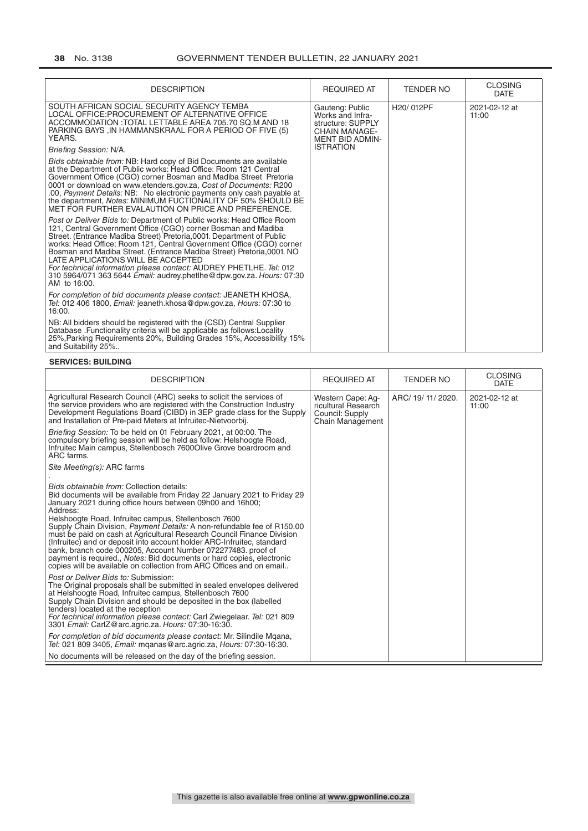#### **38** No. 3138 GOVERNMENT TENDER BULLETIN, 22 JANUARY 2021

| <b>DESCRIPTION</b>                                                                                                                                                                                                                                                                                                                                                                                                                                                                                                                                                   | <b>REQUIRED AT</b>                                                                                         | <b>TENDER NO</b> | <b>CLOSING</b><br><b>DATE</b> |
|----------------------------------------------------------------------------------------------------------------------------------------------------------------------------------------------------------------------------------------------------------------------------------------------------------------------------------------------------------------------------------------------------------------------------------------------------------------------------------------------------------------------------------------------------------------------|------------------------------------------------------------------------------------------------------------|------------------|-------------------------------|
| SOUTH AFRICAN SOCIAL SECURITY AGENCY TEMBA<br>LOCAL OFFICE: PROCUREMENT OF ALTERNATIVE OFFICE<br>ACCOMMODATION : TOTAL LETTABLE AREA 705.70 SQ.M AND 18<br>PARKING BAYS, IN HAMMANSKRAAL FOR A PERIOD OF FIVE (5)<br>YEARS.                                                                                                                                                                                                                                                                                                                                          | Gauteng: Public<br>Works and Infra-<br>structure: SUPPLY<br><b>CHAIN MANAGE-</b><br><b>MENT BID ADMIN-</b> | H20/012PF        | 2021-02-12 at<br>11:00        |
| Briefing Session: N/A.                                                                                                                                                                                                                                                                                                                                                                                                                                                                                                                                               | <b>ISTRATION</b>                                                                                           |                  |                               |
| Bids obtainable from: NB: Hard copy of Bid Documents are available<br>at the Department of Public works: Head Office: Room 121 Central<br>Government Office (CGO) corner Bosman and Madiba Street Pretoria<br>0001 or download on www.etenders.gov.za, Cost of Documents: R200<br>.00, Payment Details: NB: No electronic payments only cash payable at<br>the department, Notes: MINIMUM FUCTIONALITY OF 50% SHOULD BE<br>MET FOR FURTHER EVALAUTION ON PRICE AND PREFERENCE.                                                                                       |                                                                                                            |                  |                               |
| Post or Deliver Bids to: Department of Public works: Head Office Room<br>121, Central Government Office (CGO) corner Bosman and Madiba<br>Street. (Entrance Madiba Street) Pretoria, 0001. Department of Public<br>works: Head Office: Room 121, Central Government Office (CGO) corner<br>Bosman and Madiba Street. (Entrance Madiba Street) Pretoria, 0001. NO<br>LATE APPLICATIONS WILL BE ACCEPTED<br>For technical information please contact: AUDREY PHETLHE. Tel: 012<br>310 5964/071 363 5644 Email: audrey.phetlhe@dpw.gov.za. Hours: 07:30<br>AM to 16:00. |                                                                                                            |                  |                               |
| For completion of bid documents please contact: JEANETH KHOSA,<br>Tel: 012 406 1800, <i>Email:</i> jeaneth.khosa@dpw.gov.za, <i>Hours:</i> 07:30 to<br>16:00.                                                                                                                                                                                                                                                                                                                                                                                                        |                                                                                                            |                  |                               |
| NB: All bidders should be registered with the (CSD) Central Supplier<br>Database . Functionality criteria will be applicable as follows: Locality<br>25%, Parking Requirements 20%, Building Grades 15%, Accessibility 15%<br>and Suitability 25%                                                                                                                                                                                                                                                                                                                    |                                                                                                            |                  |                               |

#### **SERVICES: BUILDING**

| <b>DESCRIPTION</b>                                                                                                                                                                                                                                                                                                                                                                                                                                                                                                                                                                                                                                                                                            | <b>REQUIRED AT</b>                                                              | TENDER NO          | <b>CLOSING</b><br><b>DATE</b> |
|---------------------------------------------------------------------------------------------------------------------------------------------------------------------------------------------------------------------------------------------------------------------------------------------------------------------------------------------------------------------------------------------------------------------------------------------------------------------------------------------------------------------------------------------------------------------------------------------------------------------------------------------------------------------------------------------------------------|---------------------------------------------------------------------------------|--------------------|-------------------------------|
| Agricultural Research Council (ARC) seeks to solicit the services of<br>the service providers who are registered with the Construction Industry<br>Development Regulations Board (CIBD) in 3EP grade class for the Supply<br>and Installation of Pre-paid Meters at Infruitec-Nietvoorbij.                                                                                                                                                                                                                                                                                                                                                                                                                    | Western Cape: Ag-<br>ricultural Research<br>Council: Supply<br>Chain Management | ARC/ 19/ 11/ 2020. | 2021-02-12 at<br>11:00        |
| Briefing Session: To be held on 01 February 2021, at 00:00. The<br>compulsory briefing session will be held as follow: Helshoogte Road,<br>Infruitec Main campus, Stellenbosch 7600 Olive Grove boardroom and<br>ARC farms.                                                                                                                                                                                                                                                                                                                                                                                                                                                                                   |                                                                                 |                    |                               |
| Site Meeting(s): ARC farms                                                                                                                                                                                                                                                                                                                                                                                                                                                                                                                                                                                                                                                                                    |                                                                                 |                    |                               |
| Bids obtainable from: Collection details:<br>Bid documents will be available from Friday 22 January 2021 to Friday 29<br>January 2021 during office hours between 09h00 and 16h00;<br>Address:<br>Helshoogte Road, Infruitec campus, Stellenbosch 7600<br>Supply Chain Division, <i>Payment Details:</i> A non-refundable fee of R150.00<br>must be paid on cash at Agricultural Research Council Finance Division<br>(Infruitec) and or deposit into account holder ARC-Infruitec, standard<br>bank, branch code 000205, Account Number 072277483, proof of<br>payment is required., Notes: Bid documents or hard copies, electronic<br>copies will be available on collection from ARC Offices and on email |                                                                                 |                    |                               |
| Post or Deliver Bids to: Submission:<br>The Original proposals shall be submitted in sealed envelopes delivered<br>at Helshoogte Road, Infruitec campus, Stellenbosch 7600<br>Supply Chain Division and should be deposited in the box (labelled<br>tenders) located at the reception<br>For technical information please contact: Carl Zwiegelaar. Tel: 021 809<br>3301 Email: CarlZ@arc.agric.za. Hours: 07:30-16:30.                                                                                                                                                                                                                                                                                       |                                                                                 |                    |                               |
| For completion of bid documents please contact: Mr. Silindile Mgana,<br>Tel: 021 809 3405, <i>Email:</i> mganas@arc.agric.za, <i>Hours:</i> 07:30-16:30.                                                                                                                                                                                                                                                                                                                                                                                                                                                                                                                                                      |                                                                                 |                    |                               |
| No documents will be released on the day of the briefing session.                                                                                                                                                                                                                                                                                                                                                                                                                                                                                                                                                                                                                                             |                                                                                 |                    |                               |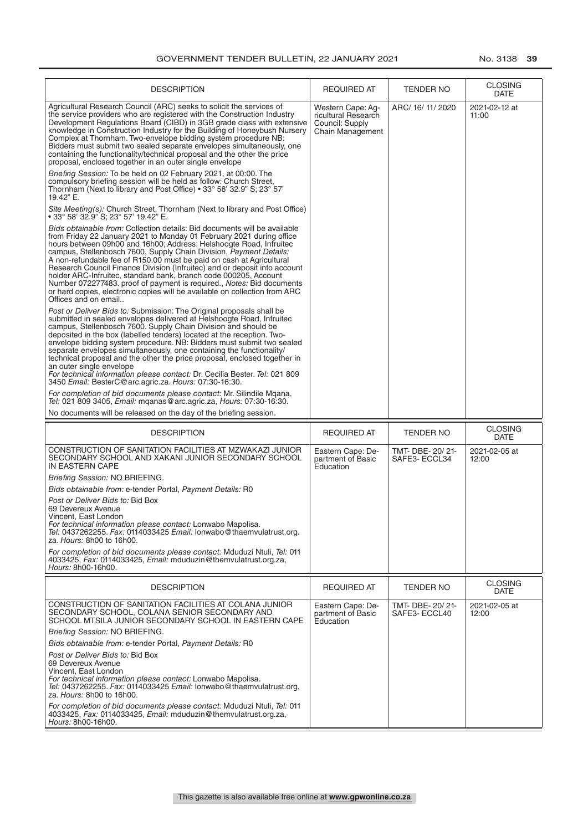| <b>DESCRIPTION</b>                                                                                                                                                                                                                                                                                                                                                                                                                                                                                                                                                                                                                                                                                    | <b>REQUIRED AT</b>                                                                     | TENDER NO                       | <b>CLOSING</b><br><b>DATE</b> |
|-------------------------------------------------------------------------------------------------------------------------------------------------------------------------------------------------------------------------------------------------------------------------------------------------------------------------------------------------------------------------------------------------------------------------------------------------------------------------------------------------------------------------------------------------------------------------------------------------------------------------------------------------------------------------------------------------------|----------------------------------------------------------------------------------------|---------------------------------|-------------------------------|
| Agricultural Research Council (ARC) seeks to solicit the services of<br>the service providers who are registered with the Construction Industry<br>Development Regulations Board (CIBD) in 3GB grade class with extensive<br>knowledge in Construction Industry for the Building of Honeybush Nursery<br>Complex at Thornham. Two-envelope bidding system procedure NB:<br>Bidders must submit two sealed separate envelopes simultaneously, one<br>containing the functionality/technical proposal and the other the price<br>proposal, enclosed together in an outer single envelope                                                                                                                | Western Cape: Aq-<br>ricultural Research<br>Council: Supply<br><b>Chain Management</b> | ARC/ 16/ 11/ 2020               | 2021-02-12 at<br>11:00        |
| Briefing Session: To be held on 02 February 2021, at 00:00. The<br>compulsory briefing session will be held as follow: Church Street,<br>Thornham (Next to library and Post Office) • 33° 58' 32.9" S; 23° 57'<br>19.42" E.                                                                                                                                                                                                                                                                                                                                                                                                                                                                           |                                                                                        |                                 |                               |
| Site Meeting(s): Church Street, Thornham (Next to library and Post Office)<br>∙ 33° 58' 32.9" S: 23° 57' 19.42" E.                                                                                                                                                                                                                                                                                                                                                                                                                                                                                                                                                                                    |                                                                                        |                                 |                               |
| Bids obtainable from: Collection details: Bid documents will be available<br>from Friday 22 January 2021 to Monday 01 February 2021 during office<br>hours between 09h00 and 16h00; Address: Helshoogte Road, Infruitec<br>campus, Stellenbosch 7600, Supply Chain Division, Payment Details:<br>A non-refundable fee of R150.00 must be paid on cash at Agricultural<br>Research Council Finance Division (Infruitec) and or deposit into account<br>holder ARC-Infruitec, standard bank, branch code 000205, Account<br>Number 072277483. proof of payment is required., Notes: Bid documents<br>or hard copies, electronic copies will be available on collection from ARC<br>Offices and on email |                                                                                        |                                 |                               |
| Post or Deliver Bids to: Submission: The Original proposals shall be<br>submitted in sealed envelopes delivered at Helshoogte Road, Infruitec<br>campus, Stellenbosch 7600. Supply Chain Division and should be<br>deposited in the box (labelled tenders) located at the reception. Two-<br>envelope bidding system procedure. NB: Bidders must submit two sealed<br>separate envelopes simultaneously, one containing the functionality/<br>technical proposal and the other the price proposal, enclosed together in<br>an outer single envelope<br>For technical information please contact: Dr. Cecilia Bester. Tel: 021 809<br>3450 Email: BesterC@arc.agric.za. Hours: 07:30-16:30.            |                                                                                        |                                 |                               |
| For completion of bid documents please contact: Mr. Silindile Mqana,<br>Tel: 021 809 3405, Email: mganas@arc.agric.za, Hours: 07:30-16:30.                                                                                                                                                                                                                                                                                                                                                                                                                                                                                                                                                            |                                                                                        |                                 |                               |
| No documents will be released on the day of the briefing session.                                                                                                                                                                                                                                                                                                                                                                                                                                                                                                                                                                                                                                     |                                                                                        |                                 |                               |
| <b>DESCRIPTION</b>                                                                                                                                                                                                                                                                                                                                                                                                                                                                                                                                                                                                                                                                                    | <b>REQUIRED AT</b>                                                                     | <b>TENDER NO</b>                | <b>CLOSING</b><br><b>DATE</b> |
| CONSTRUCTION OF SANITATION FACILITIES AT MZWAKAZI JUNIOR<br>SECONDARY SCHOOL AND XAKANI JUNIOR SECONDARY SCHOOL<br>IN EASTERN CAPE                                                                                                                                                                                                                                                                                                                                                                                                                                                                                                                                                                    | Eastern Cape: De-<br>partment of Basic<br>Education                                    | TMT-DBE-20/21-<br>SAFE3- ECCL34 | 2021-02-05 at<br>12:00        |
| Briefing Session: NO BRIEFING.                                                                                                                                                                                                                                                                                                                                                                                                                                                                                                                                                                                                                                                                        |                                                                                        |                                 |                               |
| Bids obtainable from: e-tender Portal, Payment Details: R0                                                                                                                                                                                                                                                                                                                                                                                                                                                                                                                                                                                                                                            |                                                                                        |                                 |                               |
| Post or Deliver Bids to: Bid Box<br>69 Devereux Avenue<br>Vincent, East London<br>For technical information please contact: Lonwabo Mapolisa.<br>Tel: 0437262255. Fax: 0114033425 Email: lonwabo@thaemvulatrust.org.<br>za. Hours: 8h00 to 16h00.                                                                                                                                                                                                                                                                                                                                                                                                                                                     |                                                                                        |                                 |                               |
| For completion of bid documents please contact: Mduduzi Ntuli, Tel: 011<br>4033425, Fax: 0114033425, Email: mduduzin@themvulatrust.org.za,<br>Hours: 8h00-16h00.                                                                                                                                                                                                                                                                                                                                                                                                                                                                                                                                      |                                                                                        |                                 |                               |
| <b>DESCRIPTION</b>                                                                                                                                                                                                                                                                                                                                                                                                                                                                                                                                                                                                                                                                                    | <b>REQUIRED AT</b>                                                                     | TENDER NO                       | <b>CLOSING</b><br><b>DATE</b> |
| CONSTRUCTION OF SANITATION FACILITIES AT COLANA JUNIOR<br>SECONDARY SCHOOL, COLANA SENIOR SECONDARY AND<br>SCHOOL MTSILA JUNIOR SECONDARY SCHOOL IN EASTERN CAPE                                                                                                                                                                                                                                                                                                                                                                                                                                                                                                                                      | Eastern Cape: De-<br>partment of Basic<br>Education                                    | TMT-DBE-20/21-<br>SAFE3- ECCL40 | 2021-02-05 at<br>12:00        |
| Briefing Session: NO BRIEFING.                                                                                                                                                                                                                                                                                                                                                                                                                                                                                                                                                                                                                                                                        |                                                                                        |                                 |                               |
| Bids obtainable from: e-tender Portal, Payment Details: R0<br>Post or Deliver Bids to: Bid Box<br>69 Devereux Avenue<br>Vincent, East London<br>For technical information please contact: Lonwabo Mapolisa.<br>Tel: 0437262255. Fax: 0114033425 Email: lonwabo@thaemvulatrust.org.<br>za. Hours: 8h00 to 16h00.                                                                                                                                                                                                                                                                                                                                                                                       |                                                                                        |                                 |                               |
| For completion of bid documents please contact: Mduduzi Ntuli, Tel: 011<br>4033425, Fax: 0114033425, Email: mduduzin@themvulatrust.org.za,<br>Hours: 8h00-16h00.                                                                                                                                                                                                                                                                                                                                                                                                                                                                                                                                      |                                                                                        |                                 |                               |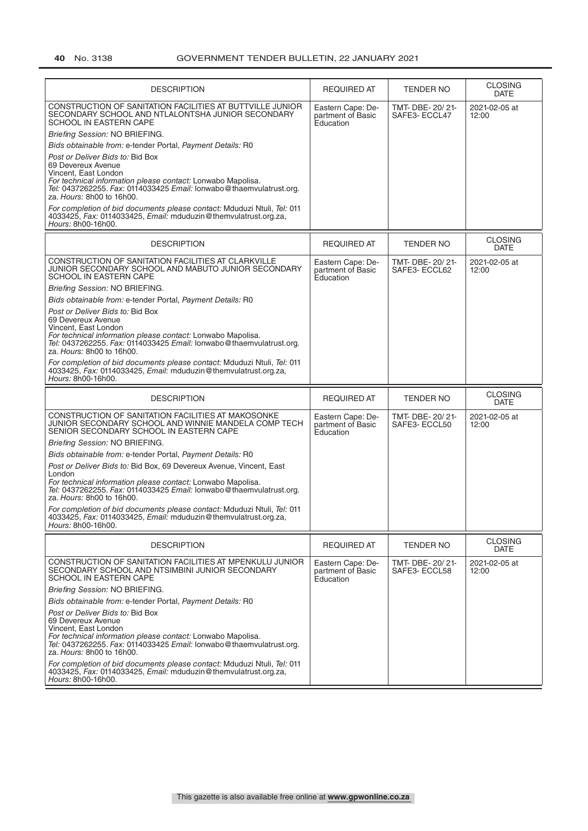| <b>DESCRIPTION</b>                                                                                                                                                                                                                                | <b>REQUIRED AT</b>                                  | <b>TENDER NO</b>                  | <b>CLOSING</b><br><b>DATE</b> |
|---------------------------------------------------------------------------------------------------------------------------------------------------------------------------------------------------------------------------------------------------|-----------------------------------------------------|-----------------------------------|-------------------------------|
| CONSTRUCTION OF SANITATION FACILITIES AT BUTTVILLE JUNIOR<br>SECONDARY SCHOOL AND NTLALONTSHA JUNIOR SECONDARY<br>SCHOOL IN EASTERN CAPE                                                                                                          | Eastern Cape: De-<br>partment of Basic<br>Education | TMT- DBE- 20/21-<br>SAFE3-ECCL47  | 2021-02-05 at<br>12:00        |
| Briefing Session: NO BRIEFING.                                                                                                                                                                                                                    |                                                     |                                   |                               |
| Bids obtainable from: e-tender Portal, Payment Details: R0                                                                                                                                                                                        |                                                     |                                   |                               |
| Post or Deliver Bids to: Bid Box<br>69 Devereux Avenue<br>Vincent, East London<br>For technical information please contact: Lonwabo Mapolisa.<br>Tel: 0437262255. Fax: 0114033425 Email: lonwabo@thaemvulatrust.org.<br>za. Hours: 8h00 to 16h00. |                                                     |                                   |                               |
| For completion of bid documents please contact: Mduduzi Ntuli, Tel: 011<br>4033425, Fax: 0114033425, Email: mduduzin@themvulatrust.org.za,<br>Hours: 8h00-16h00.                                                                                  |                                                     |                                   |                               |
| <b>DESCRIPTION</b>                                                                                                                                                                                                                                | <b>REQUIRED AT</b>                                  | <b>TENDER NO</b>                  | <b>CLOSING</b><br><b>DATE</b> |
| CONSTRUCTION OF SANITATION FACILITIES AT CLARKVILLE<br>JUNIOR SECONDARY SCHOOL AND MABUTO JUNIOR SECONDARY<br>SCHOOL IN EASTERN CAPE                                                                                                              | Eastern Cape: De-<br>partment of Basic<br>Education | TMT- DBE- 20/21-<br>SAFE3- ECCL62 | 2021-02-05 at<br>12:00        |
| Briefing Session: NO BRIEFING.                                                                                                                                                                                                                    |                                                     |                                   |                               |
| Bids obtainable from: e-tender Portal, Payment Details: R0                                                                                                                                                                                        |                                                     |                                   |                               |
| Post or Deliver Bids to: Bid Box<br>69 Devereux Avenue<br>Vincent, East London<br>For technical information please contact: Lonwabo Mapolisa.<br>Tel: 0437262255. Fax: 0114033425 Email: lonwabo@thaemvulatrust.org.<br>za. Hours: 8h00 to 16h00. |                                                     |                                   |                               |
| For completion of bid documents please contact: Mduduzi Ntuli, Tel: 011<br>4033425, Fax: 0114033425, Email: mduduzin@themvulatrust.org.za,<br>Hours: 8h00-16h00.                                                                                  |                                                     |                                   |                               |
| <b>DESCRIPTION</b>                                                                                                                                                                                                                                | <b>REQUIRED AT</b>                                  | <b>TENDER NO</b>                  | <b>CLOSING</b>                |
|                                                                                                                                                                                                                                                   |                                                     |                                   | <b>DATE</b>                   |
| CONSTRUCTION OF SANITATION FACILITIES AT MAKOSONKE<br>JUNIOR SECONDARY SCHOOL AND WINNIE MANDELA COMP TECH<br>SENIOR SECONDARY SCHOOL IN EASTERN CAPE                                                                                             | Eastern Cape: De-<br>partment of Basic<br>Education | TMT- DBE- 20/21-<br>SAFE3- ECCL50 | 2021-02-05 at<br>12:00        |
| Briefing Session: NO BRIEFING.                                                                                                                                                                                                                    |                                                     |                                   |                               |
| Bids obtainable from: e-tender Portal, Payment Details: R0                                                                                                                                                                                        |                                                     |                                   |                               |
| Post or Deliver Bids to: Bid Box, 69 Devereux Avenue, Vincent, East                                                                                                                                                                               |                                                     |                                   |                               |
| London<br>For technical information please contact: Lonwabo Mapolisa.<br>Tel: 0437262255. Fax: 0114033425 Email: lonwabo@thaemvulatrust.org.<br>za. Hours: 8h00 to 16h00.                                                                         |                                                     |                                   |                               |
| For completion of bid documents please contact: Mduduzi Ntuli, Tel: 011<br>4033425, Fax: 0114033425, Email: mduduzin@themvulatrust.org.za,<br>Hours: 8h00-16h00.                                                                                  |                                                     |                                   |                               |
| DESCRIPTION                                                                                                                                                                                                                                       | <b>REQUIRED AT</b>                                  | TENDER NO                         | <b>CLOSING</b><br><b>DATE</b> |
| CONSTRUCTION OF SANITATION FACILITIES AT MPENKULU JUNIOR<br>SECONDARY SCHOOL AND NTSIMBINI JUNIOR SECONDARY<br>SCHOOL IN EASTERN CAPE                                                                                                             | Eastern Cape: De-<br>partment of Basic<br>Education | TMT- DBE- 20/21-<br>SAFE3- ECCL58 | 2021-02-05 at<br>12:00        |
| Briefing Session: NO BRIEFING.                                                                                                                                                                                                                    |                                                     |                                   |                               |
| Bids obtainable from: e-tender Portal, Payment Details: R0                                                                                                                                                                                        |                                                     |                                   |                               |
| Post or Deliver Bids to: Bid Box<br>69 Devereux Avenue<br>Vincent, East London<br>For technical information please contact: Lonwabo Mapolisa.<br>Tel: 0437262255. Fax: 0114033425 Email: lonwabo@thaemvulatrust.org.<br>za. Hours: 8h00 to 16h00. |                                                     |                                   |                               |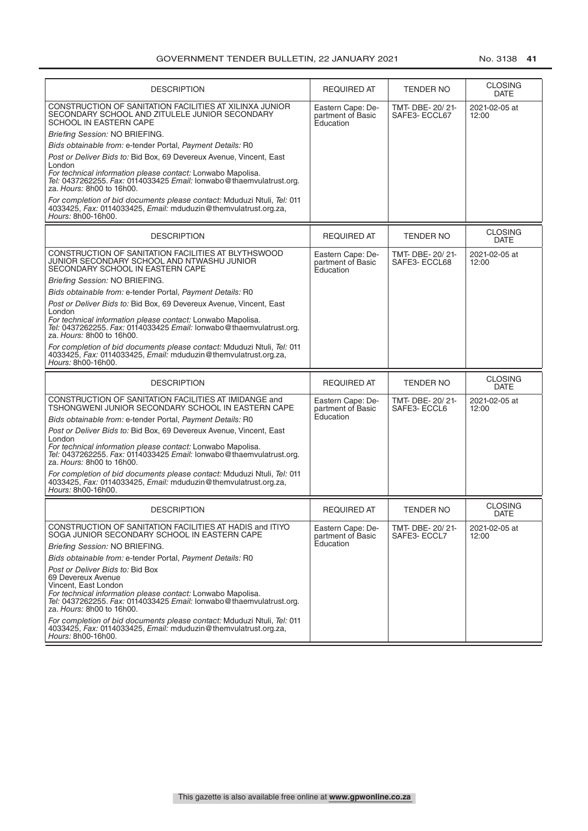| <b>DESCRIPTION</b>                                                                                                                                                                                                                                                                                                          | <b>REQUIRED AT</b>                                  | <b>TENDER NO</b>                  | <b>CLOSING</b><br><b>DATE</b> |
|-----------------------------------------------------------------------------------------------------------------------------------------------------------------------------------------------------------------------------------------------------------------------------------------------------------------------------|-----------------------------------------------------|-----------------------------------|-------------------------------|
| CONSTRUCTION OF SANITATION FACILITIES AT XILINXA JUNIOR<br>SECONDARY SCHOOL AND ZITULELE JUNIOR SECONDARY<br>SCHOOL IN EASTERN CAPE                                                                                                                                                                                         | Eastern Cape: De-<br>partment of Basic<br>Education | TMT- DBE- 20/21-<br>SAFE3-ECCL67  | 2021-02-05 at<br>12:00        |
| Briefing Session: NO BRIEFING.                                                                                                                                                                                                                                                                                              |                                                     |                                   |                               |
| Bids obtainable from: e-tender Portal, Payment Details: R0                                                                                                                                                                                                                                                                  |                                                     |                                   |                               |
| Post or Deliver Bids to: Bid Box, 69 Devereux Avenue, Vincent, East<br>London<br>For technical information please contact: Lonwabo Mapolisa.<br>Tel: 0437262255. Fax: 0114033425 Email: lonwabo@thaemvulatrust.org.<br>za. Hours: 8h00 to 16h00.                                                                            |                                                     |                                   |                               |
| For completion of bid documents please contact: Mduduzi Ntuli, Tel: 011<br>4033425, Fax: 0114033425, Email: mduduzin@themvulatrust.org.za,<br>Hours: 8h00-16h00.                                                                                                                                                            |                                                     |                                   |                               |
| <b>DESCRIPTION</b>                                                                                                                                                                                                                                                                                                          | <b>REQUIRED AT</b>                                  | <b>TENDER NO</b>                  | <b>CLOSING</b><br><b>DATE</b> |
| CONSTRUCTION OF SANITATION FACILITIES AT BLYTHSWOOD<br>JUNIOR SECONDARY SCHOOL AND NTWASHU JUNIOR<br>SECONDARY SCHOOL IN EASTERN CAPE                                                                                                                                                                                       | Eastern Cape: De-<br>partment of Basic<br>Education | TMT- DBE- 20/ 21-<br>SAFE3-ECCL68 | 2021-02-05 at<br>12:00        |
| Briefing Session: NO BRIEFING.                                                                                                                                                                                                                                                                                              |                                                     |                                   |                               |
| Bids obtainable from: e-tender Portal, Payment Details: R0                                                                                                                                                                                                                                                                  |                                                     |                                   |                               |
| Post or Deliver Bids to: Bid Box, 69 Devereux Avenue, Vincent, East                                                                                                                                                                                                                                                         |                                                     |                                   |                               |
| London<br>For technical information please contact: Lonwabo Mapolisa.<br>Tel: 0437262255. Fax: 0114033425 Email: lonwabo@thaemvulatrust.org.<br>za. Hours: 8h00 to 16h00.                                                                                                                                                   |                                                     |                                   |                               |
| For completion of bid documents please contact: Mduduzi Ntuli, Tel: 011<br>4033425, Fax: 0114033425, Email: mduduzin@themvulatrust.org.za,<br>Hours: 8h00-16h00.                                                                                                                                                            |                                                     |                                   |                               |
| <b>DESCRIPTION</b>                                                                                                                                                                                                                                                                                                          | <b>REQUIRED AT</b>                                  | <b>TENDER NO</b>                  | <b>CLOSING</b><br><b>DATE</b> |
| CONSTRUCTION OF SANITATION FACILITIES AT IMIDANGE and<br>TSHONGWENI JUNIOR SECONDARY SCHOOL IN EASTERN CAPE                                                                                                                                                                                                                 | Eastern Cape: De-<br>partment of Basic              | TMT- DBE- 20/21-<br>SAFE3- ECCL6  | 2021-02-05 at<br>12:00        |
| Bids obtainable from: e-tender Portal, Payment Details: R0                                                                                                                                                                                                                                                                  | Education                                           |                                   |                               |
| Post or Deliver Bids to: Bid Box, 69 Devereux Avenue, Vincent, East<br>London<br>For technical information please contact: Lonwabo Mapolisa.<br>Tel: 0437262255. Fax: 0114033425 Email: lonwabo@thaemvulatrust.org.<br>za. Hours: 8h00 to 16h00.<br>For completion of bid documents please contact: Mduduzi Ntuli, Tel: 011 |                                                     |                                   |                               |
| 4033425, Fax: 0114033425, Email: mduduzin@themvulatrust.org.za,<br>Hours: 8h00-16h00.                                                                                                                                                                                                                                       |                                                     |                                   |                               |
| <b>DESCRIPTION</b>                                                                                                                                                                                                                                                                                                          | <b>REQUIRED AT</b>                                  | <b>TENDER NO</b>                  | <b>CLOSING</b><br><b>DATE</b> |
| CONSTRUCTION OF SANITATION FACILITIES AT HADIS and ITIYO<br>SOGA JUNIOR SECONDARY SCHOOL IN EASTERN CAPE                                                                                                                                                                                                                    | Eastern Cape: De-<br>partment of Basic              | TMT- DBE- 20/21-<br>SAFE3- ECCL7  | 2021-02-05 at<br>12:00        |
| Briefing Session: NO BRIEFING.                                                                                                                                                                                                                                                                                              | Education                                           |                                   |                               |
| Bids obtainable from: e-tender Portal, Payment Details: R0                                                                                                                                                                                                                                                                  |                                                     |                                   |                               |
| Post or Deliver Bids to: Bid Box<br>69 Devereux Avenue<br>Vincent, East London<br>For technical information please contact: Lonwabo Mapolisa.<br>Tel: 0437262255. Fax: 0114033425 Email: lonwabo@thaemvulatrust.org.<br>za. Hours: 8h00 to 16h00.                                                                           |                                                     |                                   |                               |
| For completion of bid documents please contact: Mduduzi Ntuli, Tel: 011<br>4033425, Fax: 0114033425, Email: mduduzin@themvulatrust.org.za,<br>Hours: 8h00-16h00.                                                                                                                                                            |                                                     |                                   |                               |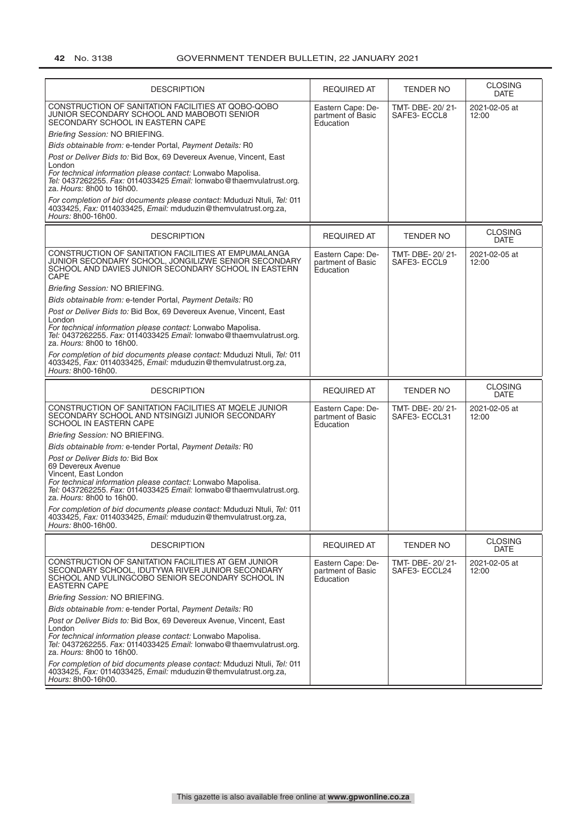| <b>DESCRIPTION</b>                                                                                                                                                                                                                                | <b>REQUIRED AT</b>                                  | <b>TENDER NO</b>                  | <b>CLOSING</b><br>DATE        |
|---------------------------------------------------------------------------------------------------------------------------------------------------------------------------------------------------------------------------------------------------|-----------------------------------------------------|-----------------------------------|-------------------------------|
| CONSTRUCTION OF SANITATION FACILITIES AT QOBO-QOBO<br>JUNIOR SECONDARY SCHOOL AND MABOBOTI SENIOR<br>SECONDARY SCHOOL IN EASTERN CAPE                                                                                                             | Eastern Cape: De-<br>partment of Basic<br>Education | TMT- DBE- 20/21-<br>SAFE3-ECCL8   | 2021-02-05 at<br>12:00        |
| Briefing Session: NO BRIEFING.                                                                                                                                                                                                                    |                                                     |                                   |                               |
| Bids obtainable from: e-tender Portal, Payment Details: R0                                                                                                                                                                                        |                                                     |                                   |                               |
| Post or Deliver Bids to: Bid Box, 69 Devereux Avenue, Vincent, East                                                                                                                                                                               |                                                     |                                   |                               |
| London<br>For technical information please contact: Lonwabo Mapolisa.<br>Tel: 0437262255. Fax: 0114033425 Email: lonwabo@thaemvulatrust.org.<br>za. Hours: 8h00 to 16h00.                                                                         |                                                     |                                   |                               |
| For completion of bid documents please contact: Mduduzi Ntuli, Tel: 011<br>4033425, Fax: 0114033425, Email: mduduzin@themvulatrust.org.za,<br>Hours: 8h00-16h00.                                                                                  |                                                     |                                   |                               |
| <b>DESCRIPTION</b>                                                                                                                                                                                                                                | <b>REQUIRED AT</b>                                  | <b>TENDER NO</b>                  | <b>CLOSING</b><br><b>DATE</b> |
| CONSTRUCTION OF SANITATION FACILITIES AT EMPUMALANGA<br>JUNIOR SECONDARY SCHOOL, JONGILIZWE SENIOR SECONDARY<br>SCHOOL AND DAVIES JUNIOR SECONDARY SCHOOL IN EASTERN<br>CAPE                                                                      | Eastern Cape: De-<br>partment of Basic<br>Education | TMT- DBE- 20/21-<br>SAFE3- ECCL9  | 2021-02-05 at<br>12:00        |
| Briefing Session: NO BRIEFING.                                                                                                                                                                                                                    |                                                     |                                   |                               |
| Bids obtainable from: e-tender Portal, Payment Details: R0                                                                                                                                                                                        |                                                     |                                   |                               |
| Post or Deliver Bids to: Bid Box, 69 Devereux Avenue, Vincent, East                                                                                                                                                                               |                                                     |                                   |                               |
| London<br>For technical information please contact: Lonwabo Mapolisa.<br>Tel: 0437262255. Fax: 0114033425 Email: lonwabo@thaemvulatrust.org.<br>za. Hours: 8h00 to 16h00.                                                                         |                                                     |                                   |                               |
| For completion of bid documents please contact: Mduduzi Ntuli, Tel: 011<br>4033425, Fax: 0114033425, Email: mduduzin@themvulatrust.org.za,<br>Hours: 8h00-16h00.                                                                                  |                                                     |                                   |                               |
|                                                                                                                                                                                                                                                   |                                                     |                                   |                               |
| <b>DESCRIPTION</b>                                                                                                                                                                                                                                | <b>REQUIRED AT</b>                                  | <b>TENDER NO</b>                  | <b>CLOSING</b><br><b>DATE</b> |
| CONSTRUCTION OF SANITATION FACILITIES AT MOELE JUNIOR<br>SECONDARY SCHOOL AND NTSINGIZI JUNIOR SECONDARY<br>SCHOOL IN EASTERN CAPE                                                                                                                | Eastern Cape: De-<br>partment of Basic<br>Education | TMT- DBE- 20/21-<br>SAFE3- ECCL31 | 2021-02-05 at<br>12:00        |
| Briefing Session: NO BRIEFING.                                                                                                                                                                                                                    |                                                     |                                   |                               |
| Bids obtainable from: e-tender Portal, Payment Details: R0                                                                                                                                                                                        |                                                     |                                   |                               |
| Post or Deliver Bids to: Bid Box<br>69 Devereux Avenue<br>Vincent, East London<br>For technical information please contact: Lonwabo Mapolisa.<br>Tel: 0437262255. Fax: 0114033425 Email: lonwabo@thaemvulatrust.org.<br>za. Hours: 8h00 to 16h00. |                                                     |                                   |                               |
| For completion of bid documents please contact: Mduduzi Ntuli, Tel: 011<br>4033425, Fax: 0114033425, Email: mduduzin@themvulatrust.org.za,<br>Hours: 8h00-16h00.                                                                                  |                                                     |                                   |                               |
| <b>DESCRIPTION</b>                                                                                                                                                                                                                                | <b>REQUIRED AT</b>                                  | <b>TENDER NO</b>                  | <b>CLOSING</b><br><b>DATE</b> |
| CONSTRUCTION OF SANITATION FACILITIES AT GEM JUNIOR<br>SECONDARY SCHOOL, IDUTYWA RIVER JUNIOR SECONDARY<br>SCHOOL AND VULINGCOBO SENIOR SECONDARY SCHOOL IN<br><b>EASTERN CAPE</b>                                                                | Eastern Cape: De-<br>partment of Basic<br>Education | TMT- DBE- 20/21-<br>SAFE3-ECCL24  | 2021-02-05 at<br>12:00        |
| Briefing Session: NO BRIEFING.                                                                                                                                                                                                                    |                                                     |                                   |                               |
| Bids obtainable from: e-tender Portal, Payment Details: R0                                                                                                                                                                                        |                                                     |                                   |                               |
| Post or Deliver Bids to: Bid Box, 69 Devereux Avenue, Vincent, East<br>London<br>For technical information please contact: Lonwabo Mapolisa.<br>Tel: 0437262255. Fax: 0114033425 Email: lonwabo@thaemvulatrust.org.<br>za. Hours: 8h00 to 16h00.  |                                                     |                                   |                               |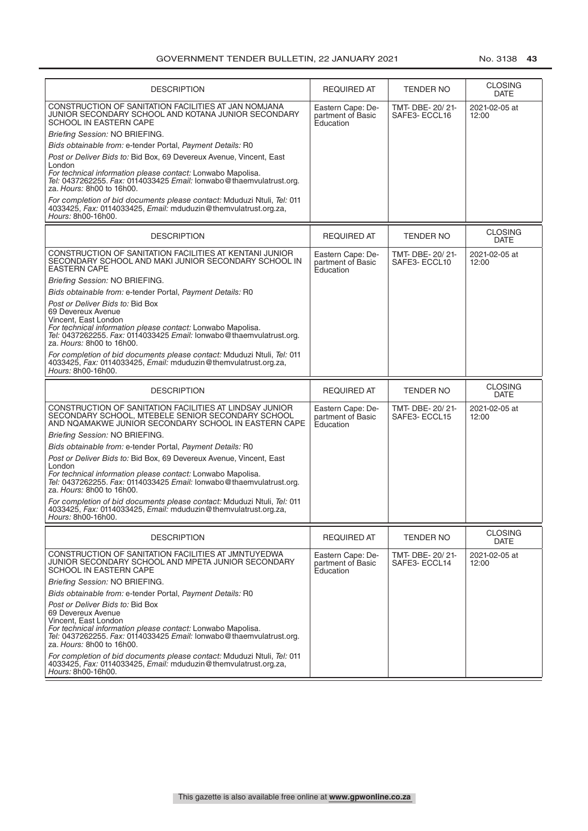| <b>DESCRIPTION</b>                                                                                                                                                   | <b>REQUIRED AT</b>                                  | <b>TENDER NO</b>                 | <b>CLOSING</b><br><b>DATE</b> |
|----------------------------------------------------------------------------------------------------------------------------------------------------------------------|-----------------------------------------------------|----------------------------------|-------------------------------|
| CONSTRUCTION OF SANITATION FACILITIES AT JAN NOMJANA<br>JUNIOR SECONDARY SCHOOL AND KOTANA JUNIOR SECONDARY<br>SCHOOL IN EASTERN CAPE                                | Eastern Cape: De-<br>partment of Basic<br>Education | TMT- DBE- 20/21-<br>SAFE3-ECCL16 | 2021-02-05 at<br>12:00        |
| Briefing Session: NO BRIEFING.                                                                                                                                       |                                                     |                                  |                               |
| Bids obtainable from: e-tender Portal, Payment Details: R0                                                                                                           |                                                     |                                  |                               |
| Post or Deliver Bids to: Bid Box, 69 Devereux Avenue, Vincent, East                                                                                                  |                                                     |                                  |                               |
| London<br>For technical information please contact: Lonwabo Mapolisa.                                                                                                |                                                     |                                  |                               |
| Tel: 0437262255. Fax: 0114033425 Email: lonwabo@thaemvulatrust.org.<br>za. Hours: 8h00 to 16h00.                                                                     |                                                     |                                  |                               |
| For completion of bid documents please contact: Mduduzi Ntuli, Tel: 011<br>4033425, Fax: 0114033425, Email: mduduzin@themyulatrust.org.za.<br>Hours: 8h00-16h00.     |                                                     |                                  |                               |
|                                                                                                                                                                      |                                                     |                                  |                               |
| <b>DESCRIPTION</b>                                                                                                                                                   | <b>REQUIRED AT</b>                                  | TENDER NO                        | <b>CLOSING</b><br><b>DATE</b> |
| CONSTRUCTION OF SANITATION FACILITIES AT KENTANI JUNIOR<br>SECONDARY SCHOOL AND MAKI JUNIOR SECONDARY SCHOOL IN<br><b>EASTERN CAPE</b>                               | Eastern Cape: De-<br>partment of Basic<br>Education | TMT- DBE- 20/21-<br>SAFE3-ECCL10 | 2021-02-05 at<br>12:00        |
| Briefing Session: NO BRIEFING.                                                                                                                                       |                                                     |                                  |                               |
| Bids obtainable from: e-tender Portal, Payment Details: R0                                                                                                           |                                                     |                                  |                               |
| Post or Deliver Bids to: Bid Box<br>69 Devereux Avenue<br>Vincent, East London                                                                                       |                                                     |                                  |                               |
| For technical information please contact: Lonwabo Mapolisa.<br>Tel: 0437262255. Fax: 0114033425 Email: lonwabo@thaemvulatrust.org.<br>za. Hours: 8h00 to 16h00.      |                                                     |                                  |                               |
|                                                                                                                                                                      |                                                     |                                  |                               |
| For completion of bid documents please contact: Mduduzi Ntuli, Tel: 011<br>4033425, Fax: 0114033425, Email: mduduzin@themvulatrust.org.za,<br>Hours: 8h00-16h00.     |                                                     |                                  |                               |
|                                                                                                                                                                      |                                                     |                                  |                               |
|                                                                                                                                                                      |                                                     |                                  |                               |
| <b>DESCRIPTION</b>                                                                                                                                                   | <b>REQUIRED AT</b>                                  | TENDER NO                        | <b>CLOSING</b><br>DATE        |
| CONSTRUCTION OF SANITATION FACILITIES AT LINDSAY JUNIOR<br>SECONDARY SCHOOL, MTEBELE SENIOR SECONDARY SCHOOL<br>AND NQAMAKWE JUNIOR SECONDARY SCHOOL IN EASTERN CAPE | Eastern Cape: De-<br>partment of Basic<br>Education | TMT- DBE- 20/21-<br>SAFE3-ECCL15 | 2021-02-05 at<br>12:00        |
| Briefing Session: NO BRIEFING.                                                                                                                                       |                                                     |                                  |                               |
|                                                                                                                                                                      |                                                     |                                  |                               |
| Bids obtainable from: e-tender Portal, Payment Details: R0                                                                                                           |                                                     |                                  |                               |
| Post or Deliver Bids to: Bid Box, 69 Devereux Avenue, Vincent, East<br>London                                                                                        |                                                     |                                  |                               |
| For technical information please contact: Lonwabo Mapolisa.<br>Tel: 0437262255. Fax: 0114033425 Email: lonwabo@thaemvulatrust.org.<br>za. Hours: 8h00 to 16h00.      |                                                     |                                  |                               |
| For completion of bid documents please contact: Mduduzi Ntuli, Tel: 011                                                                                              |                                                     |                                  |                               |
| 4033425, Fax: 0114033425, Email: mduduzin@themvulatrust.org.za,<br><i>Hours:</i> 8h00-16h00.                                                                         |                                                     |                                  |                               |
|                                                                                                                                                                      |                                                     |                                  |                               |
| <b>DESCRIPTION</b>                                                                                                                                                   | <b>REQUIRED AT</b>                                  | TENDER NO                        | <b>CLOSING</b><br><b>DATE</b> |
| CONSTRUCTION OF SANITATION FACILITIES AT JMNTUYEDWA<br>JUNIOR SECONDARY SCHOOL AND MPETA JUNIOR SECONDARY<br>SCHOOL IN EASTERN CAPE                                  | Eastern Cape: De-<br>partment of Basic<br>Education | TMT-DBE-20/21-<br>SAFE3- ECCL14  | 2021-02-05 at<br>12:00        |
| Briefing Session: NO BRIEFING.                                                                                                                                       |                                                     |                                  |                               |
| Bids obtainable from: e-tender Portal, Payment Details: R0                                                                                                           |                                                     |                                  |                               |
| Post or Deliver Bids to: Bid Box<br>69 Devereux Avenue                                                                                                               |                                                     |                                  |                               |
| Vincent, East London                                                                                                                                                 |                                                     |                                  |                               |
| For technical information please contact: Lonwabo Mapolisa.<br>Tel: 0437262255. Fax: 0114033425 Email: lonwabo@thaemvulatrust.org.<br>za. Hours: 8h00 to 16h00.      |                                                     |                                  |                               |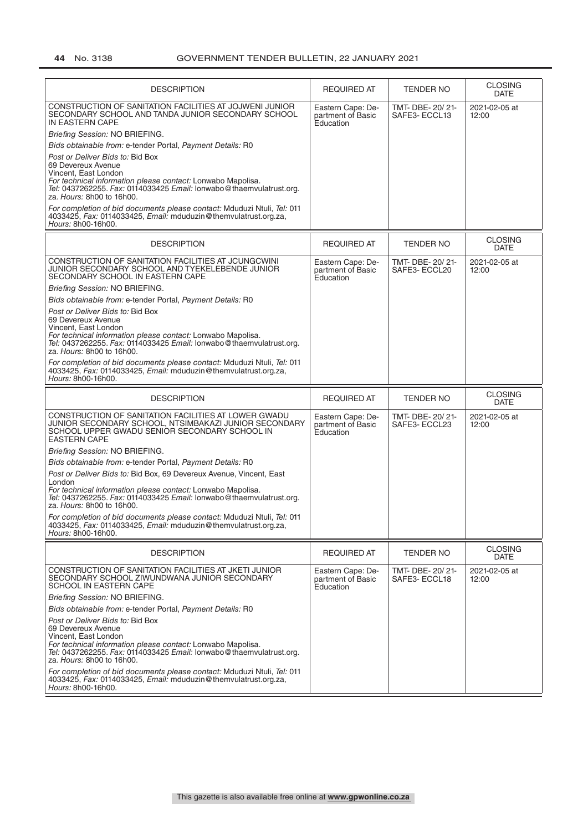| <b>DESCRIPTION</b>                                                                                                                                                                                                                                                                                                           | <b>REQUIRED AT</b>                                  | <b>TENDER NO</b>                  | <b>CLOSING</b><br><b>DATE</b> |
|------------------------------------------------------------------------------------------------------------------------------------------------------------------------------------------------------------------------------------------------------------------------------------------------------------------------------|-----------------------------------------------------|-----------------------------------|-------------------------------|
| CONSTRUCTION OF SANITATION FACILITIES AT JOJWENI JUNIOR<br>SECONDARY SCHOOL AND TANDA JUNIOR SECONDARY SCHOOL<br>IN EASTERN CAPE                                                                                                                                                                                             | Eastern Cape: De-<br>partment of Basic<br>Education | TMT- DBE- 20/21-<br>SAFE3- ECCL13 | 2021-02-05 at<br>12:00        |
| Briefing Session: NO BRIEFING.                                                                                                                                                                                                                                                                                               |                                                     |                                   |                               |
| Bids obtainable from: e-tender Portal, Payment Details: R0                                                                                                                                                                                                                                                                   |                                                     |                                   |                               |
| Post or Deliver Bids to: Bid Box<br>69 Devereux Avenue<br>Vincent, East London<br>For technical information please contact: Lonwabo Mapolisa.<br>Tel: 0437262255. Fax: 0114033425 Email: lonwabo@thaemvulatrust.org.<br>za. Hours: 8h00 to 16h00.                                                                            |                                                     |                                   |                               |
| For completion of bid documents please contact: Mduduzi Ntuli, Tel: 011<br>4033425, Fax: 0114033425, Email: mduduzin@themvulatrust.org.za,<br>Hours: 8h00-16h00.                                                                                                                                                             |                                                     |                                   |                               |
| <b>DESCRIPTION</b>                                                                                                                                                                                                                                                                                                           | <b>REQUIRED AT</b>                                  | <b>TENDER NO</b>                  | <b>CLOSING</b><br><b>DATE</b> |
| CONSTRUCTION OF SANITATION FACILITIES AT JCUNGCWINI<br>JUNIOR SECONDARY SCHOOL AND TYEKELEBENDE JUNIOR<br>SECONDARY SCHOOL IN EASTERN CAPE                                                                                                                                                                                   | Eastern Cape: De-<br>partment of Basic<br>Education | TMT- DBE- 20/21-<br>SAFE3-ECCL20  | 2021-02-05 at<br>12:00        |
| Briefing Session: NO BRIEFING.                                                                                                                                                                                                                                                                                               |                                                     |                                   |                               |
| Bids obtainable from: e-tender Portal, Payment Details: R0                                                                                                                                                                                                                                                                   |                                                     |                                   |                               |
| Post or Deliver Bids to: Bid Box<br>69 Devereux Avenue<br>Vincent, East London<br>For technical information please contact: Lonwabo Mapolisa.<br>Tel: 0437262255. Fax: 0114033425 Email: lonwabo@thaemvulatrust.org.<br>za. Hours: 8h00 to 16h00.                                                                            |                                                     |                                   |                               |
| For completion of bid documents please contact: Mduduzi Ntuli, Tel: 011<br>4033425, Fax: 0114033425, Email: mduduzin@themvulatrust.org.za,<br>Hours: 8h00-16h00.                                                                                                                                                             |                                                     |                                   |                               |
|                                                                                                                                                                                                                                                                                                                              |                                                     |                                   |                               |
| <b>DESCRIPTION</b>                                                                                                                                                                                                                                                                                                           | <b>REQUIRED AT</b>                                  | TENDER NO                         | <b>CLOSING</b><br><b>DATE</b> |
| CONSTRUCTION OF SANITATION FACILITIES AT LOWER GWADU<br>JUNIOR SECONDARY SCHOOL, NTSIMBAKAZI JUNIOR SECONDARY<br>SCHOOL UPPER GWADU SENIOR SECONDARY SCHOOL IN<br><b>EASTERN CAPE</b>                                                                                                                                        | Eastern Cape: De-<br>partment of Basic<br>Education | TMT- DBE- 20/21-<br>SAFE3- ECCL23 | 2021-02-05 at<br>12:00        |
| Briefing Session: NO BRIEFING.                                                                                                                                                                                                                                                                                               |                                                     |                                   |                               |
| Bids obtainable from: e-tender Portal, Payment Details: R0                                                                                                                                                                                                                                                                   |                                                     |                                   |                               |
| Post or Deliver Bids to: Bid Box, 69 Devereux Avenue, Vincent, East<br>London<br>For technical information please contact: Lonwabo Mapolisa.<br>Tel: 0437262255. Fax: 0114033425 Email: lonwabo@thaemvulatrust.org.<br>za. Hours: 8h00 to 16h00.                                                                             |                                                     |                                   |                               |
| For completion of bid documents please contact: Mduduzi Ntuli, Tel: 011<br>4033425, Fax: 0114033425, Email: mduduzin@themvulatrust.org.za,<br>Hours: 8h00-16h00.                                                                                                                                                             |                                                     |                                   |                               |
| <b>DESCRIPTION</b>                                                                                                                                                                                                                                                                                                           | <b>REQUIRED AT</b>                                  | TENDER NO                         | <b>CLOSING</b><br><b>DATE</b> |
| CONSTRUCTION OF SANITATION FACILITIES AT JKETI JUNIOR<br>SECONDARY SCHOOL ZIWUNDWANA JUNIOR SECONDARY<br>SCHOOL IN EASTERN CAPE                                                                                                                                                                                              | Eastern Cape: De-<br>partment of Basic<br>Education | TMT- DBE- 20/21-<br>SAFE3-ECCL18  | 2021-02-05 at<br>12:00        |
| Briefing Session: NO BRIEFING.                                                                                                                                                                                                                                                                                               |                                                     |                                   |                               |
| Bids obtainable from: e-tender Portal, Payment Details: R0                                                                                                                                                                                                                                                                   |                                                     |                                   |                               |
| Post or Deliver Bids to: Bid Box<br>69 Devereux Avenue<br>Vincent, East London<br>For technical information please contact: Lonwabo Mapolisa.<br>Tel: 0437262255. Fax: 0114033425 Email: lonwabo@thaemvulatrust.org.<br>za. Hours: 8h00 to 16h00.<br>For completion of bid documents please contact: Mduduzi Ntuli, Tel: 011 |                                                     |                                   |                               |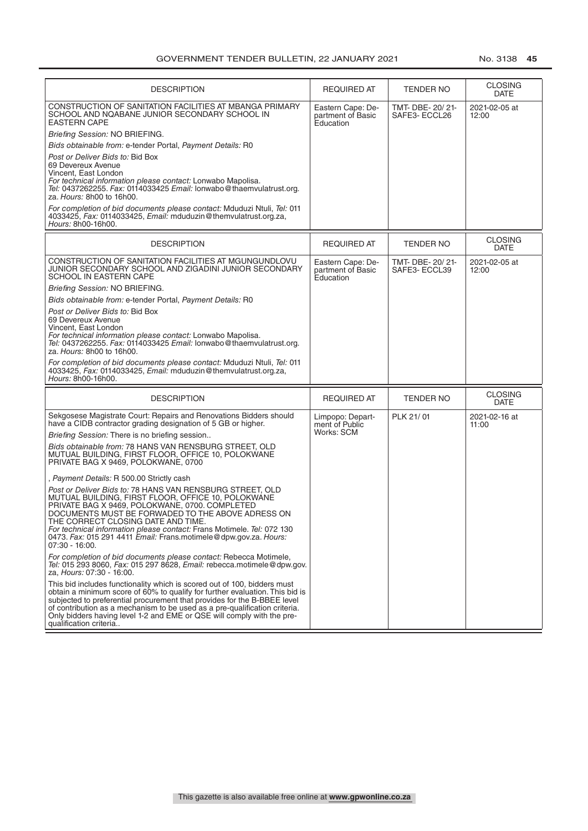| <b>DESCRIPTION</b>                                                                                                                                                                                                                                                                                                                                                                                                             | <b>REQUIRED AT</b>                                  | <b>TENDER NO</b>                  | <b>CLOSING</b><br><b>DATE</b> |
|--------------------------------------------------------------------------------------------------------------------------------------------------------------------------------------------------------------------------------------------------------------------------------------------------------------------------------------------------------------------------------------------------------------------------------|-----------------------------------------------------|-----------------------------------|-------------------------------|
| CONSTRUCTION OF SANITATION FACILITIES AT MBANGA PRIMARY<br>SCHOOL AND NQABANE JUNIOR SECONDARY SCHOOL IN<br><b>EASTERN CAPE</b>                                                                                                                                                                                                                                                                                                | Eastern Cape: De-<br>partment of Basic<br>Education | TMT- DBE- 20/21-<br>SAFE3- ECCL26 | 2021-02-05 at<br>12:00        |
| Briefing Session: NO BRIEFING.                                                                                                                                                                                                                                                                                                                                                                                                 |                                                     |                                   |                               |
| Bids obtainable from: e-tender Portal, Payment Details: R0                                                                                                                                                                                                                                                                                                                                                                     |                                                     |                                   |                               |
| Post or Deliver Bids to: Bid Box<br>69 Devereux Avenue<br>Vincent, East London<br>For technical information please contact: Lonwabo Mapolisa.<br>Tel: 0437262255. Fax: 0114033425 Email: lonwabo@thaemvulatrust.org.<br>za. Hours: 8h00 to 16h00.                                                                                                                                                                              |                                                     |                                   |                               |
| For completion of bid documents please contact: Mduduzi Ntuli, Tel: 011<br>4033425, Fax: 0114033425, Email: mduduzin@themvulatrust.org.za,<br>Hours: 8h00-16h00.                                                                                                                                                                                                                                                               |                                                     |                                   |                               |
| <b>DESCRIPTION</b>                                                                                                                                                                                                                                                                                                                                                                                                             | <b>REQUIRED AT</b>                                  | <b>TENDER NO</b>                  | <b>CLOSING</b><br><b>DATE</b> |
| CONSTRUCTION OF SANITATION FACILITIES AT MGUNGUNDLOVU<br>JUNIOR SECONDARY SCHOOL AND ZIGADINI JUNIOR SECONDARY<br><b>SCHOOL IN EASTERN CAPE</b>                                                                                                                                                                                                                                                                                | Eastern Cape: De-<br>partment of Basic<br>Education | TMT- DBE- 20/21-<br>SAFE3-ECCL39  | 2021-02-05 at<br>12:00        |
| Briefing Session: NO BRIEFING.                                                                                                                                                                                                                                                                                                                                                                                                 |                                                     |                                   |                               |
| Bids obtainable from: e-tender Portal, Payment Details: R0                                                                                                                                                                                                                                                                                                                                                                     |                                                     |                                   |                               |
| Post or Deliver Bids to: Bid Box<br>69 Devereux Avenue<br>Vincent. East London<br>For technical information please contact: Lonwabo Mapolisa.<br>Tel: 0437262255. Fax: 0114033425 Email: lonwabo@thaemvulatrust.org.<br>za. Hours: 8h00 to 16h00.                                                                                                                                                                              |                                                     |                                   |                               |
| For completion of bid documents please contact: Mduduzi Ntuli, Tel: 011<br>4033425, Fax: 0114033425, Email: mduduzin@themvulatrust.org.za,<br>Hours: 8h00-16h00.                                                                                                                                                                                                                                                               |                                                     |                                   |                               |
| <b>DESCRIPTION</b>                                                                                                                                                                                                                                                                                                                                                                                                             | <b>REQUIRED AT</b>                                  | <b>TENDER NO</b>                  | <b>CLOSING</b><br><b>DATE</b> |
| Sekgosese Magistrate Court: Repairs and Renovations Bidders should<br>have a CIDB contractor grading designation of 5 GB or higher.                                                                                                                                                                                                                                                                                            | Limpopo: Depart-<br>ment of Public                  | PLK 21/01                         | 2021-02-16 at<br>11:00        |
| Briefing Session: There is no briefing session                                                                                                                                                                                                                                                                                                                                                                                 | Works: SCM                                          |                                   |                               |
| Bids obtainable from: 78 HANS VAN RENSBURG STREET, OLD<br>MUTUAL BUILDING, FIRST FLOOR, OFFICE 10, POLOKWANE<br>PRIVATE BAG X 9469, POLOKWANE, 0700                                                                                                                                                                                                                                                                            |                                                     |                                   |                               |
| , Payment Details: R 500.00 Strictly cash                                                                                                                                                                                                                                                                                                                                                                                      |                                                     |                                   |                               |
| Post or Deliver Bids to: 78 HANS VAN RENSBURG STREET, OLD<br>MUTUAL BUILDING, FIRST FLOOR, OFFICE 10, POLOKWANE<br>PRIVATE BAG X 9469, POLOKWANE, 0700. COMPLETED<br>DOCUMENTS MUST BE FORWADED TO THE ABOVE ADRESS ON<br>THE CORRECT CLOSING DAIL AND TIME.<br>For technical information please contact: Frans Motimele. Tel: 072 130<br>0473. Fax: 015 291 4411 Email: Frans.motimele@dpw.gov.za. Hours:<br>$07:30 - 16:00.$ |                                                     |                                   |                               |
| For completion of bid documents please contact: Rebecca Motimele,<br>Tel: 015 293 8060, Fax: 015 297 8628, Email: rebecca.motimele@dpw.gov.<br>za, Hours: 07:30 - 16:00.                                                                                                                                                                                                                                                       |                                                     |                                   |                               |
| This bid includes functionality which is scored out of 100, bidders must<br>obtain a minimum score of 60% to qualify for further evaluation. This bid is<br>subjected to preferential procurement that provides for the B-BBEE level<br>of contribution as a mechanism to be used as a pre-qualification criteria.<br>Only bidders having level 1-2 and EME or QSE will comply with the pre-<br>qualification criteria         |                                                     |                                   |                               |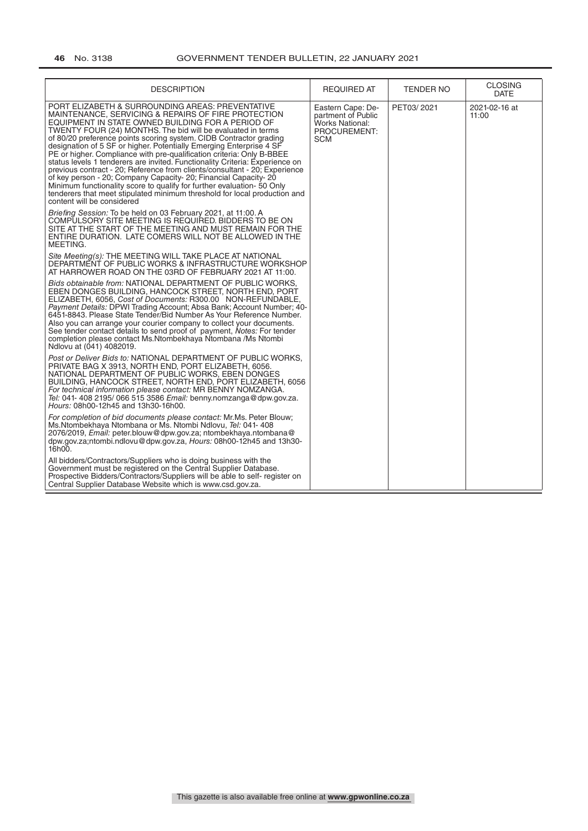| <b>DESCRIPTION</b>                                                                                                                                                                                                                                                                                                                                                                                                                                                                                                                                                                                                                                                                                                                                                                                                                                                      | <b>REQUIRED AT</b>                                                                              | <b>TENDER NO</b> | <b>CLOSING</b><br><b>DATE</b> |
|-------------------------------------------------------------------------------------------------------------------------------------------------------------------------------------------------------------------------------------------------------------------------------------------------------------------------------------------------------------------------------------------------------------------------------------------------------------------------------------------------------------------------------------------------------------------------------------------------------------------------------------------------------------------------------------------------------------------------------------------------------------------------------------------------------------------------------------------------------------------------|-------------------------------------------------------------------------------------------------|------------------|-------------------------------|
| PORT ELIZABETH & SURROUNDING AREAS: PREVENTATIVE<br>MAINTENANCE, SERVICING & REPAIRS OF FIRE PROTECTION<br>EQUIPMENT IN STATE OWNED BUILDING FOR A PERIOD OF<br>TWENTY FOUR (24) MONTHS. The bid will be evaluated in terms<br>of 80/20 preference points scoring system. CIDB Contractor grading<br>designation of 5 SF or higher. Potentially Emerging Enterprise 4 SF<br>PE or higher. Compliance with pre-qualification criteria: Only B-BBEE<br>status levels 1 tenderers are invited. Functionality Criteria: Experience on<br>previous contract - 20; Reference from clients/consultant - 20; Experience<br>of key person - 20; Company Capacity- 20; Financial Capacity- 20<br>Minimum functionality score to qualify for further evaluation-50 Only<br>tenderers that meet stipulated minimum threshold for local production and<br>content will be considered | Eastern Cape: De-<br>partment of Public<br><b>Works National:</b><br>PROCUREMENT:<br><b>SCM</b> | PET03/2021       | 2021-02-16 at<br>11:00        |
| Briefing Session: To be held on 03 February 2021, at 11:00. A<br>COMPULSORY SITE MEETING IS REQUIRED. BIDDERS TO BE ON<br>SITE AT THE START OF THE MEETING AND MUST REMAIN FOR THE<br>ENTIRE DURATION. LATE COMERS WILL NOT BE ALLOWED IN THE<br>MEETING.                                                                                                                                                                                                                                                                                                                                                                                                                                                                                                                                                                                                               |                                                                                                 |                  |                               |
| Site Meeting(s): THE MEETING WILL TAKE PLACE AT NATIONAL<br>DEPARTMENT OF PUBLIC WORKS & INFRASTRUCTURE WORKSHOP<br>AT HARROWER ROAD ON THE 03RD OF FEBRUARY 2021 AT 11:00.                                                                                                                                                                                                                                                                                                                                                                                                                                                                                                                                                                                                                                                                                             |                                                                                                 |                  |                               |
| Bids obtainable from: NATIONAL DEPARTMENT OF PUBLIC WORKS,<br>EBEN DONGES BUILDING, HANCOCK STREET, NORTH END, PORT<br>ELIZABETH, 6056, Cost of Documents: R300.00 NON-REFUNDABLE,<br>Payment Details: DPWI Trading Account; Absa Bank; Account Number; 40-<br>6451-8843. Please State Tender/Bid Number As Your Reference Number.<br>Also you can arrange your courier company to collect your documents.<br>See tender contact details to send proof of payment, Notes: For tender<br>completion please contact Ms. Ntombekhaya Ntombana / Ms Ntombi<br>Ndlovu at (041) 4082019.                                                                                                                                                                                                                                                                                      |                                                                                                 |                  |                               |
| Post or Deliver Bids to: NATIONAL DEPARTMENT OF PUBLIC WORKS,<br>PRIVATE BAG X 3913, NORTH END, PORT ELIZABETH, 6056.<br>NATIONAL DEPARTMENT OF PUBLIC WORKS, EBEN DONGES<br>BUILDING, HANCOCK STREET, NORTH END, PORT ELIZABETH, 6056<br>For technical information please contact: MR BENNY NOMZANGA.<br>Tel: 041-408 2195/066 515 3586 Email: benny.nomzanga@dpw.gov.za.<br>Hours: 08h00-12h45 and 13h30-16h00.                                                                                                                                                                                                                                                                                                                                                                                                                                                       |                                                                                                 |                  |                               |
| For completion of bid documents please contact: Mr.Ms. Peter Blouw;<br>Ms. Ntombekhaya Ntombana or Ms. Ntombi Ndlovu, Tel: 041-408<br>2076/2019, Email: peter.blouw@dpw.gov.za; ntombekhaya.ntombana@<br>dpw.gov.za;ntombi.ndlovu@dpw.gov.za, Hours: 08h00-12h45 and 13h30-<br>16h00.                                                                                                                                                                                                                                                                                                                                                                                                                                                                                                                                                                                   |                                                                                                 |                  |                               |
| All bidders/Contractors/Suppliers who is doing business with the<br>Government must be registered on the Central Supplier Database.<br>Prospective Bidders/Contractors/Suppliers will be able to self- register on<br>Central Supplier Database Website which is www.csd.gov.za.                                                                                                                                                                                                                                                                                                                                                                                                                                                                                                                                                                                        |                                                                                                 |                  |                               |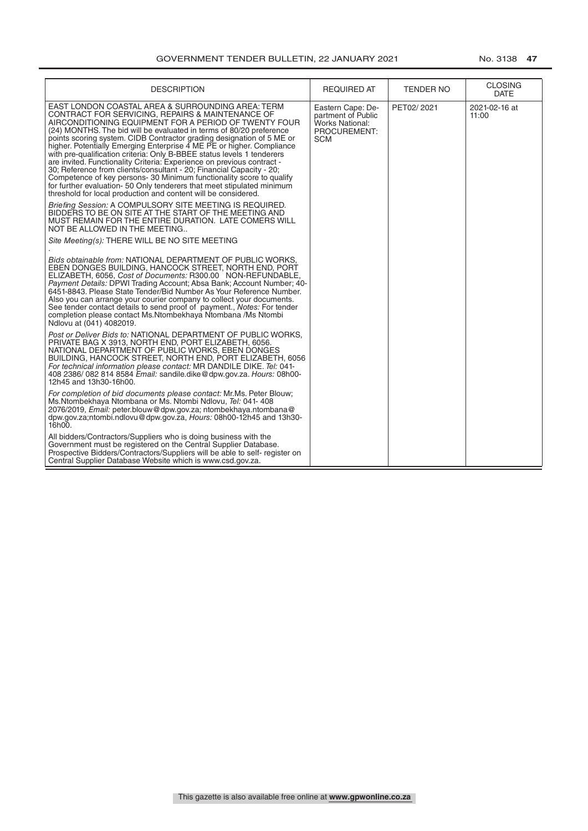| <b>DESCRIPTION</b>                                                                                                                                                                                                                                                                                                                                                                                                                                                                                                                                                                                                                                                                                                                                                                                                                                                                                                                                                                                                                                    | <b>REQUIRED AT</b>                                                                       | <b>TENDER NO</b> | <b>CLOSING</b><br><b>DATE</b> |
|-------------------------------------------------------------------------------------------------------------------------------------------------------------------------------------------------------------------------------------------------------------------------------------------------------------------------------------------------------------------------------------------------------------------------------------------------------------------------------------------------------------------------------------------------------------------------------------------------------------------------------------------------------------------------------------------------------------------------------------------------------------------------------------------------------------------------------------------------------------------------------------------------------------------------------------------------------------------------------------------------------------------------------------------------------|------------------------------------------------------------------------------------------|------------------|-------------------------------|
| EAST LONDON COASTAL AREA & SURROUNDING AREA: TERM<br>CONTRACT FOR SERVICING, REPAIRS & MAINTENANCE OF<br>AIRCONDITIONING EQUIPMENT FOR A PERIOD OF TWENTY FOUR<br>(24) MONTHS. The bid will be evaluated in terms of 80/20 preference<br>points scoring system. CIDB Contractor grading designation of 5 ME or<br>higher. Potentially Emerging Enterprise 4 ME PE or higher. Compliance<br>with pre-qualification criteria: Only B-BBEE status levels 1 tenderers<br>are invited. Functionality Criteria: Experience on previous contract -<br>30; Reference from clients/consultant - 20; Financial Capacity - 20;<br>Competence of key persons- 30 Minimum functionality score to qualify<br>for further evaluation-50 Only tenderers that meet stipulated minimum<br>threshold for local production and content will be considered.<br>Briefing Session: A COMPULSORY SITE MEETING IS REQUIRED.<br>BIDDERS TO BE ON SITE AT THE START OF THE MEETING AND<br>MUST REMAIN FOR THE ENTIRE DURATION. LATE COMERS WILL<br>NOT BE ALLOWED IN THE MEETING | Eastern Cape: De-<br>partment of Public<br>Works National:<br>PROCUREMENT:<br><b>SCM</b> | PET02/2021       | 2021-02-16 at<br>11:00        |
| Site Meeting(s): THERE WILL BE NO SITE MEETING                                                                                                                                                                                                                                                                                                                                                                                                                                                                                                                                                                                                                                                                                                                                                                                                                                                                                                                                                                                                        |                                                                                          |                  |                               |
| Bids obtainable from: NATIONAL DEPARTMENT OF PUBLIC WORKS.<br>EBEN DONGES BUILDING, HANCOCK STREET, NORTH END, PORT<br>ELIZABETH, 6056, Cost of Documents: R300.00 NON-REFUNDABLE,<br>Payment Details: DPWI Trading Account; Absa Bank; Account Number; 40-<br>6451-8843. Please State Tender/Bid Number As Your Reference Number.<br>Also you can arrange your courier company to collect your documents.<br>See tender contact details to send proof of payment., Notes: For tender<br>completion please contact Ms.Ntombekhaya Ntombana /Ms Ntombi<br>Ndlovu at (041) 4082019.                                                                                                                                                                                                                                                                                                                                                                                                                                                                     |                                                                                          |                  |                               |
| Post or Deliver Bids to: NATIONAL DEPARTMENT OF PUBLIC WORKS.<br>PRIVATE BAG X 3913, NORTH END, PORT ELIZABETH, 6056.<br>NATIONAL DEPARTMENT OF PUBLIC WORKS, EBEN DONGES<br>BUILDING, HANCOCK STREET, NORTH END, PORT ELIZABETH, 6056<br>For technical information please contact: MR DANDILE DIKE. Tel: 041-<br>408 2386/ 082 814 8584 Email: sandile.dike@dpw.gov.za. Hours: 08h00-<br>12h45 and 13h30-16h00.                                                                                                                                                                                                                                                                                                                                                                                                                                                                                                                                                                                                                                      |                                                                                          |                  |                               |
| For completion of bid documents please contact: Mr.Ms. Peter Blouw;<br>Ms.Ntombekhaya Ntombana or Ms. Ntombi Ndlovu, Tel: 041-408<br>2076/2019, Email: peter.blouw@dpw.gov.za; ntombekhaya.ntombana@<br>dpw.gov.za;ntombi.ndlovu@dpw.gov.za, Hours: 08h00-12h45 and 13h30-<br>16h00.                                                                                                                                                                                                                                                                                                                                                                                                                                                                                                                                                                                                                                                                                                                                                                  |                                                                                          |                  |                               |
| All bidders/Contractors/Suppliers who is doing business with the<br>Government must be registered on the Central Supplier Database.<br>Prospective Bidders/Contractors/Suppliers will be able to self- register on<br>Central Supplier Database Website which is www.csd.gov.za.                                                                                                                                                                                                                                                                                                                                                                                                                                                                                                                                                                                                                                                                                                                                                                      |                                                                                          |                  |                               |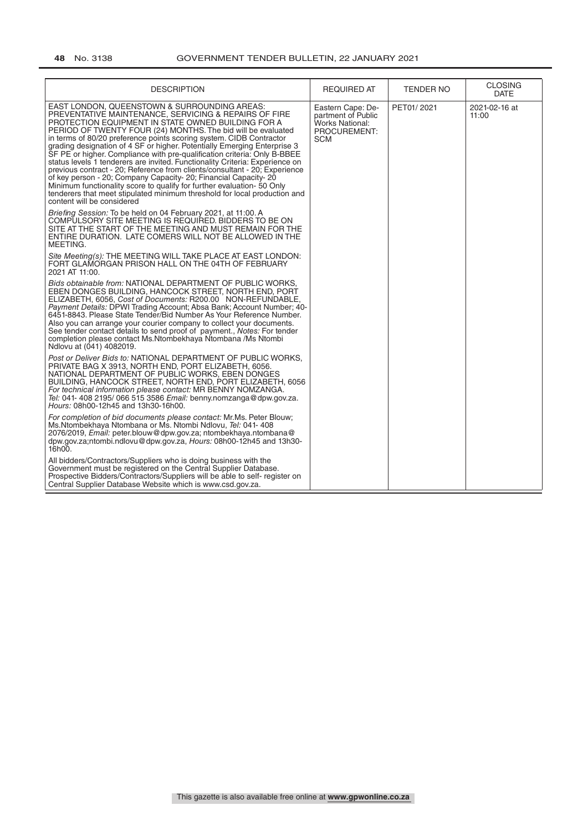| <b>DESCRIPTION</b>                                                                                                                                                                                                                                                                                                                                                                                                                                                                                                                                                                                                                                                                                                                                                                                                                                                               | <b>REQUIRED AT</b>                                                                       | <b>TENDER NO</b> | <b>CLOSING</b><br><b>DATE</b> |
|----------------------------------------------------------------------------------------------------------------------------------------------------------------------------------------------------------------------------------------------------------------------------------------------------------------------------------------------------------------------------------------------------------------------------------------------------------------------------------------------------------------------------------------------------------------------------------------------------------------------------------------------------------------------------------------------------------------------------------------------------------------------------------------------------------------------------------------------------------------------------------|------------------------------------------------------------------------------------------|------------------|-------------------------------|
| EAST LONDON, QUEENSTOWN & SURROUNDING AREAS:<br>PREVENTATIVE MAINTENANCE, SERVICING & REPAIRS OF FIRE<br>PROTECTION EQUIPMENT IN STATE OWNED BUILDING FOR A<br>PERIOD OF TWENTY FOUR (24) MONTHS. The bid will be evaluated<br>in terms of 80/20 preference points scoring system. CIDB Contractor<br>grading designation of 4 SF or higher. Potentially Emerging Enterprise 3<br>SF PE or higher. Compliance with pre-qualification criteria. Only B-BBEE<br>status levels 1 tenderers are invited. Functionality Criteria: Experience on<br>previous contract - 20; Reference from clients/consultant - 20; Experience<br>of key person - 20; Company Capacity- 20; Financial Capacity- 20<br>Minimum functionality score to qualify for further evaluation-50 Only<br>tenderers that meet stipulated minimum threshold for local production and<br>content will be considered | Eastern Cape: De-<br>partment of Public<br>Works National:<br>PROCUREMENT:<br><b>SCM</b> | PET01/2021       | 2021-02-16 at<br>11:00        |
| Briefing Session: To be held on 04 February 2021, at 11:00. A<br>COMPULSORY SITE MEETING IS REQUIRED. BIDDERS TO BE ON<br>SITE AT THE START OF THE MEETING AND MUST REMAIN FOR THE<br>ENTIRE DURATION. LATE COMERS WILL NOT BE ALLOWED IN THE<br>MEETING.                                                                                                                                                                                                                                                                                                                                                                                                                                                                                                                                                                                                                        |                                                                                          |                  |                               |
| Site Meeting(s): THE MEETING WILL TAKE PLACE AT EAST LONDON:<br>FORT GLAMORGAN PRISON HALL ON THE 04TH OF FEBRUARY<br>2021 AT 11:00.                                                                                                                                                                                                                                                                                                                                                                                                                                                                                                                                                                                                                                                                                                                                             |                                                                                          |                  |                               |
| Bids obtainable from: NATIONAL DEPARTMENT OF PUBLIC WORKS.<br>EBEN DONGES BUILDING, HANCOCK STREET, NORTH END, PORT<br>ELIZABETH, 6056, Cost of Documents: R200.00 NON-REFUNDABLE,<br>Payment Details: DPWI Trading Account; Absa Bank; Account Number; 40-<br>6451-8843. Please State Tender/Bid Number As Your Reference Number.<br>Also you can arrange your courier company to collect your documents.<br>See tender contact details to send proof of payment., Notes: For tender<br>completion please contact Ms.Ntombekhaya Ntombana /Ms Ntombi<br>Ndlovu at (041) 4082019.                                                                                                                                                                                                                                                                                                |                                                                                          |                  |                               |
| Post or Deliver Bids to: NATIONAL DEPARTMENT OF PUBLIC WORKS.<br>PRIVATE BAG X 3913, NORTH END, PORT ELIZABETH, 6056.<br>NATIONAL DEPARTMENT OF PUBLIC WORKS. EBEN DONGES<br>BUILDING, HANCOCK STREET, NORTH END, PORT ELIZABETH, 6056<br>For technical information please contact: MR BENNY NOMZANGA.<br>Tel: 041-408 2195/066 515 3586 Email: benny.nomzanga@dpw.gov.za.<br>Hours: 08h00-12h45 and 13h30-16h00.                                                                                                                                                                                                                                                                                                                                                                                                                                                                |                                                                                          |                  |                               |
| For completion of bid documents please contact: Mr.Ms. Peter Blouw;<br>Ms. Ntombekhaya Ntombana or Ms. Ntombi Ndlovu, Tel: 041-408<br>2076/2019, Email: peter.blouw@dpw.gov.za; ntombekhaya.ntombana@<br>dpw.gov.za;ntombi.ndlovu@dpw.gov.za, Hours: 08h00-12h45 and 13h30-<br>16h00.                                                                                                                                                                                                                                                                                                                                                                                                                                                                                                                                                                                            |                                                                                          |                  |                               |
| All bidders/Contractors/Suppliers who is doing business with the<br>Government must be registered on the Central Supplier Database.<br>Prospective Bidders/Contractors/Suppliers will be able to self- register on<br>Central Supplier Database Website which is www.csd.gov.za.                                                                                                                                                                                                                                                                                                                                                                                                                                                                                                                                                                                                 |                                                                                          |                  |                               |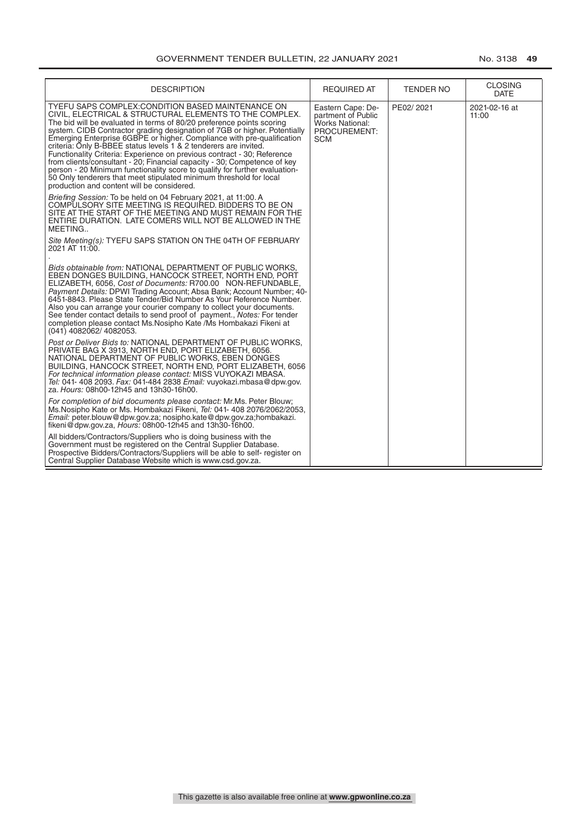| <b>DESCRIPTION</b>                                                                                                                                                                                                                                                                                                                                                                                                                                                                                                                                                                                                                                                                                                                                                         | <b>REQUIRED AT</b>                                                                | TENDER NO | <b>CLOSING</b><br><b>DATE</b> |
|----------------------------------------------------------------------------------------------------------------------------------------------------------------------------------------------------------------------------------------------------------------------------------------------------------------------------------------------------------------------------------------------------------------------------------------------------------------------------------------------------------------------------------------------------------------------------------------------------------------------------------------------------------------------------------------------------------------------------------------------------------------------------|-----------------------------------------------------------------------------------|-----------|-------------------------------|
| TYEFU SAPS COMPLEX: CONDITION BASED MAINTENANCE ON<br>CIVIL, ELECTRICAL & STRUCTURAL ELEMENTS TO THE COMPLEX.<br>The bid will be evaluated in terms of 80/20 preference points scoring<br>system. CIDB Contractor grading designation of 7GB or higher. Potentially<br>Emerging Enterprise 6GBPE or higher. Compliance with pre-qualification<br>criteria: Only B-BBEE status levels 1 & 2 tenderers are invited.<br>Functionality Criteria: Experience on previous contract - 30; Reference<br>from clients/consultant - 20; Financial capacity - 30; Competence of key<br>person - 20 Minimum functionality score to qualify for further evaluation-<br>50 Only tenderers that meet stipulated minimum threshold for local<br>production and content will be considered. | Eastern Cape: De-<br>partment of Public<br>Works National:<br>PROCUREMENT:<br>SCM | PE02/2021 | 2021-02-16 at<br>11:00        |
| Briefing Session: To be held on 04 February 2021, at 11:00. A<br>COMPULSORY SITE MEETING IS REQUIRED. BIDDERS TO BE ON<br>SITE AT THE START OF THE MEETING AND MUST REMAIN FOR THE<br>ENTIRE DURATION. LATE COMERS WILL NOT BE ALLOWED IN THE<br>MEETING                                                                                                                                                                                                                                                                                                                                                                                                                                                                                                                   |                                                                                   |           |                               |
| Site Meeting(s): TYEFU SAPS STATION ON THE 04TH OF FEBRUARY<br>2021 AT 11:00.                                                                                                                                                                                                                                                                                                                                                                                                                                                                                                                                                                                                                                                                                              |                                                                                   |           |                               |
| Bids obtainable from: NATIONAL DEPARTMENT OF PUBLIC WORKS.<br>EBEN DONGES BUILDING, HANCOCK STREET, NORTH END, PORT<br>ELIZABETH, 6056, Cost of Documents: R700.00 NON-REFUNDABLE,<br>Payment Details: DPWI Trading Account; Absa Bank; Account Number; 40-<br>6451-8843. Please State Tender/Bid Number As Your Reference Number.<br>Also you can arrange your courier company to collect your documents.<br>See tender contact details to send proof of payment., <i>Notes:</i> For tender<br>completion please contact Ms. Nosipho Kate /Ms Hombakazi Fikeni at<br>(041) 4082062/ 4082053.                                                                                                                                                                              |                                                                                   |           |                               |
| Post or Deliver Bids to: NATIONAL DEPARTMENT OF PUBLIC WORKS.<br>PRIVATE BAG X 3913, NORTH END, PORT ELIZABETH, 6056.<br>NATIONAL DEPARTMENT OF PUBLIC WORKS, EBEN DONGES<br>BUILDING, HANCOCK STREET, NORTH END, PORT ELIZABETH, 6056<br>For technical information please contact: MISS VUYOKAZI MBASA.<br>Tel: 041- 408 2093. Fax: 041-484 2838 Email: vuyokazi.mbasa@dpw.gov.<br>za. Hours: 08h00-12h45 and 13h30-16h00.                                                                                                                                                                                                                                                                                                                                                |                                                                                   |           |                               |
| For completion of bid documents please contact: Mr.Ms. Peter Blouw;<br>Ms. Nosipho Kate or Ms. Hombakazi Fikeni, Tel: 041-408 2076/2062/2053,<br>Email: peter.blouw@dpw.gov.za; nosipho.kate@dpw.gov.za;hombakazi.<br>fikeni@dpw.gov.za, Hours: 08h00-12h45 and 13h30-16h00.                                                                                                                                                                                                                                                                                                                                                                                                                                                                                               |                                                                                   |           |                               |
| All bidders/Contractors/Suppliers who is doing business with the<br>Government must be registered on the Central Supplier Database.<br>Prospective Bidders/Contractors/Suppliers will be able to self- register on<br>Central Supplier Database Website which is www.csd.gov.za.                                                                                                                                                                                                                                                                                                                                                                                                                                                                                           |                                                                                   |           |                               |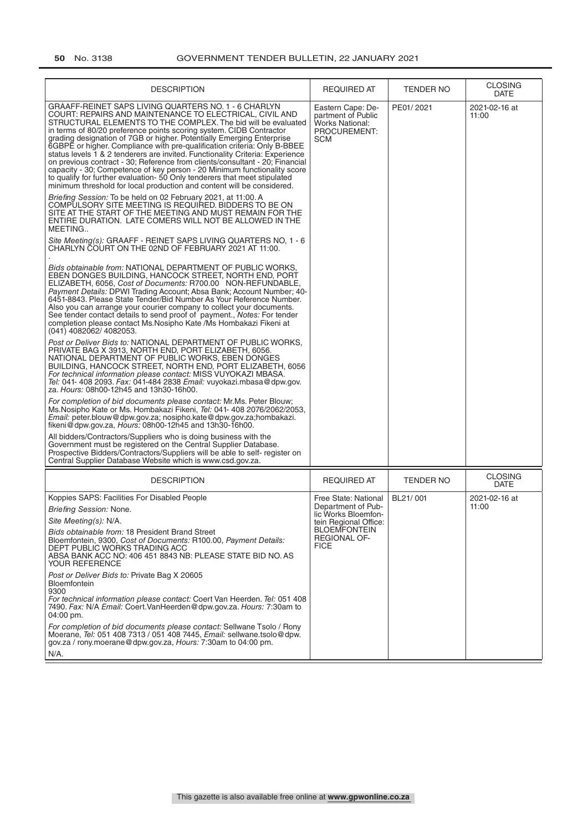| <b>DESCRIPTION</b>                                                                                                                                                                                                                                                                                                                                                                                                                                                                                                                                                                                                                                                                                                                                                                                                                                                                                                                                                                                                                                                                                                                                                                                                                                                                                                                                                                                                                                                                                                                                                                                                                                                                                                                                                                                                                                                                                                                                                                                                                                                                                                                                                                                                                                                                                                                                                                                                                                                                                                                                                                                                                                                                                                                                                                                            | <b>REQUIRED AT</b>                                                                                                                                      | TENDER NO | <b>CLOSING</b>                        |
|---------------------------------------------------------------------------------------------------------------------------------------------------------------------------------------------------------------------------------------------------------------------------------------------------------------------------------------------------------------------------------------------------------------------------------------------------------------------------------------------------------------------------------------------------------------------------------------------------------------------------------------------------------------------------------------------------------------------------------------------------------------------------------------------------------------------------------------------------------------------------------------------------------------------------------------------------------------------------------------------------------------------------------------------------------------------------------------------------------------------------------------------------------------------------------------------------------------------------------------------------------------------------------------------------------------------------------------------------------------------------------------------------------------------------------------------------------------------------------------------------------------------------------------------------------------------------------------------------------------------------------------------------------------------------------------------------------------------------------------------------------------------------------------------------------------------------------------------------------------------------------------------------------------------------------------------------------------------------------------------------------------------------------------------------------------------------------------------------------------------------------------------------------------------------------------------------------------------------------------------------------------------------------------------------------------------------------------------------------------------------------------------------------------------------------------------------------------------------------------------------------------------------------------------------------------------------------------------------------------------------------------------------------------------------------------------------------------------------------------------------------------------------------------------------------------|---------------------------------------------------------------------------------------------------------------------------------------------------------|-----------|---------------------------------------|
| GRAAFF-REINET SAPS LIVING QUARTERS NO. 1 - 6 CHARLYN<br>COURT: REPAIRS AND MAINTENANCE TO ELECTRICAL, CIVIL AND<br>STRUCTURAL ELEMENTS TO THE COMPLEX. The bid will be evaluated<br>in terms of 80/20 preference points scoring system. CIDB Contractor<br>grading designation of 7GB or higher. Potentially Emerging Enterprise<br>6GBPE or higher. Compliance with pre-qualification criteria: Only B-BBEE<br>status levels 1 & 2 tenderers are invited. Functionality Criteria: Experience<br>on previous contract - 30; Reference from clients/consultant - 20; Financial<br>capacity - 30; Competence of key person - 20 Minimum functionality score<br>to qualify for further evaluation- 50 Only tenderers that meet stipulated<br>minimum threshold for local production and content will be considered.<br>Briefing Session: To be held on 02 February 2021, at 11:00. A<br>COMPULSORY SITE MEETING IS REQUIRED. BIDDERS TO BE ON<br>SITE AT THE START OF THE MEETING AND MUST REMAIN FOR THE<br>ENTIRE DURATION. LATE COMERS WILL NOT BE ALLOWED IN THE<br>MEETING<br>Site Meeting(s): GRAAFF - REINET SAPS LIVING QUARTERS NO, 1 - 6<br>CHARLYN COURT ON THE 02ND OF FEBRUARY 2021 AT 11:00.<br>Bids obtainable from: NATIONAL DEPARTMENT OF PUBLIC WORKS.<br>EBEN DONGES BUILDING, HANCOCK STREET, NORTH END, PORT<br>ELIZABETH, 6056, Cost of Documents: R700.00 NON-REFUNDABLE,<br>Payment Details: DPWI Trading Account; Absa Bank; Account Number; 40-<br>6451-8843. Please State Tender/Bid Number As Your Reference Number.<br>Also you can arrange your courier company to collect your documents.<br>See tender contact details to send proof of payment., Notes: For tender<br>completion please contact Ms. Nosipho Kate / Ms Hombakazi Fikeni at<br>(041) 4082062/ 4082053.<br>Post or Deliver Bids to: NATIONAL DEPARTMENT OF PUBLIC WORKS,<br>PRIVATE BAG X 3913, NORTH END, PORT ELIZABETH, 6056,<br>NATIONAL DEPARTMENT OF PUBLIC WORKS, EBEN DONGES<br>BUILDING, HANCOCK STREET, NORTH END, PORT ELIZABETH, 6056<br>For technical information please contact: MISS VUYOKAZI MBASA.<br>Tel: 041- 408 2093. Fax: 041-484 2838 Email: vuyokazi.mbasa@dpw.gov.<br>za. Hours: 08h00-12h45 and 13h30-16h00.<br>For completion of bid documents please contact: Mr.Ms. Peter Blouw;<br>Ms. Nosipho Kate or Ms. Hombakazi Fikeni, Tel: 041- 408 2076/2062/2053,<br>Email: peter.blouw@dpw.gov.za; nosipho.kate@dpw.gov.za;hombakazi.<br>fikeni@dpw.gov.za, <i>Hours:</i> 08h00-12h45 and 13h30-16h00.<br>All bidders/Contractors/Suppliers who is doing business with the<br>Government must be registered on the Central Supplier Database.<br>Prospective Bidders/Contractors/Suppliers will be able to self- register on<br>Central Supplier Database Website which is www.csd.gov.za. | Eastern Cape: De-<br>partment of Public<br><b>Works National:</b><br>PROCUREMENT:<br><b>SCM</b>                                                         | PE01/2021 | <b>DATE</b><br>2021-02-16 at<br>11:00 |
| <b>DESCRIPTION</b>                                                                                                                                                                                                                                                                                                                                                                                                                                                                                                                                                                                                                                                                                                                                                                                                                                                                                                                                                                                                                                                                                                                                                                                                                                                                                                                                                                                                                                                                                                                                                                                                                                                                                                                                                                                                                                                                                                                                                                                                                                                                                                                                                                                                                                                                                                                                                                                                                                                                                                                                                                                                                                                                                                                                                                                            | <b>REQUIRED AT</b>                                                                                                                                      | TENDER NO | <b>CLOSING</b><br><b>DATE</b>         |
| Koppies SAPS: Facilities For Disabled People<br>Briefing Session: None.<br>Site Meeting(s): N/A.<br>Bids obtainable from: 18 President Brand Street<br>Bloemfontein, 9300, Cost of Documents: R100.00, Payment Details:<br>DEPT PUBLIC WORKS TRADING ACC<br>ABSA BANK ACC NO: 406 451 8843 NB: PLEASE STATE BID NO. AS<br>YOUR REFERENCE<br>Post or Deliver Bids to: Private Bag X 20605<br>Bloemfontein<br>9300<br>For technical information please contact: Coert Van Heerden. Tel: 051 408<br>7490. Fax: N/A Email: Coert. VanHeerden@dpw.gov.za. Hours: 7:30am to<br>04:00 pm.<br>For completion of bid documents please contact: Sellwane Tsolo / Rony<br>Moerane, Tel: 051 408 7313 / 051 408 7445, Email: sellwane.tsolo@dpw.<br>gov.za / rony.moerane@dpw.gov.za, Hours: 7:30am to 04:00 pm.<br>N/A.                                                                                                                                                                                                                                                                                                                                                                                                                                                                                                                                                                                                                                                                                                                                                                                                                                                                                                                                                                                                                                                                                                                                                                                                                                                                                                                                                                                                                                                                                                                                                                                                                                                                                                                                                                                                                                                                                                                                                                                                  | Free State: National<br>Department of Pub-<br>lic Works Bloemfon-<br>tein Regional Office:<br><b>BLOEMFONTEIN</b><br><b>REGIONAL OF-</b><br><b>FICE</b> | BL21/001  | 2021-02-16 at<br>11:00                |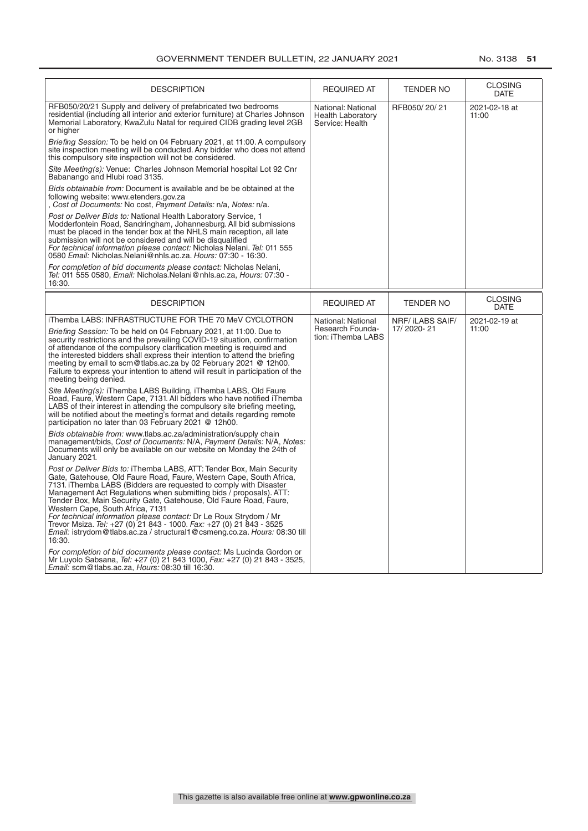| <b>DESCRIPTION</b>                                                                                                                                                                                                                                                                                                                                                                                                                                                                                                                                                                                                                   | <b>REQUIRED AT</b>                                                | <b>TENDER NO</b> | <b>CLOSING</b><br><b>DATE</b> |
|--------------------------------------------------------------------------------------------------------------------------------------------------------------------------------------------------------------------------------------------------------------------------------------------------------------------------------------------------------------------------------------------------------------------------------------------------------------------------------------------------------------------------------------------------------------------------------------------------------------------------------------|-------------------------------------------------------------------|------------------|-------------------------------|
| RFB050/20/21 Supply and delivery of prefabricated two bedrooms<br>residential (including all interior and exterior furniture) at Charles Johnson<br>Memorial Laboratory, KwaZulu Natal for required CIDB grading level 2GB<br>or higher                                                                                                                                                                                                                                                                                                                                                                                              | National: National<br><b>Health Laboratory</b><br>Service: Health | RFB050/20/21     | 2021-02-18 at<br>11:00        |
| Briefing Session: To be held on 04 February 2021, at 11:00. A compulsory<br>site inspection meeting will be conducted. Any bidder who does not attend<br>this compulsory site inspection will not be considered.                                                                                                                                                                                                                                                                                                                                                                                                                     |                                                                   |                  |                               |
| Site Meeting(s): Venue: Charles Johnson Memorial hospital Lot 92 Cnr<br>Babanango and Hlubi road 3135.                                                                                                                                                                                                                                                                                                                                                                                                                                                                                                                               |                                                                   |                  |                               |
| Bids obtainable from: Document is available and be be obtained at the<br>following website: www.etenders.gov.za<br>Cost of Documents: No cost, Payment Details: n/a, Notes: n/a.                                                                                                                                                                                                                                                                                                                                                                                                                                                     |                                                                   |                  |                               |
| Post or Deliver Bids to: National Health Laboratory Service, 1<br>Modderfontein Road, Sandringham, Johannesburg. All bid submissions<br>must be placed in the tender box at the NHLS main reception, all late<br>submission will not be considered and will be disqualified<br>For technical information please contact: Nicholas Nelani. Tel: 011 555<br>0580 Email: Nicholas. Nelani@nhls.ac.za. Hours: 07:30 - 16:30.                                                                                                                                                                                                             |                                                                   |                  |                               |
| For completion of bid documents please contact: Nicholas Nelani,<br>Tel: 011 555 0580, Email: Nicholas.Nelani@nhls.ac.za, Hours: 07:30 -<br>16:30.                                                                                                                                                                                                                                                                                                                                                                                                                                                                                   |                                                                   |                  |                               |
| <b>DESCRIPTION</b>                                                                                                                                                                                                                                                                                                                                                                                                                                                                                                                                                                                                                   | <b>REQUIRED AT</b>                                                | <b>TENDER NO</b> | <b>CLOSING</b><br><b>DATE</b> |
| iThemba LABS: INFRASTRUCTURE FOR THE 70 MeV CYCLOTRON                                                                                                                                                                                                                                                                                                                                                                                                                                                                                                                                                                                | National: National                                                | NRF/ iLABS SAIF/ | 2021-02-19 at                 |
| Briefing Session: To be held on 04 February 2021, at 11:00. Due to<br>security restrictions and the prevailing COVID-19 situation, confirmation<br>of attendance of the compulsory clarification meeting is required and<br>the interested bidders shall express their intention to attend the briefing<br>meeting by email to scm@tlabs.ac.za by 02 February 2021 @ 12h00.<br>Failure to express your intention to attend will result in participation of the<br>meeting being denied.                                                                                                                                              | Research Founda-<br>tion: iThemba LABS                            | 17/2020-21       | 11:00                         |
| Site Meeting(s): iThemba LABS Building, iThemba LABS, Old Faure<br>Road, Faure, Western Cape, 7131. All bidders who have notified iThemba<br>LABS of their interest in attending the compulsory site briefing meeting,<br>will be notified about the meeting's format and details regarding remote<br>participation no later than 03 February 2021 @ 12h00.                                                                                                                                                                                                                                                                          |                                                                   |                  |                               |
| Bids obtainable from: www.tlabs.ac.za/administration/supply chain<br>management/bids, Cost of Documents: N/A, Payment Details: N/A, Notes:<br>Documents will only be available on our website on Monday the 24th of<br>January 2021.                                                                                                                                                                                                                                                                                                                                                                                                 |                                                                   |                  |                               |
| Post or Deliver Bids to: iThemba LABS, ATT: Tender Box, Main Security<br>Gate, Gatehouse, Old Faure Road, Faure, Western Cape, South Africa,<br>7131. iThemba LABS (Bidders are requested to comply with Disaster<br>Management Act Regulations when submitting bids / proposals). ATT:<br>Tender Box, Main Security Gate, Gatehouse, Old Faure Road, Faure,<br>Western Cape, South Africa, 7131<br>For technical information please contact: Dr Le Roux Strydom / Mr<br>Trevor Msiza. Tel: +27 (0) 21 843 - 1000. Fax: +27 (0) 21 843 - 3525<br>Email: istrydom@tlabs.ac.za / structural1@csmeng.co.za. Hours: 08:30 till<br>16:30. |                                                                   |                  |                               |
| For completion of bid documents please contact: Ms Lucinda Gordon or<br>Mr Luyolo Sabsana, Tel: +27 (0) 21 843 1000, Fax: +27 (0) 21 843 - 3525,<br>Email: scm@tlabs.ac.za, Hours: 08:30 till 16:30.                                                                                                                                                                                                                                                                                                                                                                                                                                 |                                                                   |                  |                               |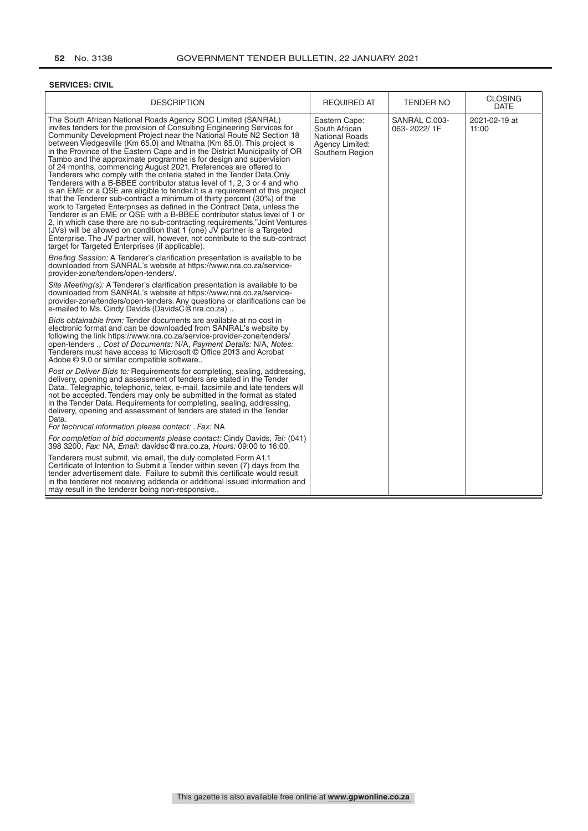#### **SERVICES: CIVIL**

| <b>DESCRIPTION</b>                                                                                                                                                                                                                                                                                                                                                                                                                                                                                                                                                                                                                                                                                                                                                                                                                                                                                                                                                                                                                                                                                                                                                                                                                                                                       | REQUIRED AT                                                                                   | <b>TENDER NO</b>             | <b>CLOSING</b><br>DATE |
|------------------------------------------------------------------------------------------------------------------------------------------------------------------------------------------------------------------------------------------------------------------------------------------------------------------------------------------------------------------------------------------------------------------------------------------------------------------------------------------------------------------------------------------------------------------------------------------------------------------------------------------------------------------------------------------------------------------------------------------------------------------------------------------------------------------------------------------------------------------------------------------------------------------------------------------------------------------------------------------------------------------------------------------------------------------------------------------------------------------------------------------------------------------------------------------------------------------------------------------------------------------------------------------|-----------------------------------------------------------------------------------------------|------------------------------|------------------------|
| The South African National Roads Agency SOC Limited (SANRAL)<br>invites tenders for the provision of Consulting Engineering Services for<br>Community Development Project near the National Route N2 Section 18<br>between Viedgesville (Km 65.0) and Mthatha (Km 85.0). This project is<br>in the Province of the Eastern Cape and in the District Municipality of OR<br>Tambo and the approximate programme is for design and supervision<br>of 24 months, commencing August 2021. Preferences are offered to<br>Tenderers who comply with the criteria stated in the Tender Data.Only<br>Tenderers with a B-BBEE contributor status level of 1, 2, 3 or 4 and who<br>is an EME or a QSE are eligible to tender. It is a requirement of this project<br>that the Tenderer sub-contract a minimum of thirty percent (30%) of the<br>work to Targeted Enterprises as defined in the Contract Data, unless the<br>Tenderer is an EME or QSE with a B-BBEE contributor status level of 1 or<br>2, in which case there are no sub-contracting requirements." Joint Ventures<br>(JVs) will be allowed on condition that 1 (one) JV partner is a Targeted<br>Enterprise. The JV partner will, however, not contribute to the sub-contract<br>target for Targeted Enterprises (if applicable). | Eastern Cape:<br>South African<br><b>National Roads</b><br>Agency Limited:<br>Southern Region | SANRAL C.003-<br>063-2022/1F | 2021-02-19 at<br>11:00 |
| Briefing Session: A Tenderer's clarification presentation is available to be<br>downloaded from SANRAL's website at https://www.nra.co.za/service-<br>provider-zone/tenders/open-tenders/.                                                                                                                                                                                                                                                                                                                                                                                                                                                                                                                                                                                                                                                                                                                                                                                                                                                                                                                                                                                                                                                                                               |                                                                                               |                              |                        |
| Site Meeting(s): A Tenderer's clarification presentation is available to be<br>downloaded from SANRAL's website at https://www.nra.co.za/service-<br>provider-zone/tenders/open-tenders. Any questions or clarifications can be<br>e-mailed to Ms. Cindy Davids (DavidsC@nra.co.za)                                                                                                                                                                                                                                                                                                                                                                                                                                                                                                                                                                                                                                                                                                                                                                                                                                                                                                                                                                                                      |                                                                                               |                              |                        |
| Bids obtainable from: Tender documents are available at no cost in<br>electronic format and can be downloaded from SANRAL's website by<br>following the link https://www.nra.co.za/service-provider-zone/tenders/<br>open-tenders ., Cost of Documents: N/A, Payment Details: N/A, Notes:<br>Tenderers must have access to Microsoft © Office 2013 and Acrobat<br>Adobe © 9.0 or similar compatible software                                                                                                                                                                                                                                                                                                                                                                                                                                                                                                                                                                                                                                                                                                                                                                                                                                                                             |                                                                                               |                              |                        |
| Post or Deliver Bids to: Requirements for completing, sealing, addressing,<br>delivery, opening and assessment of tenders are stated in the Tender<br>Data Telegraphic, telephonic, telex, e-mail, facsimile and late tenders will<br>not be accepted. Tenders may only be submitted in the format as stated<br>in the Tender Data. Requirements for completing, sealing, addressing,<br>delivery, opening and assessment of tenders are stated in the Tender<br>Data.<br>For technical information please contact: . Fax: NA                                                                                                                                                                                                                                                                                                                                                                                                                                                                                                                                                                                                                                                                                                                                                            |                                                                                               |                              |                        |
| For completion of bid documents please contact: Cindy Davids, Tel: (041)<br>398 3200, Fax: NA, Email: davidsc@nra.co.za, Hours: 09:00 to 16:00.                                                                                                                                                                                                                                                                                                                                                                                                                                                                                                                                                                                                                                                                                                                                                                                                                                                                                                                                                                                                                                                                                                                                          |                                                                                               |                              |                        |
| Tenderers must submit, via email, the duly completed Form A1.1<br>Certificate of Intention to Submit a Tender within seven (7) days from the<br>tender advertisement date. Failure to submit this certificate would result<br>in the tenderer not receiving addenda or additional issued information and<br>may result in the tenderer being non-responsive                                                                                                                                                                                                                                                                                                                                                                                                                                                                                                                                                                                                                                                                                                                                                                                                                                                                                                                              |                                                                                               |                              |                        |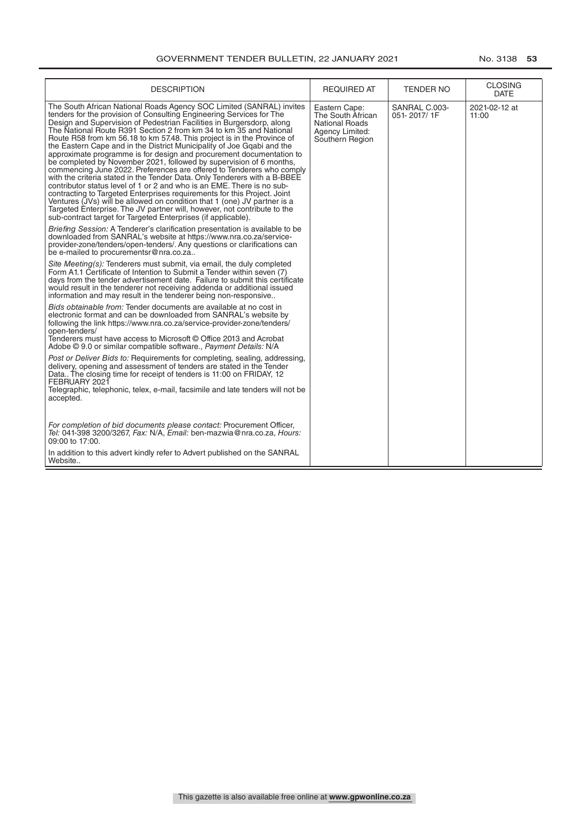| <b>DESCRIPTION</b>                                                                                                                                                                                                                                                                                                                                                                                                                                                                                                                                                                                                                                                                                                                                                                                                                                                                                                                                                                                                                                                                                                                   | <b>REQUIRED AT</b>                                                                                | <b>TENDER NO</b>             | <b>CLOSING</b><br><b>DATE</b> |
|--------------------------------------------------------------------------------------------------------------------------------------------------------------------------------------------------------------------------------------------------------------------------------------------------------------------------------------------------------------------------------------------------------------------------------------------------------------------------------------------------------------------------------------------------------------------------------------------------------------------------------------------------------------------------------------------------------------------------------------------------------------------------------------------------------------------------------------------------------------------------------------------------------------------------------------------------------------------------------------------------------------------------------------------------------------------------------------------------------------------------------------|---------------------------------------------------------------------------------------------------|------------------------------|-------------------------------|
| The South African National Roads Agency SOC Limited (SANRAL) invites<br>tenders for the provision of Consulting Engineering Services for The<br>Design and Supervision of Pedestrian Facilities in Burgersdorp, along<br>The National Route R391 Section 2 from km 34 to km 35 and National<br>Route R58 from km 56.18 to km 57.48. This project is in the Province of<br>the Eastern Cape and in the District Municipality of Joe Ggabi and the<br>approximate programme is for design and procurement documentation to<br>be completed by November 2021, followed by supervision of 6 months,<br>commencing June 2022. Preferences are offered to Tenderers who comply<br>with the criteria stated in the Tender Data. Only Tenderers with a B-BBEE<br>contributor status level of 1 or 2 and who is an EME. There is no sub-<br>contracting to Targeted Enterprises requirements for this Project. Joint<br>Ventures (JVs) will be allowed on condition that 1 (one) JV partner is a<br>Targeted Enterprise. The JV partner will, however, not contribute to the<br>sub-contract target for Targeted Enterprises (if applicable). | Eastern Cape:<br>The South African<br><b>National Roads</b><br>Agency Limited:<br>Southern Region | SANRAL C.003-<br>051-2017/1F | 2021-02-12 at<br>11:00        |
| Briefing Session: A Tenderer's clarification presentation is available to be<br>downloaded from SANRAL's website at https://www.nra.co.za/service-<br>provider-zone/tenders/open-tenders/. Any questions or clarifications can<br>be e-mailed to procurementsr@nra.co.za                                                                                                                                                                                                                                                                                                                                                                                                                                                                                                                                                                                                                                                                                                                                                                                                                                                             |                                                                                                   |                              |                               |
| Site Meeting(s): Tenderers must submit, via email, the duly completed<br>Form A1.1 Certificate of Intention to Submit a Tender within seven (7)<br>days from the tender advertisement date. Failure to submit this certificate<br>would result in the tenderer not receiving addenda or additional issued<br>information and may result in the tenderer being non-responsive                                                                                                                                                                                                                                                                                                                                                                                                                                                                                                                                                                                                                                                                                                                                                         |                                                                                                   |                              |                               |
| Bids obtainable from: Tender documents are available at no cost in<br>electronic format and can be downloaded from SANRAL's website by<br>following the link https://www.nra.co.za/service-provider-zone/tenders/<br>open-tenders/<br>Tenderers must have access to Microsoft © Office 2013 and Acrobat<br>Adobe © 9.0 or similar compatible software., Payment Details: N/A                                                                                                                                                                                                                                                                                                                                                                                                                                                                                                                                                                                                                                                                                                                                                         |                                                                                                   |                              |                               |
| Post or Deliver Bids to: Requirements for completing, sealing, addressing,<br>delivery, opening and assessment of tenders are stated in the Tender<br>Data The closing time for receipt of tenders is 11:00 on FRIDAY, 12<br>FEBRUARY 2021<br>Telegraphic, telephonic, telex, e-mail, facsimile and late tenders will not be<br>accepted.                                                                                                                                                                                                                                                                                                                                                                                                                                                                                                                                                                                                                                                                                                                                                                                            |                                                                                                   |                              |                               |
| For completion of bid documents please contact: Procurement Officer,<br>Tel: 041-398 3200/3267, Fax: N/A, Email: ben-mazwia@nra.co.za, Hours:<br>09:00 to 17:00.                                                                                                                                                                                                                                                                                                                                                                                                                                                                                                                                                                                                                                                                                                                                                                                                                                                                                                                                                                     |                                                                                                   |                              |                               |
| In addition to this advert kindly refer to Advert published on the SANRAL<br>Website                                                                                                                                                                                                                                                                                                                                                                                                                                                                                                                                                                                                                                                                                                                                                                                                                                                                                                                                                                                                                                                 |                                                                                                   |                              |                               |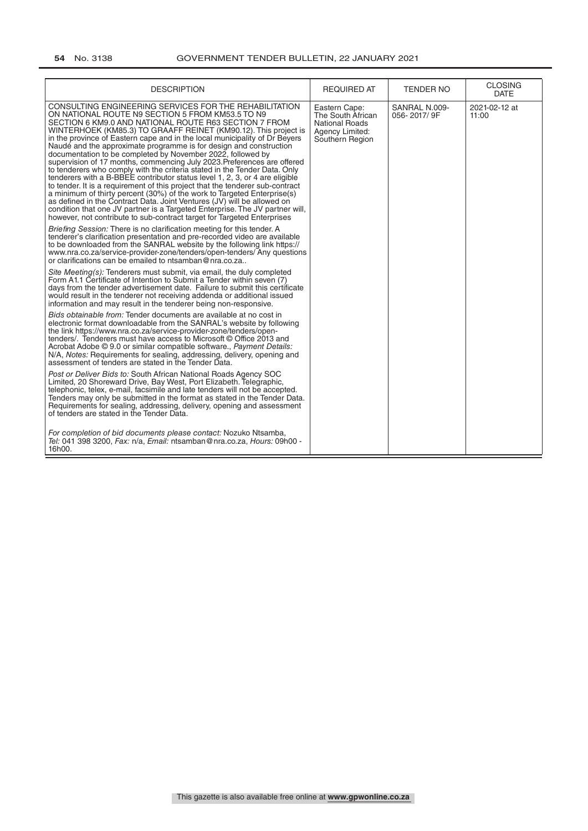| <b>DESCRIPTION</b>                                                                                                                                                                                                                                                                                                                                                                                                                                                                                                                                                                                                                                                                                                                                                                                                                                                                                                                                                                                                                                                                                                                                                                                                                                                                                                                                                                                              | <b>REQUIRED AT</b>                                                                                | <b>TENDER NO</b>             | <b>CLOSING</b><br><b>DATE</b> |
|-----------------------------------------------------------------------------------------------------------------------------------------------------------------------------------------------------------------------------------------------------------------------------------------------------------------------------------------------------------------------------------------------------------------------------------------------------------------------------------------------------------------------------------------------------------------------------------------------------------------------------------------------------------------------------------------------------------------------------------------------------------------------------------------------------------------------------------------------------------------------------------------------------------------------------------------------------------------------------------------------------------------------------------------------------------------------------------------------------------------------------------------------------------------------------------------------------------------------------------------------------------------------------------------------------------------------------------------------------------------------------------------------------------------|---------------------------------------------------------------------------------------------------|------------------------------|-------------------------------|
| CONSULTING ENGINEERING SERVICES FOR THE REHABILITATION<br>ON NATIONAL ROUTE N9 SECTION 5 FROM KM53.5 TO N9<br>SECTION 6 KM9.0 AND NATIONAL ROUTE R63 SECTION 7 FROM<br>WINTERHOEK (KM85.3) TO GRAAFF REINET (KM90.12). This project is<br>in the province of Eastern cape and in the local municipality of Dr Beyers<br>Naudé and the approximate programme is for design and construction<br>documentation to be completed by November 2022, followed by<br>supervision of 17 months, commencing July 2023. Preferences are offered<br>to tenderers who comply with the criteria stated in the Tender Data. Only<br>tenderers with a B-BBEE contributor status level 1, 2, 3, or 4 are eligible<br>to tender. It is a requirement of this project that the tenderer sub-contract<br>a minimum of thirty percent (30%) of the work to Targeted Enterprise(s)<br>as defined in the Contract Data. Joint Ventures (JV) will be allowed on<br>condition that one JV partner is a Targeted Enterprise. The JV partner will,<br>however, not contribute to sub-contract target for Targeted Enterprises<br>Briefing Session: There is no clarification meeting for this tender. A<br>tenderer's clarification presentation and pre-recorded video are available<br>to be downloaded from the SANRAL website by the following link https://<br>www.nra.co.za/service-provider-zone/tenders/open-tenders/Any questions | Eastern Cape:<br>The South African<br><b>National Roads</b><br>Agency Limited:<br>Southern Region | SANRAL N.009-<br>056-2017/9F | 2021-02-12 at<br>11:00        |
| or clarifications can be emailed to ntsamban@nra.co.za<br>Site Meeting(s): Tenderers must submit, via email, the duly completed<br>Form A1.1 Certificate of Intention to Submit a Tender within seven (7)<br>days from the tender advertisement date. Failure to submit this certificate<br>would result in the tenderer not receiving addenda or additional issued<br>information and may result in the tenderer being non-responsive.                                                                                                                                                                                                                                                                                                                                                                                                                                                                                                                                                                                                                                                                                                                                                                                                                                                                                                                                                                         |                                                                                                   |                              |                               |
| Bids obtainable from: Tender documents are available at no cost in<br>electronic format downloadable from the SANRAL's website by following<br>the link https://www.nra.co.za/service-provider-zone/tenders/open-<br>tenders/. Tenderers must have access to Microsoft © Office 2013 and<br>Acrobat Adobe © 9.0 or similar compatible software., Payment Details:<br>N/A, Notes: Requirements for sealing, addressing, delivery, opening and<br>assessment of tenders are stated in the Tender Data.                                                                                                                                                                                                                                                                                                                                                                                                                                                                                                                                                                                                                                                                                                                                                                                                                                                                                                            |                                                                                                   |                              |                               |
| Post or Deliver Bids to: South African National Roads Agency SOC<br>Limited, 20 Shoreward Drive, Bay West, Port Elizabeth. Telegraphic,<br>telephonic, telex, e-mail, facsimile and late tenders will not be accepted.<br>Tenders may only be submitted in the format as stated in the Tender Data.<br>Requirements for sealing, addressing, delivery, opening and assessment<br>of tenders are stated in the Tender Data.                                                                                                                                                                                                                                                                                                                                                                                                                                                                                                                                                                                                                                                                                                                                                                                                                                                                                                                                                                                      |                                                                                                   |                              |                               |
| For completion of bid documents please contact: Nozuko Ntsamba,<br>Tel: 041 398 3200, Fax: n/a, Email: ntsamban@nra.co.za, Hours: 09h00 -<br>16h00.                                                                                                                                                                                                                                                                                                                                                                                                                                                                                                                                                                                                                                                                                                                                                                                                                                                                                                                                                                                                                                                                                                                                                                                                                                                             |                                                                                                   |                              |                               |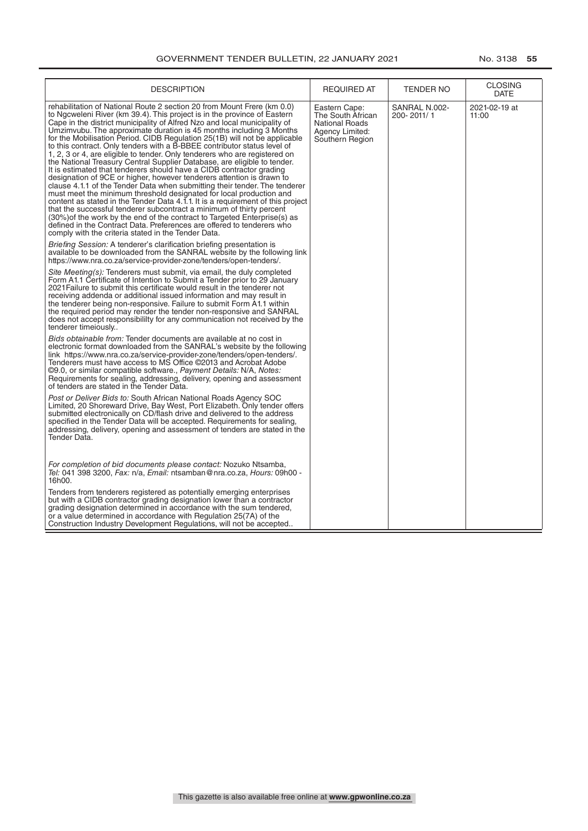| <b>DESCRIPTION</b>                                                                                                                                                                                                                                                                                                                                                                                                                                                                                                                                                                                                                                                                                                                                                                                                                                                                                                                                                                                                                                                                                                                                                                                                                                                                                         | <b>REQUIRED AT</b>                                                                                | TENDER NO                   | <b>CLOSING</b><br><b>DATE</b> |
|------------------------------------------------------------------------------------------------------------------------------------------------------------------------------------------------------------------------------------------------------------------------------------------------------------------------------------------------------------------------------------------------------------------------------------------------------------------------------------------------------------------------------------------------------------------------------------------------------------------------------------------------------------------------------------------------------------------------------------------------------------------------------------------------------------------------------------------------------------------------------------------------------------------------------------------------------------------------------------------------------------------------------------------------------------------------------------------------------------------------------------------------------------------------------------------------------------------------------------------------------------------------------------------------------------|---------------------------------------------------------------------------------------------------|-----------------------------|-------------------------------|
| rehabilitation of National Route 2 section 20 from Mount Frere (km 0.0)<br>to Ngcweleni River (km 39.4). This project is in the province of Eastern<br>Cape in the district municipality of Alfred Nzo and local municipality of<br>Umzimvubu. The approximate duration is 45 months including 3 Months<br>for the Mobilisation Period. CIDB Regulation 25(1B) will not be applicable<br>to this contract. Only tenders with a B-BBEE contributor status level of<br>1, 2, 3 or 4, are eligible to tender. Only tenderers who are registered on<br>the National Treasury Central Supplier Database, are eligible to tender.<br>It is estimated that tenderers should have a CIDB contractor grading<br>designation of 9CE or higher, however tenderers attention is drawn to<br>clause 4.1.1 of the Tender Data when submitting their tender. The tenderer<br>must meet the minimum threshold designated for local production and<br>content as stated in the Tender Data 4.1.1. It is a requirement of this project<br>that the successful tenderer subcontract a minimum of thirty percent<br>(30%) of the work by the end of the contract to Targeted Enterprise(s) as<br>defined in the Contract Data. Preferences are offered to tenderers who<br>comply with the criteria stated in the Tender Data. | Eastern Cape:<br>The South African<br><b>National Roads</b><br>Agency Limited:<br>Southern Region | SANRAL N.002-<br>200-2011/1 | 2021-02-19 at<br>11:00        |
| <i>Briefing Session:</i> A tenderer's clarification briefing presentation is<br>available to be downloaded from the SANRAL website by the following link<br>https://www.nra.co.za/service-provider-zone/tenders/open-tenders/.                                                                                                                                                                                                                                                                                                                                                                                                                                                                                                                                                                                                                                                                                                                                                                                                                                                                                                                                                                                                                                                                             |                                                                                                   |                             |                               |
| Site Meeting(s): Tenderers must submit, via email, the duly completed<br>Form A1.1 Certificate of Intention to Submit a Tender prior to 29 January<br>2021 Failure to submit this certificate would result in the tenderer not<br>receiving addenda or additional issued information and may result in<br>the tenderer being non-responsive. Failure to submit Form A1.1 within<br>the required period may render the tender non-responsive and SANRAL<br>does not accept responsibililty for any communication not received by the<br>tenderer timeiously                                                                                                                                                                                                                                                                                                                                                                                                                                                                                                                                                                                                                                                                                                                                                 |                                                                                                   |                             |                               |
| Bids obtainable from: Tender documents are available at no cost in<br>electronic format downloaded from the SANRAL's website by the following<br>link https://www.nra.co.za/service-provider-zone/tenders/open-tenders/.<br>Tenderers must have access to MS Office @2013 and Acrobat Adobe<br>©9.0, or similar compatible software., Payment Details: N/A, Notes:<br>Requirements for sealing, addressing, delivery, opening and assessment<br>of tenders are stated in the Tender Data.                                                                                                                                                                                                                                                                                                                                                                                                                                                                                                                                                                                                                                                                                                                                                                                                                  |                                                                                                   |                             |                               |
| Post or Deliver Bids to: South African National Roads Agency SOC<br>Limited, 20 Shoreward Drive, Bay West, Port Elizabeth. Only tender offers<br>submitted electronically on CD/flash drive and delivered to the address<br>specified in the Tender Data will be accepted. Requirements for sealing,<br>addressing, delivery, opening and assessment of tenders are stated in the<br>Tender Data.                                                                                                                                                                                                                                                                                                                                                                                                                                                                                                                                                                                                                                                                                                                                                                                                                                                                                                          |                                                                                                   |                             |                               |
| For completion of bid documents please contact: Nozuko Ntsamba,<br><i>Tel:</i> 041 398 3200, <i>Fax:</i> n/a, <i>Email:</i> ntsamban@nra.co.za, <i>Hours:</i> 09h00 -<br>16h00.                                                                                                                                                                                                                                                                                                                                                                                                                                                                                                                                                                                                                                                                                                                                                                                                                                                                                                                                                                                                                                                                                                                            |                                                                                                   |                             |                               |
| Tenders from tenderers registered as potentially emerging enterprises<br>but with a CIDB contractor grading designation lower than a contractor<br>grading designation determined in accordance with the sum tendered,<br>or a value determined in accordance with Regulation 25(7A) of the<br>Construction Industry Development Regulations, will not be accepted                                                                                                                                                                                                                                                                                                                                                                                                                                                                                                                                                                                                                                                                                                                                                                                                                                                                                                                                         |                                                                                                   |                             |                               |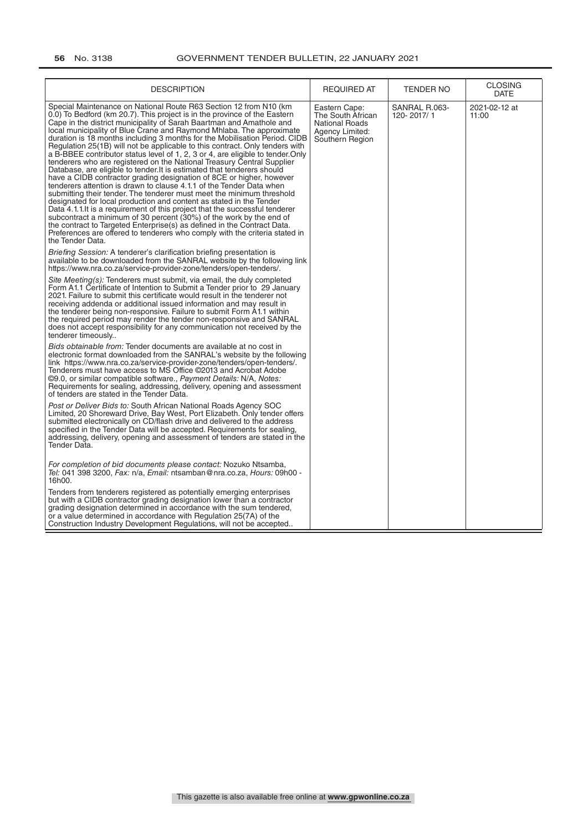| <b>DESCRIPTION</b>                                                                                                                                                                                                                                                                                                                                                                                                                                                                                                                                                                                                                                                                                                                                                                                                                                                                                                                                                                                                                                                                                                                                                                                                                                                                                                                        | <b>REQUIRED AT</b>                                                                                | <b>TENDER NO</b>            | <b>CLOSING</b><br>DATE |
|-------------------------------------------------------------------------------------------------------------------------------------------------------------------------------------------------------------------------------------------------------------------------------------------------------------------------------------------------------------------------------------------------------------------------------------------------------------------------------------------------------------------------------------------------------------------------------------------------------------------------------------------------------------------------------------------------------------------------------------------------------------------------------------------------------------------------------------------------------------------------------------------------------------------------------------------------------------------------------------------------------------------------------------------------------------------------------------------------------------------------------------------------------------------------------------------------------------------------------------------------------------------------------------------------------------------------------------------|---------------------------------------------------------------------------------------------------|-----------------------------|------------------------|
| Special Maintenance on National Route R63 Section 12 from N10 (km<br>0.0) To Bedford (km 20.7). This project is in the province of the Eastern<br>Cape in the district municipality of Sarah Baartman and Amathole and<br>local municipality of Blue Crane and Raymond Mhlaba. The approximate<br>duration is 18 months including 3 months for the Mobilisation Period. CIDB<br>Regulation 25(1B) will not be applicable to this contract. Only tenders with<br>a B-BBEE contributor status level of 1, 2, 3 or 4, are eligible to tender. Only<br>tenderers who are registered on the National Treasury Central Supplier<br>Database, are eligible to tender. It is estimated that tenderers should<br>have a CIDB contractor grading designation of 8CE or higher, however<br>tenderers attention is drawn to clause 4.1.1 of the Tender Data when<br>submitting their tender. The tenderer must meet the minimum threshold<br>designated for local production and content as stated in the Tender<br>Data 4.1.1. It is a requirement of this project that the successful tenderer<br>subcontract a minimum of 30 percent (30%) of the work by the end of<br>the contract to Targeted Enterprise(s) as defined in the Contract Data.<br>Preferences are offered to tenderers who comply with the criteria stated in<br>the Tender Data. | Eastern Cape:<br>The South African<br><b>National Roads</b><br>Agency Limited:<br>Southern Region | SANRAL R.063-<br>120-2017/1 | 2021-02-12 at<br>11:00 |
| Briefing Session: A tenderer's clarification briefing presentation is<br>available to be downloaded from the SANRAL website by the following link<br>https://www.nra.co.za/service-provider-zone/tenders/open-tenders/.                                                                                                                                                                                                                                                                                                                                                                                                                                                                                                                                                                                                                                                                                                                                                                                                                                                                                                                                                                                                                                                                                                                   |                                                                                                   |                             |                        |
| Site Meeting(s). Tenderers must submit, via email, the duly completed<br>Form A1.1 Certificate of Intention to Submit a Tender prior to 29 January<br>2021. Failure to submit this certificate would result in the tenderer not<br>receiving addenda or additional issued information and may result in<br>the tenderer being non-responsive. Failure to submit Form A1.1 within<br>the required period may render the tender non-responsive and SANRAL<br>does not accept responsibility for any communication not received by the<br>tenderer timeously                                                                                                                                                                                                                                                                                                                                                                                                                                                                                                                                                                                                                                                                                                                                                                                 |                                                                                                   |                             |                        |
| Bids obtainable from: Tender documents are available at no cost in<br>electronic format downloaded from the SANRAL's website by the following<br>link https://www.nra.co.za/service-provider-zone/tenders/open-tenders/.<br>Tenderers must have access to MS Office ©2013 and Acrobat Adobe<br>©9.0, or similar compatible software., Payment Details: N/A, Notes:<br>Requirements for sealing, addressing, delivery, opening and assessment<br>of tenders are stated in the Tender Data.                                                                                                                                                                                                                                                                                                                                                                                                                                                                                                                                                                                                                                                                                                                                                                                                                                                 |                                                                                                   |                             |                        |
| Post or Deliver Bids to: South African National Roads Agency SOC<br>Limited, 20 Shoreward Drive, Bay West, Port Elizabeth. Only tender offers<br>submitted electronically on CD/flash drive and delivered to the address<br>specified in the Tender Data will be accepted. Requirements for sealing,<br>addressing, delivery, opening and assessment of tenders are stated in the<br>Tender Data.                                                                                                                                                                                                                                                                                                                                                                                                                                                                                                                                                                                                                                                                                                                                                                                                                                                                                                                                         |                                                                                                   |                             |                        |
| For completion of bid documents please contact: Nozuko Ntsamba,<br>Tel: 041 398 3200, Fax: n/a, Email: ntsamban@nra.co.za, Hours: 09h00 -<br>16h00.                                                                                                                                                                                                                                                                                                                                                                                                                                                                                                                                                                                                                                                                                                                                                                                                                                                                                                                                                                                                                                                                                                                                                                                       |                                                                                                   |                             |                        |
| Tenders from tenderers registered as potentially emerging enterprises<br>but with a CIDB contractor grading designation lower than a contractor<br>grading designation determined in accordance with the sum tendered,<br>or a value determined in accordance with Regulation 25(7A) of the<br>Construction Industry Development Regulations, will not be accepted                                                                                                                                                                                                                                                                                                                                                                                                                                                                                                                                                                                                                                                                                                                                                                                                                                                                                                                                                                        |                                                                                                   |                             |                        |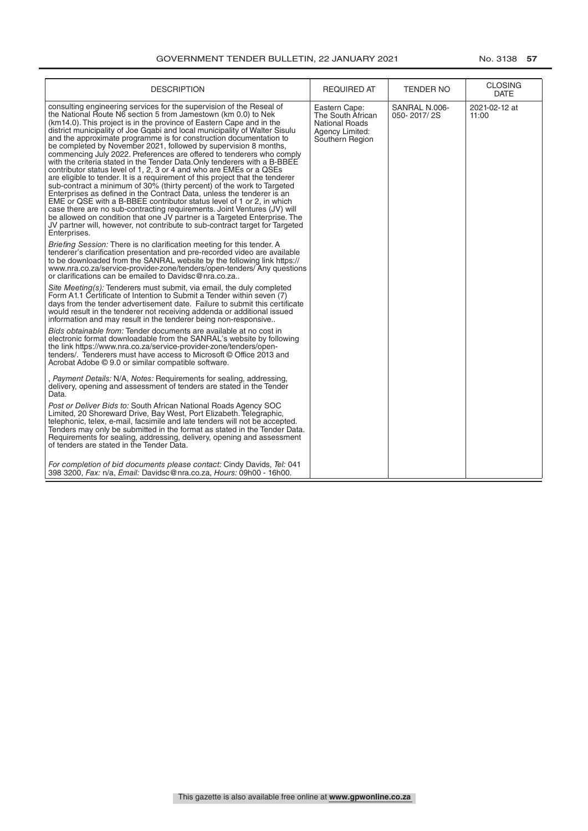| <b>DESCRIPTION</b>                                                                                                                                                                                                                                                                                                                                                                                                                                                                                                                                                                                                                                                                                                                                                                                                                                                                                                                                                                                                                                                                                                                                                                                                                         | <b>REQUIRED AT</b>                                                                                | <b>TENDER NO</b>             | <b>CLOSING</b><br><b>DATE</b> |
|--------------------------------------------------------------------------------------------------------------------------------------------------------------------------------------------------------------------------------------------------------------------------------------------------------------------------------------------------------------------------------------------------------------------------------------------------------------------------------------------------------------------------------------------------------------------------------------------------------------------------------------------------------------------------------------------------------------------------------------------------------------------------------------------------------------------------------------------------------------------------------------------------------------------------------------------------------------------------------------------------------------------------------------------------------------------------------------------------------------------------------------------------------------------------------------------------------------------------------------------|---------------------------------------------------------------------------------------------------|------------------------------|-------------------------------|
| consulting engineering services for the supervision of the Reseal of<br>the National Route N6 section 5 from Jamestown (km 0.0) to Nek<br>(km14.0). This project is in the province of Eastern Cape and in the<br>district municipality of Joe Gqabi and local municipality of Walter Sisulu<br>and the approximate programme is for construction documentation to<br>be completed by November 2021, followed by supervision 8 months,<br>commencing July 2022. Preferences are offered to tenderers who comply<br>with the criteria stated in the Tender Data. Only tenderers with a B-BBEE<br>contributor status level of 1, 2, 3 or 4 and who are EMEs or a QSEs<br>are eligible to tender. It is a reguirement of this project that the tenderer<br>sub-contract a minimum of 30% (thirty percent) of the work to Targeted<br>Enterprises as defined in the Contract Data, unless the tenderer is an<br>EME or QSE with a B-BBEE contributor status level of 1 or 2, in which<br>case there are no sub-contracting requirements. Joint Ventures (JV) will<br>be allowed on condition that one JV partner is a Targeted Enterprise. The<br>JV partner will, however, not contribute to sub-contract target for Targeted<br>Enterprises. | Eastern Cape:<br>The South African<br><b>National Roads</b><br>Agency Limited:<br>Southern Region | SANRAL N.006-<br>050-2017/2S | 2021-02-12 at<br>11:00        |
| Briefing Session: There is no clarification meeting for this tender. A<br>tenderer's clarification presentation and pre-recorded video are available<br>to be downloaded from the SANRAL website by the following link https://<br>www.nra.co.za/service-provider-zone/tenders/open-tenders/ Any questions<br>or clarifications can be emailed to Davidsc@nra.co.za                                                                                                                                                                                                                                                                                                                                                                                                                                                                                                                                                                                                                                                                                                                                                                                                                                                                        |                                                                                                   |                              |                               |
| Site Meeting(s): Tenderers must submit, via email, the duly completed<br>Form A1.1 Certificate of Intention to Submit a Tender within seven (7)<br>days from the tender advertisement date. Failure to submit this certificate<br>would result in the tenderer not receiving addenda or additional issued<br>information and may result in the tenderer being non-responsive                                                                                                                                                                                                                                                                                                                                                                                                                                                                                                                                                                                                                                                                                                                                                                                                                                                               |                                                                                                   |                              |                               |
| Bids obtainable from: Tender documents are available at no cost in<br>electronic format downloadable from the SANRAL's website by following<br>the link https://www.nra.co.za/service-provider-zone/tenders/open-<br>tenders/. Tenderers must have access to Microsoft © Office 2013 and<br>Acrobat Adobe © 9.0 or similar compatible software.                                                                                                                                                                                                                                                                                                                                                                                                                                                                                                                                                                                                                                                                                                                                                                                                                                                                                            |                                                                                                   |                              |                               |
| , Payment Details: N/A, Notes: Requirements for sealing, addressing,<br>delivery, opening and assessment of tenders are stated in the Tender<br>Data.                                                                                                                                                                                                                                                                                                                                                                                                                                                                                                                                                                                                                                                                                                                                                                                                                                                                                                                                                                                                                                                                                      |                                                                                                   |                              |                               |
| Post or Deliver Bids to: South African National Roads Agency SOC<br>Limited, 20 Shoreward Drive, Bay West, Port Elizabeth. Telegraphic,<br>telephonic, telex, e-mail, facsimile and late tenders will not be accepted.<br>Tenders may only be submitted in the format as stated in the Tender Data.<br>Requirements for sealing, addressing, delivery, opening and assessment<br>of tenders are stated in the Tender Data.                                                                                                                                                                                                                                                                                                                                                                                                                                                                                                                                                                                                                                                                                                                                                                                                                 |                                                                                                   |                              |                               |
| For completion of bid documents please contact: Cindy Davids, Tel: 041<br>398 3200, Fax: n/a, Email: Davidsc@nra.co.za, Hours: 09h00 - 16h00.                                                                                                                                                                                                                                                                                                                                                                                                                                                                                                                                                                                                                                                                                                                                                                                                                                                                                                                                                                                                                                                                                              |                                                                                                   |                              |                               |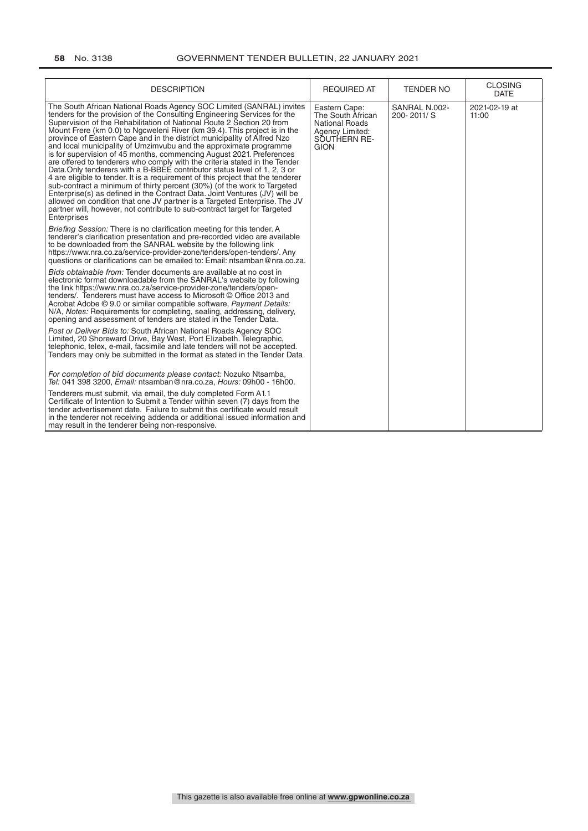| <b>DESCRIPTION</b>                                                                                                                                                                                                                                                                                                                                                                                                                                                                                                                                                                                                                                                                                                                                                                                                                                                                                                                                                                                                                                                                                             | <b>REQUIRED AT</b>                                                                                            | <b>TENDER NO</b>                | <b>CLOSING</b><br><b>DATE</b> |
|----------------------------------------------------------------------------------------------------------------------------------------------------------------------------------------------------------------------------------------------------------------------------------------------------------------------------------------------------------------------------------------------------------------------------------------------------------------------------------------------------------------------------------------------------------------------------------------------------------------------------------------------------------------------------------------------------------------------------------------------------------------------------------------------------------------------------------------------------------------------------------------------------------------------------------------------------------------------------------------------------------------------------------------------------------------------------------------------------------------|---------------------------------------------------------------------------------------------------------------|---------------------------------|-------------------------------|
| The South African National Roads Agency SOC Limited (SANRAL) invites<br>tenders for the provision of the Consulting Engineering Services for the<br>Supervision of the Rehabilitation of National Route 2 Section 20 from<br>Mount Frere (km 0.0) to Ngcweleni River (km 39.4). This project is in the<br>province of Eastern Cape and in the district municipality of Alfred Nzo<br>and local municipality of Umzimvubu and the approximate programme<br>is for supervision of 45 months, commencing August 2021. Preferences<br>are offered to tenderers who comply with the criteria stated in the Tender<br>Data. Only tenderers with a B-BBEE contributor status level of 1, 2, 3 or<br>4 are eligible to tender. It is a requirement of this project that the tenderer<br>sub-contract a minimum of thirty percent (30%) (of the work to Targeted<br>Enterprise(s) as defined in the Contract Data. Joint Ventures (JV) will be<br>allowed on condition that one JV partner is a Targeted Enterprise. The JV<br>partner will, however, not contribute to sub-contract target for Targeted<br>Enterprises | Eastern Cape:<br>The South African<br><b>National Roads</b><br>Agency Limited:<br>SOUTHERN RE-<br><b>GION</b> | SANRAL N.002-<br>$200 - 2011/S$ | 2021-02-19 at<br>11:00        |
| Briefing Session: There is no clarification meeting for this tender. A<br>tenderer's clarification presentation and pre-recorded video are available<br>to be downloaded from the SANRAL website by the following link<br>https://www.nra.co.za/service-provider-zone/tenders/open-tenders/. Any<br>questions or clarifications can be emailed to: Email: ntsamban@nra.co.za.                                                                                                                                                                                                                                                                                                                                                                                                                                                                                                                                                                                                                                                                                                                                  |                                                                                                               |                                 |                               |
| Bids obtainable from: Tender documents are available at no cost in<br>electronic format downloadable from the SANRAL's website by following<br>the link https://www.nra.co.za/service-provider-zone/tenders/open-<br>tenders/. Tenderers must have access to Microsoft © Office 2013 and<br>Acrobat Adobe © 9.0 or similar compatible software, Payment Details:<br>N/A, Notes: Requirements for completing, sealing, addressing, delivery,<br>opening and assessment of tenders are stated in the Tender Data.                                                                                                                                                                                                                                                                                                                                                                                                                                                                                                                                                                                                |                                                                                                               |                                 |                               |
| Post or Deliver Bids to: South African National Roads Agency SOC<br>Limited, 20 Shoreward Drive, Bay West, Port Elizabeth. Telegraphic,<br>telephonic, telex, e-mail, facsimile and late tenders will not be accepted.<br>Tenders may only be submitted in the format as stated in the Tender Data                                                                                                                                                                                                                                                                                                                                                                                                                                                                                                                                                                                                                                                                                                                                                                                                             |                                                                                                               |                                 |                               |
| For completion of bid documents please contact: Nozuko Ntsamba,<br>Tel: 041 398 3200, Email: ntsamban@nra.co.za, Hours: 09h00 - 16h00.                                                                                                                                                                                                                                                                                                                                                                                                                                                                                                                                                                                                                                                                                                                                                                                                                                                                                                                                                                         |                                                                                                               |                                 |                               |
| Tenderers must submit, via email, the duly completed Form A1.1<br>Certificate of Intention to Submit a Tender within seven (7) days from the<br>tender advertisement date. Failure to submit this certificate would result<br>in the tenderer not receiving addenda or additional issued information and<br>may result in the tenderer being non-responsive.                                                                                                                                                                                                                                                                                                                                                                                                                                                                                                                                                                                                                                                                                                                                                   |                                                                                                               |                                 |                               |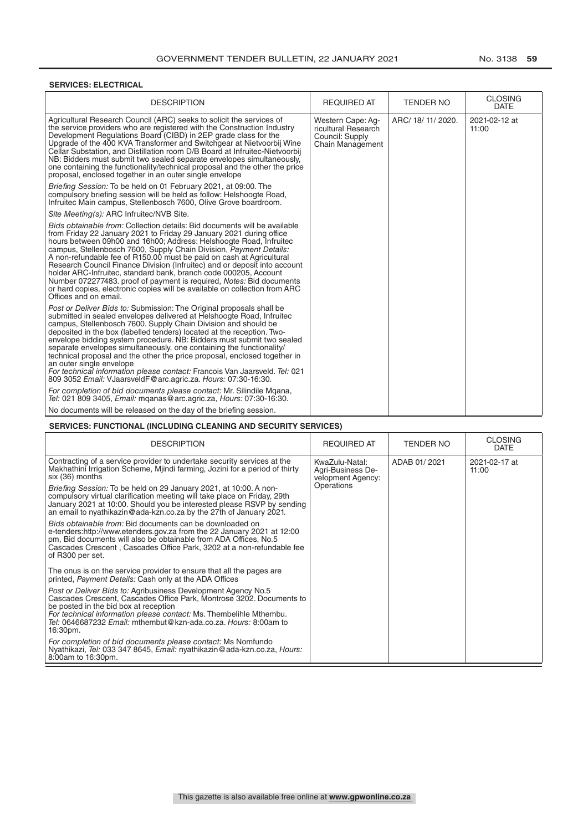#### **SERVICES: ELECTRICAL**

| <b>DESCRIPTION</b>                                                                                                                                                                                                                                                                                                                                                                                                                                                                                                                                                                                                                                                                                                                                                                                           | <b>REQUIRED AT</b>                                                                     | <b>TENDER NO</b>   | <b>CLOSING</b><br><b>DATE</b> |
|--------------------------------------------------------------------------------------------------------------------------------------------------------------------------------------------------------------------------------------------------------------------------------------------------------------------------------------------------------------------------------------------------------------------------------------------------------------------------------------------------------------------------------------------------------------------------------------------------------------------------------------------------------------------------------------------------------------------------------------------------------------------------------------------------------------|----------------------------------------------------------------------------------------|--------------------|-------------------------------|
| Agricultural Research Council (ARC) seeks to solicit the services of<br>the service providers who are registered with the Construction Industry<br>Development Regulations Board (CIBD) in 2EP grade class for the<br>Upgrade of the 400 KVA Transformer and Switchgear at Nietvoorbij Wine<br>Cellar Substation, and Distillation room D/B Board at Infruitec-Nietvoorbij<br>NB: Bidders must submit two sealed separate envelopes simultaneously,<br>one containing the functionality/technical proposal and the other the price<br>proposal, enclosed together in an outer single envelope<br>Briefing Session: To be held on 01 February 2021, at 09:00. The<br>compulsory briefing session will be held as follow: Helshoogte Road,<br>Infruitec Main campus, Stellenbosch 7600, Olive Grove boardroom. | Western Cape: Aq-<br>ricultural Research<br>Council: Supply<br><b>Chain Management</b> | ARC/ 18/ 11/ 2020. | 2021-02-12 at<br>11:00        |
| Site Meeting(s): ARC Infruitec/NVB Site.                                                                                                                                                                                                                                                                                                                                                                                                                                                                                                                                                                                                                                                                                                                                                                     |                                                                                        |                    |                               |
| Bids obtainable from: Collection details: Bid documents will be available<br>from Friday 22 January 2021 to Friday 29 January 2021 during office<br>hours between 09h00 and 16h00; Address: Helshoogte Road, Infruitec<br>campus, Stellenbosch 7600, Supply Chain Division, Payment Details:<br>A non-refundable fee of R150.00 must be paid on cash at Agricultural<br>Research Council Finance Division (Infruitec) and or deposit into account<br>holder ARC-Infruitec, standard bank, branch code 000205, Account<br>Number 072277483, proof of payment is required, Notes: Bid documents<br>or hard copies, electronic copies will be available on collection from ARC<br>Offices and on email.                                                                                                         |                                                                                        |                    |                               |
| Post or Deliver Bids to: Submission: The Original proposals shall be<br>submitted in sealed envelopes delivered at Helshoogte Road, Infruitec<br>campus, Stellenbosch 7600. Supply Chain Division and should be<br>deposited in the box (labelled tenders) located at the reception. Two-<br>envelope bidding system procedure. NB: Bidders must submit two sealed<br>separate envelopes simultaneously, one containing the functionality/<br>technical proposal and the other the price proposal, enclosed together in<br>an outer single envelope<br>For technical information please contact: Francois Van Jaarsveld. Tel: 021<br>809 3052 Email: VJaarsveldF@arc.agric.za. Hours: 07:30-16:30.                                                                                                           |                                                                                        |                    |                               |
| For completion of bid documents please contact: Mr. Silindile Mgana,<br>Tel: 021 809 3405, Email: mganas@arc.agric.za, Hours: 07:30-16:30.                                                                                                                                                                                                                                                                                                                                                                                                                                                                                                                                                                                                                                                                   |                                                                                        |                    |                               |
| No documents will be released on the day of the briefing session.                                                                                                                                                                                                                                                                                                                                                                                                                                                                                                                                                                                                                                                                                                                                            |                                                                                        |                    |                               |

# **SERVICES: FUNCTIONAL (INCLUDING CLEANING AND SECURITY SERVICES)**

| <b>DESCRIPTION</b>                                                                                                                                                                                                                                                                                                                  | <b>REQUIRED AT</b>                                       | <b>TENDER NO</b> | <b>CLOSING</b><br><b>DATE</b> |
|-------------------------------------------------------------------------------------------------------------------------------------------------------------------------------------------------------------------------------------------------------------------------------------------------------------------------------------|----------------------------------------------------------|------------------|-------------------------------|
| Contracting of a service provider to undertake security services at the<br>Makhathini Irrigation Scheme, Mjindi farming, Jozini for a period of thirty<br>six (36) months                                                                                                                                                           | KwaZulu-Natal:<br>Agri-Business De-<br>velopment Agency: | ADAB 01/2021     | 2021-02-17 at<br>11:00        |
| <i>Briefing Session:</i> To be held on 29 January 2021, at 10:00. A non-<br>compulsory virtual clarification meeting will take place on Friday, 29th<br>January 2021 at 10:00. Should you be interested please RSVP by sending<br>an email to nyathikazin@ada-kzn.co.za by the 27th of January 2021.                                | Operations                                               |                  |                               |
| Bids obtainable from: Bid documents can be downloaded on<br>e-tenders:http://www.etenders.gov.za from the 22 January 2021 at 12:00<br>pm, Bid documents will also be obtainable from ADA Offices, No.5<br>Cascades Crescent, Cascades Office Park, 3202 at a non-refundable fee<br>of R300 per set.                                 |                                                          |                  |                               |
| The onus is on the service provider to ensure that all the pages are<br>printed, Payment Details: Cash only at the ADA Offices                                                                                                                                                                                                      |                                                          |                  |                               |
| Post or Deliver Bids to: Agribusiness Development Agency No.5<br>Cascades Crescent, Cascades Office Park, Montrose 3202. Documents to<br>be posted in the bid box at reception<br>For technical information please contact: Ms. Thembelihle Mthembu.<br>Tel: 0646687232 Email: mthembut@kzn-ada.co.za. Hours: 8:00am to<br>16:30pm. |                                                          |                  |                               |
| For completion of bid documents please contact: Ms Nomfundo<br>Nyathikazi, Tel: 033 347 8645, Email: nyathikazin@ada-kzn.co.za, Hours:<br>8:00am to 16:30pm.                                                                                                                                                                        |                                                          |                  |                               |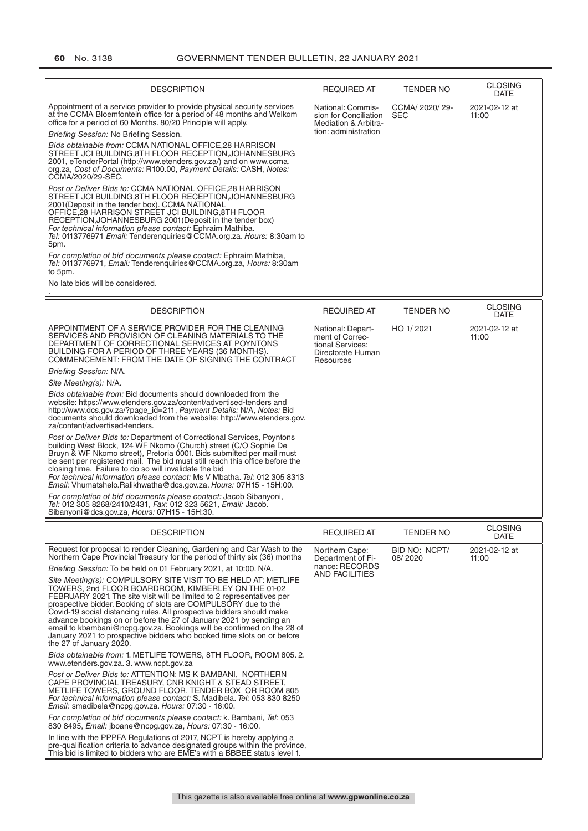| <b>DESCRIPTION</b>                                                                                                                                                                                                                                                                                                                                                                                                                                                                                                                                                                                                                                                                                                                                                                                                                                                                                                                                                                                                                                                                                                                                                                                                                                                                                                                                                                                                                                                                                                                                                                                                                    | <b>REQUIRED AT</b>                                                                         | <b>TENDER NO</b>         | <b>CLOSING</b><br><b>DATE</b> |
|---------------------------------------------------------------------------------------------------------------------------------------------------------------------------------------------------------------------------------------------------------------------------------------------------------------------------------------------------------------------------------------------------------------------------------------------------------------------------------------------------------------------------------------------------------------------------------------------------------------------------------------------------------------------------------------------------------------------------------------------------------------------------------------------------------------------------------------------------------------------------------------------------------------------------------------------------------------------------------------------------------------------------------------------------------------------------------------------------------------------------------------------------------------------------------------------------------------------------------------------------------------------------------------------------------------------------------------------------------------------------------------------------------------------------------------------------------------------------------------------------------------------------------------------------------------------------------------------------------------------------------------|--------------------------------------------------------------------------------------------|--------------------------|-------------------------------|
| Appointment of a service provider to provide physical security services<br>at the CCMA Bloemfontein office for a period of 48 months and Welkom<br>office for a period of 60 Months. 80/20 Principle will apply.<br>Briefing Session: No Briefing Session.<br>Bids obtainable from: CCMA NATIONAL OFFICE, 28 HARRISON<br>STREET JCI BUILDING, 8TH FLOOR RECEPTION, JOHANNESBURG<br>2001, eTenderPortal (http://www.etenders.gov.za/) and on www.ccma.<br>org.za, Cost of Documents: R100.00, Payment Details: CASH, Notes:<br>CCMA/2020/29-SEC.<br>Post or Deliver Bids to: CCMA NATIONAL OFFICE, 28 HARRISON<br>STREET JCI BUILDING, 8TH FLOOR RECEPTION, JOHANNESBURG<br>2001 (Deposit in the tender box). CCMA NATIONAL<br>OFFICE, 28 HARRISON STREET JCI BUILDING, 8TH FLOOR<br>RECEPTION, JOHANNESBURG 2001 (Deposit in the tender box)<br>For technical information please contact: Ephraim Mathiba.<br>Tel: 0113776971 Email: Tenderenquiries@CCMA.org.za. Hours: 8:30am to<br>5pm.<br>For completion of bid documents please contact: Ephraim Mathiba,<br>Tel: 0113776971, Email: Tenderenquiries@CCMA.org.za, Hours: 8:30am<br>to 5pm.                                                                                                                                                                                                                                                                                                                                                                                                                                                                                       | National: Commis-<br>sion for Conciliation<br>Mediation & Arbitra-<br>tion: administration | CCMA/ 2020/ 29-<br>SEC   | 2021-02-12 at<br>11:00        |
| No late bids will be considered.                                                                                                                                                                                                                                                                                                                                                                                                                                                                                                                                                                                                                                                                                                                                                                                                                                                                                                                                                                                                                                                                                                                                                                                                                                                                                                                                                                                                                                                                                                                                                                                                      |                                                                                            |                          |                               |
| <b>DESCRIPTION</b>                                                                                                                                                                                                                                                                                                                                                                                                                                                                                                                                                                                                                                                                                                                                                                                                                                                                                                                                                                                                                                                                                                                                                                                                                                                                                                                                                                                                                                                                                                                                                                                                                    | <b>REQUIRED AT</b>                                                                         | <b>TENDER NO</b>         | <b>CLOSING</b><br><b>DATE</b> |
| APPOINTMENT OF A SERVICE PROVIDER FOR THE CLEANING<br>SERVICES AND PROVISION OF CLEANING MATERIALS TO THE<br>DEPARTMENT OF CORRECTIONAL SERVICES AT POYNTONS<br>BUILDING FOR A PERIOD OF THREE YEARS (36 MONTHS).<br>COMMENCEMENT: FROM THE DATE OF SIGNING THE CONTRACT<br>Briefing Session: N/A.<br>Site Meeting(s): N/A.<br><i>Bids obtainable from:</i> Bid documents should downloaded from the<br>website: https://www.etenders.gov.za/content/advertised-tenders and<br>http://www.dcs.gov.za/?page_id=211, Payment Details: N/A, Notes: Bid<br>documents should downloaded from the website: http://www.etenders.gov.<br>za/content/advertised-tenders.<br>Post or Deliver Bids to: Department of Correctional Services, Poyntons<br>building West Block, 124 WF Nkomo (Church) street (C/O Sophie De<br>Bruyn & WF Nkomo street), Pretoria 0001. Bids submitted per mail must<br>be sent per registered mail. The bid must still reach this office before the<br>closing time. Failure to do so will invalidate the bid<br>For technical information please contact: Ms V Mbatha. Tel: 012 305 8313<br>Email: Vhumatshelo.Ralikhwatha@dcs.gov.za. Hours: 07H15 - 15H:00.<br>For completion of bid documents please contact: Jacob Sibanyoni,<br>Tel: 012 305 8268/2410/2431, Fax: 012 323 5621, Email: Jacob.<br>Sibanyoni@dcs.gov.za, Hours: 07H15 - 15H:30.                                                                                                                                                                                                                                                                | National: Depart-<br>ment of Correc-<br>tional Services:<br>Directorate Human<br>Resources | HO 1/2021                | 2021-02-12 at<br>11:00        |
| <b>DESCRIPTION</b>                                                                                                                                                                                                                                                                                                                                                                                                                                                                                                                                                                                                                                                                                                                                                                                                                                                                                                                                                                                                                                                                                                                                                                                                                                                                                                                                                                                                                                                                                                                                                                                                                    | <b>REQUIRED AT</b>                                                                         | <b>TENDER NO</b>         | <b>CLOSING</b><br>DATE        |
| Request for proposal to render Cleaning, Gardening and Car Wash to the<br>Northern Cape Provincial Treasury for the period of thirty six (36) months<br>Briefing Session: To be held on 01 February 2021, at 10:00. N/A.<br>Site Meeting(s): COMPULSORY SITE VISIT TO BE HELD AT: METLIFE<br>TOWERS, 2nd FLOOR BOARDROOM, KIMBERLEY ON THE 01-02<br>FEBRUARY 2021. The site visit will be limited to 2 representatives per<br>prospective bidder. Booking of slots are COMPULSORY due to the<br>Covid-19 social distancing rules. All prospective bidders should make<br>advance bookings on or before the 27 of January 2021 by sending an<br>email to kbambani@ncpg.gov.za. Bookings will be confirmed on the 28 of<br>January 2021 to prospective bidders who booked time slots on or before<br>the 27 of January 2020.<br>Bids obtainable from: 1. METLIFE TOWERS, 8TH FLOOR, ROOM 805.2.<br>www.etenders.gov.za. 3. www.ncpt.gov.za<br>Post or Deliver Bids to: ATTENTION: MS K BAMBANI, NORTHERN<br>CAPE PROVINCIAL TREASURY, CNR KNIGHT & STEAD STREET,<br>METLIFE TOWERS, GROUND FLOOR, TENDER BOX OR ROOM 805<br>For technical information please contact: S. Madibela. Tel: 053 830 8250<br>Email: smadibela@ncpg.gov.za. Hours: 07:30 - 16:00.<br>For completion of bid documents please contact: k. Bambani, Tel: 053<br>830 8495, Email: jboane@ncpg.gov.za, Hours: 07:30 - 16:00.<br>In line with the PPPFA Regulations of 2017, NCPT is hereby applying a<br>pre-qualification criteria to advance designated groups within the province,<br>This bid is limited to bidders who are EME's with a BBBEE status level 1. | Northern Cape:<br>Department of Fi-<br>nance: RECORDS<br>AND FACILITIES                    | BID NO: NCPT/<br>08/2020 | 2021-02-12 at<br>11:00        |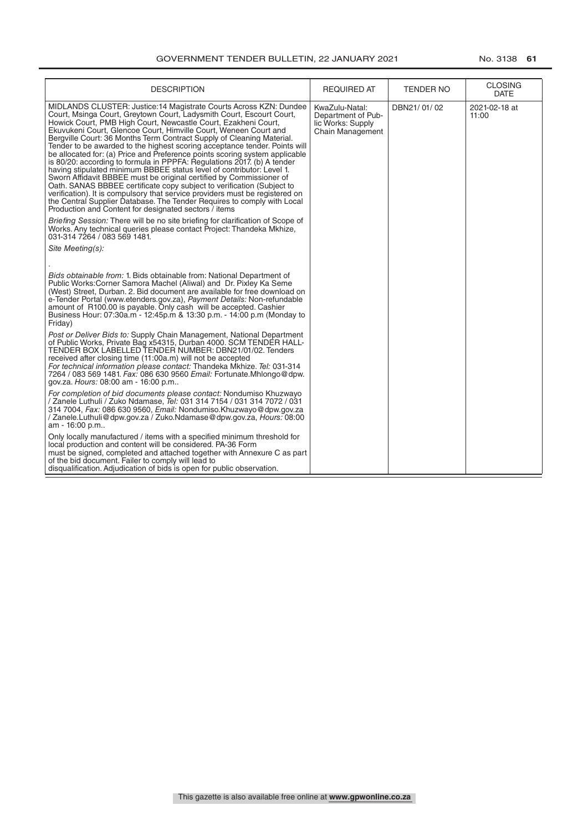| <b>DESCRIPTION</b>                                                                                                                                                                                                                                                                                                                                                                                                                                                                                                                                                                                                                                                                                                                                                                                                                                                                                                                                                                                                                             | <b>REQUIRED AT</b>                                                                   | <b>TENDER NO</b> | <b>CLOSING</b><br><b>DATE</b> |
|------------------------------------------------------------------------------------------------------------------------------------------------------------------------------------------------------------------------------------------------------------------------------------------------------------------------------------------------------------------------------------------------------------------------------------------------------------------------------------------------------------------------------------------------------------------------------------------------------------------------------------------------------------------------------------------------------------------------------------------------------------------------------------------------------------------------------------------------------------------------------------------------------------------------------------------------------------------------------------------------------------------------------------------------|--------------------------------------------------------------------------------------|------------------|-------------------------------|
| MIDLANDS CLUSTER: Justice:14 Magistrate Courts Across KZN: Dundee<br>Court, Msinga Court, Greytown Court, Ladysmith Court, Escourt Court,<br>Howick Court, PMB High Court, Newcastle Court, Ezakheni Court,<br>Ekuvukeni Court, Glencoe Court, Himville Court, Weneen Court and<br>Bergville Court: 36 Months Term Contract Supply of Cleaning Material.<br>Tender to be awarded to the highest scoring acceptance tender. Points will<br>be allocated for: (a) Price and Preference points scoring system applicable<br>is 80/20: according to formula in PPPFA: Regulations 2017. (b) A tender<br>having stipulated minimum BBBEE status level of contributor: Level 1.<br>Sworn Affidavit BBBEE must be original certified by Commissioner of<br>Oath. SANAS BBBEE certificate copy subject to verification (Subject to<br>verification). It is compulsory that service providers must be registered on<br>the Central Supplier Database. The Tender Requires to comply with Local<br>Production and Content for designated sectors / items | KwaZulu-Natal:<br>Department of Pub-<br>lic Works: Supply<br><b>Chain Management</b> | DBN21/01/02      | 2021-02-18 at<br>11:00        |
| Briefing Session: There will be no site briefing for clarification of Scope of<br>Works. Any technical queries please contact Project: Thandeka Mkhize,<br>031-314 7264 / 083 569 1481.                                                                                                                                                                                                                                                                                                                                                                                                                                                                                                                                                                                                                                                                                                                                                                                                                                                        |                                                                                      |                  |                               |
| Site Meeting(s):                                                                                                                                                                                                                                                                                                                                                                                                                                                                                                                                                                                                                                                                                                                                                                                                                                                                                                                                                                                                                               |                                                                                      |                  |                               |
| Bids obtainable from: 1. Bids obtainable from: National Department of<br>Public Works: Corner Samora Machel (Aliwal) and Dr. Pixley Ka Seme<br>(West) Street, Durban. 2. Bid document are available for free download on<br>e-Tender Portal (www.etenders.gov.za), Payment Details: Non-refundable<br>amount of R100.00 is payable. Only cash will be accepted. Cashier<br>Business Hour: 07:30a.m - 12:45p.m & 13:30 p.m. - 14:00 p.m (Monday to<br>Friday)                                                                                                                                                                                                                                                                                                                                                                                                                                                                                                                                                                                   |                                                                                      |                  |                               |
| Post or Deliver Bids to: Supply Chain Management, National Department<br>of Public Works, Private Bag x54315, Durban 4000. SCM TENDER HALL-<br>TENDER BOX LABELLED TENDER NUMBER: DBN21/01/02. Tenders<br>received after closing time (11:00a.m) will not be accepted<br>For technical information please contact: Thandeka Mkhize. Tel: 031-314<br>7264 / 083 569 1481. Fax: 086 630 9560 Email: Fortunate.Mhlongo@dpw.<br>gov.za. Hours: 08:00 am - 16:00 p.m                                                                                                                                                                                                                                                                                                                                                                                                                                                                                                                                                                                |                                                                                      |                  |                               |
| For completion of bid documents please contact: Nondumiso Khuzwayo<br>/ Zanele Luthuli / Zuko Ndamase, <i>Tel:</i> 031 314 7154 / 031 314 7072 / 031<br>314 7004, Fax: 086 630 9560, Email: Nondumiso.Khuzwayo@dpw.gov.za<br>/ Zanele.Luthuli@dpw.gov.za / Zuko.Ndamase@dpw.gov.za, Hours: 08:00<br>am - 16:00 p.m                                                                                                                                                                                                                                                                                                                                                                                                                                                                                                                                                                                                                                                                                                                             |                                                                                      |                  |                               |
| Only locally manufactured / items with a specified minimum threshold for<br>local production and content will be considered. PA-36 Form<br>must be signed, completed and attached together with Annexure C as part<br>of the bid document. Failer to comply will lead to<br>disqualification. Adjudication of bids is open for public observation.                                                                                                                                                                                                                                                                                                                                                                                                                                                                                                                                                                                                                                                                                             |                                                                                      |                  |                               |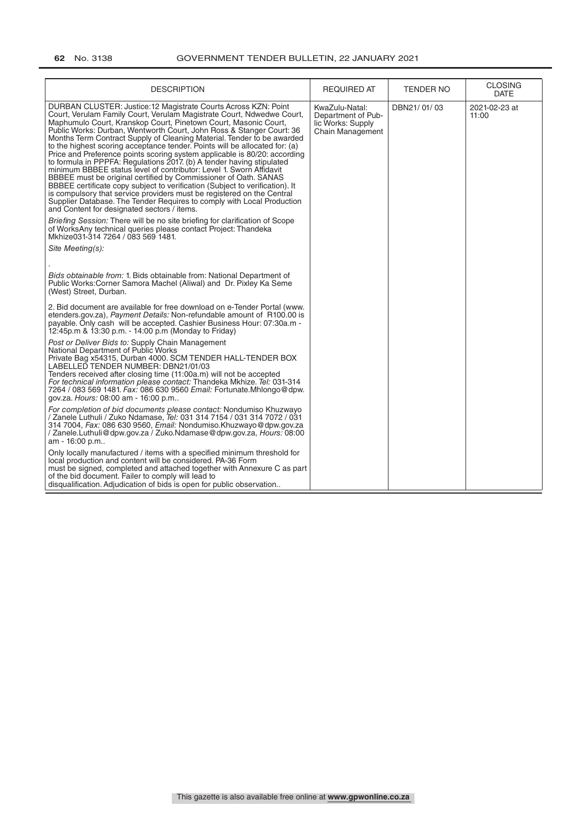| <b>DESCRIPTION</b>                                                                                                                                                                                                                                                                                                                                                                                                                                                                                                                                                                                                                                                                                                                                                                                                                                                                                                                                                                                                                                                                                                                                                                                                     | <b>REQUIRED AT</b>                                                                   | TENDER NO   | <b>CLOSING</b><br><b>DATE</b> |
|------------------------------------------------------------------------------------------------------------------------------------------------------------------------------------------------------------------------------------------------------------------------------------------------------------------------------------------------------------------------------------------------------------------------------------------------------------------------------------------------------------------------------------------------------------------------------------------------------------------------------------------------------------------------------------------------------------------------------------------------------------------------------------------------------------------------------------------------------------------------------------------------------------------------------------------------------------------------------------------------------------------------------------------------------------------------------------------------------------------------------------------------------------------------------------------------------------------------|--------------------------------------------------------------------------------------|-------------|-------------------------------|
| DURBAN CLUSTER: Justice: 12 Magistrate Courts Across KZN: Point<br>Court, Verulam Family Court, Verulam Magistrate Court, Ndwedwe Court,<br>Maphumulo Court, Kranskop Court, Pinetown Court, Masonic Court,<br>Public Works: Durban, Wentworth Court, John Ross & Stanger Court: 36<br>Months Term Contract Supply of Cleaning Material. Tender to be awarded<br>to the highest scoring acceptance tender. Points will be allocated for: (a)<br>Price and Preference points scoring system applicable is 80/20: according<br>to formula in PPPFA: Regulations 2017. (b) A tender having stipulated<br>minimum BBBEE status level of contributor: Level 1. Sworn Affidavit<br>BBBEE must be original certified by Commissioner of Oath. SANAS<br>BBBEE certificate copy subject to verification (Subject to verification). It<br>is compulsory that service providers must be registered on the Central<br>Supplier Database. The Tender Requires to comply with Local Production<br>and Content for designated sectors / items.<br>Briefing Session: There will be no site briefing for clarification of Scope<br>of WorksAny technical queries please contact Project: Thandeka<br>Mkhize031-314 7264 / 083 569 1481. | KwaZulu-Natal:<br>Department of Pub-<br>lic Works: Supply<br><b>Chain Management</b> | DBN21/01/03 | 2021-02-23 at<br>11:00        |
| Site Meeting(s):                                                                                                                                                                                                                                                                                                                                                                                                                                                                                                                                                                                                                                                                                                                                                                                                                                                                                                                                                                                                                                                                                                                                                                                                       |                                                                                      |             |                               |
| Bids obtainable from: 1. Bids obtainable from: National Department of<br>Public Works: Corner Samora Machel (Aliwal) and Dr. Pixley Ka Seme<br>(West) Street, Durban.                                                                                                                                                                                                                                                                                                                                                                                                                                                                                                                                                                                                                                                                                                                                                                                                                                                                                                                                                                                                                                                  |                                                                                      |             |                               |
| 2. Bid document are available for free download on e-Tender Portal (www.<br>etenders.gov.za), Payment Details: Non-refundable amount of R100.00 is<br>payable. Only cash will be accepted. Cashier Business Hour: 07:30a.m -<br>12:45p.m & 13:30 p.m. - 14:00 p.m (Monday to Friday)                                                                                                                                                                                                                                                                                                                                                                                                                                                                                                                                                                                                                                                                                                                                                                                                                                                                                                                                   |                                                                                      |             |                               |
| Post or Deliver Bids to: Supply Chain Management<br>National Department of Public Works<br>Private Bag x54315, Durban 4000. SCM TENDER HALL-TENDER BOX<br>LABELLED TENDER NUMBER: DBN21/01/03<br>Tenders received after closing time (11:00a.m) will not be accepted<br>For technical information please contact: Thandeka Mkhize. Tel: 031-314<br>7264 / 083 569 1481. Fax: 086 630 9560 Email: Fortunate.Mhlongo@dpw.<br>gov.za. Hours: 08:00 am - 16:00 p.m                                                                                                                                                                                                                                                                                                                                                                                                                                                                                                                                                                                                                                                                                                                                                         |                                                                                      |             |                               |
| For completion of bid documents please contact: Nondumiso Khuzwayo<br>/ Zanele Luthuli / Zuko Ndamase, <i>Tel:</i> 031 314 7154 / 031 314 7072 / 031<br>314 7004, Fax: 086 630 9560, Email: Nondumiso.Khuzwayo@dpw.gov.za<br>Zanele.Luthuli@dpw.gov.za / Zuko.Ndamase@dpw.gov.za, Hours: 08:00<br>am - 16:00 p.m                                                                                                                                                                                                                                                                                                                                                                                                                                                                                                                                                                                                                                                                                                                                                                                                                                                                                                       |                                                                                      |             |                               |
| Only locally manufactured / items with a specified minimum threshold for<br>local production and content will be considered. PA-36 Form<br>must be signed, completed and attached together with Annexure C as part<br>of the bid document. Failer to comply will lead to<br>disqualification. Adjudication of bids is open for public observation                                                                                                                                                                                                                                                                                                                                                                                                                                                                                                                                                                                                                                                                                                                                                                                                                                                                      |                                                                                      |             |                               |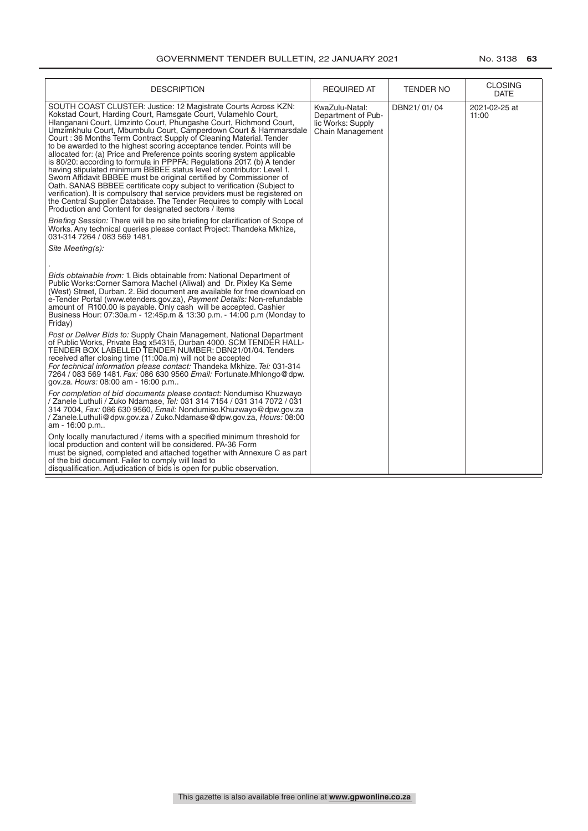| <b>DESCRIPTION</b>                                                                                                                                                                                                                                                                                                                                                                                                                                                                                                                                                                                                                                                                                                                                                                                                                                                                                                                                                                                                            | <b>REQUIRED AT</b>                                                                   | <b>TENDER NO</b> | <b>CLOSING</b><br>DATE |
|-------------------------------------------------------------------------------------------------------------------------------------------------------------------------------------------------------------------------------------------------------------------------------------------------------------------------------------------------------------------------------------------------------------------------------------------------------------------------------------------------------------------------------------------------------------------------------------------------------------------------------------------------------------------------------------------------------------------------------------------------------------------------------------------------------------------------------------------------------------------------------------------------------------------------------------------------------------------------------------------------------------------------------|--------------------------------------------------------------------------------------|------------------|------------------------|
| SOUTH COAST CLUSTER: Justice: 12 Magistrate Courts Across KZN:<br>Kokstad Court, Harding Court, Ramsgate Court, Vulamehlo Court,<br>Hlanganani Court, Umzinto Court, Phungashe Court, Richmond Court,<br>Umzimkhulu Court, Mbumbulu Court, Camperdown Court & Hammarsdale<br>Court: 36 Months Term Contract Supply of Cleaning Material. Tender<br>to be awarded to the highest scoring acceptance tender. Points will be<br>allocated for: (a) Price and Preference points scoring system applicable<br>is 80/20: according to formula in PPPFA: Regulations 2017 (b) A tender<br>having stipulated minimum BBBEE status level of contributor: Level 1.<br>Sworn Affidavit BBBEE must be original certified by Commissioner of<br>Oath. SANAS BBBEE certificate copy subject to verification (Subject to<br>verification). It is compulsory that service providers must be registered on<br>the Central Supplier Database. The Tender Requires to comply with Local<br>Production and Content for designated sectors / items | KwaZulu-Natal:<br>Department of Pub-<br>lic Works: Supply<br><b>Chain Management</b> | DBN21/01/04      | 2021-02-25 at<br>11:00 |
| Briefing Session: There will be no site briefing for clarification of Scope of<br>Works. Any technical queries please contact Project: Thandeka Mkhize,<br>031-314 7264 / 083 569 1481.                                                                                                                                                                                                                                                                                                                                                                                                                                                                                                                                                                                                                                                                                                                                                                                                                                       |                                                                                      |                  |                        |
| Site Meeting(s):                                                                                                                                                                                                                                                                                                                                                                                                                                                                                                                                                                                                                                                                                                                                                                                                                                                                                                                                                                                                              |                                                                                      |                  |                        |
| Bids obtainable from: 1. Bids obtainable from: National Department of<br>Public Works: Corner Samora Machel (Aliwal) and Dr. Pixley Ka Seme<br>(West) Street, Durban. 2. Bid document are available for free download on<br>e-Tender Portal (www.etenders.gov.za), Payment Details: Non-refundable<br>amount of R100.00 is payable. Only cash will be accepted. Cashier<br>Business Hour: 07:30a.m - 12:45p.m & 13:30 p.m. - 14:00 p.m (Monday to<br>Friday)                                                                                                                                                                                                                                                                                                                                                                                                                                                                                                                                                                  |                                                                                      |                  |                        |
| Post or Deliver Bids to: Supply Chain Management, National Department<br>of Public Works, Private Bag x54315, Durban 4000. SCM TENDER HALL-<br>TENDER BOX LABELLED TENDER NUMBER: DBN21/01/04. Tenders<br>received after closing time (11:00a.m) will not be accepted<br>For technical information please contact: Thandeka Mkhize. Tel: 031-314<br>7264 / 083 569 1481. Fax: 086 630 9560 Email: Fortunate.Mhlongo@dpw.<br>gov.za. Hours: 08:00 am - 16:00 p.m                                                                                                                                                                                                                                                                                                                                                                                                                                                                                                                                                               |                                                                                      |                  |                        |
| For completion of bid documents please contact: Nondumiso Khuzwayo<br>/ Zanele Luthuli / Zuko Ndamase, <i>Tel:</i> 031 314 7154 / 031 314 7072 / 031<br>314 7004, Fax: 086 630 9560, Email: Nondumiso.Khuzwayo@dpw.gov.za<br>/ Zanele.Luthuli@dpw.gov.za / Zuko.Ndamase@dpw.gov.za, Hours: 08:00<br>am - 16:00 p.m                                                                                                                                                                                                                                                                                                                                                                                                                                                                                                                                                                                                                                                                                                            |                                                                                      |                  |                        |
| Only locally manufactured / items with a specified minimum threshold for<br>local production and content will be considered. PA-36 Form<br>must be signed, completed and attached together with Annexure C as part<br>of the bid document. Failer to comply will lead to<br>disqualification. Adjudication of bids is open for public observation.                                                                                                                                                                                                                                                                                                                                                                                                                                                                                                                                                                                                                                                                            |                                                                                      |                  |                        |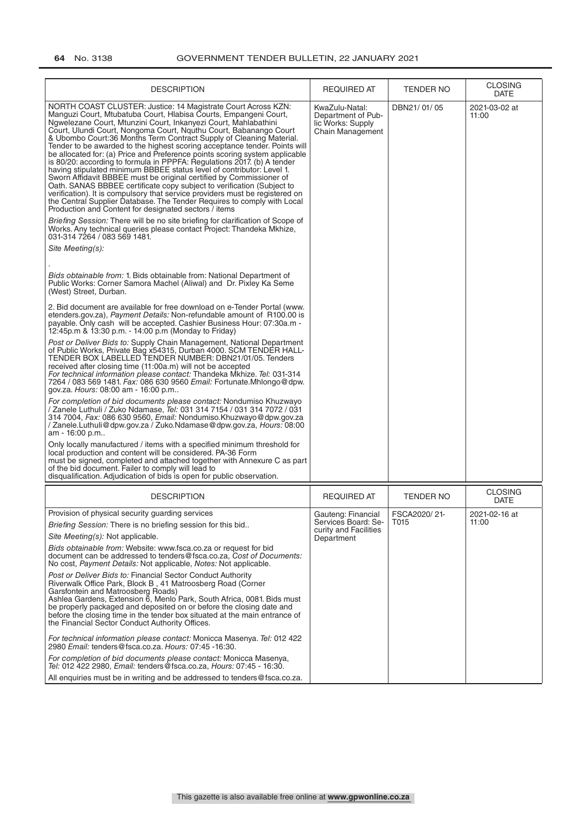| <b>DESCRIPTION</b>                                                                                                                                                                                                                                                                                                                                                                                                                                                                                                                                                                                                                                                                                                                                                                                                                                                                                                                                                                                                                                                                                                                                                                                                                                                                                                                                                                                                                           | <b>REQUIRED AT</b>                                                                   | <b>TENDER NO</b>     | <b>CLOSING</b><br><b>DATE</b> |
|----------------------------------------------------------------------------------------------------------------------------------------------------------------------------------------------------------------------------------------------------------------------------------------------------------------------------------------------------------------------------------------------------------------------------------------------------------------------------------------------------------------------------------------------------------------------------------------------------------------------------------------------------------------------------------------------------------------------------------------------------------------------------------------------------------------------------------------------------------------------------------------------------------------------------------------------------------------------------------------------------------------------------------------------------------------------------------------------------------------------------------------------------------------------------------------------------------------------------------------------------------------------------------------------------------------------------------------------------------------------------------------------------------------------------------------------|--------------------------------------------------------------------------------------|----------------------|-------------------------------|
| NORTH COAST CLUSTER: Justice: 14 Magistrate Court Across KZN:<br>Manguzi Court, Mtubatuba Court, Hlabisa Courts, Empangeni Court,<br>Ngwelezane Court, Mtunzini Court, Inkanyezi Court, Mahlabathini<br>Court, Ulundi Court, Nongoma Court, Nguthu Court, Babanango Court<br>& Ubombo Court:36 Months Term Contract Supply of Cleaning Material.<br>Tender to be awarded to the highest scoring acceptance tender. Points will<br>be allocated for: (a) Price and Preference points scoring system applicable<br>is 80/20: according to formula in PPPFA: Regulations 2017. (b) A tender<br>having stipulated minimum BBBEE status level of contributor: Level 1.<br>Sworn Affidavit BBBEE must be original certified by Commissioner of<br>Oath. SANAS BBBEE certificate copy subject to verification (Subject to<br>verification). It is compulsory that service providers must be registered on<br>the Central Supplier Database. The Tender Requires to comply with Local<br>Production and Content for designated sectors / items<br><i>Briefing Session:</i> There will be no site briefing for clarification of Scope of<br>Works. Any technical queries please contact Project: Thandeka Mkhize,<br>031-314 7264 / 083 569 1481.<br>Site Meeting(s):<br><i>Bids obtainable from:</i> 1. Bids obtainable from: National Department of<br>Public Works: Corner Samora Machel (Aliwal) and Dr. Pixley Ka Seme<br>(West) Street, Durban. | KwaZulu-Natal:<br>Department of Pub-<br>lic Works: Supply<br><b>Chain Management</b> | DBN21/01/05          | 2021-03-02 at<br>11:00        |
| 2. Bid document are available for free download on e-Tender Portal (www.<br>etenders.gov.za), Payment Details: Non-refundable amount of R100.00 is<br>payable. Only cash will be accepted. Cashier Business Hour: 07:30a.m -<br>12:45p.m & 13:30 p.m. - 14:00 p.m (Monday to Friday)                                                                                                                                                                                                                                                                                                                                                                                                                                                                                                                                                                                                                                                                                                                                                                                                                                                                                                                                                                                                                                                                                                                                                         |                                                                                      |                      |                               |
| Post or Deliver Bids to: Supply Chain Management, National Department<br>of Public Works, Private Bag x54315, Durban 4000. SCM TENDER HALL-<br>TENDER BOX LABELLED TENDER NUMBER: DBN21/01/05. Tenders<br>received after closing time (11:00a.m) will not be accepted<br>For technical information please contact: Thandeka Mkhize. Tel: 031-314<br>7264 / 083 569 1481. Fax: 086 630 9560 Email: Fortunate.Mhlongo@dpw.<br>gov.za. Hours: 08:00 am - 16:00 p.m                                                                                                                                                                                                                                                                                                                                                                                                                                                                                                                                                                                                                                                                                                                                                                                                                                                                                                                                                                              |                                                                                      |                      |                               |
| For completion of bid documents please contact: Nondumiso Khuzwayo<br>/ Zanele Luthuli / Zuko Ndamase, Tel: 031 314 7154 / 031 314 7072 / 031<br>314 7004, Fax: 086 630 9560, Email: Nondumiso.Khuzwayo@dpw.gov.za<br>/ Zanele.Luthuli@dpw.gov.za / Zuko.Ndamase@dpw.gov.za, Hours: 08:00<br>am - 16:00 p.m                                                                                                                                                                                                                                                                                                                                                                                                                                                                                                                                                                                                                                                                                                                                                                                                                                                                                                                                                                                                                                                                                                                                  |                                                                                      |                      |                               |
| Only locally manufactured / items with a specified minimum threshold for<br>local production and content will be considered. PA-36 Form<br>must be signed, completed and attached together with Annexure C as part<br>of the bid document. Failer to comply will lead to<br>disqualification. Adjudication of bids is open for public observation.                                                                                                                                                                                                                                                                                                                                                                                                                                                                                                                                                                                                                                                                                                                                                                                                                                                                                                                                                                                                                                                                                           |                                                                                      |                      |                               |
| <b>DESCRIPTION</b>                                                                                                                                                                                                                                                                                                                                                                                                                                                                                                                                                                                                                                                                                                                                                                                                                                                                                                                                                                                                                                                                                                                                                                                                                                                                                                                                                                                                                           | REQUIRED AT                                                                          | TENDER NO            | <b>CLOSING</b><br><b>DATE</b> |
| Provision of physical security guarding services<br><i>Briefing Session:</i> There is no briefing session for this bid<br>Site Meeting(s): Not applicable.<br>Bids obtainable from: Website: www.fsca.co.za or request for bid<br>document can be addressed to tenders@fsca.co.za, Cost of Documents:<br>No cost, Payment Details: Not applicable, Notes: Not applicable.                                                                                                                                                                                                                                                                                                                                                                                                                                                                                                                                                                                                                                                                                                                                                                                                                                                                                                                                                                                                                                                                    | Gauteng: Financial<br>Services Board: Se-<br>curity and Facilities<br>Department     | FSCA2020/21-<br>T015 | 2021-02-16 at<br>11:00        |
| Post or Deliver Bids to: Financial Sector Conduct Authority<br>Riverwalk Office Park, Block B, 41 Matroosberg Road (Corner<br>Garsfontein and Matroosberg Roads)<br>Ashlea Gardens, Extension 6, Menlo Park, South Africa, 0081. Bids must<br>be properly packaged and deposited on or before the closing date and<br>before the closing time in the tender box situated at the main entrance of<br>the Financial Sector Conduct Authority Offices.                                                                                                                                                                                                                                                                                                                                                                                                                                                                                                                                                                                                                                                                                                                                                                                                                                                                                                                                                                                          |                                                                                      |                      |                               |
| For technical information please contact: Monicca Masenya. Tel: 012 422<br>2980 Email: tenders@fsca.co.za. Hours: 07:45 -16:30.                                                                                                                                                                                                                                                                                                                                                                                                                                                                                                                                                                                                                                                                                                                                                                                                                                                                                                                                                                                                                                                                                                                                                                                                                                                                                                              |                                                                                      |                      |                               |
| For completion of bid documents please contact: Monicca Masenya,<br>Tel: 012 422 2980, Email: tenders@fsca.co.za, Hours: 07:45 - 16:30.<br>All enquiries must be in writing and be addressed to tenders@fsca.co.za.                                                                                                                                                                                                                                                                                                                                                                                                                                                                                                                                                                                                                                                                                                                                                                                                                                                                                                                                                                                                                                                                                                                                                                                                                          |                                                                                      |                      |                               |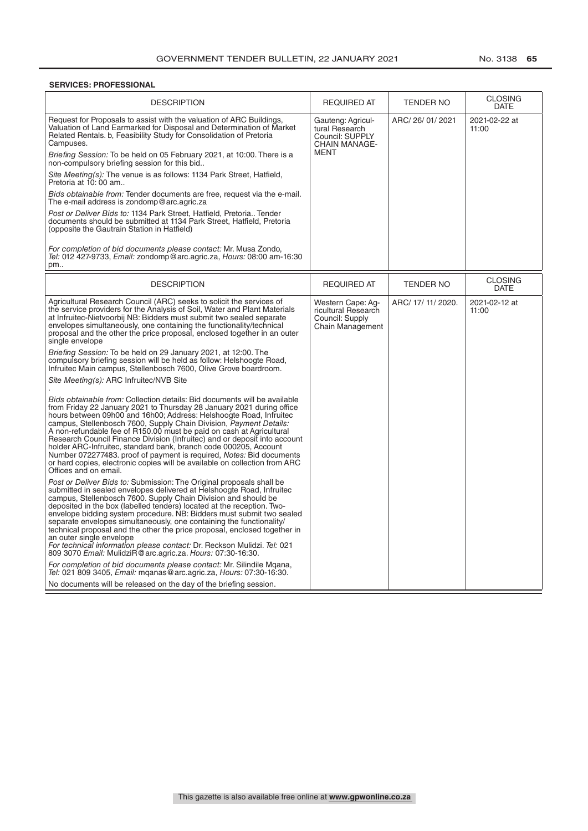#### **SERVICES: PROFESSIONAL**

| <b>DESCRIPTION</b>                                                                                                                                                                                                                                                                                                                                                                                                                                                                                                                                                                                                                                                                                                                                                                                                                                                                                                                                                                                                                                                                                                                                                                                                                                                                                                                                                                                                                                                                                                                                                                                                                                                      | <b>REQUIRED AT</b>                                                              | <b>TENDER NO</b>   | <b>CLOSING</b><br><b>DATE</b> |
|-------------------------------------------------------------------------------------------------------------------------------------------------------------------------------------------------------------------------------------------------------------------------------------------------------------------------------------------------------------------------------------------------------------------------------------------------------------------------------------------------------------------------------------------------------------------------------------------------------------------------------------------------------------------------------------------------------------------------------------------------------------------------------------------------------------------------------------------------------------------------------------------------------------------------------------------------------------------------------------------------------------------------------------------------------------------------------------------------------------------------------------------------------------------------------------------------------------------------------------------------------------------------------------------------------------------------------------------------------------------------------------------------------------------------------------------------------------------------------------------------------------------------------------------------------------------------------------------------------------------------------------------------------------------------|---------------------------------------------------------------------------------|--------------------|-------------------------------|
| Request for Proposals to assist with the valuation of ARC Buildings,<br>Valuation of Land Earmarked for Disposal and Determination of Market<br>Related Rentals. b, Feasibility Study for Consolidation of Pretoria<br>Campuses.<br>Briefing Session: To be held on 05 February 2021, at 10:00. There is a<br>non-compulsory briefing session for this bid<br>Site Meeting(s): The venue is as follows: 1134 Park Street, Hatfield,<br>Pretoria at 10:00 am<br>Bids obtainable from: Tender documents are free, request via the e-mail.                                                                                                                                                                                                                                                                                                                                                                                                                                                                                                                                                                                                                                                                                                                                                                                                                                                                                                                                                                                                                                                                                                                                 | Gauteng: Agricul-<br>tural Research<br>Council: SUPPLY<br>CHAIN MANAGE-<br>MENT | ARC/26/01/2021     | 2021-02-22 at<br>11:00        |
| The e-mail address is zondomp@arc.agric.za<br>Post or Deliver Bids to: 1134 Park Street, Hatfield, Pretoria Tender<br>documents should be submitted at 1134 Park Street, Hatfield, Pretoria<br>(opposite the Gautrain Station in Hatfield)                                                                                                                                                                                                                                                                                                                                                                                                                                                                                                                                                                                                                                                                                                                                                                                                                                                                                                                                                                                                                                                                                                                                                                                                                                                                                                                                                                                                                              |                                                                                 |                    |                               |
| For completion of bid documents please contact: Mr. Musa Zondo,<br>Tel: 012 427-9733, Email: zondomp@arc.agric.za, Hours: 08:00 am-16:30<br>pm                                                                                                                                                                                                                                                                                                                                                                                                                                                                                                                                                                                                                                                                                                                                                                                                                                                                                                                                                                                                                                                                                                                                                                                                                                                                                                                                                                                                                                                                                                                          |                                                                                 |                    |                               |
| <b>DESCRIPTION</b>                                                                                                                                                                                                                                                                                                                                                                                                                                                                                                                                                                                                                                                                                                                                                                                                                                                                                                                                                                                                                                                                                                                                                                                                                                                                                                                                                                                                                                                                                                                                                                                                                                                      | <b>REQUIRED AT</b>                                                              | <b>TENDER NO</b>   | <b>CLOSING</b><br><b>DATE</b> |
| Agricultural Research Council (ARC) seeks to solicit the services of<br>the service providers for the Analysis of Soil, Water and Plant Materials<br>at Infruitec-Nietvoorbij NB: Bidders must submit two sealed separate<br>envelopes simultaneously, one containing the functionality/technical<br>proposal and the other the price proposal, enclosed together in an outer<br>single envelope<br>Briefing Session: To be held on 29 January 2021, at 12:00. The<br>compulsory briefing session will be held as follow: Helshoogte Road,<br>Infruitec Main campus, Stellenbosch 7600, Olive Grove boardroom.<br>Site Meeting(s): ARC Infruitec/NVB Site<br>Bids obtainable from: Collection details: Bid documents will be available<br>from Friday 22 January 2021 to Thursday 28 January 2021 during office<br>hours between 09h00 and 16h00; Address: Helshoogte Road, Infruitec<br>campus, Stellenbosch 7600, Supply Chain Division, Payment Details:<br>A non-refundable fee of R150.00 must be paid on cash at Agricultural<br>Research Council Finance Division (Infruitec) and or deposit into account<br>holder ARC-Infruitec, standard bank, branch code 000205, Account<br>Number 072277483, proof of payment is required, <i>Notes:</i> Bid documents<br>or hard copies, electronic copies will be available on collection from ARC<br>Offices and on email.<br>Post or Deliver Bids to: Submission: The Original proposals shall be<br>submitted in sealed envelopes delivered at Helshoogte Road, Infruitec<br>campus, Stellenbosch 7600. Supply Chain Division and should be<br>deposited in the box (labelled tenders) located at the reception. Two- | Western Cape: Ag-<br>ricultural Research<br>Council: Supply<br>Chain Management | ARC/ 17/ 11/ 2020. | 2021-02-12 at<br>11:00        |
| envelope bidding system procedure. NB: Bidders must submit two sealed<br>separate envelopes simultaneously, one containing the functionality/<br>technical proposal and the other the price proposal, enclosed together in<br>an outer single envelope<br>For technical information please contact: Dr. Reckson Mulidzi. Tel: 021<br>809 3070 Email: MulidziR@arc.agric.za. Hours: 07:30-16:30.<br>For completion of bid documents please contact: Mr. Silindile Mgana,<br>Tel: 021 809 3405, Email: mganas@arc.agric.za, Hours: 07:30-16:30.<br>No documents will be released on the day of the briefing session.                                                                                                                                                                                                                                                                                                                                                                                                                                                                                                                                                                                                                                                                                                                                                                                                                                                                                                                                                                                                                                                      |                                                                                 |                    |                               |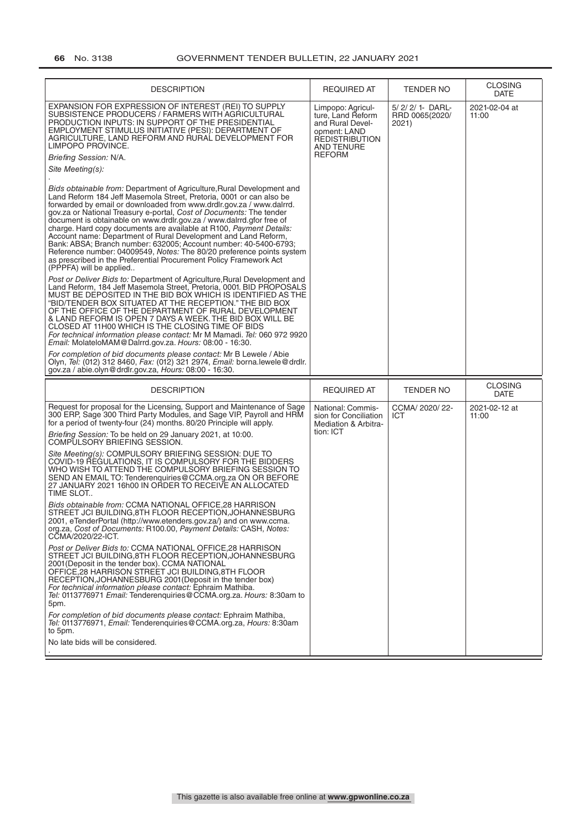| <b>DESCRIPTION</b>                                                                                                                                                                                                                                                                                                                                                                                                                                                                                                                                                                                                                                                                                                                                                                                                                                                                                                                                                                                                                                                                                                                                                                                                                                                                                                                                                                                                                                                                                                                                                                                                                                                                                                                                                                                                                                                       | <b>REQUIRED AT</b>                                                                                                                        | TENDER NO                                | <b>CLOSING</b><br><b>DATE</b> |
|--------------------------------------------------------------------------------------------------------------------------------------------------------------------------------------------------------------------------------------------------------------------------------------------------------------------------------------------------------------------------------------------------------------------------------------------------------------------------------------------------------------------------------------------------------------------------------------------------------------------------------------------------------------------------------------------------------------------------------------------------------------------------------------------------------------------------------------------------------------------------------------------------------------------------------------------------------------------------------------------------------------------------------------------------------------------------------------------------------------------------------------------------------------------------------------------------------------------------------------------------------------------------------------------------------------------------------------------------------------------------------------------------------------------------------------------------------------------------------------------------------------------------------------------------------------------------------------------------------------------------------------------------------------------------------------------------------------------------------------------------------------------------------------------------------------------------------------------------------------------------|-------------------------------------------------------------------------------------------------------------------------------------------|------------------------------------------|-------------------------------|
| EXPANSION FOR EXPRESSION OF INTEREST (REI) TO SUPPLY<br>SUBSISTENCE PRODUCERS / FARMERS WITH AGRICULTURAL<br>PRODUCTION INPUTS: IN SUPPORT OF THE PRESIDENTIAL<br>EMPLOYMENT STIMULUS INITIATIVE (PESI): DEPARTMENT OF<br>AGRICULTURE, LAND REFORM AND RURAL DEVELOPMENT FOR<br>LIMPOPO PROVINCE.<br>Briefing Session: N/A.<br>Site Meeting(s):<br><i>Bids obtainable from:</i> Department of Agriculture, Rural Development and<br>Land Reform 184 Jeff Masemola Street, Pretoria, 0001 or can also be<br>forwarded by email or downloaded from www.drdlr.gov.za / www.dalrrd.<br>gov.za or National Treasury e-portal, Cost of Documents: The tender<br>document is obtainable on www.drdlr.gov.za / www.dalrrd.gfor free of<br>charge. Hard copy documents are available at R100, Payment Details:<br>Account name: Department of Rural Development and Land Reform,<br>Bank: ABSA; Branch number: 632005; Account number: 40-5400-6793;<br>Reference number: 04009549, Notes: The 80/20 preference points system<br>as prescribed in the Preferential Procurement Policy Framework Act<br>(PPPFA) will be applied<br>Post or Deliver Bids to: Department of Agriculture, Rural Development and<br>Land Reform, 184 Jeff Masemola Street, Pretoria, 0001. BID PROPOSALS<br>MUST BE DEPOSITED IN THE BID BOX WHICH IS IDENTIFIED AS THE<br>"BID/TENDER BOX SITUATED AT THE RECEPTION." THE BID BOX<br>OF THE OFFICE OF THE DEPARTMENT OF RURAL DEVELOPMENT<br>& LAND REFORM IS OPEN 7 DAYS A WEEK. THE BID BOX WILL BE<br>CLOSED AT 11H00 WHICH IS THE CLOSING TIME OF BIDS<br>For technical information please contact: Mr M Mamadi. Tel: 060 972 9920<br>Email: MolateloMAM@Dalrrd.gov.za. Hours: 08:00 - 16:30.<br>For completion of bid documents please contact: Mr B Lewele / Abie<br>Olyn, Tel: (012) 312 8460, Fax: (012) 321 2974, Email: borna.lewele@drdlr. | Limpopo: Agricul-<br>ture, Land Reform<br>and Rural Devel-<br>opment: LAND<br><b>REDISTRIBUTION</b><br><b>AND TENURE</b><br><b>REFORM</b> | 5/2/2/1-DARL-<br>RRD 0065(2020/<br>2021) | 2021-02-04 at<br>11:00        |
| gov.za / abie.olyn@drdlr.gov.za, Hours: 08:00 - 16:30.                                                                                                                                                                                                                                                                                                                                                                                                                                                                                                                                                                                                                                                                                                                                                                                                                                                                                                                                                                                                                                                                                                                                                                                                                                                                                                                                                                                                                                                                                                                                                                                                                                                                                                                                                                                                                   |                                                                                                                                           |                                          |                               |
|                                                                                                                                                                                                                                                                                                                                                                                                                                                                                                                                                                                                                                                                                                                                                                                                                                                                                                                                                                                                                                                                                                                                                                                                                                                                                                                                                                                                                                                                                                                                                                                                                                                                                                                                                                                                                                                                          |                                                                                                                                           |                                          | <b>CLOSING</b>                |
| <b>DESCRIPTION</b>                                                                                                                                                                                                                                                                                                                                                                                                                                                                                                                                                                                                                                                                                                                                                                                                                                                                                                                                                                                                                                                                                                                                                                                                                                                                                                                                                                                                                                                                                                                                                                                                                                                                                                                                                                                                                                                       | <b>REQUIRED AT</b>                                                                                                                        | <b>TENDER NO</b>                         | <b>DATE</b>                   |
| Request for proposal for the Licensing, Support and Maintenance of Sage<br>300 ERP, Sage 300 Third Party Modules, and Sage VIP, Payroll and HRM<br>for a period of twenty-four (24) months. 80/20 Principle will apply.                                                                                                                                                                                                                                                                                                                                                                                                                                                                                                                                                                                                                                                                                                                                                                                                                                                                                                                                                                                                                                                                                                                                                                                                                                                                                                                                                                                                                                                                                                                                                                                                                                                  | National: Commis-<br>sion for Conciliation<br><b>Mediation &amp; Arbitra-</b>                                                             | CCMA/ 2020/ 22-<br>ICT                   | 2021-02-12 at<br>11:00        |
| Briefing Session: To be held on 29 January 2021, at 10:00.<br>COMPULSORY BRIEFING SESSION.                                                                                                                                                                                                                                                                                                                                                                                                                                                                                                                                                                                                                                                                                                                                                                                                                                                                                                                                                                                                                                                                                                                                                                                                                                                                                                                                                                                                                                                                                                                                                                                                                                                                                                                                                                               | tion: ICT                                                                                                                                 |                                          |                               |
| Site Meeting(s): COMPULSORY BRIEFING SESSION: DUE TO<br>COVID-19 REGULATIONS. IT IS COMPULSORY FOR THE BIDDERS<br>WHO WISH TO ATTEND THE COMPULSORY BRIEFING SESSION TO<br>SEND AN EMAIL TO: Tenderenquiries@CCMA.org.za ON OR BEFORE<br>27 JANUARY 2021 16h00 IN ORDER TO RECEIVE AN ALLOCATED<br>TIME SLOT                                                                                                                                                                                                                                                                                                                                                                                                                                                                                                                                                                                                                                                                                                                                                                                                                                                                                                                                                                                                                                                                                                                                                                                                                                                                                                                                                                                                                                                                                                                                                             |                                                                                                                                           |                                          |                               |
| <i>Bids obtainable from:</i> CCMA NATIONAL OFFICE,28 HARRISON<br>STREET JCI BUILDING.8TH FLOOR RECEPTION,JOHANNESBURG<br>2001, eTenderPortal (http://www.etenders.gov.za/) and on www.ccma<br>org.za, Cost of Documents: R100.00, Payment Details: CASH, Notes:<br>CCMA/2020/22-ICT.                                                                                                                                                                                                                                                                                                                                                                                                                                                                                                                                                                                                                                                                                                                                                                                                                                                                                                                                                                                                                                                                                                                                                                                                                                                                                                                                                                                                                                                                                                                                                                                     |                                                                                                                                           |                                          |                               |
| Post or Deliver Bids to: CCMA NATIONAL OFFICE, 28 HARRISON<br>STREET JCI BUILDING, 8TH FLOOR RECEPTION, JOHANNESBURG<br>2001 (Deposit in the tender box). CCMA NATIONAL<br>OFFICE, 28 HARRISON STREET JCI BUILDING, 8TH FLOOR<br>RECEPTION, JOHANNESBURG 2001 (Deposit in the tender box)<br>For technical information please contact: Ephraim Mathiba.<br>Tel: 0113776971 Email: Tenderenquiries@CCMA.org.za. Hours: 8:30am to<br>5pm.                                                                                                                                                                                                                                                                                                                                                                                                                                                                                                                                                                                                                                                                                                                                                                                                                                                                                                                                                                                                                                                                                                                                                                                                                                                                                                                                                                                                                                  |                                                                                                                                           |                                          |                               |
| For completion of bid documents please contact: Ephraim Mathiba,<br>Tel: 0113776971, Email: Tenderenquiries@CCMA.org.za, Hours: 8:30am<br>to 5pm.<br>No late bids will be considered.                                                                                                                                                                                                                                                                                                                                                                                                                                                                                                                                                                                                                                                                                                                                                                                                                                                                                                                                                                                                                                                                                                                                                                                                                                                                                                                                                                                                                                                                                                                                                                                                                                                                                    |                                                                                                                                           |                                          |                               |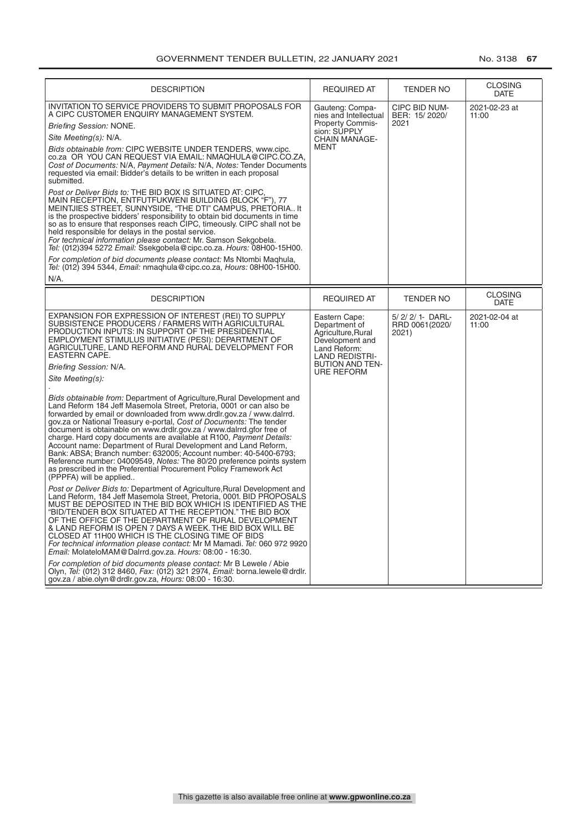| <b>DESCRIPTION</b>                                                                                                                                                                                                                                                                                                                                                                                                                                                                                                                                                                                                                                                                                                                                                                                                                                                                                                                                                                                                                                                                                                                                                                                                                                                                                                                                                                                                                                                                                                                                                                                                                                                                                                                                                                                                                                                                                                      | <b>REQUIRED AT</b>                                                                                                                                              | <b>TENDER NO</b>                             | <b>CLOSING</b><br><b>DATE</b> |
|-------------------------------------------------------------------------------------------------------------------------------------------------------------------------------------------------------------------------------------------------------------------------------------------------------------------------------------------------------------------------------------------------------------------------------------------------------------------------------------------------------------------------------------------------------------------------------------------------------------------------------------------------------------------------------------------------------------------------------------------------------------------------------------------------------------------------------------------------------------------------------------------------------------------------------------------------------------------------------------------------------------------------------------------------------------------------------------------------------------------------------------------------------------------------------------------------------------------------------------------------------------------------------------------------------------------------------------------------------------------------------------------------------------------------------------------------------------------------------------------------------------------------------------------------------------------------------------------------------------------------------------------------------------------------------------------------------------------------------------------------------------------------------------------------------------------------------------------------------------------------------------------------------------------------|-----------------------------------------------------------------------------------------------------------------------------------------------------------------|----------------------------------------------|-------------------------------|
| INVITATION TO SERVICE PROVIDERS TO SUBMIT PROPOSALS FOR<br>A CIPC CUSTOMER ENQUIRY MANAGEMENT SYSTEM.<br><b>Briefing Session: NONE.</b><br>Site Meeting(s): N/A.<br>Bids obtainable from: CIPC WEBSITE UNDER TENDERS, www.cipc.<br>co.za OR YOU CAN REQUEST VIA EMAIL: NMAQHULA@CIPC.CO.ZA,<br>Cost of Documents: N/A, Payment Details: N/A, Notes: Tender Documents<br>requested via email: Bidder's details to be written in each proposal<br>submitted.<br><i>Post or Deliver Bids to:</i> THE BID BOX IS SITUATED AT: CIPC<br>MAIN RECEPTION, ENTFUTFUKWENI BUILDING (BLOCK "F"), 77<br>MEINTJIES STREET, SUNNYSIDE, "THE DTI" CAMPUS, PRETORIA It<br>is the prospective bidders' responsibility to obtain bid documents in time<br>so as to ensure that responses reach CIPC, timeously. CIPC shall not be<br>held responsible for delays in the postal service.<br>For technical information please contact: Mr. Samson Sekgobela.<br>Tel: (012)394 5272 Email: Ssekgobela@cipc.co.za. Hours: 08H00-15H00.<br>For completion of bid documents please contact: Ms Ntombi Maghula,<br>Tel: (012) 394 5344, Email: nmaghula@cipc.co.za, Hours: 08H00-15H00.<br>N/A.                                                                                                                                                                                                                                                                                                                                                                                                                                                                                                                                                                                                                                                                                                                                                  | Gauteng: Compa-<br>nies and Intellectual<br>Property Commis-<br>sion: SUPPLY<br><b>CHAIN MANAGE-</b><br><b>MENT</b>                                             | CIPC BID NUM-<br>BER: 15/2020/<br>2021       | 2021-02-23 at<br>11:00        |
| <b>DESCRIPTION</b>                                                                                                                                                                                                                                                                                                                                                                                                                                                                                                                                                                                                                                                                                                                                                                                                                                                                                                                                                                                                                                                                                                                                                                                                                                                                                                                                                                                                                                                                                                                                                                                                                                                                                                                                                                                                                                                                                                      | <b>REQUIRED AT</b>                                                                                                                                              | TENDER NO                                    | <b>CLOSING</b><br><b>DATE</b> |
| EXPANSION FOR EXPRESSION OF INTEREST (REI) TO SUPPLY<br>SUBSISTENCE PRODUCERS / FARMERS WITH AGRICULTURAL<br>PRODUCTION INPUTS: IN SUPPORT OF THE PRESIDENTIAL<br>EMPLOYMENT STIMULUS INITIATIVE (PESI): DEPARTMENT OF<br>AGRICULTURE. LAND REFORM AND RURAL DEVELOPMENT FOR<br>EASTERN CAPE.<br>Briefing Session: N/A.<br>Site Meeting(s):<br>Bids obtainable from: Department of Agriculture, Rural Development and<br>Land Reform 184 Jeff Masemola Street, Pretoria, 0001 or can also be<br>forwarded by email or downloaded from www.drdlr.gov.za / www.dalrrd.<br>gov.za or National Treasury e-portal, Cost of Documents: The tender<br>document is obtainable on www.drdlr.gov.za / www.dalrrd.gfor free of<br>charge. Hard copy documents are available at R100, Payment Details:<br>Account name: Department of Rural Development and Land Reform,<br>Bank: ABSA; Branch number: 632005; Account number: 40-5400-6793;<br>Reference number: 04009549, Notes: The 80/20 preference points system<br>as prescribed in the Preferential Procurement Policy Framework Act<br>(PPPFA) will be applied<br>Post or Deliver Bids to: Department of Agriculture, Rural Development and<br>Land Reform, 184 Jeff Masemola Street, Pretoria, 0001. BID PROPOSALS<br>MUST BE DEPOSITED IN THE BID BOX WHICH IS IDENTIFIED AS THE<br>"BID/TENDER BOX SITUATED AT THE RECEPTION." THE BID BOX<br>OF THE OFFICE OF THE DEPARTMENT OF RURAL DEVELOPMENT<br>& LAND REFORM IS OPEN 7 DAYS A WEEK. THE BID BOX WILL BE<br>CLOSED AT 11H00 WHICH IS THE CLOSING TIME OF BIDS<br>For technical information please contact: Mr M Mamadi. Tel: 060 972 9920<br>Email: MolateloMAM@Dalrrd.gov.za. Hours: 08:00 - 16:30.<br>For completion of bid documents please contact: Mr B Lewele / Abie<br>Olyn, Tel: (012) 312 8460, Fax: (012) 321 2974, Email: borna.lewele@drdlr.<br>gov.za / abie.olyn@drdlr.gov.za, Hours: 08:00 - 16:30. | Eastern Cape:<br>Department of<br>Agriculture, Rural<br>Development and<br>Land Reform:<br><b>LAND REDISTRI-</b><br><b>BUTION AND TEN-</b><br><b>URE REFORM</b> | 5/ 2/ 2/ 1- DARL-<br>RRD 0061(2020/<br>2021) | 2021-02-04 at<br>11:00        |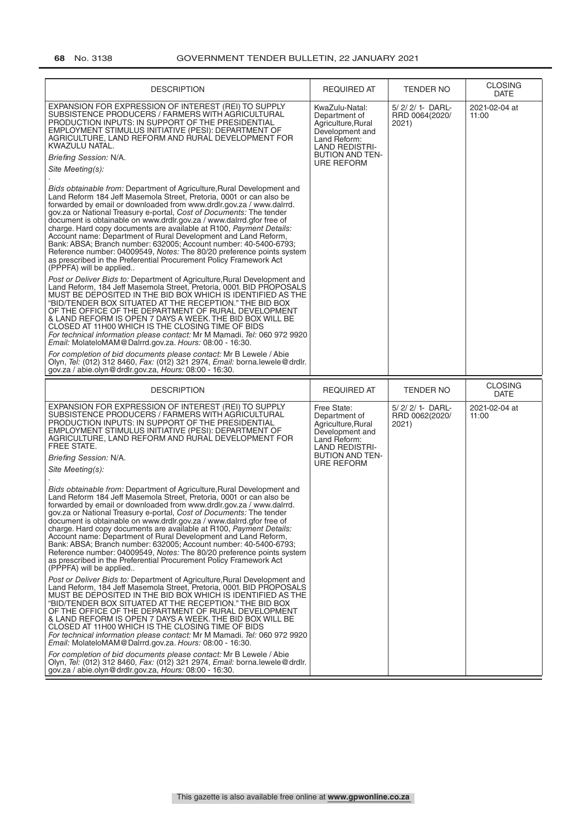|                                                                                                                                                           | <b>TENDER NO</b>                             | <b>CLOSING</b><br><b>DATE</b> |
|-----------------------------------------------------------------------------------------------------------------------------------------------------------|----------------------------------------------|-------------------------------|
| KwaZulu-Natal:<br>Department of<br>Agriculture, Rural<br>Development and<br>Land Reform:<br><b>LAND REDISTRI-</b><br><b>BUTION AND TEN-</b><br>URE REFORM | 5/ 2/ 2/ 1- DARL-<br>RRD 0064(2020/<br>2021) | 2021-02-04 at<br>11:00        |
|                                                                                                                                                           |                                              |                               |
| <b>REQUIRED AT</b>                                                                                                                                        | <b>TENDER NO</b>                             | <b>CLOSING</b><br><b>DATE</b> |
| Free State:<br>Department of<br>Agriculture, Rural<br>Development and<br>Land Reform:<br><b>LAND REDISTRI-</b><br><b>BUTION AND TEN-</b><br>URE REFORM    | 5/2/2/1-DARL-<br>RRD 0062(2020/<br>2021)     | 2021-02-04 at<br>11:00        |
|                                                                                                                                                           |                                              |                               |
|                                                                                                                                                           |                                              |                               |
| For technical information please contact: Mr M Mamadi. Tel: 060 972 9920                                                                                  |                                              |                               |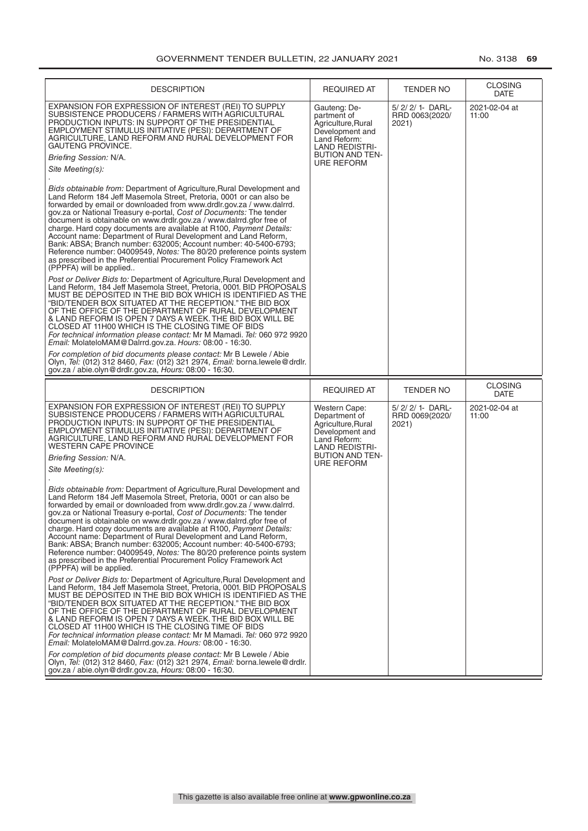| <b>DESCRIPTION</b>                                                                                                                                                                                                                                                                                                                                                                                                                                                                                                                                                                                                                                                                                                                                                                                                                                                                                                                                                                                                                                                                                                                                                                                                                                                                                                                                                                                                                                                                                                                                                                                                                                                                                                                                                                  | <b>REQUIRED AT</b>                                                                                                                                           | TENDER NO                                    | <b>CLOSING</b><br><b>DATE</b> |
|-------------------------------------------------------------------------------------------------------------------------------------------------------------------------------------------------------------------------------------------------------------------------------------------------------------------------------------------------------------------------------------------------------------------------------------------------------------------------------------------------------------------------------------------------------------------------------------------------------------------------------------------------------------------------------------------------------------------------------------------------------------------------------------------------------------------------------------------------------------------------------------------------------------------------------------------------------------------------------------------------------------------------------------------------------------------------------------------------------------------------------------------------------------------------------------------------------------------------------------------------------------------------------------------------------------------------------------------------------------------------------------------------------------------------------------------------------------------------------------------------------------------------------------------------------------------------------------------------------------------------------------------------------------------------------------------------------------------------------------------------------------------------------------|--------------------------------------------------------------------------------------------------------------------------------------------------------------|----------------------------------------------|-------------------------------|
| EXPANSION FOR EXPRESSION OF INTEREST (REI) TO SUPPLY<br>SUBSISTENCE PRODUCERS / FARMERS WITH AGRICULTURAL<br>PRODUCTION INPUTS: IN SUPPORT OF THE PRESIDENTIAL<br>EMPLOYMENT STIMULUS INITIATIVE (PESI): DEPARTMENT OF<br>AGRICULTURE, LAND REFORM AND RURAL DEVELOPMENT FOR<br>GAUTENG PROVINCE.<br>Briefing Session: N/A.<br>Site Meeting(s):<br>Bids obtainable from: Department of Agriculture, Rural Development and<br>Land Reform 184 Jeff Masemola Street, Pretoria, 0001 or can also be<br>forwarded by email or downloaded from www.drdlr.gov.za / www.dalrrd.<br>gov.za or National Treasury e-portal, Cost of Documents: The tender<br>document is obtainable on www.drdlr.gov.za / www.dalrrd.gfor free of<br>charge. Hard copy documents are available at R100, Payment Details:<br>Account name: Department of Rural Development and Land Reform,<br>Bank: ABSA; Branch number: 632005; Account number: 40-5400-6793;<br>Reference number: 04009549, Notes: The 80/20 preference points system<br>as prescribed in the Preferential Procurement Policy Framework Act<br>(PPPFA) will be applied<br>Post or Deliver Bids to: Department of Agriculture, Rural Development and<br>Land Reform, 184 Jeff Masemola Street, Pretoria, 0001. BID PROPOSALS<br>MUST BE DEPOSITED IN THE BID BOX WHICH IS IDENTIFIED AS THE<br>"BID/TENDER BOX SITUATED AT THE RECEPTION." THE BID BOX<br>OF THE OFFICE OF THE DEPARTMENT OF RURAL DEVELOPMENT<br>& LAND REFORM IS OPEN 7 DAYS A WEEK. THE BID BOX WILL BE<br>CLOSED AT 11H00 WHICH IS THE CLOSING TIME OF BIDS<br>For technical information please contact: Mr M Mamadi. Tel: 060 972 9920<br>Email: MolateloMAM@Dalrrd.gov.za. Hours: 08:00 - 16:30.<br>For completion of bid documents please contact: Mr B Lewele / Abie | Gauteng: De-<br>partment of<br>Agriculture, Rural<br>Development and<br>Land Reform:<br><b>LAND REDISTRI-</b><br><b>BUTION AND TEN-</b><br><b>URE REFORM</b> | 5/ 2/ 2/ 1- DARL-<br>RRD 0063(2020/<br>2021) | 2021-02-04 at<br>11:00        |
| Olyn, Tel: (012) 312 8460, Fax: (012) 321 2974, Email: borna.lewele@drdlr.<br>gov.za / abie.olyn@drdlr.gov.za, Hours: 08:00 - 16:30.                                                                                                                                                                                                                                                                                                                                                                                                                                                                                                                                                                                                                                                                                                                                                                                                                                                                                                                                                                                                                                                                                                                                                                                                                                                                                                                                                                                                                                                                                                                                                                                                                                                |                                                                                                                                                              |                                              |                               |
| <b>DESCRIPTION</b>                                                                                                                                                                                                                                                                                                                                                                                                                                                                                                                                                                                                                                                                                                                                                                                                                                                                                                                                                                                                                                                                                                                                                                                                                                                                                                                                                                                                                                                                                                                                                                                                                                                                                                                                                                  | <b>REQUIRED AT</b>                                                                                                                                           | <b>TENDER NO</b>                             | <b>CLOSING</b><br><b>DATE</b> |
| EXPANSION FOR EXPRESSION OF INTEREST (REI) TO SUPPLY<br>SUBSISTENCE PRODUCERS / FARMERS WITH AGRICULTURAL<br>PRODUCTION INPUTS: IN SUPPORT OF THE PRESIDENTIAL<br>EMPLOYMENT STIMULUS INITIATIVE (PESI): DEPARTMENT OF<br>AGRICULTURE, LAND REFORM AND RURAL DEVELOPMENT FOR<br><b>WESTERN CAPE PROVINCE</b><br>Briefing Session: N/A.                                                                                                                                                                                                                                                                                                                                                                                                                                                                                                                                                                                                                                                                                                                                                                                                                                                                                                                                                                                                                                                                                                                                                                                                                                                                                                                                                                                                                                              | Western Cape:<br>Department of<br>Agriculture, Rural<br>Development and<br>Land Reform:<br><b>LAND REDISTRI-</b><br><b>BUTION AND TEN-</b>                   | 5/2/2/1-DARL-<br>RRD 0069(2020/<br>2021)     | 2021-02-04 at<br>11:00        |
| Site Meeting(s):<br>Bids obtainable from: Department of Agriculture, Rural Development and<br>Land Reform 184 Jeff Masemola Street, Pretoria, 0001 or can also be<br>forwarded by email or downloaded from www.drdlr.gov.za / www.dalrrd.<br>gov.za or National Treasury e-portal, Cost of Documents: The tender<br>document is obtainable on www.drdlr.gov.za / www.dalrrd.gfor free of<br>charge. Hard copy documents are available at R100, Payment Details:<br>Account name: Department of Rural Development and Land Reform,<br>Bank: ABSA; Branch number: 632005; Account number: 40-5400-6793;<br>Reference number: 04009549, Notes: The 80/20 preference points system                                                                                                                                                                                                                                                                                                                                                                                                                                                                                                                                                                                                                                                                                                                                                                                                                                                                                                                                                                                                                                                                                                      | URE REFORM                                                                                                                                                   |                                              |                               |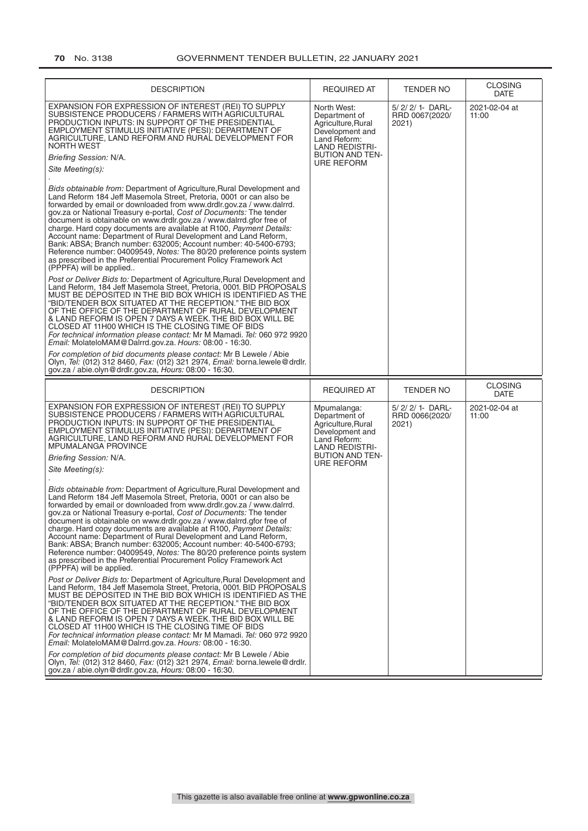| <b>DESCRIPTION</b>                                                                                                                                                                                                                                                                                                                                                                                                                                                                                                                                                                                                                                                                                                                                                                                                                                                                                                                                                                                                                                                                                                                                                                                                                                                                                                                                                                                                                                                                                                                                                                                                                                                                                                                                                                                                                                                                                                             | <b>REQUIRED AT</b>                                                                                                                                     | <b>TENDER NO</b>                             | <b>CLOSING</b><br><b>DATE</b> |
|--------------------------------------------------------------------------------------------------------------------------------------------------------------------------------------------------------------------------------------------------------------------------------------------------------------------------------------------------------------------------------------------------------------------------------------------------------------------------------------------------------------------------------------------------------------------------------------------------------------------------------------------------------------------------------------------------------------------------------------------------------------------------------------------------------------------------------------------------------------------------------------------------------------------------------------------------------------------------------------------------------------------------------------------------------------------------------------------------------------------------------------------------------------------------------------------------------------------------------------------------------------------------------------------------------------------------------------------------------------------------------------------------------------------------------------------------------------------------------------------------------------------------------------------------------------------------------------------------------------------------------------------------------------------------------------------------------------------------------------------------------------------------------------------------------------------------------------------------------------------------------------------------------------------------------|--------------------------------------------------------------------------------------------------------------------------------------------------------|----------------------------------------------|-------------------------------|
| EXPANSION FOR EXPRESSION OF INTEREST (REI) TO SUPPLY<br>SUBSISTENCE PRODUCERS / FARMERS WITH AGRICULTURAL<br>PRODUCTION INPUTS: IN SUPPORT OF THE PRESIDENTIAL<br>EMPLOYMENT STIMULUS INITIATIVE (PESI): DEPARTMENT OF<br>AGRICULTURE, LAND REFORM AND RURAL DEVELOPMENT FOR<br><b>NORTH WEST</b><br>Briefing Session: N/A.<br>Site Meeting(s):<br>Bids obtainable from: Department of Agriculture, Rural Development and<br>Land Reform 184 Jeff Masemola Street, Pretoria, 0001 or can also be<br>forwarded by email or downloaded from www.drdlr.gov.za / www.dalrrd.<br>gov.za or National Treasury e-portal, Cost of Documents: The tender<br>document is obtainable on www.drdlr.gov.za / www.dalrrd.gfor free of<br>charge. Hard copy documents are available at R100, Payment Details:<br>Account name: Department of Rural Development and Land Reform,<br>Bank: ABSA; Branch number: 632005; Account number: 40-5400-6793;<br>Reference number: 04009549, Notes: The 80/20 preference points system<br>as prescribed in the Preferential Procurement Policy Framework Act<br>(PPPFA) will be applied<br>Post or Deliver Bids to: Department of Agriculture, Rural Development and<br>Land Reform, 184 Jeff Masemola Street, Pretoria, 0001. BID PROPOSALS<br>MUST BE DEPOSITED IN THE BID BOX WHICH IS IDENTIFIED AS THE<br>"BID/TENDER BOX SITUATED AT THE RECEPTION." THE BID BOX<br>OF THE OFFICE OF THE DEPARTMENT OF RURAL DEVELOPMENT<br>& LAND REFORM IS OPEN 7 DAYS A WEEK. THE BID BOX WILL BE<br>CLOSED AT 11H00 WHICH IS THE CLOSING TIME OF BIDS<br>For technical information please contact: Mr M Mamadi. Tel: 060 972 9920<br>Email: MolateloMAM@Dalrrd.gov.za. Hours: 08:00 - 16:30.<br>For completion of bid documents please contact: Mr B Lewele / Abie<br>Olyn, Tel: (012) 312 8460, Fax: (012) 321 2974, Email: borna.lewele@drdlr.<br>gov.za / abie.olyn@drdlr.gov.za, Hours: 08:00 - 16:30.    | North West:<br>Department of<br>Agriculture, Rural<br>Development and<br>Land Reform:<br><b>LAND REDISTRI-</b><br><b>BUTION AND TEN-</b><br>URE REFORM | 5/ 2/ 2/ 1- DARL-<br>RRD 0067(2020/<br>2021) | 2021-02-04 at<br>11:00        |
| <b>DESCRIPTION</b>                                                                                                                                                                                                                                                                                                                                                                                                                                                                                                                                                                                                                                                                                                                                                                                                                                                                                                                                                                                                                                                                                                                                                                                                                                                                                                                                                                                                                                                                                                                                                                                                                                                                                                                                                                                                                                                                                                             | <b>REQUIRED AT</b>                                                                                                                                     | <b>TENDER NO</b>                             | <b>CLOSING</b><br><b>DATE</b> |
| EXPANSION FOR EXPRESSION OF INTEREST (REI) TO SUPPLY<br>SUBSISTENCE PRODUCERS / FARMERS WITH AGRICULTURAL<br>PRODUCTION INPUTS: IN SUPPORT OF THE PRESIDENTIAL<br>EMPLOYMENT STIMULUS INITIATIVE (PESI): DEPARTMENT OF<br>AGRICULTURE, LAND REFORM AND RURAL DEVELOPMENT FOR<br>MPUMALANGA PROVINCE<br>Briefing Session: N/A.<br>Site Meeting(s):<br>Bids obtainable from: Department of Agriculture, Rural Development and<br>Land Reform 184 Jeff Masemola Street, Pretoria, 0001 or can also be<br>forwarded by email or downloaded from www.drdlr.gov.za / www.dalrrd.<br>gov.za or National Treasury e-portal, Cost of Documents: The tender<br>document is obtainable on www.drdlr.gov.za / www.dalrrd.gfor free of<br>charge. Hard copy documents are available at R100, Payment Details:<br>Account name: Department of Rural Development and Land Reform,<br>Bank: ABSA; Branch number: 632005; Account number: 40-5400-6793;<br>Reference number: 04009549, Notes: The 80/20 preference points system<br>as prescribed in the Preferential Procurement Policy Framework Act<br>(PPPFA) will be applied.<br>Post or Deliver Bids to: Department of Agriculture, Rural Development and<br>Land Reform, 184 Jeff Masemola Street, Pretoria, 0001. BID PROPOSALS<br>MUST BE DEPOSITED IN THE BID BOX WHICH IS IDENTIFIED AS THE<br>"BID/TENDER BOX SITUATED AT THE RECEPTION." THE BID BOX<br>OF THE OFFICE OF THE DEPARTMENT OF RURAL DEVELOPMENT<br>& LAND REFORM IS OPEN 7 DAYS A WEEK. THE BID BOX WILL BE<br>CLOSED AT 11H00 WHICH IS THE CLOSING TIME OF BIDS<br>For technical information please contact: Mr M Mamadi. Tel: 060 972 9920<br>Email: MolateloMAM@Dalrrd.gov.za. Hours: 08:00 - 16:30.<br>For completion of bid documents please contact: Mr B Lewele / Abie<br>Olyn, Tel: (012) 312 8460, Fax: (012) 321 2974, Email: borna.lewele@drdlr.<br>gov.za / abie.olyn@drdlr.gov.za, Hours: 08:00 - 16:30. | Mpumalanga:<br>Department of<br>Agriculture, Rural<br>Development and<br>Land Reform:<br><b>LAND REDISTRI-</b><br><b>BUTION AND TEN-</b><br>URE REFORM | 5/2/2/1-DARL-<br>RRD 0066(2020/<br>2021)     | 2021-02-04 at<br>11:00        |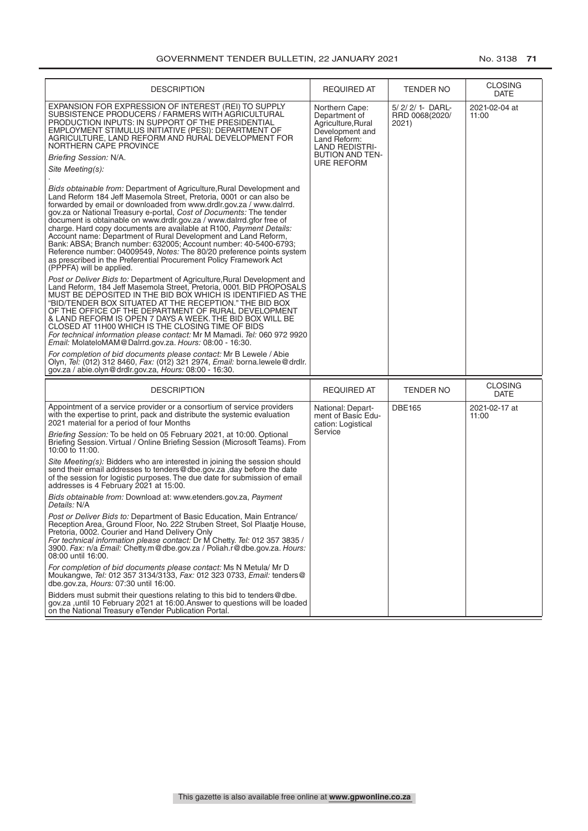| <b>DESCRIPTION</b>                                                                                                                                                                                                                                                                                                                                                                                                                                                                                                                                                                                                                                                                                                                                                                                                                                                                                                                                                                                                                                                                                                                                                                                                                                                                                                                                                                                                                                                                                                                                                                                                                                                                                                                                                                                                                                                                                                                | <b>REQUIRED AT</b>                                                                                                                                        | <b>TENDER NO</b>                             | <b>CLOSING</b><br>DATE |
|-----------------------------------------------------------------------------------------------------------------------------------------------------------------------------------------------------------------------------------------------------------------------------------------------------------------------------------------------------------------------------------------------------------------------------------------------------------------------------------------------------------------------------------------------------------------------------------------------------------------------------------------------------------------------------------------------------------------------------------------------------------------------------------------------------------------------------------------------------------------------------------------------------------------------------------------------------------------------------------------------------------------------------------------------------------------------------------------------------------------------------------------------------------------------------------------------------------------------------------------------------------------------------------------------------------------------------------------------------------------------------------------------------------------------------------------------------------------------------------------------------------------------------------------------------------------------------------------------------------------------------------------------------------------------------------------------------------------------------------------------------------------------------------------------------------------------------------------------------------------------------------------------------------------------------------|-----------------------------------------------------------------------------------------------------------------------------------------------------------|----------------------------------------------|------------------------|
| EXPANSION FOR EXPRESSION OF INTEREST (REI) TO SUPPLY<br>SUBSISTENCE PRODUCERS / FARMERS WITH AGRICULTURAL<br>PRODUCTION INPUTS: IN SUPPORT OF THE PRESIDENTIAL<br>EMPLOYMENT STIMULUS INITIATIVE (PESI): DEPARTMENT OF<br>AGRICULTURE, LAND REFORM AND RURAL DEVELOPMENT FOR<br>NORTHERN CAPE PROVINCE<br>Briefing Session: N/A.<br>Site Meeting(s):<br>Bids obtainable from: Department of Agriculture, Rural Development and<br>Land Reform 184 Jeff Masemola Street, Pretoria, 0001 or can also be<br>forwarded by email or downloaded from www.drdlr.gov.za / www.dalrrd.<br>gov.za or National Treasury e-portal, Cost of Documents: The tender<br>document is obtainable on www.drdlr.gov.za / www.dalrrd.gfor free of<br>charge. Hard copy documents are available at R100, Payment Details:<br>Account name: Department of Rural Development and Land Reform,<br>Bank: ABSA; Branch number: 632005; Account number: 40-5400-6793;<br>Reference number: 04009549, Notes: The 80/20 preference points system<br>as prescribed in the Preferential Procurement Policy Framework Act<br>(PPPFA) will be applied.<br>Post or Deliver Bids to: Department of Agriculture, Rural Development and<br>Land Reform, 184 Jeff Masemola Street, Pretoria, 0001. BID PROPOSALS<br>MUST BE DEPOSITED IN THE BID BOX WHICH IS IDENTIFIED AS THE<br>"BID/TENDER BOX SITUATED AT THE RECEPTION." THE BID BOX<br>OF THE OFFICE OF THE DEPARTMENT OF RURAL DEVELOPMENT<br>& LAND REFORM IS OPEN 7 DAYS A WEEK. THE BID BOX WILL BE<br>CLOSED AT 11H00 WHICH IS THE CLOSING TIME OF BIDS<br>For technical information please contact: Mr M Mamadi. Tel: 060 972 9920<br>Email: MolateloMAM@Dalrrd.gov.za. Hours: 08:00 - 16:30.<br>For completion of bid documents please contact: Mr B Lewele / Abie<br>Olyn, Tel: (012) 312 8460, Fax: (012) 321 2974, Email: borna.lewele@drdlr.<br>gov.za / abie.olyn@drdlr.gov.za, Hours: 08:00 - 16:30. | Northern Cape:<br>Department of<br>Agriculture, Rural<br>Development and<br>Land Reform:<br><b>LAND REDISTRI-</b><br><b>BUTION AND TEN-</b><br>URE REFORM | 5/ 2/ 2/ 1- DARL-<br>RRD 0068(2020/<br>2021) | 2021-02-04 at<br>11:00 |
| <b>DESCRIPTION</b>                                                                                                                                                                                                                                                                                                                                                                                                                                                                                                                                                                                                                                                                                                                                                                                                                                                                                                                                                                                                                                                                                                                                                                                                                                                                                                                                                                                                                                                                                                                                                                                                                                                                                                                                                                                                                                                                                                                | <b>REQUIRED AT</b>                                                                                                                                        | <b>TENDER NO</b>                             | <b>CLOSING</b><br>DATE |
| Appointment of a service provider or a consortium of service providers<br>with the expertise to print, pack and distribute the systemic evaluation<br>2021 material for a period of four Months<br>Briefing Session: To be held on 05 February 2021, at 10:00. Optional                                                                                                                                                                                                                                                                                                                                                                                                                                                                                                                                                                                                                                                                                                                                                                                                                                                                                                                                                                                                                                                                                                                                                                                                                                                                                                                                                                                                                                                                                                                                                                                                                                                           | National: Depart-<br>ment of Basic Edu-<br>cation: Logistical<br>Service                                                                                  | <b>DBE165</b>                                | 2021-02-17 at<br>11:00 |
| Briefing Session. Virtual / Online Briefing Session (Microsoft Teams). From<br>10:00 to 11:00.                                                                                                                                                                                                                                                                                                                                                                                                                                                                                                                                                                                                                                                                                                                                                                                                                                                                                                                                                                                                                                                                                                                                                                                                                                                                                                                                                                                                                                                                                                                                                                                                                                                                                                                                                                                                                                    |                                                                                                                                                           |                                              |                        |
| Site Meeting(s): Bidders who are interested in joining the session should<br>send their email addresses to tenders@dbe.gov.za, day before the date<br>of the session for logistic purposes. The due date for submission of email<br>addresses is 4 February 2021 at 15:00.                                                                                                                                                                                                                                                                                                                                                                                                                                                                                                                                                                                                                                                                                                                                                                                                                                                                                                                                                                                                                                                                                                                                                                                                                                                                                                                                                                                                                                                                                                                                                                                                                                                        |                                                                                                                                                           |                                              |                        |
| Bids obtainable from: Download at: www.etenders.gov.za, Payment<br>Details: N/A                                                                                                                                                                                                                                                                                                                                                                                                                                                                                                                                                                                                                                                                                                                                                                                                                                                                                                                                                                                                                                                                                                                                                                                                                                                                                                                                                                                                                                                                                                                                                                                                                                                                                                                                                                                                                                                   |                                                                                                                                                           |                                              |                        |
| Post or Deliver Bids to: Department of Basic Education, Main Entrance/<br>Reception Area, Ground Floor, No. 222 Struben Street, Sol Plaatje House,<br>Pretoria, 0002. Courier and Hand Delivery Only<br>For technical information please contact: Dr M Chetty. Tel: 012 357 3835 /<br>3900. Fax: n/a Email: Chetty.m@dbe.gov.za / Poliah.r@dbe.gov.za. Hours:<br>08:00 until 16:00.                                                                                                                                                                                                                                                                                                                                                                                                                                                                                                                                                                                                                                                                                                                                                                                                                                                                                                                                                                                                                                                                                                                                                                                                                                                                                                                                                                                                                                                                                                                                               |                                                                                                                                                           |                                              |                        |
| For completion of bid documents please contact: Ms N Metula/ Mr D<br>Moukangwe, Tel: 012 357 3134/3133, Fax: 012 323 0733, Email: tenders@<br>dbe.gov.za, Hours: 07:30 until 16:00.                                                                                                                                                                                                                                                                                                                                                                                                                                                                                                                                                                                                                                                                                                                                                                                                                                                                                                                                                                                                                                                                                                                                                                                                                                                                                                                                                                                                                                                                                                                                                                                                                                                                                                                                               |                                                                                                                                                           |                                              |                        |
| Bidders must submit their questions relating to this bid to tenders @dbe.<br>gov.za , until 10 February 2021 at 16:00. Answer to questions will be loaded<br>on the National Treasury eTender Publication Portal.                                                                                                                                                                                                                                                                                                                                                                                                                                                                                                                                                                                                                                                                                                                                                                                                                                                                                                                                                                                                                                                                                                                                                                                                                                                                                                                                                                                                                                                                                                                                                                                                                                                                                                                 |                                                                                                                                                           |                                              |                        |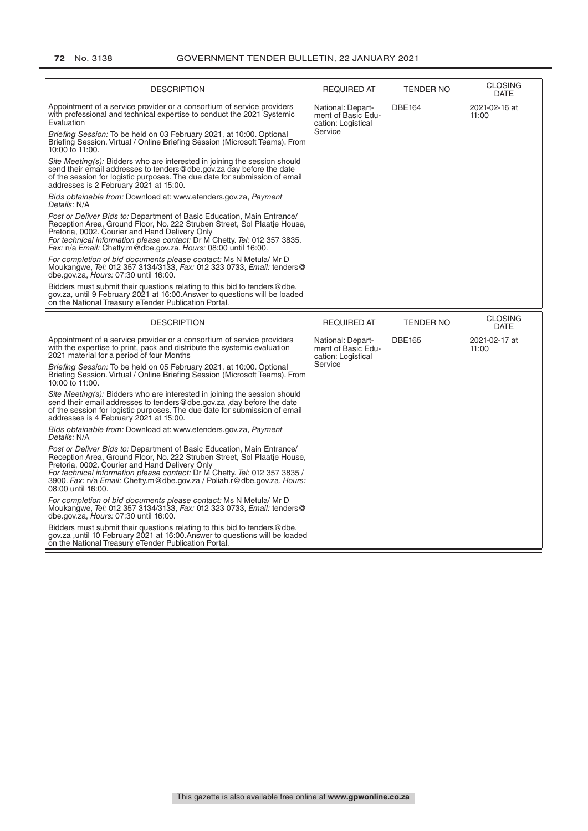| <b>DESCRIPTION</b>                                                                                                                                                                                                                                                                                                                                                                  | <b>REQUIRED AT</b>                                                       | TENDER NO        | <b>CLOSING</b><br><b>DATE</b> |
|-------------------------------------------------------------------------------------------------------------------------------------------------------------------------------------------------------------------------------------------------------------------------------------------------------------------------------------------------------------------------------------|--------------------------------------------------------------------------|------------------|-------------------------------|
| Appointment of a service provider or a consortium of service providers<br>with professional and technical expertise to conduct the 2021 Systemic<br>Evaluation                                                                                                                                                                                                                      | National: Depart-<br>ment of Basic Edu-<br>cation: Logistical<br>Service | <b>DBE164</b>    | 2021-02-16 at<br>11:00        |
| Briefing Session: To be held on 03 February 2021, at 10:00. Optional<br>Briefing Session. Virtual / Online Briefing Session (Microsoft Teams). From<br>10:00 to 11:00.                                                                                                                                                                                                              |                                                                          |                  |                               |
| Site Meeting(s): Bidders who are interested in joining the session should<br>send their email addresses to tenders@dbe.gov.za day before the date<br>of the session for logistic purposes. The due date for submission of email<br>addresses is 2 February 2021 at 15:00.                                                                                                           |                                                                          |                  |                               |
| Bids obtainable from: Download at: www.etenders.gov.za, Payment<br>Details: N/A                                                                                                                                                                                                                                                                                                     |                                                                          |                  |                               |
| Post or Deliver Bids to: Department of Basic Education, Main Entrance/<br>Reception Area, Ground Floor, No. 222 Struben Street, Sol Plaatje House,<br>Pretoria, 0002. Courier and Hand Delivery Only<br>For technical information please contact: Dr M Chetty. Tel: 012 357 3835.<br>Fax: n/a Email: Chetty.m@dbe.gov.za. Hours: 08:00 until 16:00.                                 |                                                                          |                  |                               |
| For completion of bid documents please contact: Ms N Metula/ Mr D<br>Moukangwe, Tel: 012 357 3134/3133, Fax: 012 323 0733, Email: tenders@<br>dbe.gov.za, Hours: 07:30 until 16:00.                                                                                                                                                                                                 |                                                                          |                  |                               |
| Bidders must submit their questions relating to this bid to tenders@dbe.<br>gov.za, until 9 February 2021 at 16:00. Answer to questions will be loaded<br>on the National Treasury eTender Publication Portal.                                                                                                                                                                      |                                                                          |                  |                               |
| <b>DESCRIPTION</b>                                                                                                                                                                                                                                                                                                                                                                  | <b>REQUIRED AT</b>                                                       | <b>TENDER NO</b> | <b>CLOSING</b><br><b>DATE</b> |
|                                                                                                                                                                                                                                                                                                                                                                                     | National: Depart-<br>ment of Basic Edu-<br>cation: Logistical            |                  |                               |
| Appointment of a service provider or a consortium of service providers<br>with the expertise to print, pack and distribute the systemic evaluation<br>2021 material for a period of four Months                                                                                                                                                                                     |                                                                          | <b>DBE165</b>    | 2021-02-17 at<br>11:00        |
| Briefing Session: To be held on 05 February 2021, at 10:00. Optional<br>Briefing Session. Virtual / Online Briefing Session (Microsoft Teams). From<br>10:00 to 11:00.                                                                                                                                                                                                              | Service                                                                  |                  |                               |
| Site Meeting(s): Bidders who are interested in joining the session should<br>send their email addresses to tenders@dbe.gov.za,day before the date<br>of the session for logistic purposes. The due date for submission of email<br>addresses is 4 February 2021 at 15:00.                                                                                                           |                                                                          |                  |                               |
| Bids obtainable from: Download at: www.etenders.gov.za, Payment<br>Details: N/A                                                                                                                                                                                                                                                                                                     |                                                                          |                  |                               |
| Post or Deliver Bids to: Department of Basic Education, Main Entrance/<br>Reception Area, Ground Floor, No. 222 Struben Street, Sol Plaatje House,<br>Pretoria, 0002. Courier and Hand Delivery Only<br>For technical information please contact: Dr M Chetty. Tel: 012 357 3835 /<br>3900. Fax: n/a Email: Chetty.m@dbe.gov.za / Poliah.r@dbe.gov.za. Hours:<br>08:00 until 16:00. |                                                                          |                  |                               |
| For completion of bid documents please contact: Ms N Metula/ Mr D<br>Moukangwe, Tel: 012 357 3134/3133, Fax: 012 323 0733, Email: tenders@<br>dbe.gov.za, Hours: 07:30 until 16:00.                                                                                                                                                                                                 |                                                                          |                  |                               |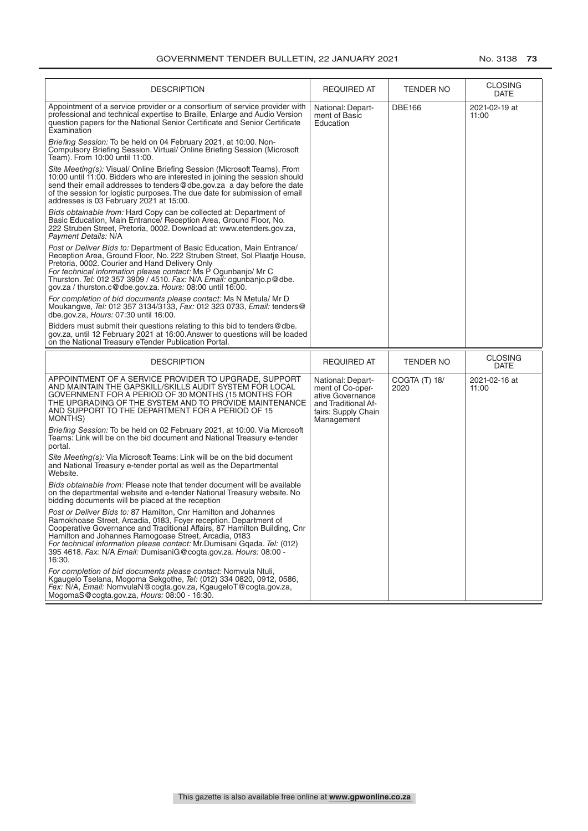| <b>DESCRIPTION</b>                                                                                                                                                                                                                                                                                                                                                                                                                 | <b>REQUIRED AT</b>                                                                                                    | TENDER NO             | <b>CLOSING</b><br><b>DATE</b> |
|------------------------------------------------------------------------------------------------------------------------------------------------------------------------------------------------------------------------------------------------------------------------------------------------------------------------------------------------------------------------------------------------------------------------------------|-----------------------------------------------------------------------------------------------------------------------|-----------------------|-------------------------------|
| Appointment of a service provider or a consortium of service provider with<br>professional and technical expertise to Braille, Enlarge and Audio Version<br>question papers for the National Senior Certificate and Senior Certificate<br>Examination                                                                                                                                                                              | National: Depart-<br>ment of Basic<br>Education                                                                       | <b>DBE166</b>         | 2021-02-19 at<br>11:00        |
| Briefing Session: To be held on 04 February 2021, at 10:00. Non-<br>Compulsory Briefing Session. Virtual/ Online Briefing Session (Microsoft<br>Team). From 10:00 until 11:00.                                                                                                                                                                                                                                                     |                                                                                                                       |                       |                               |
| Site Meeting(s): Visual/ Online Briefing Session (Microsoft Teams). From<br>10:00 until 11:00. Bidders who are interested in joining the session should<br>send their email addresses to tenders@dbe.gov.za a day before the date<br>of the session for logistic purposes. The due date for submission of email<br>addresses is 03 February 2021 at 15:00.                                                                         |                                                                                                                       |                       |                               |
| Bids obtainable from: Hard Copy can be collected at: Department of<br>Basic Education, Main Entrance/ Reception Area, Ground Floor, No.<br>222 Struben Street, Pretoria, 0002. Download at: www.etenders.gov.za,<br>Payment Details: N/A                                                                                                                                                                                           |                                                                                                                       |                       |                               |
| Post or Deliver Bids to: Department of Basic Education, Main Entrance/<br>Reception Area, Ground Floor, No. 222 Struben Street, Sol Plaatie House,<br>Pretoria, 0002. Courier and Hand Delivery Only<br>For technical information please contact: Ms P Ogunbanjo/ Mr C<br>Thurston. Tel: 012 357 3909 / 4510. Fax: N/A Email: ogunbanjo.p@dbe.<br>gov.za / thurston.c@dbe.gov.za. Hours: 08:00 until 16:00.                        |                                                                                                                       |                       |                               |
| For completion of bid documents please contact: Ms N Metula/ Mr D<br>Moukangwe, Tel: 012 357 3134/3133, Fax: 012 323 0733, Email: tenders@<br>dbe.gov.za, Hours: 07:30 until 16:00.                                                                                                                                                                                                                                                |                                                                                                                       |                       |                               |
| Bidders must submit their questions relating to this bid to tenders @dbe.<br>gov.za, until 12 February 2021 at 16:00. Answer to questions will be loaded<br>on the National Treasury eTender Publication Portal.                                                                                                                                                                                                                   |                                                                                                                       |                       |                               |
| <b>DESCRIPTION</b>                                                                                                                                                                                                                                                                                                                                                                                                                 | <b>REQUIRED AT</b>                                                                                                    | TENDER NO             | <b>CLOSING</b><br><b>DATE</b> |
| APPOINTMENT OF A SERVICE PROVIDER TO UPGRADE, SUPPORT<br>AND MAINTAIN THE GAPSKILL/SKILLS AUDIT SYSTEM FOR LOCAL<br>GOVERNMENT FOR A PERIOD OF 30 MONTHS (15 MONTHS FOR<br>THE UPGRADING OF THE SYSTEM AND TO PROVIDE MAINTENANCE<br>AND SUPPORT TO THE DEPARTMENT FOR A PERIOD OF 15<br>MONTHS)                                                                                                                                   | National: Depart-<br>ment of Co-oper-<br>ative Governance<br>and Traditional Af-<br>fairs: Supply Chain<br>Management | COGTA (T) 18/<br>2020 | 2021-02-16 at<br>11:00        |
| Briefing Session: To be held on 02 February 2021, at 10:00. Via Microsoft<br>Teams: Link will be on the bid document and National Treasury e-tender<br>portal.                                                                                                                                                                                                                                                                     |                                                                                                                       |                       |                               |
| Site Meeting(s): Via Microsoft Teams: Link will be on the bid document<br>and National Treasury e-tender portal as well as the Departmental<br>Website.                                                                                                                                                                                                                                                                            |                                                                                                                       |                       |                               |
| Bids obtainable from: Please note that tender document will be available<br>on the departmental website and e-tender National Treasury website. No<br>bidding documents will be placed at the reception                                                                                                                                                                                                                            |                                                                                                                       |                       |                               |
| Post or Deliver Bids to: 87 Hamilton, Cnr Hamilton and Johannes<br>Ramokhoase Street, Arcadia, 0183, Foyer reception. Department of<br>Cooperative Governance and Traditional Affairs, 87 Hamilton Building, Cnr<br>Hamilton and Johannes Ramogoase Street, Arcadia, 0183<br>For technical information please contact: Mr.Dumisani Ggada. Tel: (012)<br>395 4618. Fax: N/A Email: DumisaniG@cogta.gov.za. Hours: 08:00 -<br>16:30. |                                                                                                                       |                       |                               |
| For completion of bid documents please contact: Nomvula Ntuli,<br>Kgaugelo Tselana, Mogoma Sekgothe, Tel: (012) 334 0820, 0912, 0586,<br>Fax: N/A, Email: NomvulaN@cogta.gov.za, KgaugeloT@cogta.gov.za,                                                                                                                                                                                                                           |                                                                                                                       |                       |                               |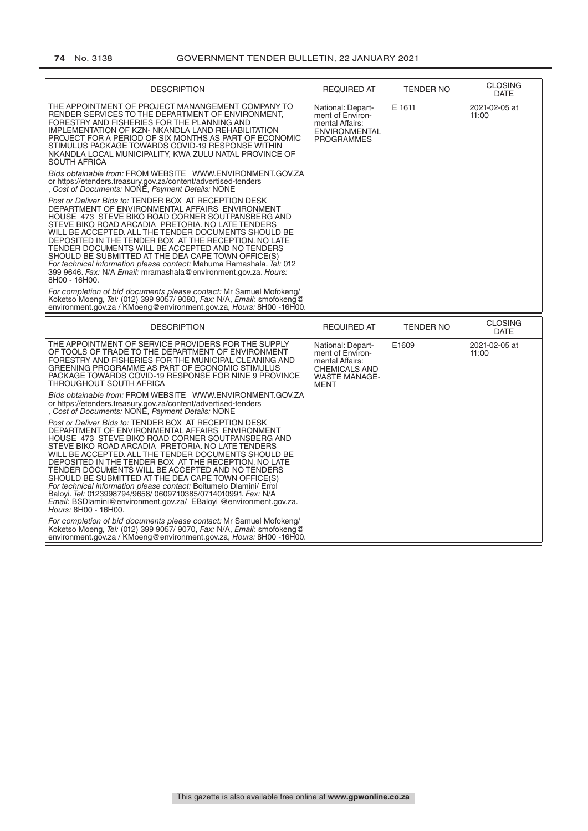# **74** No. 3138 GOVERNMENT TENDER BULLETIN, 22 JANUARY 2021

| <b>DESCRIPTION</b>                                                                                                                                                                                                                                                                                                                                                                                                                                                                                                                                                                                                                                                                                                                                       | <b>REQUIRED AT</b>                                                                                                      | <b>TENDER NO</b> | <b>CLOSING</b><br><b>DATE</b> |
|----------------------------------------------------------------------------------------------------------------------------------------------------------------------------------------------------------------------------------------------------------------------------------------------------------------------------------------------------------------------------------------------------------------------------------------------------------------------------------------------------------------------------------------------------------------------------------------------------------------------------------------------------------------------------------------------------------------------------------------------------------|-------------------------------------------------------------------------------------------------------------------------|------------------|-------------------------------|
| THE APPOINTMENT OF PROJECT MANANGEMENT COMPANY TO<br>RENDER SERVICES TO THE DEPARTMENT OF ENVIRONMENT.<br>FORESTRY AND FISHERIES FOR THE PLANNING AND<br>IMPLEMENTATION OF KZN- NKANDLA LAND REHABILITATION<br>PROJECT FOR A PERIOD OF SIX MONTHS AS PART OF ECONOMIC<br>STIMULUS PACKAGE TOWARDS COVID-19 RESPONSE WITHIN<br>NKANDLA LOCAL MUNICIPALITY, KWA ZULU NATAL PROVINCE OF<br><b>SOUTH AFRICA</b>                                                                                                                                                                                                                                                                                                                                              | National: Depart-<br>ment of Environ-<br>mental Affairs:<br><b>ENVIRONMENTAL</b><br><b>PROGRAMMES</b>                   | E 1611           | 2021-02-05 at<br>11:00        |
| Bids obtainable from: FROM WEBSITE WWW.ENVIRONMENT.GOV.ZA<br>or https://etenders.treasury.gov.za/content/advertised-tenders<br>Cost of Documents: NONE, Payment Details: NONE                                                                                                                                                                                                                                                                                                                                                                                                                                                                                                                                                                            |                                                                                                                         |                  |                               |
| Post or Deliver Bids to: TENDER BOX AT RECEPTION DESK<br>DEPARTMENT OF ENVIRONMENTAL AFFAIRS ENVIRONMENT<br>HOUSE  473  STEVE BIKO ROAD CORNER SOUTPANSBERG AND<br>STEVE BIKO ROAD ARCADIA PRETORIA. NO LATE TENDERS<br>WILL BE ACCEPTED. ALL THE TENDER DOCUMENTS SHOULD BE<br>DEPOSITED IN THE TENDER BOX AT THE RECEPTION. NO LATE<br>TENDER DOCUMENTS WILL BE ACCEPTED AND NO TENDERS<br>SHOULD BE SUBMITTED AT THE DEA CAPE TOWN OFFICE(S)<br>For technical information please contact: Mahuma Ramashala. Tel: 012<br>399 9646. Fax: N/A Email: mramashala@environment.gov.za. Hours:<br>8H00 - 16H00.                                                                                                                                              |                                                                                                                         |                  |                               |
| For completion of bid documents please contact: Mr Samuel Mofokeng/<br>Koketso Moeng, Tel: (012) 399 9057/ 9080, Fax: N/A, Email: smofokeng@<br>environment.gov.za / KMoeng@environment.gov.za, Hours: 8H00 -16H00.                                                                                                                                                                                                                                                                                                                                                                                                                                                                                                                                      |                                                                                                                         |                  |                               |
|                                                                                                                                                                                                                                                                                                                                                                                                                                                                                                                                                                                                                                                                                                                                                          |                                                                                                                         |                  |                               |
| <b>DESCRIPTION</b>                                                                                                                                                                                                                                                                                                                                                                                                                                                                                                                                                                                                                                                                                                                                       | <b>REQUIRED AT</b>                                                                                                      | <b>TENDER NO</b> | <b>CLOSING</b><br><b>DATE</b> |
| THE APPOINTMENT OF SERVICE PROVIDERS FOR THE SUPPLY<br>OF TOOLS OF TRADE TO THE DEPARTMENT OF ENVIRONMENT<br>FORESTRY AND FISHERIES FOR THE MUNICIPAL CLEANING AND<br>GREENING PROGRAMME AS PART OF ECONOMIC STIMULUS<br>PACKAGE TOWARDS COVID-19 RESPONSE FOR NINE 9 PROVINCE<br>THROUGHOUT SOUTH AFRICA                                                                                                                                                                                                                                                                                                                                                                                                                                                | National: Depart-<br>ment of Environ-<br>mental Affairs:<br><b>CHEMICALS AND</b><br><b>WASTE MANAGE-</b><br><b>MENT</b> | E1609            | 2021-02-05 at<br>11:00        |
| Bids obtainable from: FROM WEBSITE WWW.ENVIRONMENT.GOV.ZA<br>or https://etenders.treasury.gov.za/content/advertised-tenders<br>, Cost of Documents: NONE, Payment Details: NONE                                                                                                                                                                                                                                                                                                                                                                                                                                                                                                                                                                          |                                                                                                                         |                  |                               |
| Post or Deliver Bids to: TENDER BOX AT RECEPTION DESK<br>DEPARTMENT OF ENVIRONMENTAL AFFAIRS ENVIRONMENT<br>HOUSE 473 STEVE BIKO ROAD CORNER SOUTPANSBERG AND<br>STEVE BIKO ROAD ARCADIA PRETORIA. NO LATE TENDERS<br>WILL BE ACCEPTED. ALL THE TENDER DOCUMENTS SHOULD BE<br>DEPOSITED IN THE TENDER BOX AT THE RECEPTION. NO LATE<br>TENDER DOCUMENTS WILL BE ACCEPTED AND NO TENDERS<br>SHOULD BE SUBMITTED AT THE DEA CAPE TOWN OFFICE(S)<br>For technical information please contact: Boitumelo Dlamini/ Errol<br>Baloyi. Tel: 0123998794/9658/ 0609710385/0714010991. Fax: N/A<br>Email: BSDlamini@environment.gov.za/ EBaloyi @environment.gov.za.<br>Hours: 8H00 - 16H00.<br>For completion of bid documents please contact: Mr Samuel Mofokeng/ |                                                                                                                         |                  |                               |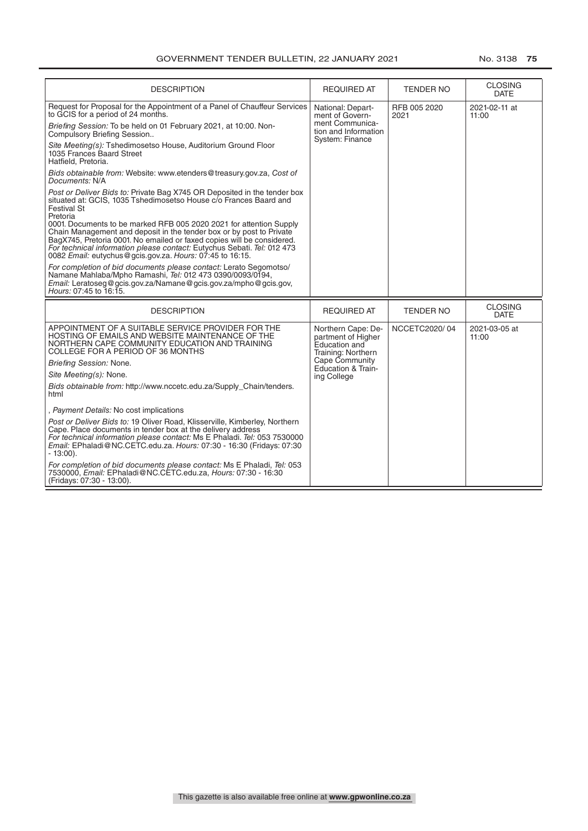| <b>DESCRIPTION</b>                                                                                                                                                                                                                                                                                                                                                                                                                                                                                                                              | <b>REQUIRED AT</b>                                                              | <b>TENDER NO</b>     | <b>CLOSING</b><br><b>DATE</b> |
|-------------------------------------------------------------------------------------------------------------------------------------------------------------------------------------------------------------------------------------------------------------------------------------------------------------------------------------------------------------------------------------------------------------------------------------------------------------------------------------------------------------------------------------------------|---------------------------------------------------------------------------------|----------------------|-------------------------------|
| Request for Proposal for the Appointment of a Panel of Chauffeur Services<br>to GCIS for a period of 24 months.                                                                                                                                                                                                                                                                                                                                                                                                                                 | National: Depart-<br>ment of Govern-<br>ment Communica-                         | RFB 005 2020<br>2021 | 2021-02-11 at<br>11:00        |
| Briefing Session: To be held on 01 February 2021, at 10:00. Non-<br>Compulsory Briefing Session                                                                                                                                                                                                                                                                                                                                                                                                                                                 | tion and Information<br>System: Finance                                         |                      |                               |
| Site Meeting(s): Tshedimosetso House, Auditorium Ground Floor<br>1035 Frances Baard Street<br>Hatfield, Pretoria.                                                                                                                                                                                                                                                                                                                                                                                                                               |                                                                                 |                      |                               |
| Bids obtainable from: Website: www.etenders@treasury.gov.za, Cost of<br>Documents: N/A                                                                                                                                                                                                                                                                                                                                                                                                                                                          |                                                                                 |                      |                               |
| Post or Deliver Bids to: Private Bag X745 OR Deposited in the tender box<br>situated at: GCIS, 1035 Tshedimosetso House c/o Frances Baard and<br><b>Festival St</b><br>Pretoria<br>0001. Documents to be marked RFB 005 2020 2021 for attention Supply<br>Chain Management and deposit in the tender box or by post to Private<br>BagX745, Pretoria 0001. No emailed or faxed copies will be considered.<br>For technical information please contact: Eutychus Sebati. Tel: 012 473<br>0082 Email: eutychus@gcis.gov.za. Hours: 07:45 to 16:15. |                                                                                 |                      |                               |
| For completion of bid documents please contact: Lerato Segomotso/<br>Namane Mahlaba/Mpho Ramashi, Tel: 012 473 0390/0093/0194,<br>Email: Leratoseg@gcis.gov.za/Namane@gcis.gov.za/mpho@gcis.gov,<br>Hours: 07:45 to 16:15.                                                                                                                                                                                                                                                                                                                      |                                                                                 |                      |                               |
| <b>DESCRIPTION</b>                                                                                                                                                                                                                                                                                                                                                                                                                                                                                                                              | <b>REQUIRED AT</b>                                                              | <b>TENDER NO</b>     | <b>CLOSING</b><br><b>DATE</b> |
| APPOINTMENT OF A SUITABLE SERVICE PROVIDER FOR THE<br>HOSTING OF EMAILS AND WEBSITE MAINTENANCE OF THE<br>NORTHERN CAPE COMMUNITY EDUCATION AND TRAINING<br>COLLEGE FOR A PERIOD OF 36 MONTHS                                                                                                                                                                                                                                                                                                                                                   | Northern Cape: De-<br>partment of Higher<br>Education and<br>Training: Northern | NCCETC2020/04        | 2021-03-05 at<br>11:00        |
| Briefing Session: None.                                                                                                                                                                                                                                                                                                                                                                                                                                                                                                                         | Cape Community<br>Education & Train-                                            |                      |                               |
| Site Meeting(s): None.                                                                                                                                                                                                                                                                                                                                                                                                                                                                                                                          | ing College                                                                     |                      |                               |
| Bids obtainable from: http://www.nccetc.edu.za/Supply Chain/tenders.<br>html                                                                                                                                                                                                                                                                                                                                                                                                                                                                    |                                                                                 |                      |                               |
| , Payment Details: No cost implications                                                                                                                                                                                                                                                                                                                                                                                                                                                                                                         |                                                                                 |                      |                               |
| Post or Deliver Bids to: 19 Oliver Road, Klisserville, Kimberley, Northern<br>Cape. Place documents in tender box at the delivery address<br>For technical information please contact: Ms E Phaladi. Tel: 053 7530000<br>Email: EPhaladi@NC.CETC.edu.za. Hours: 07:30 - 16:30 (Fridays: 07:30<br>$-13:00$ ).                                                                                                                                                                                                                                    |                                                                                 |                      |                               |
| For completion of bid documents please contact: Ms E Phaladi, Tel: 053<br>7530000, Email: EPhaladi@NC.CETC.edu.za, Hours: 07:30 - 16:30<br>(Fridays: 07:30 - 13:00).                                                                                                                                                                                                                                                                                                                                                                            |                                                                                 |                      |                               |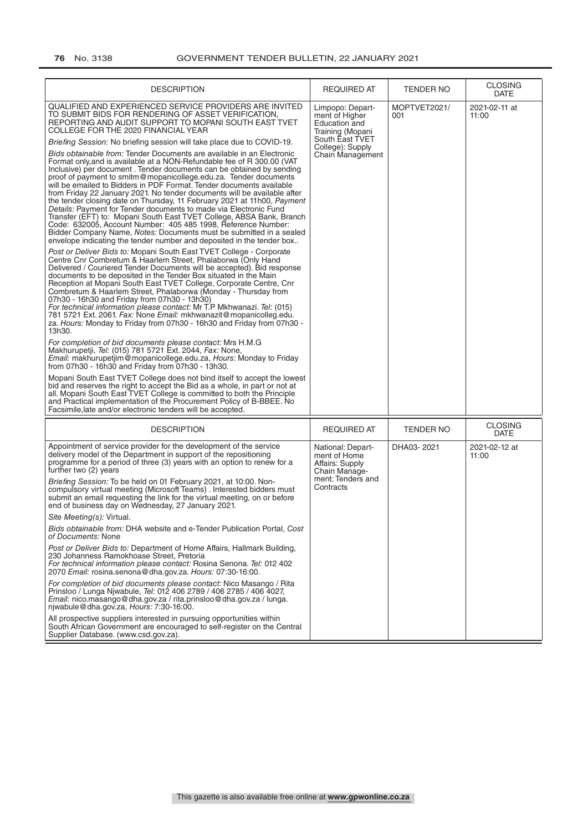| <b>DESCRIPTION</b>                                                                                                                                                                                                                                                                                                                                                                                                                                                                                                                                                                                                                                                                                                                                                                                                                                                                                                                                                                                                                                                                                                                                                                                                                                                                                                                                                                                                                                                                                                                                                                                                                                                                                                                                                                                                                                                                                                                                                                                                                                                                                                                                                                                                                                                                                                                                                                                                                                                                                                                  | <b>REQUIRED AT</b>                                                                                                                 | <b>TENDER NO</b>    | <b>CLOSING</b><br>DATE        |
|-------------------------------------------------------------------------------------------------------------------------------------------------------------------------------------------------------------------------------------------------------------------------------------------------------------------------------------------------------------------------------------------------------------------------------------------------------------------------------------------------------------------------------------------------------------------------------------------------------------------------------------------------------------------------------------------------------------------------------------------------------------------------------------------------------------------------------------------------------------------------------------------------------------------------------------------------------------------------------------------------------------------------------------------------------------------------------------------------------------------------------------------------------------------------------------------------------------------------------------------------------------------------------------------------------------------------------------------------------------------------------------------------------------------------------------------------------------------------------------------------------------------------------------------------------------------------------------------------------------------------------------------------------------------------------------------------------------------------------------------------------------------------------------------------------------------------------------------------------------------------------------------------------------------------------------------------------------------------------------------------------------------------------------------------------------------------------------------------------------------------------------------------------------------------------------------------------------------------------------------------------------------------------------------------------------------------------------------------------------------------------------------------------------------------------------------------------------------------------------------------------------------------------------|------------------------------------------------------------------------------------------------------------------------------------|---------------------|-------------------------------|
| QUALIFIED AND EXPERIENCED SERVICE PROVIDERS ARE INVITED<br>TO SUBMIT BIDS FOR RENDERING OF ASSET VERIFICATION,<br>REPORTING AND AUDIT SUPPORT TO MOPANI SOUTH EAST TVET<br>COLLEGE FOR THE 2020 FINANCIAL YEAR<br>Briefing Session: No briefing session will take place due to COVID-19.<br>Bids obtainable from: Tender Documents are available in an Electronic<br>Format only, and is available at a NON-Refundable fee of R 300.00 (VAT<br>Inclusive) per document . Tender documents can be obtained by sending<br>proof of payment to smitm@mopanicollege.edu.za. Tender documents<br>will be emailed to Bidders in PDF Format. Tender documents available<br>from Friday 22 January 2021. No tender documents will be available after<br>the tender closing date on Thursday, 11 February 2021 at 11h00, Payment<br>Details: Payment for Tender documents to made via Electronic Fund<br>Transfer (EFT) to: Mopani South East TVET College, ABSA Bank, Branch<br>Code: 632005, Account Number: 405 485 1998, Reference Number:<br>Bidder Company Name, Notes: Documents must be submitted in a sealed<br>envelope indicating the tender number and deposited in the tender box<br>Post or Deliver Bids to: Mopani South East TVET College - Corporate<br>Centre Cnr Combretum & Haarlem Street, Phalaborwa (Only Hand<br>Delivered / Couriered Tender Documents will be accepted). Bid response<br>documents to be deposited in the Tender Box situated in the Main<br>Reception at Mopani South East TVET College, Corporate Centre, Cnr<br>Combretum & Haarlem Street, Phalaborwa (Monday - Thursday from<br>07h30 - 16h30 and Friday from 07h30 - 13h30)<br>For technical information please contact: Mr T.P Mkhwanazi. Tel: (015)<br>781 5721 Ext. 2061. Fax: None Email: mkhwanazit@mopanicolleg.edu.<br>za. Hours: Monday to Friday from 07h30 - 16h30 and Friday from 07h30 -<br>13h30.<br>For completion of bid documents please contact: Mrs H.M.G<br>Makhurupetii, Tel: (015) 781 5721 Ext. 2044, Fax: None,<br>Email: makhurupetjim@mopanicollege.edu.za, Hours: Monday to Friday<br>from 07h30 - 16h30 and Friday from 07h30 - 13h30.<br>Mopani South East TVET College does not bind itself to accept the lowest<br>bid and reserves the right to accept the Bid as a whole, in part or not at<br>all. Mopani South East TVET College is committed to both the Principle<br>and Practical implementation of the Procurement Policy of B-BBEE. No<br>Facsimile, late and/or electronic tenders will be accepted. | Limpopo: Depart-<br>ment of Higher<br>Education and<br>Training (Mopani<br>South East TVET<br>College): Supply<br>Chain Management | MOPTVET2021/<br>001 | 2021-02-11 at<br>11:00        |
| <b>DESCRIPTION</b>                                                                                                                                                                                                                                                                                                                                                                                                                                                                                                                                                                                                                                                                                                                                                                                                                                                                                                                                                                                                                                                                                                                                                                                                                                                                                                                                                                                                                                                                                                                                                                                                                                                                                                                                                                                                                                                                                                                                                                                                                                                                                                                                                                                                                                                                                                                                                                                                                                                                                                                  | <b>REQUIRED AT</b>                                                                                                                 | <b>TENDER NO</b>    | <b>CLOSING</b><br><b>DATE</b> |
| Appointment of service provider for the development of the service<br>delivery model of the Department in support of the repositioning<br>programme for a period of three (3) years with an option to renew for a<br>further two (2) years<br>Briefing Session: To be held on 01 February 2021, at 10:00. Non-<br>compulsory virtual meeting (Microsoft Teams). Interested bidders must<br>submit an email requesting the link for the virtual meeting, on or before<br>end of business day on Wednesday, 27 January 2021.                                                                                                                                                                                                                                                                                                                                                                                                                                                                                                                                                                                                                                                                                                                                                                                                                                                                                                                                                                                                                                                                                                                                                                                                                                                                                                                                                                                                                                                                                                                                                                                                                                                                                                                                                                                                                                                                                                                                                                                                          | National: Depart-<br>ment of Home<br>Affairs: Supply<br>Chain Manage-<br>ment: Tenders and<br>Contracts                            | DHA03-2021          | 2021-02-12 at<br>11:00        |
| Site Meeting(s): Virtual.                                                                                                                                                                                                                                                                                                                                                                                                                                                                                                                                                                                                                                                                                                                                                                                                                                                                                                                                                                                                                                                                                                                                                                                                                                                                                                                                                                                                                                                                                                                                                                                                                                                                                                                                                                                                                                                                                                                                                                                                                                                                                                                                                                                                                                                                                                                                                                                                                                                                                                           |                                                                                                                                    |                     |                               |
| Bids obtainable from: DHA website and e-Tender Publication Portal, Cost<br>of Documents: None                                                                                                                                                                                                                                                                                                                                                                                                                                                                                                                                                                                                                                                                                                                                                                                                                                                                                                                                                                                                                                                                                                                                                                                                                                                                                                                                                                                                                                                                                                                                                                                                                                                                                                                                                                                                                                                                                                                                                                                                                                                                                                                                                                                                                                                                                                                                                                                                                                       |                                                                                                                                    |                     |                               |
| Post or Deliver Bids to: Department of Home Affairs, Hallmark Building,<br>230 Johanness Ramokhoase Street, Pretoria<br>For technical information please contact: Rosina Senona. Tel: 012 402<br>2070 Email: rosina.senona@dha.gov.za. Hours: 07:30-16:00.                                                                                                                                                                                                                                                                                                                                                                                                                                                                                                                                                                                                                                                                                                                                                                                                                                                                                                                                                                                                                                                                                                                                                                                                                                                                                                                                                                                                                                                                                                                                                                                                                                                                                                                                                                                                                                                                                                                                                                                                                                                                                                                                                                                                                                                                          |                                                                                                                                    |                     |                               |
| For completion of bid documents please contact: Nico Masango / Rita<br>Prinsloo / Lunga Njwabule, Tel: 012 406 2789 / 406 2785 / 406 4027,<br>Email: nico.masango@dha.gov.za / rita.prinsloo@dha.gov.za / lunga.<br>niwabule@dha.gov.za, Hours: 7:30-16:00.                                                                                                                                                                                                                                                                                                                                                                                                                                                                                                                                                                                                                                                                                                                                                                                                                                                                                                                                                                                                                                                                                                                                                                                                                                                                                                                                                                                                                                                                                                                                                                                                                                                                                                                                                                                                                                                                                                                                                                                                                                                                                                                                                                                                                                                                         |                                                                                                                                    |                     |                               |
| All prospective suppliers interested in pursuing opportunities within<br>South African Government are encouraged to self-register on the Central<br>Supplier Database. (www.csd.gov.za).                                                                                                                                                                                                                                                                                                                                                                                                                                                                                                                                                                                                                                                                                                                                                                                                                                                                                                                                                                                                                                                                                                                                                                                                                                                                                                                                                                                                                                                                                                                                                                                                                                                                                                                                                                                                                                                                                                                                                                                                                                                                                                                                                                                                                                                                                                                                            |                                                                                                                                    |                     |                               |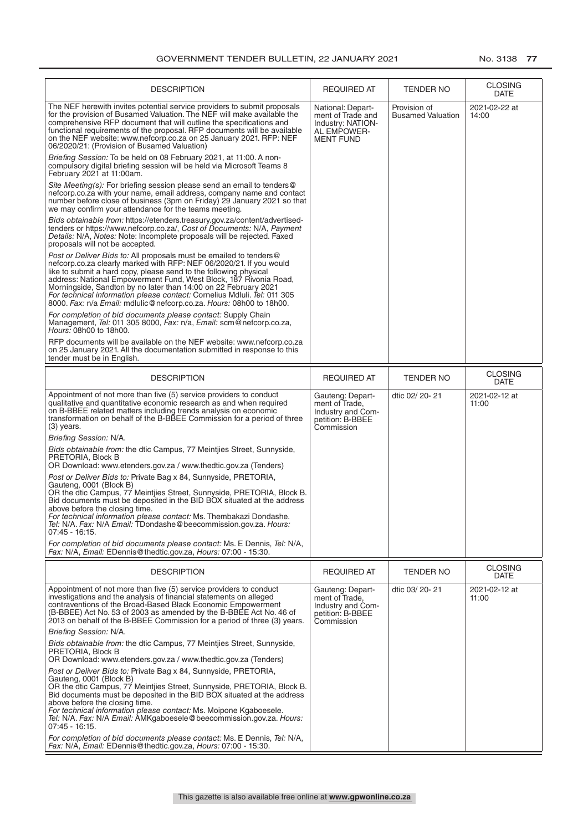| <b>DESCRIPTION</b>                                                                                                                                                                                                                                                                                                                                                                                                                                                                                        | <b>REQUIRED AT</b>                                                                             | <b>TENDER NO</b>                         | <b>CLOSING</b><br><b>DATE</b> |
|-----------------------------------------------------------------------------------------------------------------------------------------------------------------------------------------------------------------------------------------------------------------------------------------------------------------------------------------------------------------------------------------------------------------------------------------------------------------------------------------------------------|------------------------------------------------------------------------------------------------|------------------------------------------|-------------------------------|
| The NEF herewith invites potential service providers to submit proposals<br>for the provision of Busamed Valuation. The NEF will make available the<br>comprehensive RFP document that will outline the specifications and<br>functional requirements of the proposal. RFP documents will be available<br>on the NEF website: www.nefcorp.co.za on 25 January 2021. RFP: NEF<br>06/2020/21: (Provision of Busamed Valuation)                                                                              | National: Depart-<br>ment of Trade and<br>Industry: NATION-<br>AL EMPOWER-<br><b>MENT FUND</b> | Provision of<br><b>Busamed Valuation</b> | 2021-02-22 at<br>14:00        |
| Briefing Session: To be held on 08 February 2021, at 11:00. A non-<br>compulsory digital briefing session will be held via Microsoft Teams 8<br>February 2021 at 11:00am.                                                                                                                                                                                                                                                                                                                                 |                                                                                                |                                          |                               |
| Site Meeting(s): For briefing session please send an email to tenders@<br>nefcorp.co.za with your name, email address, company name and contact<br>number before close of business (3pm on Friday) 29 January 2021 so that<br>we may confirm your attendance for the teams meeting.                                                                                                                                                                                                                       |                                                                                                |                                          |                               |
| Bids obtainable from: https://etenders.treasury.gov.za/content/advertised-<br>tenders or https://www.nefcorp.co.za/, Cost of Documents: N/A, Payment<br>Details: N/A, Notes: Note: Incomplete proposals will be rejected. Faxed<br>proposals will not be accepted.                                                                                                                                                                                                                                        |                                                                                                |                                          |                               |
| Post or Deliver Bids to: All proposals must be emailed to tenders@<br>nefcorp.co.za clearly marked with RFP: NEF 06/2020/21. If you would<br>like to submit a hard copy, please send to the following physical<br>address: National Empowerment Fund, West Block, 187 Rivonia Road,<br>Morningside, Sandton by no later than 14:00 on 22 February 2021<br>For technical information please contact: Cornelius Mdluli. Tel: 011 305<br>8000. Fax: n/a Email: mdlulic@nefcorp.co.za. Hours: 08h00 to 18h00. |                                                                                                |                                          |                               |
| For completion of bid documents please contact: Supply Chain<br>Management, Tel: 011 305 8000, Fax: n/a, Email: scm@nefcorp.co.za,<br>Hours: 08h00 to 18h00.                                                                                                                                                                                                                                                                                                                                              |                                                                                                |                                          |                               |
| RFP documents will be available on the NEF website: www.nefcorp.co.za<br>on 25 January 2021. All the documentation submitted in response to this<br>tender must be in English.                                                                                                                                                                                                                                                                                                                            |                                                                                                |                                          |                               |
| <b>DESCRIPTION</b>                                                                                                                                                                                                                                                                                                                                                                                                                                                                                        | <b>REQUIRED AT</b>                                                                             | TENDER NO                                | <b>CLOSING</b><br><b>DATE</b> |
| Appointment of not more than five (5) service providers to conduct<br>qualitative and quantitative economic research as and when required<br>on B-BBEE related matters including trends analysis on economic<br>transformation on behalf of the B-BBEE Commission for a period of three<br>$(3)$ years.                                                                                                                                                                                                   | Gauteng: Depart-<br>ment of Trade.<br>Industry and Com-<br>petition: B-BBEE<br>Commission      | dtic 02/ 20- 21                          | 2021-02-12 at<br>11:00        |
| Briefing Session: N/A.                                                                                                                                                                                                                                                                                                                                                                                                                                                                                    |                                                                                                |                                          |                               |
| Bids obtainable from: the dtic Campus, 77 Meintijes Street, Sunnyside,<br>PRETORIA, Block B<br>OR Download: www.etenders.gov.za / www.thedtic.gov.za (Tenders)                                                                                                                                                                                                                                                                                                                                            |                                                                                                |                                          |                               |
| Post or Deliver Bids to: Private Bag x 84, Sunnyside, PRETORIA,<br>Gauteng, 0001 (Block B)<br>OR the dtic Campus, 77 Meintjies Street, Sunnyside, PRETORIA, Block B.<br>Bid documents must be deposited in the BID BOX situated at the address<br>above before the closing time.<br>For technical information please contact: Ms. Thembakazi Dondashe.<br>Tel: N/A. Fax: N/A Email: TDondashe@beecommission.gov.za. Hours:<br>$07:45 - 16:15$ .                                                           |                                                                                                |                                          |                               |
| For completion of bid documents please contact: Ms. E Dennis, Tel: N/A,<br>Fax: N/A, Email: EDennis@thedtic.gov.za, Hours: 07:00 - 15:30.                                                                                                                                                                                                                                                                                                                                                                 |                                                                                                |                                          |                               |
| <b>DESCRIPTION</b>                                                                                                                                                                                                                                                                                                                                                                                                                                                                                        | <b>REQUIRED AT</b>                                                                             | TENDER NO                                | <b>CLOSING</b><br><b>DATE</b> |
| Appointment of not more than five (5) service providers to conduct<br>investigations and the analysis of financial statements on alleged<br>contraventions of the Broad-Based Black Economic Empowerment<br>(B-BBEE) Act No. 53 of 2003 as amended by the B-BBEE Act No. 46 of<br>2013 on behalf of the B-BBEE Commission for a period of three (3) years.                                                                                                                                                | Gauteng: Depart-<br>ment of Trade,<br>Industry and Com-<br>petition: B-BBEE<br>Commission      | dtic 03/20-21                            | 2021-02-12 at<br>11:00        |
| Briefing Session: N/A.                                                                                                                                                                                                                                                                                                                                                                                                                                                                                    |                                                                                                |                                          |                               |
| Bids obtainable from: the dtic Campus, 77 Meintijes Street, Sunnyside,<br>PRETORIA, Block B<br>OR Download: www.etenders.gov.za / www.thedtic.gov.za (Tenders)                                                                                                                                                                                                                                                                                                                                            |                                                                                                |                                          |                               |
| Post or Deliver Bids to: Private Bag x 84, Sunnyside, PRETORIA,<br>Gauteng, 0001 (Block B)<br>OR the dtic Campus, 77 Meintijes Street, Sunnyside, PRETORIA, Block B.<br>Bid documents must be deposited in the BID BOX situated at the address<br>above before the closing time.<br>For technical information please contact: Ms. Moipone Kgaboesele.<br>Tel: N/A. Fax: N/A Email: AMKgaboesele@beecommission.gov.za. Hours:<br>$07:45 - 16:15.$                                                          |                                                                                                |                                          |                               |
| For completion of bid documents please contact: Ms. E Dennis, Tel: N/A,<br>Fax: N/A, Email: EDennis@thedtic.gov.za, Hours: 07:00 - 15:30.                                                                                                                                                                                                                                                                                                                                                                 |                                                                                                |                                          |                               |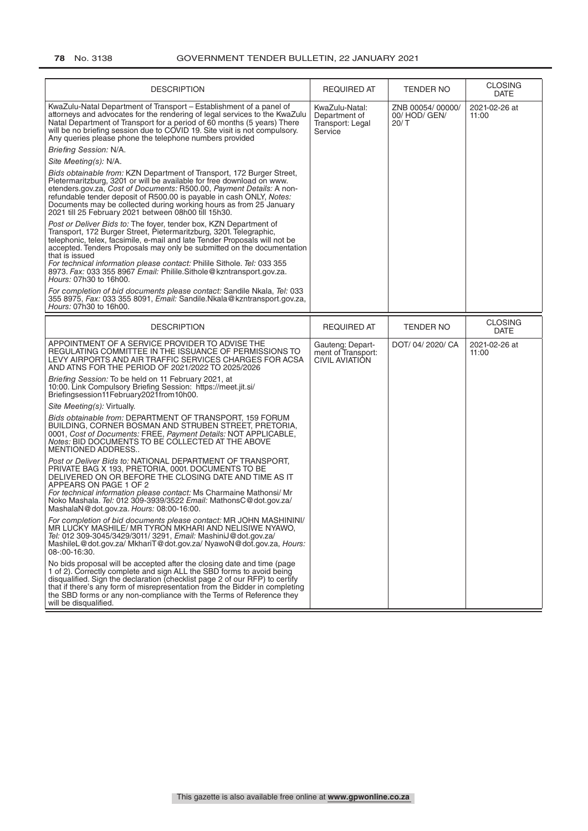| <b>DESCRIPTION</b>                                                                                                                                                                                                                                                                                                                                                                                                           | <b>REQUIRED AT</b>                                              | TENDER NO                               | <b>CLOSING</b><br><b>DATE</b> |
|------------------------------------------------------------------------------------------------------------------------------------------------------------------------------------------------------------------------------------------------------------------------------------------------------------------------------------------------------------------------------------------------------------------------------|-----------------------------------------------------------------|-----------------------------------------|-------------------------------|
| KwaZulu-Natal Department of Transport - Establishment of a panel of<br>attorneys and advocates for the rendering of legal services to the KwaZulu<br>Natal Department of Transport for a period of 60 months (5 years) There<br>will be no briefing session due to COVID 19. Site visit is not compulsory.<br>Any queries please phone the telephone numbers provided                                                        | KwaZulu-Natal:<br>Department of<br>Transport: Legal<br>Service  | ZNB 00054/00000/<br>00/HOD/GEN/<br>20/T | 2021-02-26 at<br>11:00        |
| Briefing Session: N/A.                                                                                                                                                                                                                                                                                                                                                                                                       |                                                                 |                                         |                               |
| Site Meeting(s): N/A.                                                                                                                                                                                                                                                                                                                                                                                                        |                                                                 |                                         |                               |
| Bids obtainable from: KZN Department of Transport, 172 Burger Street,<br>Pietermaritzburg, 3201 or will be available for free download on www.<br>etenders.gov.za, Cost of Documents: R500.00, Payment Details: A non-<br>refundable tender deposit of R500.00 is payable in cash ONLY, Notes:<br>Documents may be collected during working hours as from 25 January<br>2021 till 25 February 2021 between 08h00 till 15h30. |                                                                 |                                         |                               |
| Post or Deliver Bids to: The foyer, tender box, KZN Department of<br>Transport, 172 Burger Street, Pietermaritzburg, 3201. Telegraphic,<br>telephonic, telex, facsimile, e-mail and late Tender Proposals will not be<br>accepted. Tenders Proposals may only be submitted on the documentation<br>that is issued                                                                                                            |                                                                 |                                         |                               |
| For technical information please contact: Philile Sithole. Tel: 033 355<br>8973. Fax: 033 355 8967 Email: Philile.Sithole@kzntransport.gov.za.<br>Hours: 07h30 to 16h00.                                                                                                                                                                                                                                                     |                                                                 |                                         |                               |
| For completion of bid documents please contact: Sandile Nkala, Tel: 033<br>355 8975, Fax: 033 355 8091, Email: Sandile.Nkala@kzntransport.gov.za,<br>Hours: 07h30 to 16h00.                                                                                                                                                                                                                                                  |                                                                 |                                         |                               |
| <b>DESCRIPTION</b>                                                                                                                                                                                                                                                                                                                                                                                                           | <b>REQUIRED AT</b>                                              | <b>TENDER NO</b>                        | <b>CLOSING</b>                |
|                                                                                                                                                                                                                                                                                                                                                                                                                              |                                                                 |                                         | <b>DATE</b>                   |
| APPOINTMENT OF A SERVICE PROVIDER TO ADVISE THE<br>REGULATING COMMITTEE IN THE ISSUANCE OF PERMISSIONS TO<br>LEVY AIRPORTS AND AIR TRAFFIC SERVICES CHARGES FOR ACSA<br>AND ATNS FOR THE PERIOD OF 2021/2022 TO 2025/2026                                                                                                                                                                                                    | Gauteng: Depart-<br>ment of Transport:<br><b>CIVIL AVIATION</b> | DOT/04/2020/CA                          | 2021-02-26 at<br>11:00        |
| Briefing Session: To be held on 11 February 2021, at<br>10:00. Link Compulsory Briefing Session: https://meet.jit.si/<br>Briefingsession11February2021from10h00.                                                                                                                                                                                                                                                             |                                                                 |                                         |                               |
| Site Meeting(s): Virtually.                                                                                                                                                                                                                                                                                                                                                                                                  |                                                                 |                                         |                               |
| Bids obtainable from: DEPARTMENT OF TRANSPORT, 159 FORUM<br>BUILDING, CORNER BOSMAN AND STRUBEN STREET, PRETORIA,<br>0001, Cost of Documents: FREE, Payment Details: NOT APPLICABLE,<br>Notes: BID DOCUMENTS TO BE COLLECTED AT THE ABOVE<br><b>MENTIONED ADDRESS</b>                                                                                                                                                        |                                                                 |                                         |                               |
| Post or Deliver Bids to: NATIONAL DEPARTMENT OF TRANSPORT,<br>PRIVATE BAG X 193, PRETORIA, 0001. DOCUMENTS TO BE<br>DELIVERED ON OR BEFORE THE CLOSING DATE AND TIME AS IT<br>APPEARS ON PAGE 1 OF 2<br>For technical information please contact: Ms Charmaine Mathonsi/ Mr<br>Noko Mashala. Tel: 012 309-3939/3522 Email: MathonsC@dot.gov.za/<br>MashalaN@dot.gov.za. Hours: 08:00-16:00.                                  |                                                                 |                                         |                               |
| For completion of bid documents please contact: MR JOHN MASHININI/<br>MR LUCKY MASHILE/ MR TYRON MKHARI AND NELISIWE NYAWO,<br>Tel: 012 309-3045/3429/3011/ 3291, Email: MashiniJ@dot.gov.za/<br>MashileL@dot.gov.za/MkhariT@dot.gov.za/NyawoN@dot.gov.za, Hours:<br>08-:00-16:30.                                                                                                                                           |                                                                 |                                         |                               |
| No bids proposal will be accepted after the closing date and time (page<br>1 of 2). Correctly complete and sign ALL the SBD forms to avoid being<br>disqualified. Sign the declaration (checklist page 2 of our RFP) to certify<br>that if there's any form of misrepresentation from the Bidder in completing<br>the SBD forms or any non-compliance with the Terms of Reference they<br>will be disqualified.              |                                                                 |                                         |                               |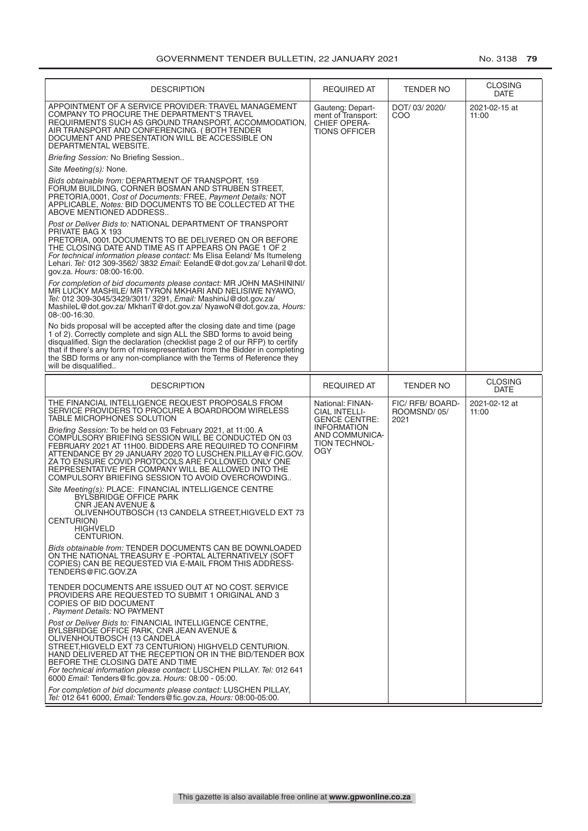| <b>DESCRIPTION</b>                                                                                                                                                                                                                                                                                                                                                                                                                                                                                                                                                                                                                                                                                                                                                                                                                                                                                                                                                                                                                                                                                                                                                                                                                                                                                                                                                                                                                                                                                                                                                                                                                                                                                                             | REQUIRED AT                                                                                                                             | TENDER NO                               | <b>CLOSING</b><br>DATE |
|--------------------------------------------------------------------------------------------------------------------------------------------------------------------------------------------------------------------------------------------------------------------------------------------------------------------------------------------------------------------------------------------------------------------------------------------------------------------------------------------------------------------------------------------------------------------------------------------------------------------------------------------------------------------------------------------------------------------------------------------------------------------------------------------------------------------------------------------------------------------------------------------------------------------------------------------------------------------------------------------------------------------------------------------------------------------------------------------------------------------------------------------------------------------------------------------------------------------------------------------------------------------------------------------------------------------------------------------------------------------------------------------------------------------------------------------------------------------------------------------------------------------------------------------------------------------------------------------------------------------------------------------------------------------------------------------------------------------------------|-----------------------------------------------------------------------------------------------------------------------------------------|-----------------------------------------|------------------------|
| APPOINTMENT OF A SERVICE PROVIDER: TRAVEL MANAGEMENT<br>COMPANY TO PROCURE THE DEPARTMENT'S TRAVEL<br>REQUIRMENTS SUCH AS GROUND TRANSPORT, ACCOMMODATION,<br>AIR TRANSPORT AND CONFERENCING. (BOTH TENDER<br>DOCUMENT AND PRESENTATION WILL BE ACCESSIBLE ON<br>DEPARTMENTAL WEBSITE.<br>Briefing Session: No Briefing Session<br>Site Meeting(s): None.<br>Bids obtainable from: DEPARTMENT OF TRANSPORT, 159<br>FORUM BUILDING. CORNER BOSMAN AND STRUBEN STREET.<br>PRETORIA,0001, Cost of Documents: FREE, Payment Details: NOT<br>APPLICABLE, Notes: BID DOCUMENTS TO BE COLLECTED AT THE<br>ABOVE MENTIONED ADDRESS<br>Post or Deliver Bids to: NATIONAL DEPARTMENT OF TRANSPORT<br>PRIVATE BAG X 193<br>PRETORIA, 0001. DOCUMENTS TO BE DELIVERED ON OR BEFORE<br>THE CLOSING DATE AND TIME AS IT APPEARS ON PAGE 1 OF 2<br>For technical information please contact: Ms Elisa Eeland/ Ms Itumeleng<br>Lehari. Tel: 012 309-3562/ 3832 Email: EelandE@dot.gov.za/ Leharil@dot.<br>gov.za. Hours: 08:00-16:00.<br>For completion of bid documents please contact: MR JOHN MASHININI/<br>MR LUCKY MASHILE/ MR TYRON MKHARI AND NELISIWE NYAWO,<br>Tel: 012 309-3045/3429/3011/ 3291, Email: MashiniJ@dot.gov.za/<br>MashileL@dot.gov.za/MkhariT@dot.gov.za/NyawoN@dot.gov.za, Hours:<br>08-:00-16:30.<br>No bids proposal will be accepted after the closing date and time (page)<br>1 of 2). Correctly complete and sign ALL the SBD forms to avoid being<br>disqualified. Sign the declaration (checklist page 2 of our RFP) to certify<br>that if there's any form of misrepresentation from the Bidder in completing<br>the SBD forms or any non-compliance with the Terms of Reference they<br>will be disqualified | Gauteng: Depart-<br>ment of Transport:<br><b>CHIEF OPERA-</b><br><b>TIONS OFFICER</b>                                                   | DOT/ 03/ 2020/<br>COO                   | 2021-02-15 at<br>11:00 |
| <b>DESCRIPTION</b>                                                                                                                                                                                                                                                                                                                                                                                                                                                                                                                                                                                                                                                                                                                                                                                                                                                                                                                                                                                                                                                                                                                                                                                                                                                                                                                                                                                                                                                                                                                                                                                                                                                                                                             | <b>REQUIRED AT</b>                                                                                                                      | <b>TENDER NO</b>                        | <b>CLOSING</b><br>DATE |
| THE FINANCIAL INTELLIGENCE REQUEST PROPOSALS FROM<br>SERVICE PROVIDERS TO PROCURE A BOARDROOM WIRELESS<br>TABLE MICROPHONES SOLUTION<br>Briefing Session: To be held on 03 February 2021, at 11:00. A<br>COMPULSORY BRIEFING SESSION WILL BE CONDUCTED ON 03<br>FEBRUARY 2021 AT 11H00. BIDDERS ARE REQUIRED TO CONFIRM<br>ATTENDANCE BY 29 JANUARY 2020 TO LUSCHEN.PILLAY@FIC.GOV.<br>ZA TO ENSURE COVID PROTOCOLS ARE FOLLOWED. ONLY ONE<br>REPRESENTATIVE PER COMPANY WILL BE ALLOWED INTO THE<br>COMPULSORY BRIEFING SESSION TO AVOID OVERCROWDING<br>Site Meeting(s): PLACE: FINANCIAL INTELLIGENCE CENTRE<br>BYLSBRIDGE OFFICE PARK<br>CNR JEAN AVENUE &<br>OLIVENHOUTBOSCH (13 CANDELA STREET,HIGVELD EXT 73<br>CENTURION)<br><b>HIGHVELD</b><br>CENTURION.<br>Bids obtainable from: TENDER DOCUMENTS CAN BE DOWNLOADED<br>ON THE NATIONAL TREASURY E -PORTAL ALTERNATIVELY (SOFT<br>COPIES) CAN BE REQUESTED VIA E-MAIL FROM THIS ADDRESS-<br>TENDERS@FIC.GOV.ZA<br>TENDER DOCUMENTS ARE ISSUED OUT AT NO COST. SERVICE<br>PROVIDERS ARE REQUESTED TO SUBMIT 1 ORIGINAL AND 3<br>COPIES OF BID DOCUMENT<br>, Payment Details: NO PAYMENT<br>Post or Deliver Bids to: FINANCIAL INTELLIGENCE CENTRE,<br>BYLSBRIDGE OFFICE PARK, CNR JEAN AVENUE &<br>OLIVENHOUTBOSCH (13 CANDELA<br>STREET, HIGVELD EXT 73 CENTURION) HIGHVELD CENTURION.<br>HAND DELIVERED AT THE RECEPTION OR IN THE BID/TENDER BOX<br>BEFORE THE CLOSING DATE AND TIME<br>For technical information please contact: LUSCHEN PILLAY. Tel: 012 641<br>6000 Email: Tenders@fic.gov.za. Hours: 08:00 - 05:00.<br>For completion of bid documents please contact: LUSCHEN PILLAY,<br>Tel: 012 641 6000, Email: Tenders@fic.gov.za, Hours: 08:00-05:00.    | National: FINAN-<br>CIAL INTELLI-<br><b>GENCE CENTRE:</b><br><b>INFORMATION</b><br>AND COMMUNICA-<br><b>TION TECHNOL-</b><br><b>OGY</b> | FIC/ RFB/ BOARD-<br>ROOMSND/05/<br>2021 | 2021-02-12 at<br>11:00 |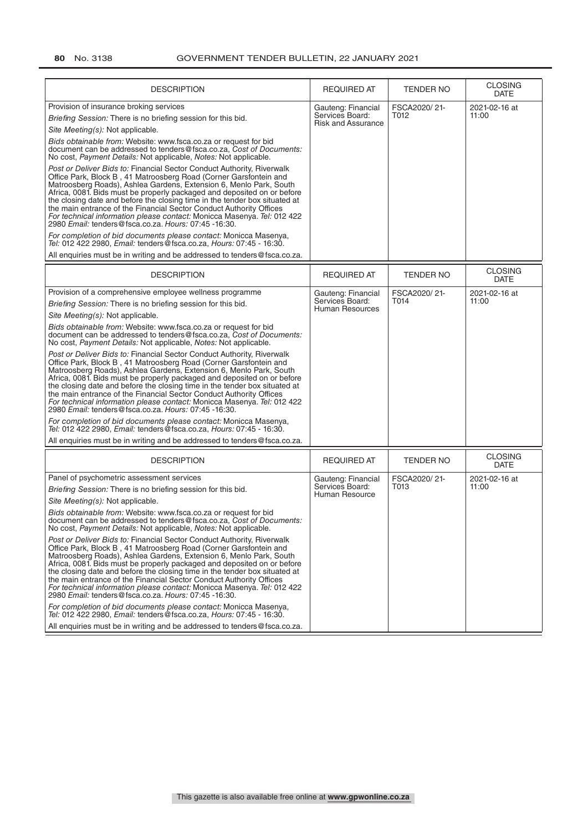| <b>DESCRIPTION</b>                                                                                                                                                                                                                                                                                                                                                                                                                                                                                                                                                                                                                                                                                                                                                                                                                                                                                                                                                                                                                                                                                                                                                                         | <b>REQUIRED AT</b>                                                 | <b>TENDER NO</b>     | <b>CLOSING</b><br><b>DATE</b> |
|--------------------------------------------------------------------------------------------------------------------------------------------------------------------------------------------------------------------------------------------------------------------------------------------------------------------------------------------------------------------------------------------------------------------------------------------------------------------------------------------------------------------------------------------------------------------------------------------------------------------------------------------------------------------------------------------------------------------------------------------------------------------------------------------------------------------------------------------------------------------------------------------------------------------------------------------------------------------------------------------------------------------------------------------------------------------------------------------------------------------------------------------------------------------------------------------|--------------------------------------------------------------------|----------------------|-------------------------------|
| Provision of insurance broking services<br>Briefing Session: There is no briefing session for this bid.<br>Site Meeting(s): Not applicable.<br>Bids obtainable from: Website: www.fsca.co.za or request for bid<br>document can be addressed to tenders@fsca.co.za. Cost of Documents:<br>No cost, Payment Details: Not applicable, Notes: Not applicable.<br>Post or Deliver Bids to: Financial Sector Conduct Authority, Riverwalk<br>Office Park, Block B, 41 Matroosberg Road (Corner Garsfontein and<br>Matroosberg Roads), Ashlea Gardens, Extension 6, Menlo Park, South<br>Africa, 0081. Bids must be properly packaged and deposited on or before<br>the closing date and before the closing time in the tender box situated at<br>the main entrance of the Financial Sector Conduct Authority Offices                                                                                                                                                                                                                                                                                                                                                                            | Gauteng: Financial<br>Services Board:<br><b>Risk and Assurance</b> | FSCA2020/21-<br>T012 | 2021-02-16 at<br>11:00        |
| For technical information please contact: Monicca Masenya. Tel: 012 422<br>2980 Email: tenders@fsca.co.za. Hours: 07:45 -16:30.<br>For completion of bid documents please contact: Monicca Masenya,<br>Tel: 012 422 2980, Email: tenders@fsca.co.za, Hours: 07:45 - 16:30.<br>All enquiries must be in writing and be addressed to tenders@fsca.co.za.                                                                                                                                                                                                                                                                                                                                                                                                                                                                                                                                                                                                                                                                                                                                                                                                                                     |                                                                    |                      |                               |
|                                                                                                                                                                                                                                                                                                                                                                                                                                                                                                                                                                                                                                                                                                                                                                                                                                                                                                                                                                                                                                                                                                                                                                                            |                                                                    |                      | <b>CLOSING</b>                |
| <b>DESCRIPTION</b>                                                                                                                                                                                                                                                                                                                                                                                                                                                                                                                                                                                                                                                                                                                                                                                                                                                                                                                                                                                                                                                                                                                                                                         | <b>REQUIRED AT</b>                                                 | TENDER NO            | <b>DATE</b>                   |
| Provision of a comprehensive employee wellness programme<br>Briefing Session: There is no briefing session for this bid.<br>Site Meeting(s): Not applicable.<br>Bids obtainable from: Website: www.fsca.co.za or request for bid<br>document can be addressed to tenders@fsca.co.za. Cost of Documents:<br>No cost, Payment Details: Not applicable, Notes: Not applicable.<br>Post or Deliver Bids to: Financial Sector Conduct Authority, Riverwalk<br>Office Park, Block B, 41 Matroosberg Road (Corner Garsfontein and<br>Matroosberg Roads), Ashlea Gardens, Extension 6, Menlo Park, South<br>Africa, 0081. Bids must be properly packaged and deposited on or before<br>the closing date and before the closing time in the tender box situated at<br>the main entrance of the Financial Sector Conduct Authority Offices<br>For technical information please contact: Monicca Masenya. Tel: 012 422<br>2980 Email: tenders@fsca.co.za. Hours: 07:45 -16:30.<br>For completion of bid documents please contact: Monicca Masenya,<br>Tel: 012 422 2980, Email: tenders@fsca.co.za, Hours: 07:45 - 16:30.<br>All enquiries must be in writing and be addressed to tenders@fsca.co.za. | Gauteng: Financial<br>Services Board:<br>Human Resources           | FSCA2020/21-<br>T014 | 2021-02-16 at<br>11:00        |
| <b>DESCRIPTION</b>                                                                                                                                                                                                                                                                                                                                                                                                                                                                                                                                                                                                                                                                                                                                                                                                                                                                                                                                                                                                                                                                                                                                                                         | <b>REQUIRED AT</b>                                                 | <b>TENDER NO</b>     | <b>CLOSING</b><br><b>DATE</b> |
| Panel of psychometric assessment services<br>Briefing Session: There is no briefing session for this bid.<br>Site Meeting(s): Not applicable.<br>Bids obtainable from: Website: www.fsca.co.za or request for bid<br>document can be addressed to tenders@fsca.co.za, Cost of Documents:<br>No cost, Payment Details: Not applicable, Notes: Not applicable.<br>Post or Deliver Bids to: Financial Sector Conduct Authority, Riverwalk<br>Office Park, Block B, 41 Matroosberg Road (Corner Garsfontein and<br>Matroosberg Roads), Ashlea Gardens, Extension 6, Menlo Park, South<br>Africa, 0081. Bids must be properly packaged and deposited on or before<br>the closing date and before the closing time in the tender box situated at<br>the main entrance of the Financial Sector Conduct Authority Offices<br>For technical information please contact: Monicca Masenya. Tel: 012 422<br>2980 Email: tenders@fsca.co.za. Hours: 07:45 -16:30.<br>For completion of bid documents please contact: Monicca Masenya,<br>Tel: 012 422 2980, Email: tenders @fsca.co.za, Hours: 07:45 - 16:30.<br>All enquiries must be in writing and be addressed to tenders@fsca.co.za.               | Gauteng: Financial<br>Services Board:<br>Human Resource            | FSCA2020/21-<br>T013 | 2021-02-16 at<br>11:00        |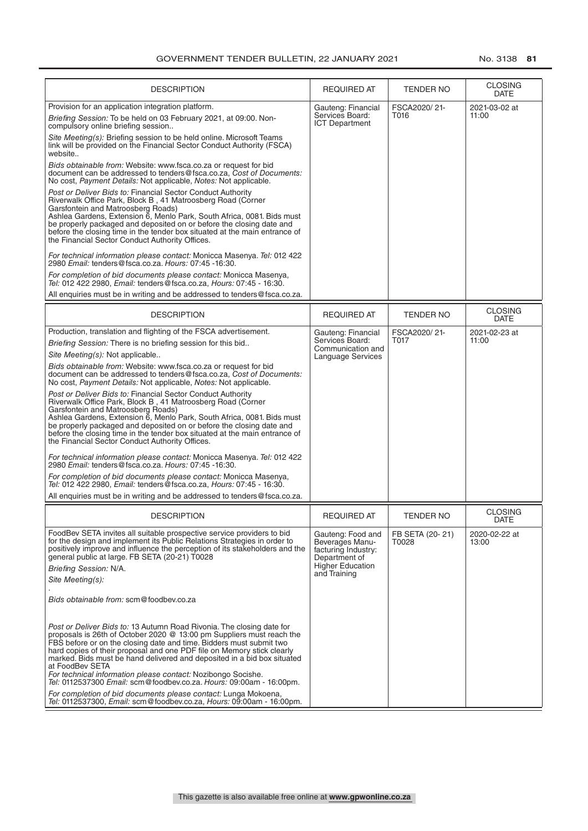| <b>DESCRIPTION</b>                                                                                                                                                                                                                                                                                                                                                                                                                                                                                                                                    | REQUIRED AT                                                                                                             | <b>TENDER NO</b>         | <b>CLOSING</b><br>DATE |
|-------------------------------------------------------------------------------------------------------------------------------------------------------------------------------------------------------------------------------------------------------------------------------------------------------------------------------------------------------------------------------------------------------------------------------------------------------------------------------------------------------------------------------------------------------|-------------------------------------------------------------------------------------------------------------------------|--------------------------|------------------------|
| Provision for an application integration platform.<br>Briefing Session: To be held on 03 February 2021, at 09:00. Non-<br>compulsory online briefing session                                                                                                                                                                                                                                                                                                                                                                                          | Gauteng: Financial<br>Services Board:<br><b>ICT Department</b>                                                          | FSCA2020/21-<br>T016     | 2021-03-02 at<br>11:00 |
| Site Meeting(s): Briefing session to be held online. Microsoft Teams<br>link will be provided on the Financial Sector Conduct Authority (FSCA)<br>website                                                                                                                                                                                                                                                                                                                                                                                             |                                                                                                                         |                          |                        |
| Bids obtainable from: Website: www.fsca.co.za or request for bid<br>document can be addressed to tenders@fsca.co.za, Cost of Documents:<br>No cost, Payment Details: Not applicable, Notes: Not applicable.                                                                                                                                                                                                                                                                                                                                           |                                                                                                                         |                          |                        |
| Post or Deliver Bids to: Financial Sector Conduct Authority<br>Riverwalk Office Park, Block B, 41 Matroosberg Road (Corner<br>Garsfontein and Matroosberg Roads)<br>Ashlea Gardens, Extension 6, Menlo Park, South Africa, 0081. Bids must<br>be properly packaged and deposited on or before the closing date and<br>before the closing time in the tender box situated at the main entrance of<br>the Financial Sector Conduct Authority Offices.                                                                                                   |                                                                                                                         |                          |                        |
| For technical information please contact: Monicca Masenya. Tel: 012 422<br>2980 Email: tenders@fsca.co.za. Hours: 07:45 -16:30.                                                                                                                                                                                                                                                                                                                                                                                                                       |                                                                                                                         |                          |                        |
| For completion of bid documents please contact: Monicca Masenya,<br>Tel: 012 422 2980. Email: tenders @fsca.co.za. Hours: 07:45 - 16:30.                                                                                                                                                                                                                                                                                                                                                                                                              |                                                                                                                         |                          |                        |
| All enquiries must be in writing and be addressed to tenders@fsca.co.za.                                                                                                                                                                                                                                                                                                                                                                                                                                                                              |                                                                                                                         |                          |                        |
| <b>DESCRIPTION</b>                                                                                                                                                                                                                                                                                                                                                                                                                                                                                                                                    | <b>REQUIRED AT</b>                                                                                                      | <b>TENDER NO</b>         | <b>CLOSING</b><br>DATE |
| Production, translation and flighting of the FSCA advertisement.<br>Briefing Session: There is no briefing session for this bid<br>Site Meeting(s): Not applicable<br>Bids obtainable from: Website: www.fsca.co.za or request for bid<br>document can be addressed to tenders@fsca.co.za, Cost of Documents:<br>No cost, Payment Details: Not applicable, Notes: Not applicable.<br>Post or Deliver Bids to: Financial Sector Conduct Authority<br>Riverwalk Office Park, Block B, 41 Matroosberg Road (Corner<br>Garsfontein and Matroosberg Roads) | Gauteng: Financial<br>Services Board:<br>Communication and<br>Language Services                                         | FSCA2020/21-<br>T017     | 2021-02-23 at<br>11:00 |
| Ashlea Gardens, Extension 6, Menlo Park, South Africa, 0081. Bids must<br>be properly packaged and deposited on or before the closing date and<br>before the closing time in the tender box situated at the main entrance of<br>the Financial Sector Conduct Authority Offices.<br>For technical information please contact: Monicca Masenya. Tel: 012 422                                                                                                                                                                                            |                                                                                                                         |                          |                        |
| 2980 Email: tenders@fsca.co.za. Hours: 07:45 -16:30.<br>For completion of bid documents please contact: Monicca Masenya,<br>Tel: 012 422 2980, Email: tenders@fsca.co.za, Hours: 07:45 - 16:30.                                                                                                                                                                                                                                                                                                                                                       |                                                                                                                         |                          |                        |
| All enquiries must be in writing and be addressed to tenders @fsca.co.za.                                                                                                                                                                                                                                                                                                                                                                                                                                                                             |                                                                                                                         |                          |                        |
| <b>DESCRIPTION</b>                                                                                                                                                                                                                                                                                                                                                                                                                                                                                                                                    | <b>REQUIRED AT</b>                                                                                                      | <b>TENDER NO</b>         | <b>CLOSING</b><br>DATE |
| FoodBev SETA invites all suitable prospective service providers to bid<br>for the design and implement its Public Relations Strategies in order to<br>positively improve and influence the perception of its stakeholders and the<br>general public at large. FB SETA (20-21) T0028<br>Briefing Session: N/A.<br>Site Meeting(s):                                                                                                                                                                                                                     | Gauteng: Food and<br>Beverages Manu-<br>facturing Industry:<br>Department of<br><b>Higher Education</b><br>and Training | FB SETA (20-21)<br>T0028 | 2020-02-22 at<br>13:00 |
| Bids obtainable from: scm@foodbev.co.za                                                                                                                                                                                                                                                                                                                                                                                                                                                                                                               |                                                                                                                         |                          |                        |
| Post or Deliver Bids to: 13 Autumn Road Rivonia. The closing date for<br>proposals is 26th of October 2020 @ 13:00 pm Suppliers must reach the<br>FBS before or on the closing date and time. Bidders must submit two<br>hard copies of their proposal and one PDF file on Memory stick clearly<br>marked. Bids must be hand delivered and deposited in a bid box situated<br>at FoodBev SETA<br>For technical information please contact: Nozibongo Socishe.<br>Tel: 0112537300 Email: scm@foodbev.co.za. Hours: 09:00am - 16:00pm.                  |                                                                                                                         |                          |                        |
| For completion of bid documents please contact: Lunga Mokoena,<br>Tel: 0112537300, Email: scm@foodbev.co.za, Hours: 09:00am - 16:00pm.                                                                                                                                                                                                                                                                                                                                                                                                                |                                                                                                                         |                          |                        |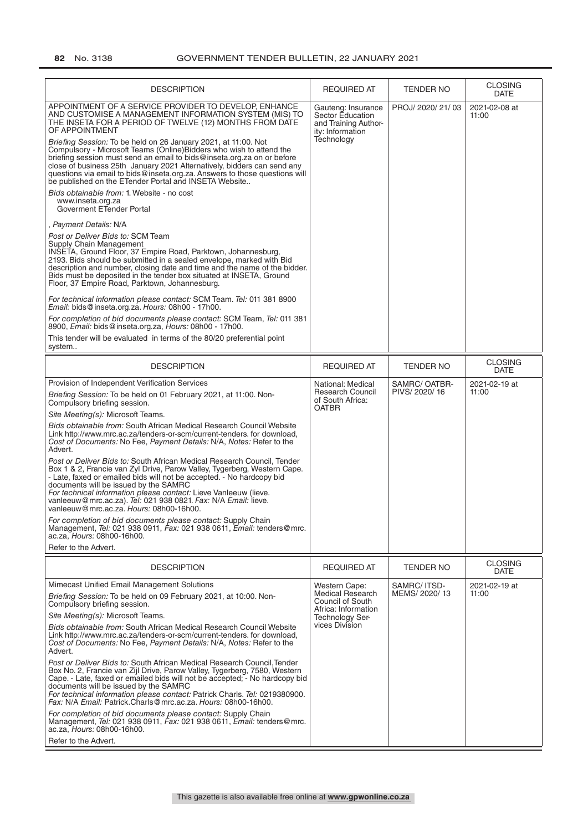| <b>DESCRIPTION</b>                                                                                                                                                                                                                                                                                                                                                                                                                                                                                                                                                                                                                                                                                                                                                                                                                                                                                                                                                                                                                                                                                                                                                                                                                                                                                                                                                                                                                          | <b>REQUIRED AT</b>                                                                                                       | <b>TENDER NO</b>              | <b>CLOSING</b><br><b>DATE</b> |
|---------------------------------------------------------------------------------------------------------------------------------------------------------------------------------------------------------------------------------------------------------------------------------------------------------------------------------------------------------------------------------------------------------------------------------------------------------------------------------------------------------------------------------------------------------------------------------------------------------------------------------------------------------------------------------------------------------------------------------------------------------------------------------------------------------------------------------------------------------------------------------------------------------------------------------------------------------------------------------------------------------------------------------------------------------------------------------------------------------------------------------------------------------------------------------------------------------------------------------------------------------------------------------------------------------------------------------------------------------------------------------------------------------------------------------------------|--------------------------------------------------------------------------------------------------------------------------|-------------------------------|-------------------------------|
| APPOINTMENT OF A SERVICE PROVIDER TO DEVELOP. ENHANCE<br>AND CUSTOMISE A MANAGEMENT INFORMATION SYSTEM (MIS) TO<br>THE INSETA FOR A PERIOD OF TWELVE (12) MONTHS FROM DATE<br>OF APPOINTMENT<br>Briefing Session: To be held on 26 January 2021, at 11:00. Not<br>Compulsory - Microsoft Teams (Online) Bidders who wish to attend the<br>briefing session must send an email to bids@inseta.org.za on or before<br>close of business 25th January 2021 Alternatively, bidders can send any<br>questions via email to bids@inseta.org.za. Answers to those questions will<br>be published on the ETender Portal and INSETA Website<br>Bids obtainable from: 1. Website - no cost<br>www.inseta.org.za<br>Goverment ETender Portal<br>, Payment Details: N/A<br>Post or Deliver Bids to: SCM Team<br>Supply Chain Management<br>INSETA, Ground Floor, 37 Empire Road, Parktown, Johannesburg,<br>2193. Bids should be submitted in a sealed envelope, marked with Bid<br>description and number, closing date and time and the name of the bidder.<br>Bids must be deposited in the tender box situated at INSETA, Ground<br>Floor, 37 Empire Road, Parktown, Johannesburg.<br>For technical information please contact: SCM Team. Tel: 011 381 8900<br>Email: bids@inseta.org.za. Hours: 08h00 - 17h00.<br>For completion of bid documents please contact: SCM Team, Tel: 011 381<br>8900, Email: bids@inseta.org.za, Hours: 08h00 - 17h00. | Gauteng: Insurance<br>Sector Education<br>and Training Author-<br>ity: Information<br>Technology                         | PROJ/ 2020/ 21/ 03            | 2021-02-08 at<br>11:00        |
| This tender will be evaluated in terms of the 80/20 preferential point<br>system                                                                                                                                                                                                                                                                                                                                                                                                                                                                                                                                                                                                                                                                                                                                                                                                                                                                                                                                                                                                                                                                                                                                                                                                                                                                                                                                                            |                                                                                                                          |                               |                               |
| <b>DESCRIPTION</b>                                                                                                                                                                                                                                                                                                                                                                                                                                                                                                                                                                                                                                                                                                                                                                                                                                                                                                                                                                                                                                                                                                                                                                                                                                                                                                                                                                                                                          | <b>REQUIRED AT</b>                                                                                                       | <b>TENDER NO</b>              | <b>CLOSING</b><br><b>DATE</b> |
| Provision of Independent Verification Services<br>Briefing Session: To be held on 01 February 2021, at 11:00. Non-<br>Compulsory briefing session.<br>Site Meeting(s): Microsoft Teams.<br>Bids obtainable from: South African Medical Research Council Website<br>Link http://www.mrc.ac.za/tenders-or-scm/current-tenders. for download,<br>Cost of Documents: No Fee, Payment Details: N/A, Notes: Refer to the<br>Advert.<br>Post or Deliver Bids to: South African Medical Research Council, Tender<br>Box 1 & 2, Francie van Zyl Drive, Parow Valley, Tygerberg, Western Cape.<br>- Late, faxed or emailed bids will not be accepted. - No hardcopy bid<br>documents will be issued by the SAMRC<br>For technical information please contact: Lieve Vanleeuw (lieve.<br>vanleeuw@mrc.ac.za). Tel: 021 938 0821. Fax: N/A Email: lieve.<br>vanleeuw@mrc.ac.za. Hours: 08h00-16h00.<br>For completion of bid documents please contact: Supply Chain<br>Management, <i>Tel:</i> 021 938 0911, <i>Fax:</i> 021 938 0611, <i>Email:</i> tenders@mrc.<br>ac.za, <i>Hours:</i> 08h00-16h00.<br>Refer to the Advert.                                                                                                                                                                                                                                                                                                                          | National: Medical<br><b>Research Council</b><br>of South Africa:<br><b>OATBR</b>                                         | SAMRC/OATBR-<br>PIVS/2020/16  | 2021-02-19 at<br>11:00        |
| <b>DESCRIPTION</b>                                                                                                                                                                                                                                                                                                                                                                                                                                                                                                                                                                                                                                                                                                                                                                                                                                                                                                                                                                                                                                                                                                                                                                                                                                                                                                                                                                                                                          | <b>REQUIRED AT</b>                                                                                                       | TENDER NO                     | <b>CLOSING</b><br><b>DATE</b> |
| Mimecast Unified Email Management Solutions<br>Briefing Session: To be held on 09 February 2021, at 10:00. Non-<br>Compulsory briefing session.<br>Site Meeting(s): Microsoft Teams.<br>Bids obtainable from: South African Medical Research Council Website<br>Link http://www.mrc.ac.za/tenders-or-scm/current-tenders, for download.<br>Cost of Documents: No Fee, Payment Details: N/A, Notes: Refer to the<br>Advert.<br>Post or Deliver Bids to: South African Medical Research Council, Tender<br>Box No. 2, Francie van Zijl Drive, Parow Valley, Tygerberg, 7580, Western<br>Cape. - Late, faxed or emailed bids will not be accepted; - No hardcopy bid<br>documents will be issued by the SAMRC<br>For technical information please contact: Patrick Charls. Tel: 0219380900.<br>Fax: N/A Email: Patrick.Charls@mrc.ac.za. Hours: 08h00-16h00.<br>For completion of bid documents please contact: Supply Chain<br>Management, Tel: 021 938 0911, Fax: 021 938 0611, Email: tenders@mrc.<br>ac.za. <i>Hours:</i> 08h00-16h00.<br>Refer to the Advert.                                                                                                                                                                                                                                                                                                                                                                             | Western Cape:<br><b>Medical Research</b><br>Council of South<br>Africa: Information<br>Technology Ser-<br>vices Division | SAMRC/ ITSD-<br>MEMS/ 2020/13 | 2021-02-19 at<br>11:00        |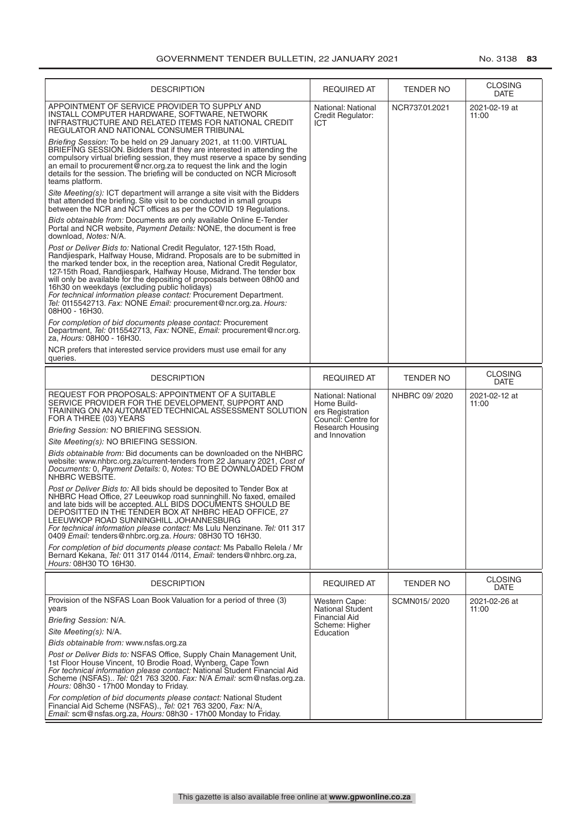| <b>DESCRIPTION</b>                                                                                                                                                                                                                                                                                                                                                                                                                                                                                                                                                                      | <b>REQUIRED AT</b>                                                           | TENDER NO        | <b>CLOSING</b><br>DATE        |
|-----------------------------------------------------------------------------------------------------------------------------------------------------------------------------------------------------------------------------------------------------------------------------------------------------------------------------------------------------------------------------------------------------------------------------------------------------------------------------------------------------------------------------------------------------------------------------------------|------------------------------------------------------------------------------|------------------|-------------------------------|
| APPOINTMENT OF SERVICE PROVIDER TO SUPPLY AND<br>INSTALL COMPUTER HARDWARE, SOFTWARE, NETWORK<br>INFRASTRUCTURE AND RELATED ITEMS FOR NATIONAL CREDIT<br>REGULATOR AND NATIONAL CONSUMER TRIBUNAL                                                                                                                                                                                                                                                                                                                                                                                       | National: National<br>Credit Regulator:<br>ICT                               | NCR737.01.2021   | 2021-02-19 at<br>11:00        |
| Briefing Session: To be held on 29 January 2021, at 11:00. VIRTUAL<br>BRIEFING SESSION. Bidders that if they are interested in attending the<br>compulsory virtual briefing session, they must reserve a space by sending<br>an email to procurement@ncr.org.za to request the link and the login<br>details for the session. The briefing will be conducted on NCR Microsoft<br>teams platform.                                                                                                                                                                                        |                                                                              |                  |                               |
| Site Meeting(s): ICT department will arrange a site visit with the Bidders<br>that attended the briefing. Site visit to be conducted in small groups<br>between the NCR and NCT offices as per the COVID 19 Regulations.                                                                                                                                                                                                                                                                                                                                                                |                                                                              |                  |                               |
| Bids obtainable from: Documents are only available Online E-Tender<br>Portal and NCR website, Payment Details: NONE, the document is free<br>download, Notes: N/A.                                                                                                                                                                                                                                                                                                                                                                                                                      |                                                                              |                  |                               |
| Post or Deliver Bids to: National Credit Regulator, 127-15th Road,<br>Randjiespark, Halfway House, Midrand. Proposals are to be submitted in<br>the marked tender box, in the reception area, National Credit Regulator,<br>127-15th Road, Randjiespark, Halfway House, Midrand. The tender box<br>will only be available for the depositing of proposals between 08h00 and<br>16h30 on weekdays (excluding public holidays)<br>For technical information please contact: Procurement Department.<br>Tel: 0115542713. Fax: NONE Email: procurement@ncr.org.za. Hours:<br>08H00 - 16H30. |                                                                              |                  |                               |
| For completion of bid documents please contact: Procurement<br>Department, Tel: 0115542713, Fax: NONE, Email: procurement@ncr.org.<br>za, Hours: 08H00 - 16H30.                                                                                                                                                                                                                                                                                                                                                                                                                         |                                                                              |                  |                               |
| NCR prefers that interested service providers must use email for any<br>queries.                                                                                                                                                                                                                                                                                                                                                                                                                                                                                                        |                                                                              |                  |                               |
| <b>DESCRIPTION</b>                                                                                                                                                                                                                                                                                                                                                                                                                                                                                                                                                                      | <b>REQUIRED AT</b>                                                           | <b>TENDER NO</b> | <b>CLOSING</b><br><b>DATE</b> |
| REQUEST FOR PROPOSALS: APPOINTMENT OF A SUITABLE<br>SERVICE PROVIDER FOR THE DEVELOPMENT, SUPPORT AND<br>TRAINING ON AN AUTOMATED TECHNICAL ASSESSMENT SOLUTION<br>FOR A THREE (03) YEARS                                                                                                                                                                                                                                                                                                                                                                                               | National: National<br>Home Build-<br>ers Registration<br>Council: Centre for | NHBRC 09/2020    | 2021-02-12 at<br>11:00        |
| Briefing Session: NO BRIEFING SESSION.                                                                                                                                                                                                                                                                                                                                                                                                                                                                                                                                                  | Research Housing<br>and Innovation                                           |                  |                               |
| Site Meeting(s): NO BRIEFING SESSION.                                                                                                                                                                                                                                                                                                                                                                                                                                                                                                                                                   |                                                                              |                  |                               |
| <i>Bids obtainable from:</i> Bid documents can be downloaded on the NHBRC<br>website: www.nhbrc.org.za/current-tenders from 22 January 2021, Cost of<br>Documents: 0, Payment Details: 0, Notes: TO BE DOWNLOADED FROM<br>NHBRC WEBSITÉ.                                                                                                                                                                                                                                                                                                                                                |                                                                              |                  |                               |
| Post or Deliver Bids to: All bids should be deposited to Tender Box at<br>NHBRC Head Office, 27 Leeuwkop road sunninghill. No faxed, emailed<br>and late bids will be accepted. ALL BIDS DOCUMENTS SHOULD BE<br>DEPOSITTED IN THE TENDER BOX AT NHBRC HEAD OFFICE, 27<br>LEEUWKOP ROAD SUNNINGHILL JOHANNESBURG<br>For technical information please contact: Ms Lulu Nenzinane. Tel: 011 317<br>0409 Email: tenders@nhbrc.org.za. Hours: 08H30 TO 16H30.                                                                                                                                |                                                                              |                  |                               |
| For completion of bid documents please contact: Ms Paballo Relela / Mr<br>Bernard Kekana, Tel: 011 317 0144 /0114, Email: tenders@nhbrc.org.za,<br>Hours: 08H30 TO 16H30.                                                                                                                                                                                                                                                                                                                                                                                                               |                                                                              |                  |                               |
| <b>DESCRIPTION</b>                                                                                                                                                                                                                                                                                                                                                                                                                                                                                                                                                                      | <b>REQUIRED AT</b>                                                           | TENDER NO        | <b>CLOSING</b><br><b>DATE</b> |
| Provision of the NSFAS Loan Book Valuation for a period of three (3)<br>years                                                                                                                                                                                                                                                                                                                                                                                                                                                                                                           | Western Cape:<br><b>National Student</b>                                     | SCMN015/2020     | 2021-02-26 at<br>11:00        |
| Briefing Session: N/A.                                                                                                                                                                                                                                                                                                                                                                                                                                                                                                                                                                  | <b>Financial Aid</b><br>Scheme: Higher                                       |                  |                               |
| Site Meeting(s): N/A.                                                                                                                                                                                                                                                                                                                                                                                                                                                                                                                                                                   | Education                                                                    |                  |                               |
| Bids obtainable from: www.nsfas.org.za                                                                                                                                                                                                                                                                                                                                                                                                                                                                                                                                                  |                                                                              |                  |                               |
| Post or Deliver Bids to: NSFAS Office, Supply Chain Management Unit,<br>1st Floor House Vincent, 10 Brodie Road, Wynberg, Cape Town<br>For technical information please contact: National Student Financial Aid<br>Scheme (NSFAS) Tel: 021 763 3200. Fax: N/A Email: scm@nsfas.org.za.<br>Hours: 08h30 - 17h00 Monday to Friday.                                                                                                                                                                                                                                                        |                                                                              |                  |                               |
| For completion of bid documents please contact: National Student<br>Financial Aid Scheme (NSFAS)., Tel: 021 763 3200, Fax: N/A,<br>Email: scm@nsfas.org.za, Hours: 08h30 - 17h00 Monday to Friday.                                                                                                                                                                                                                                                                                                                                                                                      |                                                                              |                  |                               |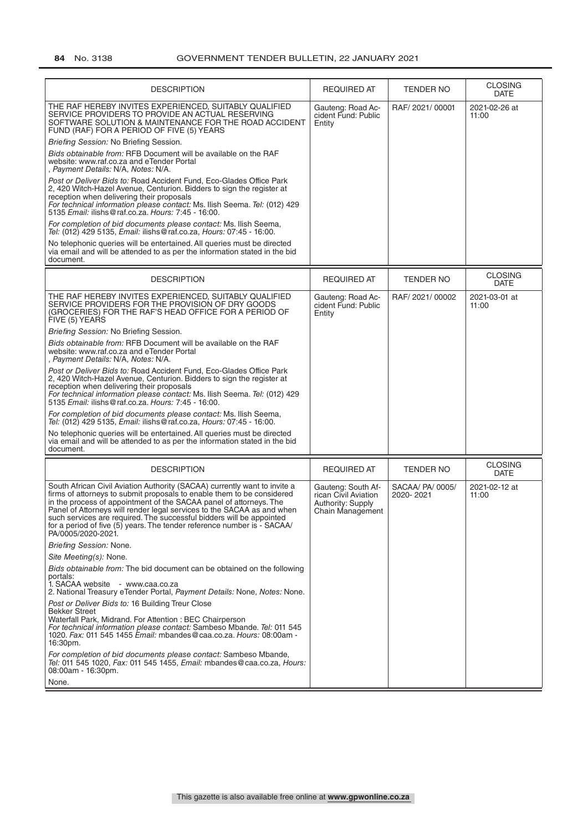| <b>DESCRIPTION</b>                                                                                                                                                                                                                                                                                                                                                                                                                                                           | <b>REQUIRED AT</b>                                                                  | <b>TENDER NO</b>              | <b>CLOSING</b><br><b>DATE</b> |
|------------------------------------------------------------------------------------------------------------------------------------------------------------------------------------------------------------------------------------------------------------------------------------------------------------------------------------------------------------------------------------------------------------------------------------------------------------------------------|-------------------------------------------------------------------------------------|-------------------------------|-------------------------------|
| THE RAF HEREBY INVITES EXPERIENCED. SUITABLY QUALIFIED<br>SERVICE PROVIDERS TO PROVIDE AN ACTUAL RESERVING<br>SOFTWARE SOLUTION & MAINTENANCE FOR THE ROAD ACCIDENT<br>FUND (RAF) FOR A PERIOD OF FIVE (5) YEARS                                                                                                                                                                                                                                                             | Gauteng: Road Ac-<br>cident Fund: Public<br>Entity                                  | RAF/2021/00001                | 2021-02-26 at<br>11:00        |
| Briefing Session: No Briefing Session.                                                                                                                                                                                                                                                                                                                                                                                                                                       |                                                                                     |                               |                               |
| Bids obtainable from: RFB Document will be available on the RAF<br>website: www.raf.co.za and eTender Portal<br>, Payment Details: N/A, Notes: N/A.                                                                                                                                                                                                                                                                                                                          |                                                                                     |                               |                               |
| Post or Deliver Bids to: Road Accident Fund, Eco-Glades Office Park<br>2.420 Witch-Hazel Avenue. Centurion. Bidders to sign the register at<br>reception when delivering their proposals<br>For technical information please contact: Ms. Ilish Seema. Tel: (012) 429<br>5135 Email: ilishs@raf.co.za. Hours: 7:45 - 16:00.                                                                                                                                                  |                                                                                     |                               |                               |
| For completion of bid documents please contact: Ms. Ilish Seema,<br>Tel: (012) 429 5135, Email: ilishs@raf.co.za, Hours: 07:45 - 16:00.                                                                                                                                                                                                                                                                                                                                      |                                                                                     |                               |                               |
| No telephonic queries will be entertained. All queries must be directed<br>via email and will be attended to as per the information stated in the bid<br>document.                                                                                                                                                                                                                                                                                                           |                                                                                     |                               |                               |
| <b>DESCRIPTION</b>                                                                                                                                                                                                                                                                                                                                                                                                                                                           | <b>REQUIRED AT</b>                                                                  | <b>TENDER NO</b>              | <b>CLOSING</b><br><b>DATE</b> |
| THE RAF HEREBY INVITES EXPERIENCED, SUITABLY QUALIFIED<br>SERVICE PROVIDERS FOR THE PROVISION OF DRY GOODS<br>(GROCERIES) FOR THE RAF'S HEAD OFFICE FOR A PERIOD OF<br>FIVE (5) YEARS                                                                                                                                                                                                                                                                                        | Gauteng: Road Ac-<br>cident Fund: Public<br>Entity                                  | RAF/2021/00002                | 2021-03-01 at<br>11:00        |
| Briefing Session: No Briefing Session.                                                                                                                                                                                                                                                                                                                                                                                                                                       |                                                                                     |                               |                               |
| Bids obtainable from: RFB Document will be available on the RAF<br>website: www.raf.co.za and eTender Portal<br>, Payment Details: N/A, Notes: N/A.                                                                                                                                                                                                                                                                                                                          |                                                                                     |                               |                               |
| Post or Deliver Bids to: Road Accident Fund, Eco-Glades Office Park<br>2, 420 Witch-Hazel Avenue, Centurion. Bidders to sign the register at<br>reception when delivering their proposals<br>For technical information please contact: Ms. Ilish Seema. Tel: (012) 429<br>5135 Email: ilishs@raf.co.za. Hours: 7:45 - 16:00.                                                                                                                                                 |                                                                                     |                               |                               |
| For completion of bid documents please contact: Ms. Ilish Seema,<br>Tel: (012) 429 5135, Email: ilishs@raf.co.za, Hours: 07:45 - 16:00.                                                                                                                                                                                                                                                                                                                                      |                                                                                     |                               |                               |
| No telephonic queries will be entertained. All queries must be directed<br>via email and will be attended to as per the information stated in the bid<br>document.                                                                                                                                                                                                                                                                                                           |                                                                                     |                               |                               |
| <b>DESCRIPTION</b>                                                                                                                                                                                                                                                                                                                                                                                                                                                           | <b>REQUIRED AT</b>                                                                  | <b>TENDER NO</b>              | <b>CLOSING</b><br><b>DATE</b> |
| South African Civil Aviation Authority (SACAA) currently want to invite a<br>firms of attorneys to submit proposals to enable them to be considered<br>in the process of appointment of the SACAA panel of attorneys. The<br>Panel of Attorneys will render legal services to the SACAA as and when<br>such services are required. The successful bidders will be appointed<br>for a period of five (5) years. The tender reference number is - SACAA/<br>PA/0005/2020-2021. | Gauteng: South Af-<br>rican Civil Aviation<br>Authority: Supply<br>Chain Management | SACAA/ PA/ 0005/<br>2020-2021 | 2021-02-12 at<br>11:00        |
| Briefing Session: None.                                                                                                                                                                                                                                                                                                                                                                                                                                                      |                                                                                     |                               |                               |
| Site Meeting(s): None.                                                                                                                                                                                                                                                                                                                                                                                                                                                       |                                                                                     |                               |                               |
| Bids obtainable from: The bid document can be obtained on the following<br>portals:<br>1. SACAA website - www.caa.co.za<br>2. National Treasury eTender Portal, Payment Details: None, Notes: None.                                                                                                                                                                                                                                                                          |                                                                                     |                               |                               |
| Post or Deliver Bids to: 16 Building Treur Close                                                                                                                                                                                                                                                                                                                                                                                                                             |                                                                                     |                               |                               |
| <b>Bekker Street</b><br>Waterfall Park, Midrand. For Attention: BEC Chairperson<br>For technical information please contact: Sambeso Mbande. Tel: 011 545<br>1020. Fax: 011 545 1455 Email: mbandes@caa.co.za. Hours: 08:00am -<br>16:30pm.                                                                                                                                                                                                                                  |                                                                                     |                               |                               |
| For completion of bid documents please contact: Sambeso Mbande,<br>Tel: 011 545 1020, Fax: 011 545 1455, Email: mbandes@caa.co.za, Hours:<br>08:00am - 16:30pm.                                                                                                                                                                                                                                                                                                              |                                                                                     |                               |                               |
| None.                                                                                                                                                                                                                                                                                                                                                                                                                                                                        |                                                                                     |                               |                               |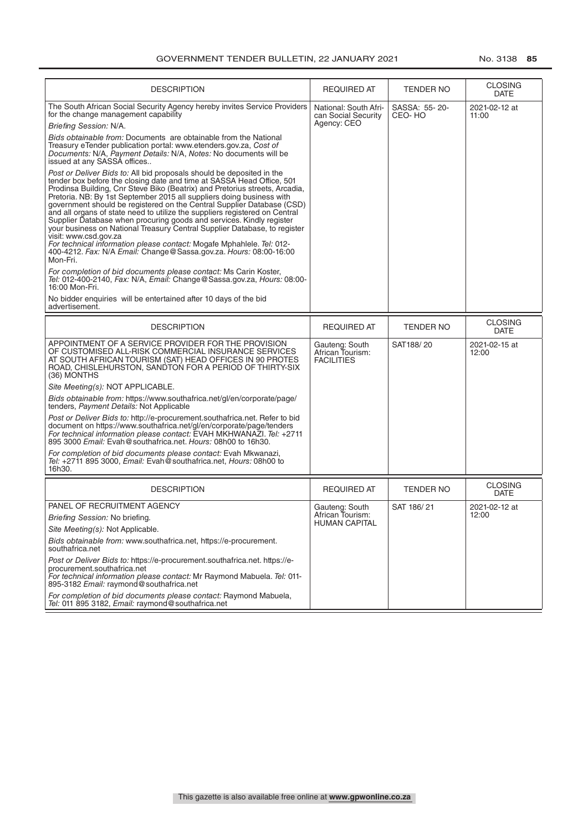| <b>DESCRIPTION</b>                                                                                                                                                                                                                                                                                                                                                                                                                                                                                                                                                                                                                                                                                                                                                                                      | <b>REQUIRED AT</b>                                          | TENDER NO               | <b>CLOSING</b><br><b>DATE</b> |
|---------------------------------------------------------------------------------------------------------------------------------------------------------------------------------------------------------------------------------------------------------------------------------------------------------------------------------------------------------------------------------------------------------------------------------------------------------------------------------------------------------------------------------------------------------------------------------------------------------------------------------------------------------------------------------------------------------------------------------------------------------------------------------------------------------|-------------------------------------------------------------|-------------------------|-------------------------------|
| The South African Social Security Agency hereby invites Service Providers<br>for the change management capability<br>Briefing Session: N/A.                                                                                                                                                                                                                                                                                                                                                                                                                                                                                                                                                                                                                                                             | National: South Afri-<br>can Social Security<br>Agency: CEO | SASSA: 55-20-<br>CEO-HO | 2021-02-12 at<br>11:00        |
| Bids obtainable from: Documents are obtainable from the National<br>Treasury eTender publication portal: www.etenders.gov.za, Cost of<br>Documents: N/A, Payment Details: N/A, Notes: No documents will be<br>issued at any SASSA offices                                                                                                                                                                                                                                                                                                                                                                                                                                                                                                                                                               |                                                             |                         |                               |
| Post or Deliver Bids to: All bid proposals should be deposited in the<br>tender box before the closing date and time at SASSA Head Office, 501<br>Prodinsa Building, Cnr Steve Biko (Beatrix) and Pretorius streets, Arcadia,<br>Pretoria. NB: By 1st September 2015 all suppliers doing business with<br>government should be registered on the Central Supplier Database (CSD)<br>and all organs of state need to utilize the suppliers registered on Central<br>Supplier Database when procuring goods and services. Kindly register<br>your business on National Treasury Central Supplier Database, to register<br>visit: www.csd.gov.za<br>For technical information please contact: Mogafe Mphahlele. Tel: 012-<br>400-4212. Fax: N/A Email: Change@Sassa.gov.za. Hours: 08:00-16:00<br>Mon-Fri. |                                                             |                         |                               |
| For completion of bid documents please contact: Ms Carin Koster,<br>Tel: 012-400-2140, Fax: N/A, Email: Change@Sassa.gov.za, Hours: 08:00-<br>16:00 Mon-Fri.                                                                                                                                                                                                                                                                                                                                                                                                                                                                                                                                                                                                                                            |                                                             |                         |                               |
| No bidder enquiries will be entertained after 10 days of the bid<br>advertisement.                                                                                                                                                                                                                                                                                                                                                                                                                                                                                                                                                                                                                                                                                                                      |                                                             |                         |                               |
| <b>DESCRIPTION</b>                                                                                                                                                                                                                                                                                                                                                                                                                                                                                                                                                                                                                                                                                                                                                                                      | <b>REQUIRED AT</b>                                          | <b>TENDER NO</b>        | <b>CLOSING</b><br><b>DATE</b> |
| APPOINTMENT OF A SERVICE PROVIDER FOR THE PROVISION<br>OF CUSTOMISED ALL-RISK COMMERCIAL INSURANCE SERVICES<br>AT SOUTH AFRICAN TOURISM (SAT) HEAD OFFICES IN 90 PROTES<br>ROAD, CHISLEHURSTON, SANDTON FOR A PERIOD OF THIRTY-SIX<br>(36) MONTHS                                                                                                                                                                                                                                                                                                                                                                                                                                                                                                                                                       | Gauteng: South<br>African Tourism:<br><b>FACILITIES</b>     | SAT188/20               | 2021-02-15 at<br>12:00        |
| Site Meeting(s): NOT APPLICABLE.                                                                                                                                                                                                                                                                                                                                                                                                                                                                                                                                                                                                                                                                                                                                                                        |                                                             |                         |                               |
| Bids obtainable from: https://www.southafrica.net/gl/en/corporate/page/<br>tenders, Payment Details: Not Applicable                                                                                                                                                                                                                                                                                                                                                                                                                                                                                                                                                                                                                                                                                     |                                                             |                         |                               |
| Post or Deliver Bids to: http://e-procurement.southafrica.net. Refer to bid<br>document on https://www.southafrica.net/gl/en/corporate/page/tenders<br>For technical information please contact: EVAH MKHWANAZI. Tel: +2711<br>895 3000 Email: Evah@southafrica.net. Hours: 08h00 to 16h30.                                                                                                                                                                                                                                                                                                                                                                                                                                                                                                             |                                                             |                         |                               |
| For completion of bid documents please contact: Evah Mkwanazi,<br>Tel: +2711 895 3000, Email: Evah@southafrica.net, Hours: 08h00 to<br>16h30.                                                                                                                                                                                                                                                                                                                                                                                                                                                                                                                                                                                                                                                           |                                                             |                         |                               |
| <b>DESCRIPTION</b>                                                                                                                                                                                                                                                                                                                                                                                                                                                                                                                                                                                                                                                                                                                                                                                      | <b>REQUIRED AT</b>                                          | TENDER NO               | <b>CLOSING</b><br><b>DATE</b> |
| PANEL OF RECRUITMENT AGENCY                                                                                                                                                                                                                                                                                                                                                                                                                                                                                                                                                                                                                                                                                                                                                                             | Gauteng: South                                              | SAT 186/21              | 2021-02-12 at                 |
| Briefing Session: No briefing.                                                                                                                                                                                                                                                                                                                                                                                                                                                                                                                                                                                                                                                                                                                                                                          | African Tourism:                                            |                         | 12:00                         |
| Site Meeting(s): Not Applicable.                                                                                                                                                                                                                                                                                                                                                                                                                                                                                                                                                                                                                                                                                                                                                                        | <b>HUMAN CAPITAL</b>                                        |                         |                               |
| Bids obtainable from: www.southafrica.net, https://e-procurement.<br>southafrica.net                                                                                                                                                                                                                                                                                                                                                                                                                                                                                                                                                                                                                                                                                                                    |                                                             |                         |                               |
| Post or Deliver Bids to: https://e-procurement.southafrica.net. https://e-<br>procurement.southafrica.net<br>For technical information please contact: Mr Raymond Mabuela. Tel: 011-<br>895-3182 Email: raymond@southafrica.net                                                                                                                                                                                                                                                                                                                                                                                                                                                                                                                                                                         |                                                             |                         |                               |
| For completion of bid documents please contact: Raymond Mabuela,<br>Tel: 011 895 3182, Email: raymond@southafrica.net                                                                                                                                                                                                                                                                                                                                                                                                                                                                                                                                                                                                                                                                                   |                                                             |                         |                               |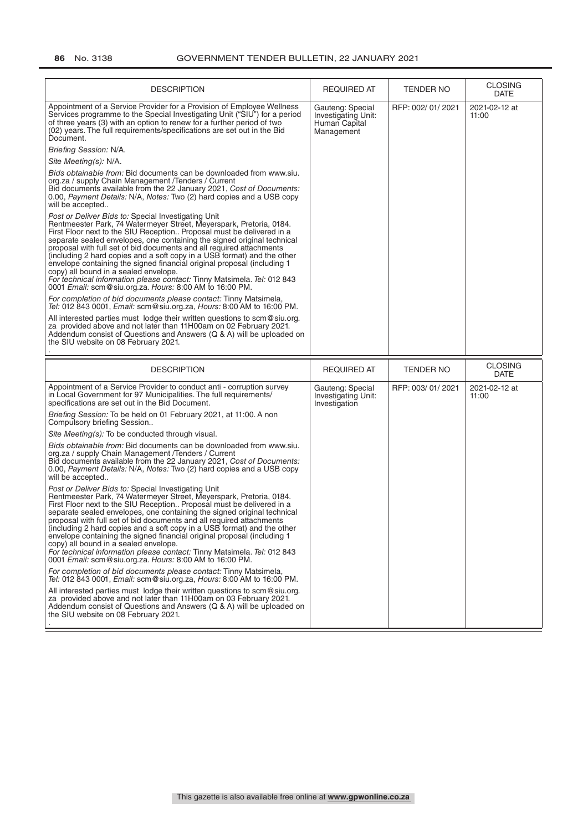| <b>DESCRIPTION</b>                                                                                                                                                                                                                                                                                                                                                                                                                                                                                                                                                                                                                                                                          | <b>REQUIRED AT</b>                                                     | TENDER NO        | <b>CLOSING</b><br><b>DATE</b>         |
|---------------------------------------------------------------------------------------------------------------------------------------------------------------------------------------------------------------------------------------------------------------------------------------------------------------------------------------------------------------------------------------------------------------------------------------------------------------------------------------------------------------------------------------------------------------------------------------------------------------------------------------------------------------------------------------------|------------------------------------------------------------------------|------------------|---------------------------------------|
| Appointment of a Service Provider for a Provision of Employee Wellness<br>Services programme to the Special Investigating Unit ("SIU") for a period<br>of three years (3) with an option to renew for a further period of two<br>(02) years. The full requirements/specifications are set out in the Bid<br>Document.                                                                                                                                                                                                                                                                                                                                                                       | Gauteng: Special<br>Investigating Unit:<br>Human Capital<br>Management | RFP: 002/01/2021 | 2021-02-12 at<br>11:00                |
| Briefing Session: N/A.                                                                                                                                                                                                                                                                                                                                                                                                                                                                                                                                                                                                                                                                      |                                                                        |                  |                                       |
| Site Meeting(s): N/A.                                                                                                                                                                                                                                                                                                                                                                                                                                                                                                                                                                                                                                                                       |                                                                        |                  |                                       |
| Bids obtainable from: Bid documents can be downloaded from www.siu.<br>org.za / supply Chain Management /Tenders / Current<br>Bid documents available from the 22 January 2021, Cost of Documents:<br>0.00, Payment Details: N/A, Notes: Two (2) hard copies and a USB copy<br>will be accepted                                                                                                                                                                                                                                                                                                                                                                                             |                                                                        |                  |                                       |
| Post or Deliver Bids to: Special Investigating Unit<br>Rentmeester Park, 74 Watermeyer Street, Meyerspark, Pretoria, 0184.<br>First Floor next to the SIU Reception Proposal must be delivered in a<br>separate sealed envelopes, one containing the signed original technical<br>proposal with full set of bid documents and all required attachments<br>(including 2 hard copies and a soft copy in a USB format) and the other<br>envelope containing the signed financial original proposal (including 1<br>copy) all bound in a sealed envelope.<br>For technical information please contact: Tinny Matsimela. Tel: 012 843<br>0001 Email: scm@siu.org.za. Hours: 8:00 AM to 16:00 PM. |                                                                        |                  |                                       |
| For completion of bid documents please contact: Tinny Matsimela,<br>Tel: 012 843 0001, Email: scm@siu.org.za, Hours: 8:00 AM to 16:00 PM.                                                                                                                                                                                                                                                                                                                                                                                                                                                                                                                                                   |                                                                        |                  |                                       |
| All interested parties must lodge their written questions to scm@siu.org.<br>za provided above and not later than 11H00am on 02 February 2021.<br>Addendum consist of Questions and Answers (Q & A) will be uploaded on<br>the SIU website on 08 February 2021.                                                                                                                                                                                                                                                                                                                                                                                                                             |                                                                        |                  |                                       |
|                                                                                                                                                                                                                                                                                                                                                                                                                                                                                                                                                                                                                                                                                             |                                                                        |                  |                                       |
| <b>DESCRIPTION</b>                                                                                                                                                                                                                                                                                                                                                                                                                                                                                                                                                                                                                                                                          | <b>REQUIRED AT</b>                                                     | TENDER NO        | <b>CLOSING</b>                        |
| Appointment of a Service Provider to conduct anti - corruption survey<br>in Local Government for 97 Municipalities. The full requirements/<br>specifications are set out in the Bid Document.                                                                                                                                                                                                                                                                                                                                                                                                                                                                                               | Gauteng: Special<br>Investigating Unit:<br>Investigation               | RFP: 003/01/2021 | <b>DATE</b><br>2021-02-12 at<br>11:00 |
| Briefing Session: To be held on 01 February 2021, at 11:00. A non<br>Compulsory briefing Session                                                                                                                                                                                                                                                                                                                                                                                                                                                                                                                                                                                            |                                                                        |                  |                                       |
| Site Meeting(s): To be conducted through visual.                                                                                                                                                                                                                                                                                                                                                                                                                                                                                                                                                                                                                                            |                                                                        |                  |                                       |
| Bids obtainable from: Bid documents can be downloaded from www.siu.<br>org.za / supply Chain Management /Tenders / Current<br>Bid documents available from the 22 January 2021, Cost of Documents:<br>0.00, Payment Details: N/A, Notes: Two (2) hard copies and a USB copy<br>will be accepted                                                                                                                                                                                                                                                                                                                                                                                             |                                                                        |                  |                                       |
| Post or Deliver Bids to: Special Investigating Unit<br>Rentmeester Park, 74 Watermeyer Street, Meyerspark, Pretoria, 0184.<br>First Floor next to the SIU Reception Proposal must be delivered in a<br>separate sealed envelopes, one containing the signed original technical<br>proposal with full set of bid documents and all required attachments<br>(including 2 hard copies and a soft copy in a USB format) and the other<br>envelope containing the signed financial original proposal (including 1<br>copy) all bound in a sealed envelope.<br>For technical information please contact: Tinny Matsimela. Tel: 012 843<br>0001 Email: scm@siu.org.za. Hours: 8:00 AM to 16:00 PM. |                                                                        |                  |                                       |
| For completion of bid documents please contact: Tinny Matsimela,<br>Tel: 012 843 0001, Email: scm@siu.org.za, Hours: 8:00 AM to 16:00 PM.                                                                                                                                                                                                                                                                                                                                                                                                                                                                                                                                                   |                                                                        |                  |                                       |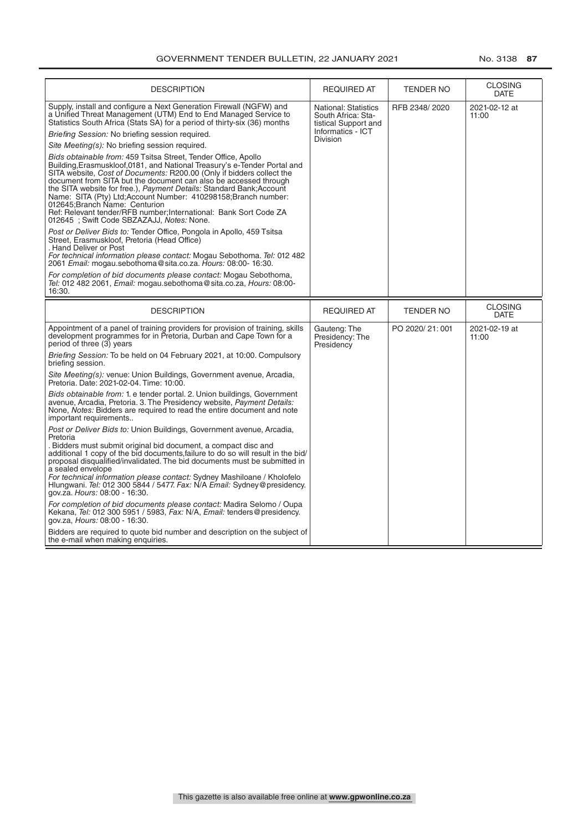| <b>DESCRIPTION</b>                                                                                                                                                                                                                                                                                                                                                                                                                                                                                                                                                                                                                                                                                                                                                                                                                                                                                                                                                                                                                                                                                                                                                                                                                                                                                                                                                     | <b>REQUIRED AT</b>                                                                                                | <b>TENDER NO</b> | <b>CLOSING</b><br><b>DATE</b> |
|------------------------------------------------------------------------------------------------------------------------------------------------------------------------------------------------------------------------------------------------------------------------------------------------------------------------------------------------------------------------------------------------------------------------------------------------------------------------------------------------------------------------------------------------------------------------------------------------------------------------------------------------------------------------------------------------------------------------------------------------------------------------------------------------------------------------------------------------------------------------------------------------------------------------------------------------------------------------------------------------------------------------------------------------------------------------------------------------------------------------------------------------------------------------------------------------------------------------------------------------------------------------------------------------------------------------------------------------------------------------|-------------------------------------------------------------------------------------------------------------------|------------------|-------------------------------|
| Supply, install and configure a Next Generation Firewall (NGFW) and<br>a Unified Threat Management (UTM) End to End Managed Service to<br>Statistics South Africa (Stats SA) for a period of thirty-six (36) months<br>Briefing Session: No briefing session required.<br>Site Meeting(s): No briefing session required.<br>Bids obtainable from: 459 Tsitsa Street, Tender Office, Apollo<br>Building, Erasmuskloof, 0181, and National Treasury's e-Tender Portal and<br>SITA website, Cost of Documents: R200.00 (Only if bidders collect the<br>document from SITA but the document can also be accessed through<br>the SITA website for free.), Payment Details: Standard Bank; Account<br>Name: SITA (Pty) Ltd; Account Number: 410298158; Branch number:<br>012645: Branch Name: Centurion<br>Ref: Relevant tender/RFB number; International: Bank Sort Code ZA<br>012645 ; Swift Code SBZAZAJJ, Notes: None.<br>Post or Deliver Bids to: Tender Office, Pongola in Apollo, 459 Tsitsa<br>Street, Erasmuskloof, Pretoria (Head Office)<br>. Hand Deliver or Post<br>For technical information please contact: Mogau Sebothoma. Tel: 012 482<br>2061 Email: mogau.sebothoma@sita.co.za. Hours: 08:00-16:30.<br>For completion of bid documents please contact: Mogau Sebothoma,<br>Tel: 012 482 2061, Email: mogau.sebothoma@sita.co.za, Hours: 08:00-<br>16:30. | <b>National: Statistics</b><br>South Africa: Sta-<br>tistical Support and<br>Informatics - ICT<br><b>Division</b> | RFB 2348/2020    | 2021-02-12 at<br>11:00        |
| <b>DESCRIPTION</b>                                                                                                                                                                                                                                                                                                                                                                                                                                                                                                                                                                                                                                                                                                                                                                                                                                                                                                                                                                                                                                                                                                                                                                                                                                                                                                                                                     | <b>REQUIRED AT</b>                                                                                                | <b>TENDER NO</b> | <b>CLOSING</b><br><b>DATE</b> |
| Appointment of a panel of training providers for provision of training, skills<br>development programmes for in Pretoria, Durban and Cape Town for a<br>period of three (3) years                                                                                                                                                                                                                                                                                                                                                                                                                                                                                                                                                                                                                                                                                                                                                                                                                                                                                                                                                                                                                                                                                                                                                                                      | Gauteng: The<br>Presidency: The<br>Presidency                                                                     | PO 2020/21:001   | 2021-02-19 at<br>11:00        |
| Briefing Session: To be held on 04 February 2021, at 10:00. Compulsory<br>briefing session.                                                                                                                                                                                                                                                                                                                                                                                                                                                                                                                                                                                                                                                                                                                                                                                                                                                                                                                                                                                                                                                                                                                                                                                                                                                                            |                                                                                                                   |                  |                               |
| Site Meeting(s): venue: Union Buildings, Government avenue, Arcadia,<br>Pretoria. Date: 2021-02-04. Time: 10:00.                                                                                                                                                                                                                                                                                                                                                                                                                                                                                                                                                                                                                                                                                                                                                                                                                                                                                                                                                                                                                                                                                                                                                                                                                                                       |                                                                                                                   |                  |                               |
| <i>Bids obtainable from:</i> 1. e tender portal. 2. Union buildings, Government<br>avenue, Arcadia, Pretoria. 3. The Presidency website, Payment Details:<br>None, Notes: Bidders are required to read the entire document and note<br>important requirements                                                                                                                                                                                                                                                                                                                                                                                                                                                                                                                                                                                                                                                                                                                                                                                                                                                                                                                                                                                                                                                                                                          |                                                                                                                   |                  |                               |
| Post or Deliver Bids to: Union Buildings, Government avenue, Arcadia,<br>Pretoria<br>. Bidders must submit original bid document, a compact disc and<br>additional 1 copy of the bid documents, failure to do so will result in the bid/<br>proposal disqualified/invalidated. The bid documents must be submitted in<br>a sealed envelope<br>For technical information please contact: Sydney Mashiloane / Kholofelo<br>Hlungwani. Tel: 012 300 5844 / 5477. Fax: N/A Email: Sydney@presidency.<br>gov.za. Hours: 08:00 - 16:30.                                                                                                                                                                                                                                                                                                                                                                                                                                                                                                                                                                                                                                                                                                                                                                                                                                      |                                                                                                                   |                  |                               |
| For completion of bid documents please contact: Madira Selomo / Oupa<br>Kekana, Tel: 012 300 5951 / 5983, Fax: N/A, Email: tenders@presidency.<br>gov.za, Hours: 08:00 - 16:30.<br>Bidders are required to quote bid number and description on the subject of<br>the e-mail when making enquiries.                                                                                                                                                                                                                                                                                                                                                                                                                                                                                                                                                                                                                                                                                                                                                                                                                                                                                                                                                                                                                                                                     |                                                                                                                   |                  |                               |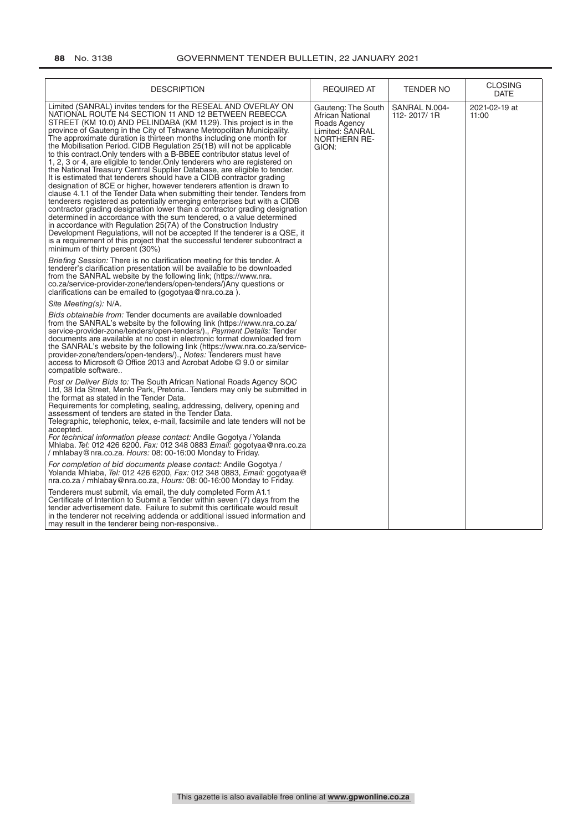| <b>DESCRIPTION</b>                                                                                                                                                                                                                                                                                                                                                                                                                                                                                                                                                                                                                                                                                                                                                                                                                                                                                                                                                                                                                                                                                                                                                                                                                                                                                                                                                                               | <b>REQUIRED AT</b>                                                                                        | <b>TENDER NO</b>             | <b>CLOSING</b><br>DATE |
|--------------------------------------------------------------------------------------------------------------------------------------------------------------------------------------------------------------------------------------------------------------------------------------------------------------------------------------------------------------------------------------------------------------------------------------------------------------------------------------------------------------------------------------------------------------------------------------------------------------------------------------------------------------------------------------------------------------------------------------------------------------------------------------------------------------------------------------------------------------------------------------------------------------------------------------------------------------------------------------------------------------------------------------------------------------------------------------------------------------------------------------------------------------------------------------------------------------------------------------------------------------------------------------------------------------------------------------------------------------------------------------------------|-----------------------------------------------------------------------------------------------------------|------------------------------|------------------------|
| Limited (SANRAL) invites tenders for the RESEAL AND OVERLAY ON<br>NATIONAL ROUTE N4 SECTION 11 AND 12 BETWEEN REBECCA<br>STREET (KM 10.0) AND PELINDABA (KM 11.29). This project is in the<br>province of Gauteng in the City of Tshwane Metropolitan Municipality.<br>The approximate duration is thirteen months including one month for<br>the Mobilisation Period. CIDB Regulation 25(1B) will not be applicable<br>to this contract. Only tenders with a B-BBEE contributor status level of<br>1, 2, 3 or 4, are eligible to tender. Only tenderers who are registered on<br>the National Treasury Central Supplier Database, are eligible to tender.<br>It is estimated that tenderers should have a CIDB contractor grading<br>designation of 8CE or higher, however tenderers attention is drawn to<br>clause 4.1.1 of the Tender Data when submitting their tender. Tenders from<br>tenderers registered as potentially emerging enterprises but with a CIDB<br>contractor grading designation lower than a contractor grading designation<br>determined in accordance with the sum tendered, o a value determined<br>in accordance with Regulation 25(7A) of the Construction Industry<br>Development Regulations, will not be accepted If the tenderer is a QSE, it<br>is a requirement of this project that the successful tenderer subcontract a<br>minimum of thirty percent (30%) | Gauteng: The South<br>African National<br>Roads Agency<br>Limited: SANRAL<br><b>NORTHERN RE-</b><br>GION: | SANRAL N.004-<br>112-2017/1R | 2021-02-19 at<br>11:00 |
| Briefing Session: There is no clarification meeting for this tender. A<br>tenderer's clarification presentation will be available to be downloaded<br>from the SANRAL website by the following link; (https://www.nra.<br>co.za/service-provider-zone/tenders/open-tenders/)Any questions or<br>clarifications can be emailed to (gogotyaa@nra.co.za).                                                                                                                                                                                                                                                                                                                                                                                                                                                                                                                                                                                                                                                                                                                                                                                                                                                                                                                                                                                                                                           |                                                                                                           |                              |                        |
| Site Meeting(s): N/A.                                                                                                                                                                                                                                                                                                                                                                                                                                                                                                                                                                                                                                                                                                                                                                                                                                                                                                                                                                                                                                                                                                                                                                                                                                                                                                                                                                            |                                                                                                           |                              |                        |
| Bids obtainable from: Tender documents are available downloaded<br>from the SANRAL's website by the following link (https://www.nra.co.za/<br>service-provider-zone/tenders/open-tenders/)., Payment Details: Tender<br>documents are available at no cost in electronic format downloaded from<br>the SANRAL's website by the following link (https://www.nra.co.za/service-<br>provider-zone/tenders/open-tenders/)., Notes: Tenderers must have<br>access to Microsoft © Office 2013 and Acrobat Adobe © 9.0 or similar<br>compatible software                                                                                                                                                                                                                                                                                                                                                                                                                                                                                                                                                                                                                                                                                                                                                                                                                                                |                                                                                                           |                              |                        |
| Post or Deliver Bids to: The South African National Roads Agency SOC<br>Ltd, 38 Ida Street, Menlo Park, Pretoria Tenders may only be submitted in<br>the format as stated in the Tender Data.<br>Requirements for completing, sealing, addressing, delivery, opening and<br>assessment of tenders are stated in the Tender Data.<br>Telegraphic, telephonic, telex, e-mail, facsimile and late tenders will not be<br>accepted.<br>For technical information please contact: Andile Gogotya / Yolanda<br>Mhlaba. <i>Tel:</i> 012 426 6200. <i>Fax:</i> 012 348 0883 <i>Email:</i> gogotyaa@nra.co.za<br>/ mhlabay@nra.co.za. Hours: 08: 00-16:00 Monday to Friday.                                                                                                                                                                                                                                                                                                                                                                                                                                                                                                                                                                                                                                                                                                                               |                                                                                                           |                              |                        |
| For completion of bid documents please contact: Andile Gogotya /<br>Yolanda Mhlaba, <i>Tel:</i> 012 426 6200, <i>Fax:</i> 012 348 0883, <i>Email:</i> gogotyaa@<br>nra.co.za / mhlabay@nra.co.za, Hours: 08: 00-16:00 Monday to Friday.                                                                                                                                                                                                                                                                                                                                                                                                                                                                                                                                                                                                                                                                                                                                                                                                                                                                                                                                                                                                                                                                                                                                                          |                                                                                                           |                              |                        |
| Tenderers must submit, via email, the duly completed Form A1.1<br>Certificate of Intention to Submit a Tender within seven (7) days from the<br>tender advertisement date. Failure to submit this certificate would result<br>in the tenderer not receiving addenda or additional issued information and<br>may result in the tenderer being non-responsive                                                                                                                                                                                                                                                                                                                                                                                                                                                                                                                                                                                                                                                                                                                                                                                                                                                                                                                                                                                                                                      |                                                                                                           |                              |                        |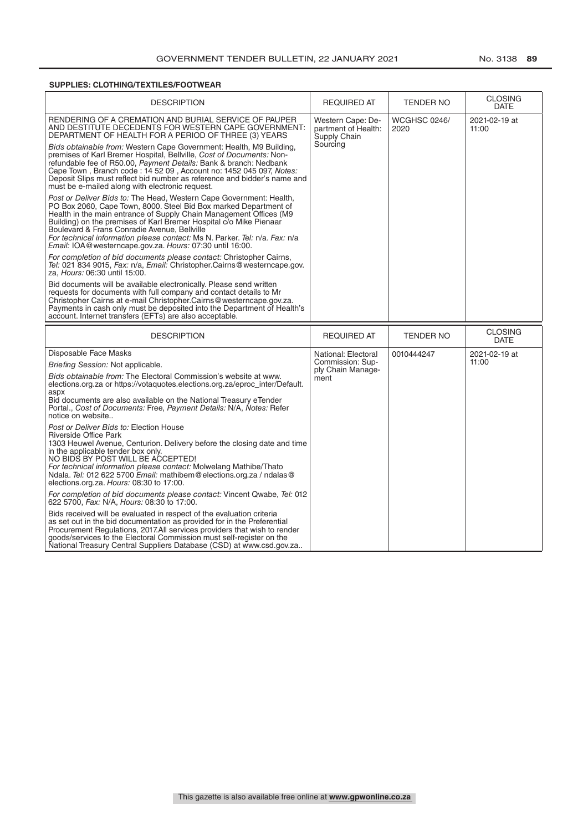# **SUPPLIES: CLOTHING/TEXTILES/FOOTWEAR**

| <b>DESCRIPTION</b>                                                                                                                                                                                                                                                                                                                                                                                                                                                            | <b>REQUIRED AT</b>                                       | <b>TENDER NO</b>            | <b>CLOSING</b><br><b>DATE</b> |
|-------------------------------------------------------------------------------------------------------------------------------------------------------------------------------------------------------------------------------------------------------------------------------------------------------------------------------------------------------------------------------------------------------------------------------------------------------------------------------|----------------------------------------------------------|-----------------------------|-------------------------------|
| RENDERING OF A CREMATION AND BURIAL SERVICE OF PAUPER<br>AND DESTITUTE DECEDENTS FOR WESTERN CAPE GOVERNMENT:<br>DEPARTMENT OF HEALTH FOR A PERIOD OF THREE (3) YEARS                                                                                                                                                                                                                                                                                                         | Western Cape: De-<br>partment of Health:<br>Supply Chain | <b>WCGHSC 0246/</b><br>2020 | 2021-02-19 at<br>11:00        |
| Bids obtainable from: Western Cape Government: Health, M9 Building,<br>premises of Karl Bremer Hospital, Bellville, Cost of Documents: Non-<br>refundable fee of R50.00, Payment Details: Bank & branch: Nedbank<br>Cape Town, Branch code: 14 52 09, Account no: 1452 045 097, Notes:<br>Deposit Slips must reflect bid number as reference and bidder's name and<br>must be e-mailed along with electronic request.                                                         | Sourcing                                                 |                             |                               |
| Post or Deliver Bids to: The Head, Western Cape Government: Health,<br>PO Box 2060, Cape Town, 8000. Steel Bid Box marked Department of<br>Health in the main entrance of Supply Chain Management Offices (M9<br>Building) on the premises of Karl Bremer Hospital c/o Mike Pienaar<br>Boulevard & Frans Conradie Avenue, Bellville<br>For technical information please contact: Ms N. Parker. Tel: n/a. Fax: n/a<br>Email: IOA@westerncape.gov.za. Hours: 07:30 until 16:00. |                                                          |                             |                               |
| For completion of bid documents please contact: Christopher Cairns,<br>Tel: 021 834 9015, Fax: n/a, Email: Christopher Cairns@westerncape.gov.<br>za, Hours: 06:30 until 15:00.                                                                                                                                                                                                                                                                                               |                                                          |                             |                               |
| Bid documents will be available electronically. Please send written<br>requests for documents with full company and contact details to Mr<br>Christopher Cairns at e-mail Christopher Cairns@westerncape.gov.za.<br>Payments in cash only must be deposited into the Department of Health's<br>account. Internet transfers (EFTs) are also acceptable.                                                                                                                        |                                                          |                             |                               |
|                                                                                                                                                                                                                                                                                                                                                                                                                                                                               |                                                          |                             |                               |
| <b>DESCRIPTION</b>                                                                                                                                                                                                                                                                                                                                                                                                                                                            | <b>REQUIRED AT</b>                                       | TENDER NO                   | <b>CLOSING</b><br><b>DATE</b> |
| Disposable Face Masks                                                                                                                                                                                                                                                                                                                                                                                                                                                         | National: Electoral                                      | 0010444247                  | 2021-02-19 at                 |
| Briefing Session: Not applicable.                                                                                                                                                                                                                                                                                                                                                                                                                                             | Commission: Sup-                                         |                             | 11:00                         |
| Bids obtainable from: The Electoral Commission's website at www.<br>elections.org.za or https://votaquotes.elections.org.za/eproc_inter/Default.<br>aspx<br>Bid documents are also available on the National Treasury eTender<br>Portal., Cost of Documents: Free, Payment Details: N/A, Notes: Refer<br>notice on website                                                                                                                                                    | ply Chain Manage-<br>ment                                |                             |                               |
| Post or Deliver Bids to: Election House<br>Riverside Office Park<br>1303 Heuwel Avenue, Centurion. Delivery before the closing date and time<br>in the applicable tender box only.<br>NO BIDS BY POST WILL BE ACCEPTED!<br>For technical information please contact: Molwelang Mathibe/Thato<br>Ndala. Tel: 012 622 5700 Email: mathibem@elections.org.za / ndalas@<br>elections.org.za. Hours: 08:30 to 17:00.                                                               |                                                          |                             |                               |
| For completion of bid documents please contact: Vincent Qwabe, Tel: 012<br>622 5700, Fax: N/A, Hours: 08:30 to 17:00.                                                                                                                                                                                                                                                                                                                                                         |                                                          |                             |                               |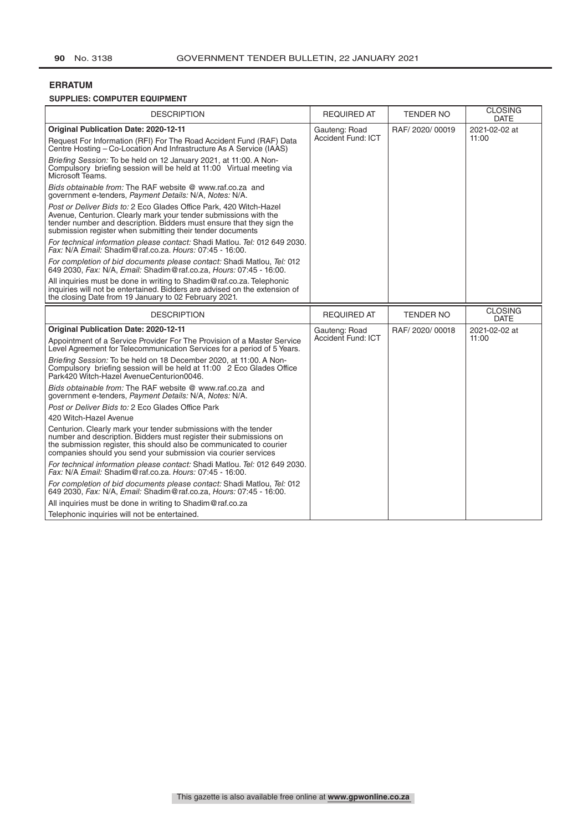# **ERRATUM**

# **SUPPLIES: COMPUTER EQUIPMENT**

| <b>DESCRIPTION</b>                                                                                                                                                                                                                                                              | <b>REQUIRED AT</b>                         | <b>TENDER NO</b> | <b>CLOSING</b><br><b>DATE</b> |
|---------------------------------------------------------------------------------------------------------------------------------------------------------------------------------------------------------------------------------------------------------------------------------|--------------------------------------------|------------------|-------------------------------|
| <b>Original Publication Date: 2020-12-11</b><br>Request For Information (RFI) For The Road Accident Fund (RAF) Data<br>Centre Hosting – Co-Location And Infrastructure As A Service (IAAS)                                                                                      | Gauteng: Road<br><b>Accident Fund: ICT</b> | RAF/2020/00019   | 2021-02-02 at<br>11:00        |
| Briefing Session: To be held on 12 January 2021, at 11:00. A Non-<br>Compulsory briefing session will be held at 11:00 Virtual meeting via<br>Microsoft Teams.                                                                                                                  |                                            |                  |                               |
| Bids obtainable from: The RAF website @ www.raf.co.za and<br>government e-tenders, Payment Details: N/A, Notes: N/A.                                                                                                                                                            |                                            |                  |                               |
| Post or Deliver Bids to: 2 Eco Glades Office Park, 420 Witch-Hazel<br>Avenue, Centurion. Clearly mark your tender submissions with the<br>tender number and description. Bidders must ensure that they sign the<br>submission register when submitting their tender documents   |                                            |                  |                               |
| For technical information please contact: Shadi Matlou. Tel: 012 649 2030.<br>Fax: N/A Email: Shadim @raf.co.za. Hours: 07:45 - 16:00.                                                                                                                                          |                                            |                  |                               |
| For completion of bid documents please contact: Shadi Matlou, Tel: 012<br>649 2030, Fax: N/A, Email: Shadim@raf.co.za, Hours: 07:45 - 16:00.                                                                                                                                    |                                            |                  |                               |
| All inquiries must be done in writing to Shadim@raf.co.za. Telephonic<br>inquiries will not be entertained. Bidders are advised on the extension of<br>the closing Date from 19 January to 02 February 2021.                                                                    |                                            |                  |                               |
| <b>DESCRIPTION</b>                                                                                                                                                                                                                                                              | <b>REQUIRED AT</b>                         | <b>TENDER NO</b> | <b>CLOSING</b><br><b>DATE</b> |
| <b>Original Publication Date: 2020-12-11</b>                                                                                                                                                                                                                                    | Gauteng: Road                              | RAF/2020/00018   | 2021-02-02 at                 |
| Appointment of a Service Provider For The Provision of a Master Service<br>Level Agreement for Telecommunication Services for a period of 5 Years.                                                                                                                              | Accident Fund: ICT                         |                  | 11:00                         |
| Briefing Session: To be held on 18 December 2020, at 11:00. A Non-<br>Compulsory briefing session will be held at 11:00 2 Eco Glades Office<br>Park420 Witch-Hazel AvenueCenturion0046.                                                                                         |                                            |                  |                               |
| Bids obtainable from: The RAF website @ www.raf.co.za and<br>government e-tenders, Payment Details: N/A, Notes: N/A.                                                                                                                                                            |                                            |                  |                               |
| Post or Deliver Bids to: 2 Eco Glades Office Park                                                                                                                                                                                                                               |                                            |                  |                               |
| 420 Witch-Hazel Avenue                                                                                                                                                                                                                                                          |                                            |                  |                               |
| Centurion. Clearly mark your tender submissions with the tender<br>number and description. Bidders must register their submissions on<br>the submission register, this should also be communicated to courier<br>companies should you send your submission via courier services |                                            |                  |                               |
| For technical information please contact: Shadi Matlou. Tel: 012 649 2030.<br>Fax: N/A Email: Shadim @raf.co.za. Hours: 07:45 - 16:00.                                                                                                                                          |                                            |                  |                               |
| For completion of bid documents please contact: Shadi Matlou, Tel: 012<br>649 2030, Fax: N/A, Email: Shadim@raf.co.za, Hours: 07:45 - 16:00.                                                                                                                                    |                                            |                  |                               |
| All inquiries must be done in writing to Shadim@raf.co.za                                                                                                                                                                                                                       |                                            |                  |                               |
| Telephonic inquiries will not be entertained.                                                                                                                                                                                                                                   |                                            |                  |                               |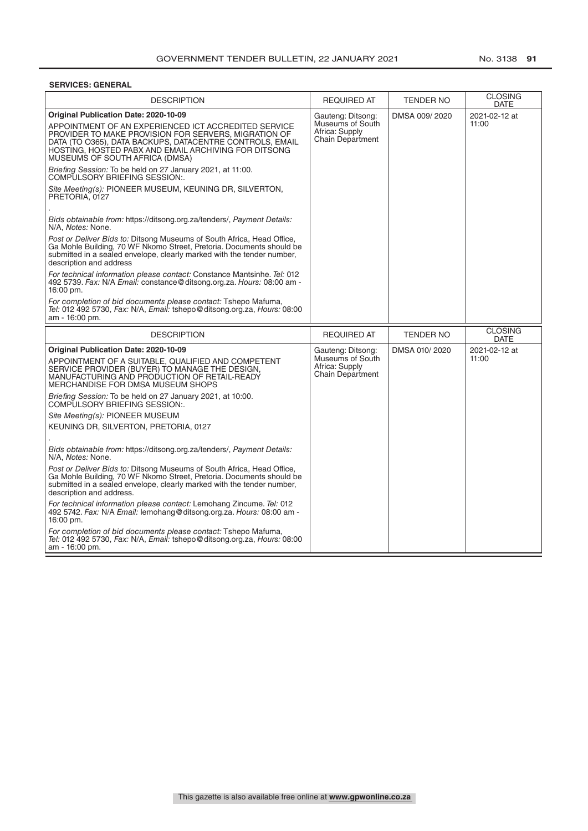# **SERVICES: GENERAL**

| <b>DESCRIPTION</b>                                                                                                                                                                                                                                                                                                                                                                                                                                                                                                                                                                                                                                                                                                                                                                                                                                                                                                                                                                                                                                                                                                                                                                                                | <b>REQUIRED AT</b>                                                                 | <b>TENDER NO</b> | <b>CLOSING</b><br>DATE        |
|-------------------------------------------------------------------------------------------------------------------------------------------------------------------------------------------------------------------------------------------------------------------------------------------------------------------------------------------------------------------------------------------------------------------------------------------------------------------------------------------------------------------------------------------------------------------------------------------------------------------------------------------------------------------------------------------------------------------------------------------------------------------------------------------------------------------------------------------------------------------------------------------------------------------------------------------------------------------------------------------------------------------------------------------------------------------------------------------------------------------------------------------------------------------------------------------------------------------|------------------------------------------------------------------------------------|------------------|-------------------------------|
| <b>Original Publication Date: 2020-10-09</b><br>APPOINTMENT OF AN EXPERIENCED ICT ACCREDITED SERVICE<br>PROVIDER TO MAKE PROVISION FOR SERVERS, MIGRATION OF<br>DATA (TO O365), DATA BACKUPS, DATACENTRE CONTROLS, EMAIL<br>HOSTING, HOSTED PABX AND EMAIL ARCHIVING FOR DITSONG<br>MUSEUMS OF SOUTH AFRICA (DMSA)<br>Briefing Session: To be held on 27 January 2021, at 11:00.<br>COMPŪLSORY BRIEFING SESSION:.<br>Site Meeting(s): PIONEER MUSEUM, KEUNING DR, SILVERTON,<br>PRETORIA, 0127<br>Bids obtainable from: https://ditsong.org.za/tenders/, Payment Details:<br>N/A. Notes: None.<br>Post or Deliver Bids to: Ditsong Museums of South Africa, Head Office,<br>Ga Mohle Building, 70 WF Nkomo Street, Pretoria. Documents should be<br>submitted in a sealed envelope, clearly marked with the tender number,<br>description and address<br>For technical information please contact: Constance Mantsinhe. Tel: 012<br>492 5739. Fax: N/A Email: constance@ditsong.org.za. Hours: 08:00 am -<br>16:00 pm.<br>For completion of bid documents please contact: Tshepo Mafuma,<br><i>Tel:</i> 012 492 5730, <i>Fax:</i> N/A, <i>Email:</i> tshepo@ditsong.org.za, <i>Hours:</i> 08:00<br>am - 16:00 pm. | Gauteng: Ditsong:<br>Museums of South<br>Africa: Supply<br><b>Chain Department</b> | DMSA 009/2020    | 2021-02-12 at<br>11:00        |
| <b>DESCRIPTION</b>                                                                                                                                                                                                                                                                                                                                                                                                                                                                                                                                                                                                                                                                                                                                                                                                                                                                                                                                                                                                                                                                                                                                                                                                | <b>REQUIRED AT</b>                                                                 | <b>TENDER NO</b> | <b>CLOSING</b><br><b>DATE</b> |
| Original Publication Date: 2020-10-09<br>APPOINTMENT OF A SUITABLE, QUALIFIED AND COMPETENT<br>SERVICE PROVIDER (BUYER) TO MANAGE THE DESIGN,<br>MANUFACTURING AND PRODUCTION OF RETAIL-READY<br><b>MERCHANDISE FOR DMSA MUSEUM SHOPS</b><br>Briefing Session: To be held on 27 January 2021, at 10:00.<br>COMPULSORY BRIEFING SESSION:<br>Site Meeting(s): PIONEER MUSEUM<br>KEUNING DR, SILVERTON, PRETORIA, 0127<br>Bids obtainable from: https://ditsong.org.za/tenders/, Payment Details:<br>N/A. Notes: None.<br>Post or Deliver Bids to: Ditsong Museums of South Africa, Head Office,<br>Ga Mohle Building, 70 WF Nkomo Street, Pretoria. Documents should be<br>submitted in a sealed envelope, clearly marked with the tender number,<br>description and address.<br>For technical information please contact: Lemohang Zincume. Tel: 012<br>492 5742. Fax: N/A Email: lemohang@ditsong.org.za. Hours: 08:00 am -<br>16:00 pm.<br>For completion of bid documents please contact: Tshepo Mafuma,<br>Tel: 012 492 5730, Fax: N/A, Email: tshepo@ditsong.org.za, Hours: 08:00                                                                                                                             | Gauteng: Ditsong:<br>Museums of South<br>Africa: Supply<br><b>Chain Department</b> | DMSA 010/2020    | 2021-02-12 at<br>11:00        |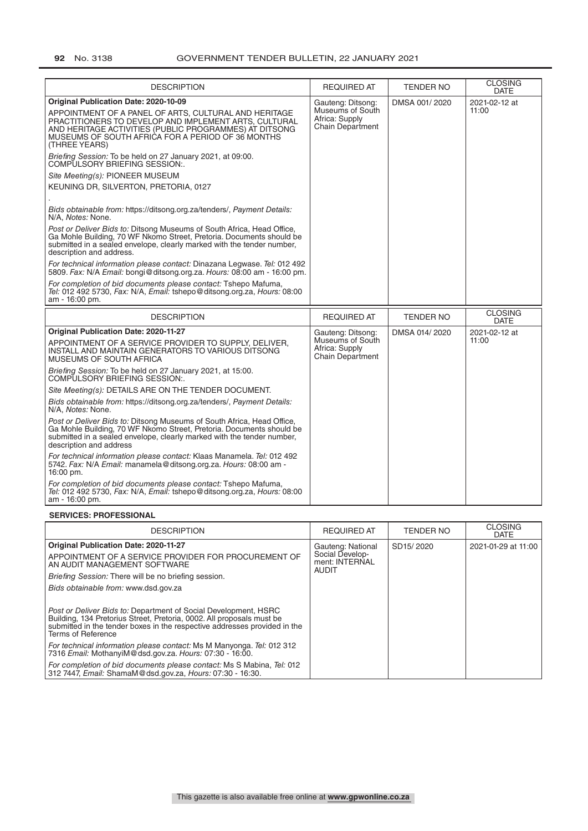| <b>DESCRIPTION</b>                                                                                                                                                                                                                                                                                                                                                                                                                                                                                                                                                                                                                                                                                                                                                                                                                                                                                                                                                                                                                                                                                                             | <b>REQUIRED AT</b>                                                          | <b>TENDER NO</b> | <b>CLOSING</b><br><b>DATE</b> |
|--------------------------------------------------------------------------------------------------------------------------------------------------------------------------------------------------------------------------------------------------------------------------------------------------------------------------------------------------------------------------------------------------------------------------------------------------------------------------------------------------------------------------------------------------------------------------------------------------------------------------------------------------------------------------------------------------------------------------------------------------------------------------------------------------------------------------------------------------------------------------------------------------------------------------------------------------------------------------------------------------------------------------------------------------------------------------------------------------------------------------------|-----------------------------------------------------------------------------|------------------|-------------------------------|
| Original Publication Date: 2020-10-09<br>APPOINTMENT OF A PANEL OF ARTS, CULTURAL AND HERITAGE<br>PRACTITIONERS TO DEVELOP AND IMPLEMENT ARTS, CULTURAL<br>AND HERITAGE ACTIVITIES (PUBLIC PROGRAMMES) AT DITSONG<br>MUSEUMS OF SOUTH AFRICA FOR A PERIOD OF 36 MONTHS<br>(THREE YEARS)<br>Briefing Session: To be held on 27 January 2021, at 09:00.<br>COMPULSORY BRIEFING SESSION:.<br>Site Meeting(s): PIONEER MUSEUM<br>KEUNING DR, SILVERTON, PRETORIA, 0127<br>Bids obtainable from: https://ditsong.org.za/tenders/, Payment Details:<br>N/A. Notes: None.<br>Post or Deliver Bids to: Ditsong Museums of South Africa, Head Office,<br>Ga Mohle Building, 70 WF Nkomo Street, Pretoria. Documents should be<br>submitted in a sealed envelope, clearly marked with the tender number,<br>description and address.<br>For technical information please contact: Dinazana Legwase. Tel: 012 492<br>5809. Fax: N/A Email: bongi@ditsong.org.za. Hours: 08:00 am - 16:00 pm.<br>For completion of bid documents please contact: Tshepo Mafuma,<br>Tel: 012 492 5730, Fax: N/A, Email: tshepo@ditsong.org.za, Hours: 08:00 | Gauteng: Ditsong:<br>Museums of South<br>Africa: Supply<br>Chain Department | DMSA 001/2020    | 2021-02-12 at<br>11:00        |
| am - 16:00 pm.<br><b>DESCRIPTION</b>                                                                                                                                                                                                                                                                                                                                                                                                                                                                                                                                                                                                                                                                                                                                                                                                                                                                                                                                                                                                                                                                                           | <b>REQUIRED AT</b>                                                          | <b>TENDER NO</b> | <b>CLOSING</b>                |
|                                                                                                                                                                                                                                                                                                                                                                                                                                                                                                                                                                                                                                                                                                                                                                                                                                                                                                                                                                                                                                                                                                                                |                                                                             |                  | <b>DATE</b>                   |
| <b>Original Publication Date: 2020-11-27</b><br>APPOINTMENT OF A SERVICE PROVIDER TO SUPPLY, DELIVER,<br>INSTALL AND MAINTAIN GENERATORS TO VARIOUS DITSONG<br>MUSEUMS OF SOUTH AFRICA                                                                                                                                                                                                                                                                                                                                                                                                                                                                                                                                                                                                                                                                                                                                                                                                                                                                                                                                         | Gauteng: Ditsong:<br>Museums of South<br>Africa: Supply<br>Chain Department | DMSA 014/2020    | 2021-02-12 at<br>11:00        |
| Briefing Session: To be held on 27 January 2021, at 15:00.<br>COMPULSORY BRIEFING SESSION:.                                                                                                                                                                                                                                                                                                                                                                                                                                                                                                                                                                                                                                                                                                                                                                                                                                                                                                                                                                                                                                    |                                                                             |                  |                               |
| Site Meeting(s): DETAILS ARE ON THE TENDER DOCUMENT.                                                                                                                                                                                                                                                                                                                                                                                                                                                                                                                                                                                                                                                                                                                                                                                                                                                                                                                                                                                                                                                                           |                                                                             |                  |                               |
| Bids obtainable from: https://ditsong.org.za/tenders/, Payment Details:<br>N/A, Notes: None.                                                                                                                                                                                                                                                                                                                                                                                                                                                                                                                                                                                                                                                                                                                                                                                                                                                                                                                                                                                                                                   |                                                                             |                  |                               |
| Post or Deliver Bids to: Ditsong Museums of South Africa, Head Office,<br>Ga Mohle Building, 70 WF Nkomo Street, Pretoria. Documents should be<br>submitted in a sealed envelope, clearly marked with the tender number,<br>description and address                                                                                                                                                                                                                                                                                                                                                                                                                                                                                                                                                                                                                                                                                                                                                                                                                                                                            |                                                                             |                  |                               |
| For technical information please contact: Klaas Manamela. Tel: 012 492<br>5742. Fax: N/A Email: manamela@ditsong.org.za. Hours: 08:00 am -<br>16:00 pm.                                                                                                                                                                                                                                                                                                                                                                                                                                                                                                                                                                                                                                                                                                                                                                                                                                                                                                                                                                        |                                                                             |                  |                               |
| For completion of bid documents please contact: Tshepo Mafuma,<br>Tel: 012 492 5730, Fax: N/A, Email: tshepo@ditsong.org.za, Hours: 08:00<br>am - 16:00 pm.                                                                                                                                                                                                                                                                                                                                                                                                                                                                                                                                                                                                                                                                                                                                                                                                                                                                                                                                                                    |                                                                             |                  |                               |

## **SERVICES: PROFESSIONAL**

| <b>DESCRIPTION</b>                                                                                                                                                                                                                                 | <b>REQUIRED AT</b>                                | <b>TENDER NO</b>       | <b>CLOSING</b><br><b>DATE</b> |
|----------------------------------------------------------------------------------------------------------------------------------------------------------------------------------------------------------------------------------------------------|---------------------------------------------------|------------------------|-------------------------------|
| <b>Original Publication Date: 2020-11-27</b>                                                                                                                                                                                                       | Gauteng: National                                 | SD <sub>15</sub> /2020 | 2021-01-29 at 11:00           |
| APPOINTMENT OF A SERVICE PROVIDER FOR PROCUREMENT OF<br>AN AUDIT MANAGEMENT SOFTWARE                                                                                                                                                               | Social Develop-<br>ment: INTERNAL<br><b>AUDIT</b> |                        |                               |
| Briefing Session: There will be no briefing session.                                                                                                                                                                                               |                                                   |                        |                               |
| Bids obtainable from: www.dsd.gov.za                                                                                                                                                                                                               |                                                   |                        |                               |
| Post or Deliver Bids to: Department of Social Development, HSRC<br>Building, 134 Pretorius Street, Pretoria, 0002. All proposals must be<br>submitted in the tender boxes in the respective addresses provided in the<br><b>Terms of Reference</b> |                                                   |                        |                               |
| For technical information please contact: Ms M Manyonga. Tel: 012 312<br>7316 Email: MothanyiM@dsd.gov.za. Hours: 07:30 - 16:00.                                                                                                                   |                                                   |                        |                               |
| For completion of bid documents please contact: Ms S Mabina, Tel: 012<br>312 7447, Email: ShamaM@dsd.gov.za, Hours: 07:30 - 16:30.                                                                                                                 |                                                   |                        |                               |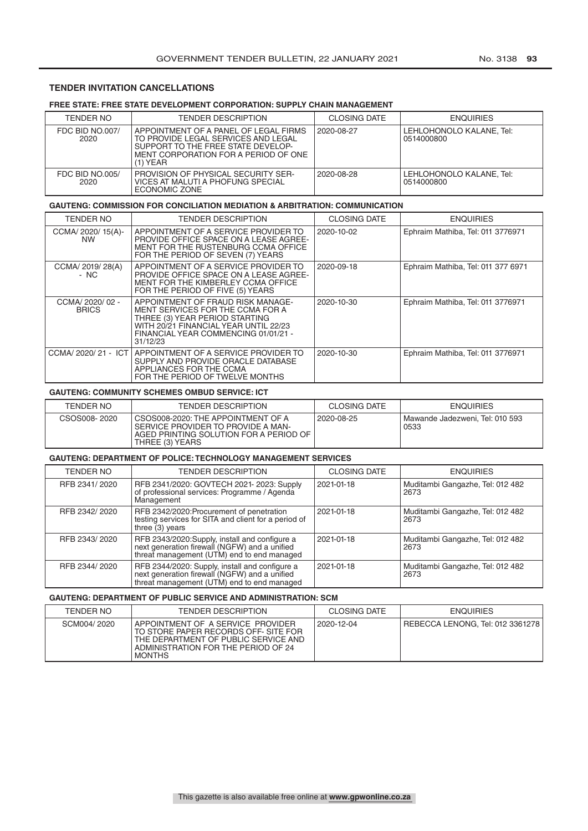## **TENDER INVITATION CANCELLATIONS**

# **FREE STATE: FREE STATE DEVELOPMENT CORPORATION: SUPPLY CHAIN MANAGEMENT**

| TENDER NO                      | <b>TENDER DESCRIPTION</b>                                                                                                                                                | <b>CLOSING DATE</b> | <b>ENQUIRIES</b>                       |
|--------------------------------|--------------------------------------------------------------------------------------------------------------------------------------------------------------------------|---------------------|----------------------------------------|
| <b>FDC BID NO.007/</b><br>2020 | APPOINTMENT OF A PANEL OF LEGAL FIRMS<br>TO PROVIDE LEGAL SERVICES AND LEGAL<br>SUPPORT TO THE FREE STATE DEVELOP-<br>MENT CORPORATION FOR A PERIOD OF ONE<br>$(1)$ YEAR | 2020-08-27          | LEHLOHONOLO KALANE. Tel:<br>0514000800 |
| <b>FDC BID NO.005/</b><br>2020 | <b>PROVISION OF PHYSICAL SECURITY SER-</b><br>VICES AT MALUTI A PHOFUNG SPECIAL<br>ECONOMIC ZONE                                                                         | 2020-08-28          | LEHLOHONOLO KALANE, Tel:<br>0514000800 |

## **GAUTENG: COMMISSION FOR CONCILIATION MEDIATION & ARBITRATION: COMMUNICATION**

| TENDER NO                        | TENDER DESCRIPTION                                                                                                                                                                                   | <b>CLOSING DATE</b> | <b>ENQUIRIES</b>                   |
|----------------------------------|------------------------------------------------------------------------------------------------------------------------------------------------------------------------------------------------------|---------------------|------------------------------------|
| CCMA/ 2020/ 15(A)-<br><b>NW</b>  | APPOINTMENT OF A SERVICE PROVIDER TO<br>PROVIDE OFFICE SPACE ON A LEASE AGREE-<br>MENT FOR THE RUSTENBURG CCMA OFFICE<br>FOR THE PERIOD OF SEVEN (7) YEARS                                           | 2020-10-02          | Ephraim Mathiba, Tel: 011 3776971  |
| CCMA/ 2019/ 28(A)<br>- NC        | APPOINTMENT OF A SERVICE PROVIDER TO<br>PROVIDE OFFICE SPACE ON A LEASE AGREE-<br>MENT FOR THE KIMBERLEY CCMA OFFICE<br>FOR THE PERIOD OF FIVE (5) YEARS                                             | 2020-09-18          | Ephraim Mathiba, Tel: 011 377 6971 |
| CCMA/ 2020/ 02 -<br><b>BRICS</b> | APPOINTMENT OF FRAUD RISK MANAGE-<br>MENT SERVICES FOR THE CCMA FOR A<br>THREE (3) YEAR PERIOD STARTING<br>WITH 20/21 FINANCIAL YEAR UNTIL 22/23<br>FINANCIAL YEAR COMMENCING 01/01/21 -<br>31/12/23 | 2020-10-30          | Ephraim Mathiba, Tel: 011 3776971  |
| CCMA/ 2020/ 21 - ICT             | APPOINTMENT OF A SERVICE PROVIDER TO<br>SUPPLY AND PROVIDE ORACLE DATABASE<br>APPLIANCES FOR THE CCMA<br>FOR THE PERIOD OF TWELVE MONTHS                                                             | 2020-10-30          | Ephraim Mathiba, Tel: 011 3776971  |

## **GAUTENG: COMMUNITY SCHEMES OMBUD SERVICE: ICT**

| <b>TENDER NO</b> | <b>TENDER DESCRIPTION</b>                                                                                                             | <b>CLOSING DATE</b> | <b>ENQUIRIES</b>                        |
|------------------|---------------------------------------------------------------------------------------------------------------------------------------|---------------------|-----------------------------------------|
| CSOS008-2020     | CSOS008-2020: THE APPOINTMENT OF A<br>SERVICE PROVIDER TO PROVIDE A MAN-<br>AGED PRINTING SOLUTION FOR A PERIOD OF<br>THREE (3) YEARS | 2020-08-25          | Mawande Jadezweni. Tel: 010 593<br>0533 |

#### **GAUTENG: DEPARTMENT OF POLICE: TECHNOLOGY MANAGEMENT SERVICES**

| TENDER NO     | <b>TENDER DESCRIPTION</b>                                                                                                                     | <b>CLOSING DATE</b> | <b>ENQUIRIES</b>                         |
|---------------|-----------------------------------------------------------------------------------------------------------------------------------------------|---------------------|------------------------------------------|
| RFB 2341/2020 | RFB 2341/2020: GOVTECH 2021- 2023: Supply<br>of professional services: Programme / Agenda<br>Management                                       | 2021-01-18          | Muditambi Gangazhe, Tel: 012 482<br>2673 |
| RFB 2342/2020 | RFB 2342/2020: Procurement of penetration<br>testing services for SITA and client for a period of<br>three $(3)$ years                        | 2021-01-18          | Muditambi Gangazhe, Tel: 012 482<br>2673 |
| RFB 2343/2020 | RFB 2343/2020:Supply, install and configure a<br>next generation firewall (NGFW) and a unified<br>threat management (UTM) end to end managed  | 2021-01-18          | Muditambi Gangazhe, Tel: 012 482<br>2673 |
| RFB 2344/2020 | RFB 2344/2020: Supply, install and configure a<br>next generation firewall (NGFW) and a unified<br>threat management (UTM) end to end managed | 2021-01-18          | Muditambi Gangazhe, Tel: 012 482<br>2673 |

#### **GAUTENG: DEPARTMENT OF PUBLIC SERVICE AND ADMINISTRATION: SCM**

| TENDER NO   | <b>TENDER DESCRIPTION</b>                                                                                                                                                | <b>CLOSING DATE</b> | <b>ENQUIRIES</b>                 |
|-------------|--------------------------------------------------------------------------------------------------------------------------------------------------------------------------|---------------------|----------------------------------|
| SCM004/2020 | APPOINTMENT OF A SERVICE PROVIDER<br>TO STORE PAPER RECORDS OFF-SITE FOR<br>THE DEPARTMENT OF PUBLIC SERVICE AND<br>ADMINISTRATION FOR THE PERIOD OF 24<br><b>MONTHS</b> | 2020-12-04          | REBECCA LENONG. Tel: 012 3361278 |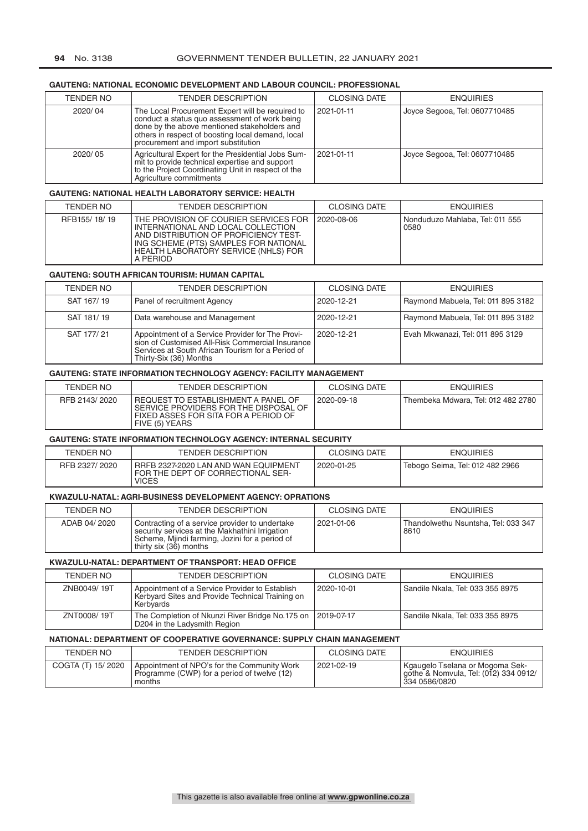## **GAUTENG: NATIONAL ECONOMIC DEVELOPMENT AND LABOUR COUNCIL: PROFESSIONAL**

| <b>TENDER NO</b> | <b>TENDER DESCRIPTION</b>                                                                                                                                                                                                                     | <b>CLOSING DATE</b> | <b>ENQUIRIES</b>              |
|------------------|-----------------------------------------------------------------------------------------------------------------------------------------------------------------------------------------------------------------------------------------------|---------------------|-------------------------------|
| 2020/04          | The Local Procurement Expert will be required to<br>conduct a status quo assessment of work being<br>done by the above mentioned stakeholders and<br>others in respect of boosting local demand, local<br>procurement and import substitution | 2021-01-11          | Joyce Segooa, Tel: 0607710485 |
| 2020/05          | Agricultural Expert for the Presidential Jobs Sum-<br>mit to provide technical expertise and support<br>to the Project Coordinating Unit in respect of the<br>Agriculture commitments                                                         | 2021-01-11          | Joyce Segooa, Tel: 0607710485 |

## **GAUTENG: NATIONAL HEALTH LABORATORY SERVICE: HEALTH**

| TENDER NO    | <b>TENDER DESCRIPTION</b>                                                                                                                                                                                         | CLOSING DATE | <b>ENQUIRIES</b>                        |
|--------------|-------------------------------------------------------------------------------------------------------------------------------------------------------------------------------------------------------------------|--------------|-----------------------------------------|
| RFB155/18/19 | THE PROVISION OF COURIER SERVICES FOR<br>INTERNATIONAL AND LOCAL COLLECTION<br>AND DISTRIBUTION OF PROFICIENCY TEST-<br>ING SCHEME (PTS) SAMPLES FOR NATIONAL<br>HEALTH LABORATORY SERVICE (NHLS) FOR<br>A PERIOD | 2020-08-06   | Nonduduzo Mahlaba, Tel: 011 555<br>0580 |

## **GAUTENG: SOUTH AFRICAN TOURISM: HUMAN CAPITAL**

| <b>TENDER NO</b> | <b>TENDER DESCRIPTION</b>                                                                                                                                                      | <b>CLOSING DATE</b> | <b>ENQUIRIES</b>                   |
|------------------|--------------------------------------------------------------------------------------------------------------------------------------------------------------------------------|---------------------|------------------------------------|
| SAT 167/19       | Panel of recruitment Agency                                                                                                                                                    | 2020-12-21          | Raymond Mabuela, Tel: 011 895 3182 |
| SAT 181/19       | Data warehouse and Management                                                                                                                                                  | 2020-12-21          | Raymond Mabuela, Tel: 011 895 3182 |
| SAT 177/21       | Appointment of a Service Provider for The Provision of Customised All-Risk Commercial Insurance<br>Services at South African Tourism for a Period of<br>Thirty-Six (36) Months | 2020-12-21          | Evah Mkwanazi, Tel: 011 895 3129   |

#### **GAUTENG: STATE INFORMATION TECHNOLOGY AGENCY: FACILITY MANAGEMENT**

| TENDER NO     | TENDER DESCRIPTION                                                                                                                     | <b>CLOSING DATE</b> | <b>ENQUIRIES</b>                   |
|---------------|----------------------------------------------------------------------------------------------------------------------------------------|---------------------|------------------------------------|
| RFB 2143/2020 | REQUEST TO ESTABLISHMENT A PANEL OF<br>SERVICE PROVIDERS FOR THE DISPOSAL OF<br>FIXED ASSES FOR SITA FOR A PERIOD OF<br>FIVE (5) YEARS | 2020-09-18          | Thembeka Mdwara, Tel: 012 482 2780 |

## **GAUTENG: STATE INFORMATION TECHNOLOGY AGENCY: INTERNAL SECURITY**

| <b>TENDER NO</b> | <b>TENDER DESCRIPTION</b>                                                                 | <b>CLOSING DATE</b> | <b>ENQUIRIES</b>                |
|------------------|-------------------------------------------------------------------------------------------|---------------------|---------------------------------|
| RFB 2327/2020    | RRFB 2327-2020 LAN AND WAN EQUIPMENT<br>FOR THE DEPT OF CORRECTIONAL SER-<br><b>VICES</b> | 2020-01-25          | Tebogo Seima, Tel: 012 482 2966 |

### **KWAZULU-NATAL: AGRI-BUSINESS DEVELOPMENT AGENCY: OPRATIONS**

| TENDER NO    | <b>TENDER DESCRIPTION</b>                                                                                                                                                    | <b>CLOSING DATE</b> | <b>ENQUIRIES</b>                            |
|--------------|------------------------------------------------------------------------------------------------------------------------------------------------------------------------------|---------------------|---------------------------------------------|
| ADAB 04/2020 | Contracting of a service provider to undertake<br>security services at the Makhathini Irrigation<br>Scheme, Mjindi farming, Jozini for a period of<br>thirty six (36) months | 2021-01-06          | Thandolwethu Nsuntsha, Tel: 033 347<br>8610 |

#### **KWAZULU-NATAL: DEPARTMENT OF TRANSPORT: HEAD OFFICE**

| TENDER NO   | <b>TENDER DESCRIPTION</b>                                                                                       | CLOSING DATE | <b>ENQUIRIES</b>                 |
|-------------|-----------------------------------------------------------------------------------------------------------------|--------------|----------------------------------|
| ZNB0049/19T | Appointment of a Service Provider to Establish<br>Kerbyard Sites and Provide Technical Training on<br>Kerbvards | 2020-10-01   | Sandile Nkala, Tel: 033 355 8975 |
| ZNT0008/19T | The Completion of Nkunzi River Bridge No.175 on<br>D204 in the Ladysmith Region                                 | 2019-07-17   | Sandile Nkala, Tel: 033 355 8975 |

#### **NATIONAL: DEPARTMENT OF COOPERATIVE GOVERNANCE: SUPPLY CHAIN MANAGEMENT**

| TENDER NO         | TENDER DESCRIPTION                                                                                   | <b>CLOSING DATE</b> | <b>ENQUIRIES</b>                                                                          |
|-------------------|------------------------------------------------------------------------------------------------------|---------------------|-------------------------------------------------------------------------------------------|
| COGTA (T) 15/2020 | Appointment of NPO's for the Community Work<br>Programme (CWP) for a period of twelve (12)<br>months | 2021-02-19          | Kgaugelo Tselana or Mogoma Sek-<br>gothe & Nomvula, Tel: (012) 334 0912/<br>334 0586/0820 |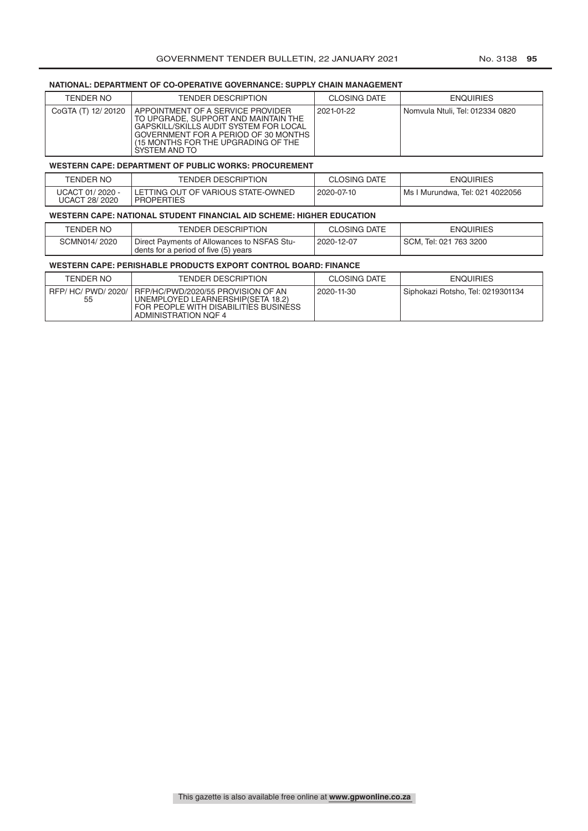# **NATIONAL: DEPARTMENT OF CO-OPERATIVE GOVERNANCE: SUPPLY CHAIN MANAGEMENT**

| TENDER NO          | <b>TENDER DESCRIPTION</b>                                                                                                                                                                                             | <b>CLOSING DATE</b> | <b>ENQUIRIES</b>                |
|--------------------|-----------------------------------------------------------------------------------------------------------------------------------------------------------------------------------------------------------------------|---------------------|---------------------------------|
| CoGTA (T) 12/20120 | I APPOINTMENT OF A SERVICE PROVIDER<br>TO UPGRADE, SUPPORT AND MAINTAIN THE<br>GAPSKILL/SKILLS AUDIT SYSTEM FOR LOCAL<br>GOVERNMENT FOR A PERIOD OF 30 MONTHS<br>(15 MONTHS FOR THE UPGRADING OF THE<br>SYSTEM AND TO | 2021-01-22          | Nomvula Ntuli, Tel: 012334 0820 |

#### **WESTERN CAPE: DEPARTMENT OF PUBLIC WORKS: PROCUREMENT**

| TENDER NO                         | <b>TENDER DESCRIPTION</b>                               | <b>CLOSING DATE</b> | <b>ENQUIRIES</b>                  |
|-----------------------------------|---------------------------------------------------------|---------------------|-----------------------------------|
| UCACT 01/2020 -<br>UCACT 28/ 2020 | LETTING OUT OF VARIOUS STATE-OWNED<br><b>PROPERTIES</b> | 2020-07-10          | I Ms I Murundwa, Tel: 021 4022056 |

## **WESTERN CAPE: NATIONAL STUDENT FINANCIAL AID SCHEME: HIGHER EDUCATION**

| TENDER NO    | <b>TENDER DESCRIPTION</b>                                                           | <b>CLOSING DATE</b> | <b>ENQUIRIES</b>       |
|--------------|-------------------------------------------------------------------------------------|---------------------|------------------------|
| SCMN014/2020 | Direct Payments of Allowances to NSFAS Stu-<br>dents for a period of five (5) years | 2020-12-07          | SCM, Tel: 021 763 3200 |

# **WESTERN CAPE: PERISHABLE PRODUCTS EXPORT CONTROL BOARD: FINANCE**

| <b>TENDER NO</b>       | <b>TENDER DESCRIPTION</b>                                                                                                                  | <b>CLOSING DATE</b> | <b>ENQUIRIES</b>                  |
|------------------------|--------------------------------------------------------------------------------------------------------------------------------------------|---------------------|-----------------------------------|
| RFP/HC/PWD/2020/<br>55 | I RFP/HC/PWD/2020/55 PROVISION OF AN<br>UNEMPLOYED LEARNERSHIP(SETA 18.2)<br>FOR PEOPLE WITH DISABILITIES BUSINESS<br>ADMINISTRATION NOF 4 | 2020-11-30          | Siphokazi Rotsho. Tel: 0219301134 |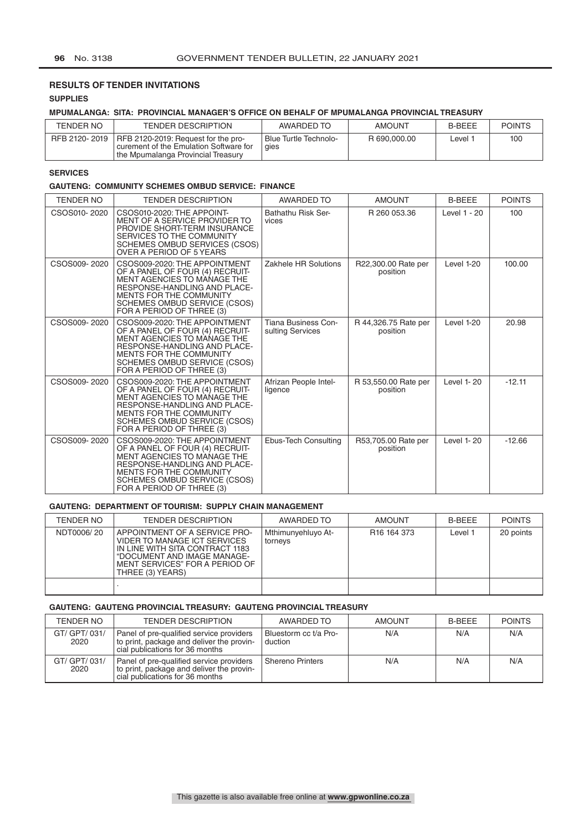# **RESULTS OF TENDER INVITATIONS**

# **SUPPLIES**

# **MPUMALANGA: SITA: PROVINCIAL MANAGER'S OFFICE ON BEHALF OF MPUMALANGA PROVINCIAL TREASURY**

| TENDER NO     | TENDER DESCRIPTION                                                                                                    | AWARDED TO                    | <b>AMOUNT</b> | <b>B-BEEE</b> | <b>POINTS</b> |
|---------------|-----------------------------------------------------------------------------------------------------------------------|-------------------------------|---------------|---------------|---------------|
| RFB 2120-2019 | RFB 2120-2019: Request for the pro-<br>curement of the Emulation Software for<br>I the Mpumalanga Provincial Treasury | Blue Turtle Technolo-<br>qies | R 690,000.00  | _evel         | 100           |

# **SERVICES**

## **GAUTENG: COMMUNITY SCHEMES OMBUD SERVICE: FINANCE**

| <b>TENDER NO</b> | <b>TENDER DESCRIPTION</b>                                                                                                                                                                                                                    | AWARDED TO                              | <b>AMOUNT</b>                    | <b>B-BEEE</b> | <b>POINTS</b> |
|------------------|----------------------------------------------------------------------------------------------------------------------------------------------------------------------------------------------------------------------------------------------|-----------------------------------------|----------------------------------|---------------|---------------|
| CSOS010-2020     | CSOS010-2020: THE APPOINT-<br>MENT OF A SERVICE PROVIDER TO<br>PROVIDE SHORT-TERM INSURANCE<br>SERVICES TO THE COMMUNITY<br>SCHEMES OMBUD SERVICES (CSOS)<br>OVER A PERIOD OF 5 YEARS                                                        | Bathathu Risk Ser-<br>vices             | R 260 053.36                     | Level 1 - 20  | 100           |
| CSOS009-2020     | CSOS009-2020: THE APPOINTMENT<br>OF A PANEL OF FOUR (4) RECRUIT-<br>MENT AGENCIES TO MANAGE THE<br>RESPONSE-HANDLING AND PLACE-<br><b>MENTS FOR THE COMMUNITY</b><br><b>SCHEMES OMBUD SERVICE (CSOS)</b><br>FOR A PERIOD OF THREE (3)        | Zakhele HR Solutions                    | R22,300.00 Rate per<br>position  | Level 1-20    | 100.00        |
| CSOS009-2020     | CSOS009-2020: THE APPOINTMENT<br>OF A PANEL OF FOUR (4) RECRUIT-<br>MENT AGENCIES TO MANAGE THE<br><b>RESPONSE-HANDLING AND PLACE-</b><br><b>MENTS FOR THE COMMUNITY</b><br>SCHEMES OMBUD SERVICE (CSOS)<br>FOR A PERIOD OF THREE (3)        | Tiana Business Con-<br>sulting Services | R 44,326.75 Rate per<br>position | Level 1-20    | 20.98         |
| CSOS009-2020     | CSOS009-2020: THE APPOINTMENT<br>OF A PANEL OF FOUR (4) RECRUIT-<br><b>MENT AGENCIES TO MANAGE THE</b><br>RESPONSE-HANDLING AND PLACE-<br><b>MENTS FOR THE COMMUNITY</b><br><b>SCHEMES OMBUD SERVICE (CSOS)</b><br>FOR A PERIOD OF THREE (3) | Afrizan People Intel-<br>ligence        | R 53,550.00 Rate per<br>position | Level 1-20    | $-12.11$      |
| CSOS009-2020     | CSOS009-2020: THE APPOINTMENT<br>OF A PANEL OF FOUR (4) RECRUIT-<br><b>MENT AGENCIES TO MANAGE THE</b><br>RESPONSE-HANDLING AND PLACE-<br><b>MENTS FOR THE COMMUNITY</b><br>SCHEMES OMBUD SERVICE (CSOS)<br>FOR A PERIOD OF THREE (3)        | Ebus-Tech Consulting                    | R53,705.00 Rate per<br>position  | Level 1-20    | $-12.66$      |

## **GAUTENG: DEPARTMENT OF TOURISM: SUPPLY CHAIN MANAGEMENT**

| TENDER NO  | <b>TENDER DESCRIPTION</b>                                                                                                                                                             | AWARDED TO                    | <b>AMOUNT</b>           | <b>B-BFFF</b> | <b>POINTS</b> |
|------------|---------------------------------------------------------------------------------------------------------------------------------------------------------------------------------------|-------------------------------|-------------------------|---------------|---------------|
| NDT0006/20 | APPOINTMENT OF A SERVICE PRO-<br>VIDER TO MANAGE ICT SERVICES<br>IN LINE WITH SITA CONTRACT 1183<br>"DOCUMENT AND IMAGE MANAGE-<br>MENT SERVICES" FOR A PERIOD OF<br>THREE (3) YEARS) | Mthimunyehluyo At-<br>torneys | R <sub>16</sub> 164 373 | Level 1       | 20 points     |
|            |                                                                                                                                                                                       |                               |                         |               |               |

# **GAUTENG: GAUTENG PROVINCIAL TREASURY: GAUTENG PROVINCIAL TREASURY**

| TENDER NO             | <b>TENDER DESCRIPTION</b>                                                                                                | AWARDED TO                       | <b>AMOUNT</b> | <b>B-BFFF</b> | <b>POINTS</b> |
|-----------------------|--------------------------------------------------------------------------------------------------------------------------|----------------------------------|---------------|---------------|---------------|
| GT/ GPT/ 031/<br>2020 | Panel of pre-qualified service providers<br>to print, package and deliver the provin-<br>cial publications for 36 months | Bluestorm cc t/a Pro-<br>duction | N/A           | N/A           | N/A           |
| GT/ GPT/ 031/<br>2020 | Panel of pre-qualified service providers<br>to print, package and deliver the provin-<br>cial publications for 36 months | <b>Shereno Printers</b>          | N/A           | N/A           | N/A           |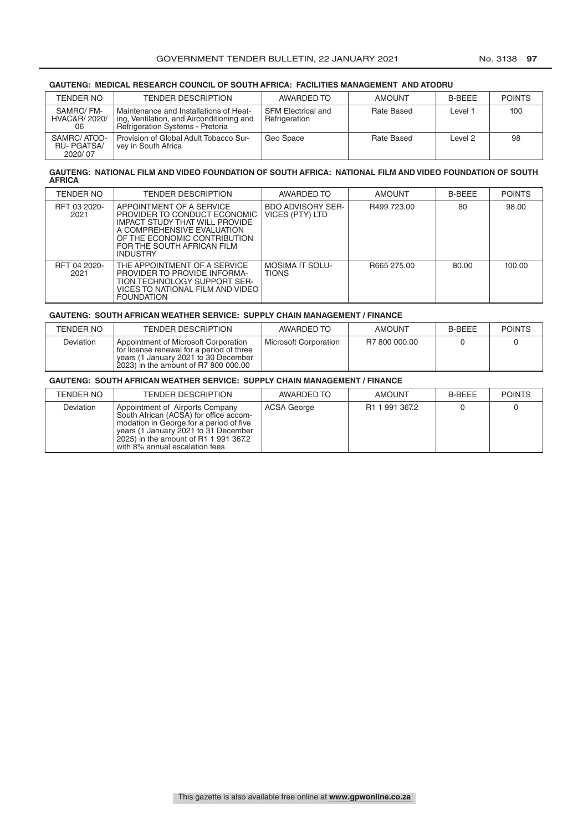# **GAUTENG: MEDICAL RESEARCH COUNCIL OF SOUTH AFRICA: FACILITIES MANAGEMENT AND ATODRU**

| TENDER NO                                  | <b>TENDER DESCRIPTION</b>                                                                                                      | AWARDED TO                                 | <b>AMOUNT</b> | <b>B-BEEE</b> | <b>POINTS</b> |
|--------------------------------------------|--------------------------------------------------------------------------------------------------------------------------------|--------------------------------------------|---------------|---------------|---------------|
| SAMRC/FM-<br>HVAC&R/ 2020/<br>06           | Maintenance and Installations of Heat-<br>ing, Ventilation, and Airconditioning and<br><b>Refrigeration Systems - Pretoria</b> | <b>SFM Electrical and</b><br>Refrigeration | Rate Based    | Level :       | 100           |
| SAMRC/ATOD-<br><b>RU-PGATSA</b><br>2020/07 | Provision of Global Adult Tobacco Sur-<br>vey in South Africa                                                                  | Geo Space                                  | Rate Based    | Level 2       | 98            |

#### **GAUTENG: NATIONAL FILM AND VIDEO FOUNDATION OF SOUTH AFRICA: NATIONAL FILM AND VIDEO FOUNDATION OF SOUTH AFRICA**

| TENDER NO            | <b>TENDER DESCRIPTION</b>                                                                                                                                                                                 | AWARDED TO                                  | <b>AMOUNT</b> | <b>B-BEEE</b> | <b>POINTS</b> |
|----------------------|-----------------------------------------------------------------------------------------------------------------------------------------------------------------------------------------------------------|---------------------------------------------|---------------|---------------|---------------|
| RFT 03 2020-<br>2021 | APPOINTMENT OF A SERVICE<br>PROVIDER TO CONDUCT ECONOMIC<br>IMPACT STUDY THAT WILL PROVIDE<br>A COMPREHENSIVE EVALUATION<br>OF THE ECONOMIC CONTRIBUTION<br>FOR THE SOUTH AFRICAN FILM<br><b>INDUSTRY</b> | <b>BDO ADVISORY SER-</b><br>VICES (PTY) LTD | R499 723.00   | 80            | 98.00         |
| RFT 04 2020-<br>2021 | THE APPOINTMENT OF A SERVICE<br>PROVIDER TO PROVIDE INFORMA-<br>TION TECHNOLOGY SUPPORT SER-<br>VICES TO NATIONAL FILM AND VIDEO<br><b>FOUNDATION</b>                                                     | <b>MOSIMA IT SOLU-</b><br><b>TIONS</b>      | B665 275.00   | 80.00         | 100.00        |

#### **GAUTENG: SOUTH AFRICAN WEATHER SERVICE: SUPPLY CHAIN MANAGEMENT / FINANCE**

| <b>TENDER NO</b> | <b>TENDER DESCRIPTION</b>                                                                                                                                         | AWARDED TO            | <b>AMOUNT</b> | <b>B-BEEE</b> | <b>POINTS</b> |
|------------------|-------------------------------------------------------------------------------------------------------------------------------------------------------------------|-----------------------|---------------|---------------|---------------|
| Deviation        | Appointment of Microsoft Corporation<br>for license renewal for a period of three<br>years (1 January 2021 to 30 December<br>2023) in the amount of R7 800 000.00 | Microsoft Corporation | R7 800 000.00 |               |               |

## **GAUTENG: SOUTH AFRICAN WEATHER SERVICE: SUPPLY CHAIN MANAGEMENT / FINANCE**

| TENDER NO        | <b>TENDER DESCRIPTION</b>                                                                                                                                                                                                               | AWARDED TO  | AMOUNT                     | B-BEEE | <b>POINTS</b> |
|------------------|-----------------------------------------------------------------------------------------------------------------------------------------------------------------------------------------------------------------------------------------|-------------|----------------------------|--------|---------------|
| <b>Deviation</b> | Appointment of Airports Company<br>South African (ACSA) for office accom-<br>modation in George for a period of five<br>years (1 January 2021 to 31 December<br>2025) in the amount of R1 1 991 367.2<br>with 8% annual escalation fees | ACSA George | R <sub>1</sub> 1 991 367.2 |        |               |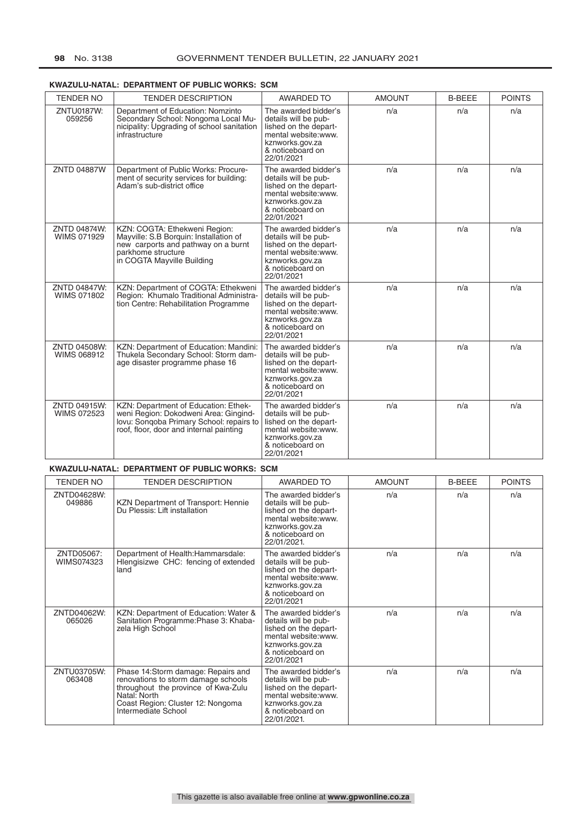| <b>TENDER NO</b>                   | <b>TENDER DESCRIPTION</b>                                                                                                                                            | <b>AWARDED TO</b>                                                                                                                                  | <b>AMOUNT</b> | <b>B-BEEE</b> | <b>POINTS</b> |
|------------------------------------|----------------------------------------------------------------------------------------------------------------------------------------------------------------------|----------------------------------------------------------------------------------------------------------------------------------------------------|---------------|---------------|---------------|
| <b>ZNTU0187W:</b><br>059256        | Department of Education: Nomzinto<br>Secondary School: Nongoma Local Mu-<br>nicipality: Upgrading of school sanitation<br>infrastructure                             | The awarded bidder's<br>details will be pub-<br>lished on the depart-<br>mental website: www.<br>kznworks.gov.za<br>& noticeboard on<br>22/01/2021 | n/a           | n/a           | n/a           |
| <b>ZNTD 04887W</b>                 | Department of Public Works: Procure-<br>ment of security services for building:<br>Adam's sub-district office                                                        | The awarded bidder's<br>details will be pub-<br>lished on the depart-<br>mental website:www.<br>kznworks.gov.za<br>& noticeboard on<br>22/01/2021  | n/a           | n/a           | n/a           |
| ZNTD 04874W:<br><b>WIMS 071929</b> | KZN: COGTA: Ethekweni Region:<br>Mayville: S.B Borquin: Installation of<br>new carports and pathway on a burnt<br>parkhome structure<br>in COGTA Mayville Building   | The awarded bidder's<br>details will be pub-<br>lished on the depart-<br>mental website: www.<br>kznworks.gov.za<br>& noticeboard on<br>22/01/2021 | n/a           | n/a           | n/a           |
| ZNTD 04847W:<br><b>WIMS 071802</b> | KZN: Department of COGTA: Ethekweni<br>Region: Khumalo Traditional Administra-<br>tion Centre: Rehabilitation Programme                                              | The awarded bidder's<br>details will be pub-<br>lished on the depart-<br>mental website: www.<br>kznworks.gov.za<br>& noticeboard on<br>22/01/2021 | n/a           | n/a           | n/a           |
| ZNTD 04508W:<br>WIMS 068912        | KZN: Department of Education: Mandini:<br>Thukela Secondary School: Storm dam-<br>age disaster programme phase 16                                                    | The awarded bidder's<br>details will be pub-<br>lished on the depart-<br>mental website:www.<br>kznworks.gov.za<br>& noticeboard on<br>22/01/2021  | n/a           | n/a           | n/a           |
| ZNTD 04915W:<br><b>WIMS 072523</b> | KZN: Department of Education: Ethek-<br>weni Region: Dokodweni Area: Gingind-<br>lovu: Songoba Primary School: repairs to<br>roof, floor, door and internal painting | The awarded bidder's<br>details will be pub-<br>lished on the depart-<br>mental website:www.<br>kznworks.gov.za<br>& noticeboard on<br>22/01/2021  | n/a           | n/a           | n/a           |

# **KWAZULU-NATAL: DEPARTMENT OF PUBLIC WORKS: SCM**

# **KWAZULU-NATAL: DEPARTMENT OF PUBLIC WORKS: SCM**

| <b>TENDER NO</b>         | <b>TENDER DESCRIPTION</b>                                                                                                                                                                    | <b>AWARDED TO</b>                                                                                                                                   | <b>AMOUNT</b> | <b>B-BEEE</b> | <b>POINTS</b> |
|--------------------------|----------------------------------------------------------------------------------------------------------------------------------------------------------------------------------------------|-----------------------------------------------------------------------------------------------------------------------------------------------------|---------------|---------------|---------------|
| ZNTD04628W:<br>049886    | KZN Department of Transport: Hennie<br>Du Plessis: Lift installation                                                                                                                         | The awarded bidder's<br>details will be pub-<br>lished on the depart-<br>mental website:www.<br>kznworks.gov.za<br>& noticeboard on<br>22/01/2021.  | n/a           | n/a           | n/a           |
| ZNTD05067:<br>WIMS074323 | Department of Health: Hammarsdale:<br>Hlengisizwe CHC: fencing of extended<br>land                                                                                                           | The awarded bidder's<br>details will be pub-<br>lished on the depart-<br>mental website: www.<br>kznworks.gov.za<br>& noticeboard on<br>22/01/2021  | n/a           | n/a           | n/a           |
| ZNTD04062W:<br>065026    | KZN: Department of Education: Water &<br>Sanitation Programme: Phase 3: Khaba-<br>zela High School                                                                                           | The awarded bidder's<br>details will be pub-<br>lished on the depart-<br>mental website: www.<br>kznworks.gov.za<br>& noticeboard on<br>22/01/2021  | n/a           | n/a           | n/a           |
| ZNTU03705W:<br>063408    | Phase 14:Storm damage: Repairs and<br>renovations to storm damage schools<br>throughout the province of Kwa-Zulu<br>Natal: North<br>Coast Region: Cluster 12: Nongoma<br>Intermediate School | The awarded bidder's<br>details will be pub-<br>lished on the depart-<br>mental website: www.<br>kznworks.gov.za<br>& noticeboard on<br>22/01/2021. | n/a           | n/a           | n/a           |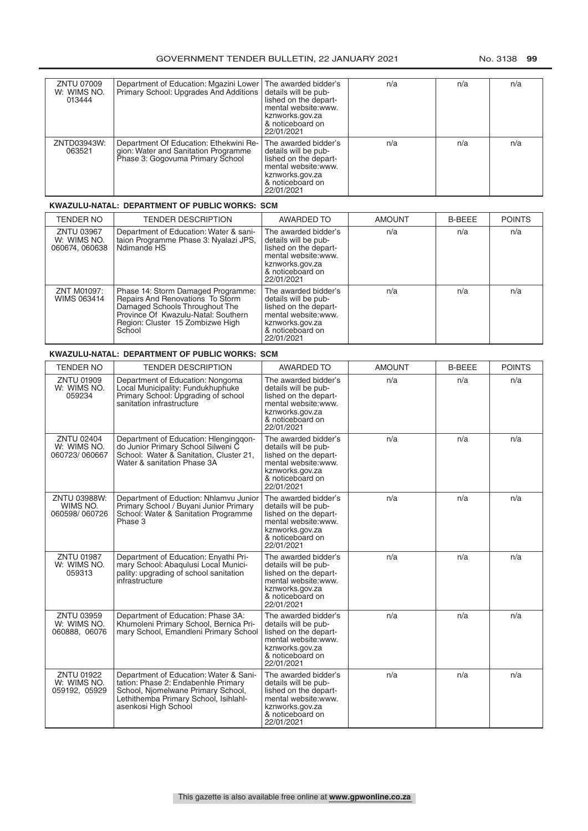| ZNTU 07009<br>W: WIMS NO.<br>013444 | Department of Education: Mgazini Lower<br>Primary School: Upgrades And Additions                                   | The awarded bidder's<br>details will be pub-<br>lished on the depart-<br>mental website:www.<br>kznworks.gov.za<br>& noticeboard on<br>22/01/2021  | n/a | n/a | n/a |
|-------------------------------------|--------------------------------------------------------------------------------------------------------------------|----------------------------------------------------------------------------------------------------------------------------------------------------|-----|-----|-----|
| ZNTD03943W:<br>063521               | Department Of Education: Ethekwini Re-<br>gion: Water and Sanitation Programme<br>Phase 3: Gogovuma Primary School | The awarded bidder's<br>details will be pub-<br>lished on the depart-<br>mental website: www.<br>kznworks.gov.za<br>& noticeboard on<br>22/01/2021 | n/a | n/a | n/a |

## **KWAZULU-NATAL: DEPARTMENT OF PUBLIC WORKS: SCM**

| TENDER NO                                          | <b>TENDER DESCRIPTION</b>                                                                                                                                                                     | AWARDED TO                                                                                                                                         | <b>AMOUNT</b> | <b>B-BEEE</b> | <b>POINTS</b> |
|----------------------------------------------------|-----------------------------------------------------------------------------------------------------------------------------------------------------------------------------------------------|----------------------------------------------------------------------------------------------------------------------------------------------------|---------------|---------------|---------------|
| <b>ZNTU 03967</b><br>W: WIMS NO.<br>060674, 060638 | Department of Education: Water & sanitaion Programme Phase 3: Nyalazi JPS,<br>Ndimande HS                                                                                                     | The awarded bidder's<br>details will be pub-<br>lished on the depart-<br>mental website:www.<br>kznworks.gov.za<br>& noticeboard on<br>22/01/2021  | n/a           | n/a           | n/a           |
| ZNT M01097:<br>WIMS 063414                         | Phase 14: Storm Damaged Programme:<br>Repairs And Renovations To Storm<br>Damaged Schools Throughout The<br>Province Of Kwazulu-Natal: Southern<br>Region: Cluster 15 Zombizwe High<br>School | The awarded bidder's<br>details will be pub-<br>lished on the depart-<br>mental website: www.<br>kznworks.gov.za<br>& noticeboard on<br>22/01/2021 | n/a           | n/a           | n/a           |

# **KWAZULU-NATAL: DEPARTMENT OF PUBLIC WORKS: SCM**

| <b>TENDER NO</b>                                  | <b>TENDER DESCRIPTION</b>                                                                                                                                                            | <b>AWARDED TO</b>                                                                                                                                  | <b>AMOUNT</b> | <b>B-BEEE</b> | <b>POINTS</b> |
|---------------------------------------------------|--------------------------------------------------------------------------------------------------------------------------------------------------------------------------------------|----------------------------------------------------------------------------------------------------------------------------------------------------|---------------|---------------|---------------|
| <b>ZNTU 01909</b><br>W: WIMS NO.<br>059234        | Department of Education: Nongoma<br>Local Municipality: Fundukhuphuke<br>Primary School: Upgrading of school<br>sanitation infrastructure                                            | The awarded bidder's<br>details will be pub-<br>lished on the depart-<br>mental website: www.<br>kznworks.gov.za<br>& noticeboard on<br>22/01/2021 | n/a           | n/a           | n/a           |
| <b>ZNTU 02404</b><br>W: WIMS NO.<br>060723/060667 | Department of Education: Hlenginggon-<br>do Junior Primary School Silweni C<br>School: Water & Sanitation, Cluster 21,<br>Water & sanitation Phase 3A                                | The awarded bidder's<br>details will be pub-<br>lished on the depart-<br>mental website: www.<br>kznworks.gov.za<br>& noticeboard on<br>22/01/2021 | n/a           | n/a           | n/a           |
| ZNTU 03988W:<br>WIMS NO.<br>060598/060726         | Department of Eduction: Nhlamvu Junior<br>Primary School / Buyani Junior Primary<br>School: Water & Sanitation Programme<br>Phase 3                                                  | The awarded bidder's<br>details will be pub-<br>lished on the depart-<br>mental website:www.<br>kznworks.gov.za<br>& noticeboard on<br>22/01/2021  | n/a           | n/a           | n/a           |
| <b>ZNTU 01987</b><br>W: WIMS NO.<br>059313        | Department of Education: Enyathi Pri-<br>mary School: Abaqulusi Local Munici-<br>pality: upgrading of school sanitation<br>infrastructure                                            | The awarded bidder's<br>details will be pub-<br>lished on the depart-<br>mental website: www.<br>kznworks.gov.za<br>& noticeboard on<br>22/01/2021 | n/a           | n/a           | n/a           |
| ZNTU 03959<br>W: WIMS NO.<br>060888, 06076        | Department of Education: Phase 3A:<br>Khumoleni Primary School, Bernica Pri-<br>mary School, Emandleni Primary School                                                                | The awarded bidder's<br>details will be pub-<br>lished on the depart-<br>mental website:www.<br>kznworks.gov.za<br>& noticeboard on<br>22/01/2021  | n/a           | n/a           | n/a           |
| <b>ZNTU 01922</b><br>W: WIMS NO.<br>059192, 05929 | Department of Education: Water & Sani-<br>tation: Phase 2: Endabenhle Primary<br>School, Niomelwane Primary School,<br>Lethithemba Primary School, Isihlahl-<br>asenkosi High School | The awarded bidder's<br>details will be pub-<br>lished on the depart-<br>mental website:www.<br>kznworks.gov.za<br>& noticeboard on<br>22/01/2021  | n/a           | n/a           | n/a           |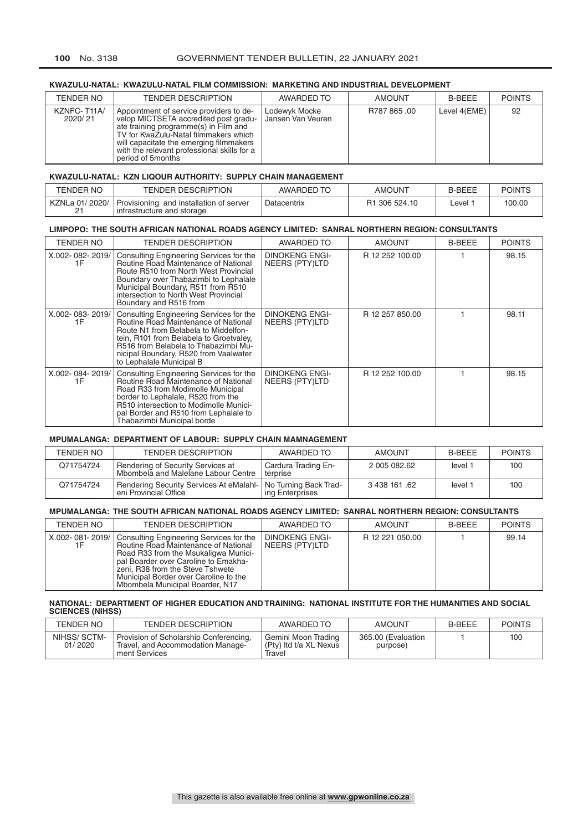# **100** No. 3138 GOVERNMENT TENDER BULLETIN, 22 JANUARY 2021

## **KWAZULU-NATAL: KWAZULU-NATAL FILM COMMISSION: MARKETING AND INDUSTRIAL DEVELOPMENT**

| TENDER NO             | <b>TENDER DESCRIPTION</b>                                                                                                                                                                                                                                                         | AWARDED TO                         | <b>AMOUNT</b> | <b>B-BEEE</b> | <b>POINTS</b> |
|-----------------------|-----------------------------------------------------------------------------------------------------------------------------------------------------------------------------------------------------------------------------------------------------------------------------------|------------------------------------|---------------|---------------|---------------|
| KZNFC-T11A<br>2020/21 | Appointment of service providers to de-<br>velop MICTSETA accredited post gradu-<br>ate training programme(s) in Film and<br>TV for KwaZulu-Natal filmmakers which<br>will capacitate the emerging filmmakers<br>with the relevant professional skills for a<br>period of 5months | Lodewyk Mocke<br>Jansen Van Veuren | R787 865,00   | Level 4(EME)  | 92            |

#### **KWAZULU-NATAL: KZN LIQOUR AUTHORITY: SUPPLY CHAIN MANAGEMENT**

| TENDER NO      | <b>TENDER DESCRIPTION</b>                                             | AWARDED TO  | <b>AMOUNT</b>             | <b>B-BEEE</b> | <b>POINTS</b> |
|----------------|-----------------------------------------------------------------------|-------------|---------------------------|---------------|---------------|
| KZNLa 01/2020/ | Provisioning and installation of server<br>infrastructure and storage | Datacentrix | R <sub>1</sub> 306 524.10 | ∟evel         | 100.00        |

#### **LIMPOPO: THE SOUTH AFRICAN NATIONAL ROADS AGENCY LIMITED: SANRAL NORTHERN REGION: CONSULTANTS**

| TENDER NO             | <b>TENDER DESCRIPTION</b>                                                                                                                                                                                                                                                       | AWARDED TO                              | <b>AMOUNT</b>   | <b>B-BEEE</b> | <b>POINTS</b> |
|-----------------------|---------------------------------------------------------------------------------------------------------------------------------------------------------------------------------------------------------------------------------------------------------------------------------|-----------------------------------------|-----------------|---------------|---------------|
| X.002-082-2019/<br>1F | Consulting Engineering Services for the<br>Routine Road Maintenance of National<br>Route R510 from North West Provincial<br>Boundary over Thabazimbi to Lephalale<br>Municipal Boundary, R511 from R510<br>intersection to North West Provincial<br>Boundary and R516 from      | <b>DINOKENG ENGI-</b><br>NEERS (PTY)LTD | R 12 252 100.00 |               | 98.15         |
| X.002-083-2019/<br>1F | Consulting Engineering Services for the<br>Routine Road Maintenance of National<br>Route N1 from Belabela to Middelfon-<br>tein, R101 from Belabela to Groetvaley,<br>R516 from Belabela to Thabazimbi Mu-<br>nicipal Boundary, R520 from Vaalwater<br>to Lephalale Municipal B | <b>DINOKENG ENGI-</b><br>NEERS (PTY)LTD | R 12 257 850.00 |               | 98.11         |
| X.002-084-2019/<br>1F | Consulting Engineering Services for the<br>Routine Road Maintenance of National<br>Road R33 from Modimolle Municipal<br>border to Lephalale, R520 from the<br>R510 intersection to Modimolle Munici-<br>pal Border and R510 from Lephalale to<br>Thabazimbi Municipal borde     | <b>DINOKENG ENGI-</b><br>NEERS (PTY)LTD | R 12 252 100.00 |               | 98.15         |

# **MPUMALANGA: DEPARTMENT OF LABOUR: SUPPLY CHAIN MAMNAGEMENT**

| TENDER NO | <b>TENDER DESCRIPTION</b>                                                             | AWARDED TO                               | <b>AMOUNT</b> | <b>B-BFFF</b> | <b>POINTS</b> |
|-----------|---------------------------------------------------------------------------------------|------------------------------------------|---------------|---------------|---------------|
| Q71754724 | <sup>1</sup> Rendering of Security Services at<br>Mbombela and Malelane Labour Centre | Cardura Trading En-<br>terprise          | 2 005 082.62  | level         | 100           |
| Q71754724 | Rendering Security Services At eMalahl-<br>eni Provincial Office                      | No Turning Back Trad-<br>ing Enterprises | 3 438 161 .62 | level         | 100           |

#### **MPUMALANGA: THE SOUTH AFRICAN NATIONAL ROADS AGENCY LIMITED: SANRAL NORTHERN REGION: CONSULTANTS**

| TENDER NO             | <b>TENDER DESCRIPTION</b>                                                                                                                                                                                                                                                       | AWARDED TO                       | <b>AMOUNT</b>   | <b>B-BFFF</b> | <b>POINTS</b> |
|-----------------------|---------------------------------------------------------------------------------------------------------------------------------------------------------------------------------------------------------------------------------------------------------------------------------|----------------------------------|-----------------|---------------|---------------|
| X.002-081-2019/<br>1F | Consulting Engineering Services for the<br>Routine Road Maintenance of National<br>Road R33 from the Msukaligwa Munici-<br>pal Boarder over Caroline to Emakha-<br>zeni. R38 from the Steve Tshwete<br>Municipal Border over Caroline to the<br>Mbombela Municipal Boarder, N17 | DINOKENG ENGI-<br>NEERS (PTY)LTD | R 12 221 050.00 |               | 99.14         |

#### **NATIONAL: DEPARTMENT OF HIGHER EDUCATION AND TRAINING: NATIONAL INSTITUTE FOR THE HUMANITIES AND SOCIAL SCIENCES (NIHSS)**

| TENDER NO              | <b>TENDER DESCRIPTION</b>                                                                    | AWARDED TO                                              | <b>AMOUNT</b>                  | <b>B-BEEE</b> | <b>POINTS</b> |
|------------------------|----------------------------------------------------------------------------------------------|---------------------------------------------------------|--------------------------------|---------------|---------------|
| NIHSS/SCTM-<br>01/2020 | Provision of Scholarship Conferencing,<br>Travel, and Accommodation Manage-<br>ment Services | Gemini Moon Trading<br>(Pty) Itd t/a XL Nexus<br>Travel | 365.00 (Evaluation<br>purpose) |               | 100           |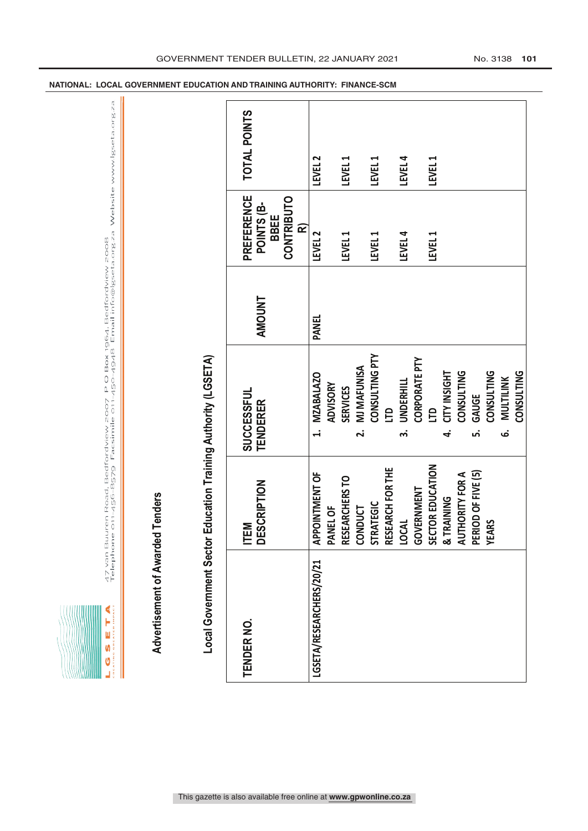| Ę |
|---|
|   |

47 van Buuren Road, Bedfordview 2007 P O Box 1964, Bedfordview 2008<br>Telephone 011-456-8579 Facsimile 011-450-4948 Email info@lgseta.org.za Website www.lgseta.org.za LGSET A<br>Az van Buuren Road, Bedfordview 2007 PO Box 1964, Bedfordview 2008<br>Alterna akazik inner – Telephone 011-456-8579 Facsimile 011-450-4948 Email info@lgseta.org.za Website www.lgseta.org.za

| STRATEGIC<br>RESEARCH FOR THE<br>APPOINTMENT OF<br>RESEARCHERS TO<br>CONDUCT<br>DESCRIPTION<br>PANEL OF<br><b>LOCAL</b><br>ITEM<br>Local Government Sector<br>LGSETA/RESEARCHERS/20/21<br><b>TENDER NO.</b> |        | Education Training Authority (LGSETA)<br><b>MZABALAZO</b><br>SUCCESSFUL<br><b>TENDERER</b><br>$\ddot{ }$ | <b>AMOUNT</b><br><b>PANEL</b> | <b>PREFERENCE</b><br><b>CONTRIBUTO</b><br>POINTS (B-<br><b>BBEE</b><br>œ | <b>TOTAL POINTS</b> |
|-------------------------------------------------------------------------------------------------------------------------------------------------------------------------------------------------------------|--------|----------------------------------------------------------------------------------------------------------|-------------------------------|--------------------------------------------------------------------------|---------------------|
|                                                                                                                                                                                                             |        |                                                                                                          |                               |                                                                          |                     |
|                                                                                                                                                                                                             |        |                                                                                                          |                               |                                                                          |                     |
|                                                                                                                                                                                                             |        | ADVISORY                                                                                                 |                               | LEVEL <sub>2</sub>                                                       | LEVEL <sub>2</sub>  |
|                                                                                                                                                                                                             |        | <b>SERVICES</b>                                                                                          |                               | LEVEL 1                                                                  | LEVEL 1             |
|                                                                                                                                                                                                             |        | <b>MJ MAFUNISA</b><br>$\mathbf{a}$                                                                       |                               |                                                                          |                     |
|                                                                                                                                                                                                             |        | <b>CONSULTING PTY</b>                                                                                    |                               | LEVEL 1                                                                  | LEVEL 1             |
|                                                                                                                                                                                                             |        | <b>CLD</b>                                                                                               |                               |                                                                          |                     |
|                                                                                                                                                                                                             | .<br>ო | <b>UNDERHILL</b>                                                                                         |                               | LEVEL 4                                                                  | LEVEL 4             |
| GOVERNMENT                                                                                                                                                                                                  |        | <b>CORPORATE PTY</b>                                                                                     |                               |                                                                          |                     |
| SECTOR EDUCATION                                                                                                                                                                                            |        | СLD                                                                                                      |                               | LEVEL 1                                                                  | LEVEL 1             |
| & TRAINING                                                                                                                                                                                                  | 4      | <b>CITY INSIGHT</b>                                                                                      |                               |                                                                          |                     |
| AUTHORITY FOR A<br>PERIOD OF FIVE (5)                                                                                                                                                                       |        | CONSULTING                                                                                               |                               |                                                                          |                     |
|                                                                                                                                                                                                             | ம்     | <b>GAUGE</b>                                                                                             |                               |                                                                          |                     |
| <b>ARS</b><br>光                                                                                                                                                                                             |        | CONSULTING                                                                                               |                               |                                                                          |                     |
|                                                                                                                                                                                                             | ق      | MULTILINK                                                                                                |                               |                                                                          |                     |
|                                                                                                                                                                                                             |        | CONSULTING                                                                                               |                               |                                                                          |                     |

**NATIONAL: LOCAL GOVERNMENT EDUCATION AND TRAINING AUTHORITY: FINANCE-SCM**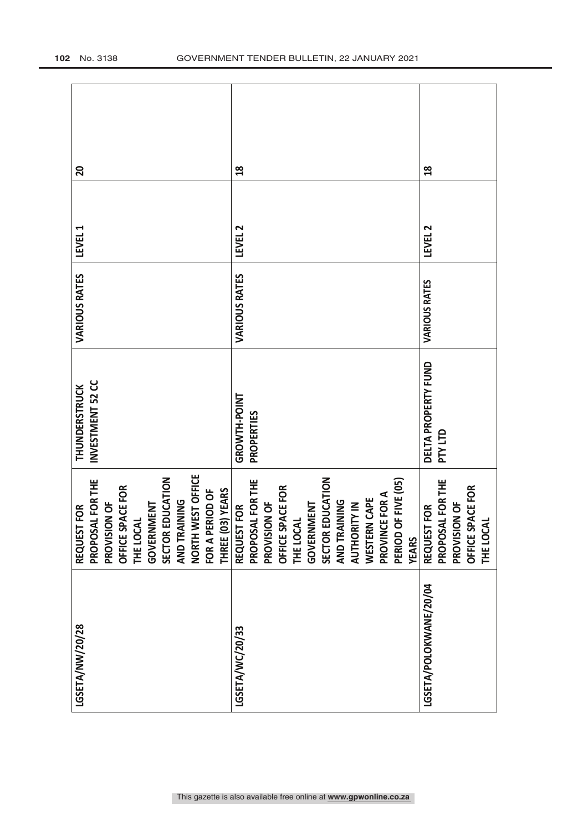| LGSETA/NW/20/28        | FOR<br><b>REQUEST</b>                      | <b>THUNDERSTRUCK</b> | <b>VARIOUS RATES</b> | LEVEL 1            | 20             |
|------------------------|--------------------------------------------|----------------------|----------------------|--------------------|----------------|
|                        | PROPOSAL FOR THE                           | INVESTMENT 52 CC     |                      |                    |                |
|                        | PROVISION OF                               |                      |                      |                    |                |
|                        | OFFICE SPACE FOR                           |                      |                      |                    |                |
|                        | THE LOCAL                                  |                      |                      |                    |                |
|                        | <b>GOVERNMENT</b>                          |                      |                      |                    |                |
|                        | SECTOR EDUCATION                           |                      |                      |                    |                |
|                        | AND TRAINING                               |                      |                      |                    |                |
|                        | NORTH WEST OFFICE                          |                      |                      |                    |                |
|                        | FOR A PERIOD OF                            |                      |                      |                    |                |
|                        | THREE (03) YEARS                           |                      |                      |                    |                |
| LGSETA/WC/20/33        | FOR <sub></sub><br><b>REQUEST</b>          | GROWTH-POINT         | <b>VARIOUS RATES</b> | LEVEL <sub>2</sub> | $\frac{8}{10}$ |
|                        | PROPOSAL FOR THE                           | PROPERTIES           |                      |                    |                |
|                        | PROVISION OF                               |                      |                      |                    |                |
|                        | OFFICE SPACE FOR                           |                      |                      |                    |                |
|                        | THE LOCAL                                  |                      |                      |                    |                |
|                        | GOVERNMENT                                 |                      |                      |                    |                |
|                        | SECTOR EDUCATION                           |                      |                      |                    |                |
|                        | <b>AND TRAINING</b>                        |                      |                      |                    |                |
|                        | <b>AUTHORITY IN</b>                        |                      |                      |                    |                |
|                        | <b>WESTERN CAPE</b>                        |                      |                      |                    |                |
|                        | PROVINCE FOR A                             |                      |                      |                    |                |
|                        | <b>PF FIVE (05)</b><br>PERIOD <sub>C</sub> |                      |                      |                    |                |
|                        | <b>YEARS</b>                               |                      |                      |                    |                |
| LGSETA/POLOKWANE/20/04 | FOR.<br><b>REQUEST</b>                     | DELTA PROPERTY FUND  | VARIOUS RATES        | LEVEL <sub>2</sub> | $\frac{8}{10}$ |
|                        | PROPOSAL FOR THE                           | <b>DTY LTD</b>       |                      |                    |                |
|                        | PROVISION OF                               |                      |                      |                    |                |
|                        | PACE FOR<br>OFFICE SI                      |                      |                      |                    |                |
|                        | THE LOCAL                                  |                      |                      |                    |                |
|                        |                                            |                      |                      |                    |                |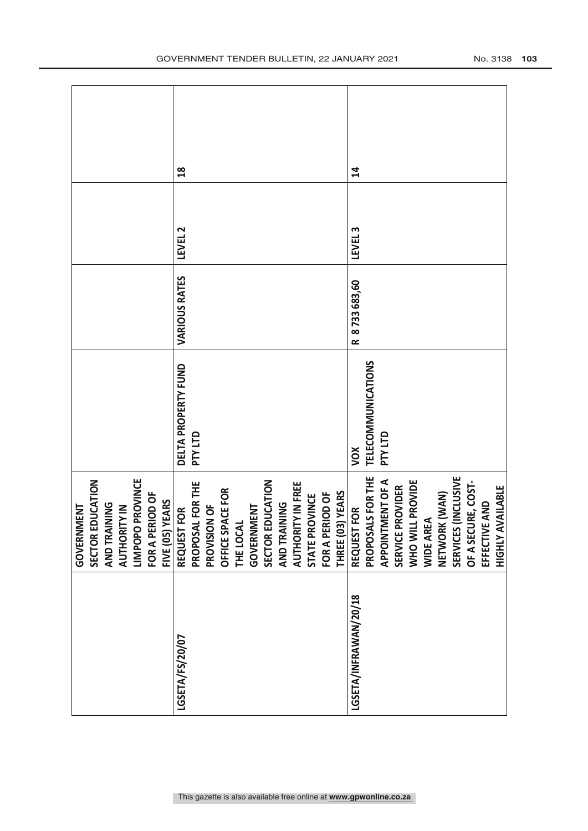|                       | GOVERNMENT                          |                     |               |                    |               |
|-----------------------|-------------------------------------|---------------------|---------------|--------------------|---------------|
|                       | SECTOR EDUCATION                    |                     |               |                    |               |
|                       | <b>AND TRAINING</b>                 |                     |               |                    |               |
|                       | <b>AUTHORITY IN</b>                 |                     |               |                    |               |
|                       | LIMPOPO PROVINCE                    |                     |               |                    |               |
|                       | FOR A PERIOD OF                     |                     |               |                    |               |
|                       | FIVE (05) YEARS                     |                     |               |                    |               |
| LGSETA/FS/20/07       | REQUEST FOR                         | DELTA PROPERTY FUND | VARIOUS RATES | LEVEL 2            | $\frac{8}{2}$ |
|                       | PROPOSAL FOR THE                    | <b>DTY LTD</b>      |               |                    |               |
|                       | PROVISION OF                        |                     |               |                    |               |
|                       | OFFICE SPACE FOR                    |                     |               |                    |               |
|                       | THE LOCAL                           |                     |               |                    |               |
|                       | <b>GOVERNMENT</b>                   |                     |               |                    |               |
|                       | <b>EDUCATION</b><br><b>SECTOR B</b> |                     |               |                    |               |
|                       | <b>AND TRAINING</b>                 |                     |               |                    |               |
|                       | AUTHORITY IN FREE                   |                     |               |                    |               |
|                       | STATE PROVINCE                      |                     |               |                    |               |
|                       | FOR A PERIOD OF                     |                     |               |                    |               |
|                       | THREE (03) YEARS                    |                     |               |                    |               |
| LGSETA/INFRAWAN/20/18 | <b>TFOR</b><br><b>REQUEST</b>       | XOV                 | R 8733683,60  | LEVEL <sub>3</sub> | $\mathbf{r}$  |
|                       | PROPOSALS FOR THE                   | TELECOMMUNICATIONS  |               |                    |               |
|                       | <b>IMENT OF A</b><br><b>APPOINT</b> | <b>DTY LTD</b>      |               |                    |               |
|                       | <b>PROVIDER</b><br><b>SERVICE</b>   |                     |               |                    |               |
|                       | WHO WILL PROVIDE                    |                     |               |                    |               |
|                       | WIDE AREA                           |                     |               |                    |               |
|                       | NETWORK (WAN)                       |                     |               |                    |               |
|                       | SERVICES (INCLUSIVE                 |                     |               |                    |               |
|                       | OF A SECURE, COST-                  |                     |               |                    |               |
|                       | EFFECTIVE AND                       |                     |               |                    |               |
|                       | <b>HIGHLY AVAILABLE</b>             |                     |               |                    |               |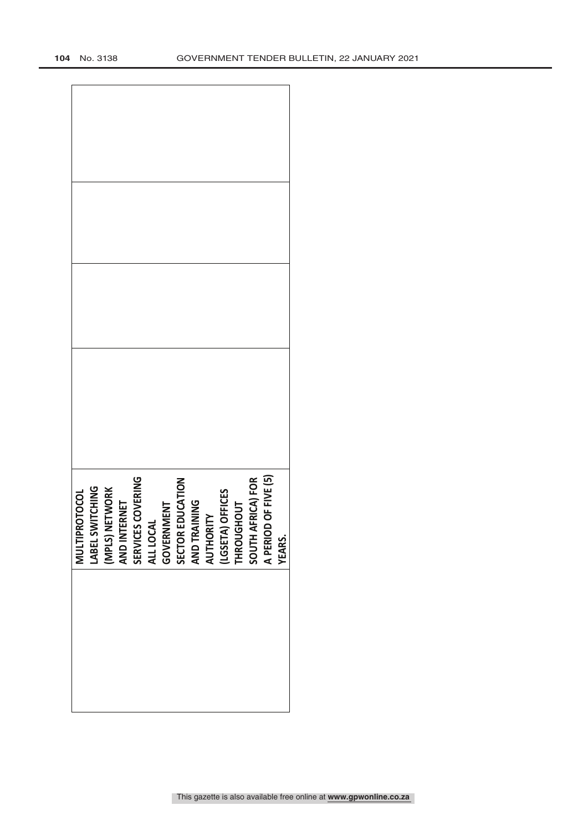| OF FIVE (5)<br>SOUTH AFRICA) FOR<br><b>COVERING</b><br>SECTOR EDUCATION<br>LABEL SWITCHING<br>(MPLS) NETWORK<br>AND INTERNET<br>(LGSETA) OFFICES<br>THROUGHOUT<br><b>ERNET</b><br>GOVERNMENT<br>AND TRAINING<br>AUTHORITY<br>SERVICES C<br>ALL LOCAL<br><b>A PERIOD</b> | <b>MULTIPROTOCOL</b> |
|-------------------------------------------------------------------------------------------------------------------------------------------------------------------------------------------------------------------------------------------------------------------------|----------------------|
|                                                                                                                                                                                                                                                                         |                      |
|                                                                                                                                                                                                                                                                         |                      |
|                                                                                                                                                                                                                                                                         |                      |
|                                                                                                                                                                                                                                                                         |                      |
|                                                                                                                                                                                                                                                                         |                      |
|                                                                                                                                                                                                                                                                         |                      |
|                                                                                                                                                                                                                                                                         |                      |
|                                                                                                                                                                                                                                                                         |                      |
|                                                                                                                                                                                                                                                                         |                      |
|                                                                                                                                                                                                                                                                         |                      |
|                                                                                                                                                                                                                                                                         |                      |
|                                                                                                                                                                                                                                                                         |                      |
|                                                                                                                                                                                                                                                                         |                      |
| YEARS.                                                                                                                                                                                                                                                                  |                      |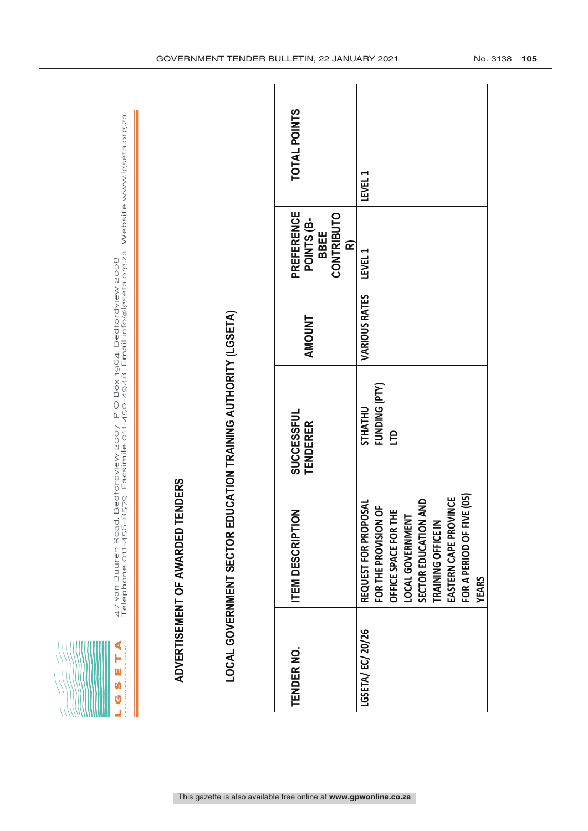| Ú<br>ć<br>Ī      |  |
|------------------|--|
| ĸ<br>Ę<br>GR E   |  |
| Ú<br>ż<br>۰<br>ć |  |
| u<br>œ<br>ü      |  |

47 van Buuren Road, Bedfordview 2007 P O Box 1964, Bedfordview 2008<br>Telephone 011-456-8579 Facsimile 011-450-4948 Email info@lgseta.org.za Website www.lgseta.org.za

|                   | ADVERTISEMENT OF AWARDED TENDERS                                                                                                                                                                                                          |                                               |               |                                                                          |              |
|-------------------|-------------------------------------------------------------------------------------------------------------------------------------------------------------------------------------------------------------------------------------------|-----------------------------------------------|---------------|--------------------------------------------------------------------------|--------------|
|                   | LOCAL GOVERNMENT SECTOR EDUCATION TRAINING AUTHORITY (LGSETA)                                                                                                                                                                             |                                               |               |                                                                          |              |
| <b>TENDER NO.</b> | <b>ITEM DESCRIPTION</b>                                                                                                                                                                                                                   | <b>SUCCESSFUL</b><br><b>TENDERER</b>          | <b>AMOUNT</b> | <b>PREFERENCE</b><br><b>CONTRIBUTO</b><br>POINTS (B-<br><b>BBEE</b><br>œ | TOTAL POINTS |
| LGSETA/EC/20/26   | <b>JE (05)</b><br>EASTERN CAPE PROVINCE<br>SND<br><b>USOL</b><br>FOR THE PROVISION OF<br>뿦<br>LOCAL GOVERNMENT<br>SECTOR EDUCATION<br>TRAINING OFFICE IN<br>FOR A PERIOD OF FIV<br>REQUEST FOR PROP<br>OFFICE SPACE FOR T<br><b>YEARS</b> | FUNDING (PTY)<br><b>STHATHU</b><br><b>CLD</b> | VARIOUS RATES | LEVEL 1                                                                  | LEVEL 1      |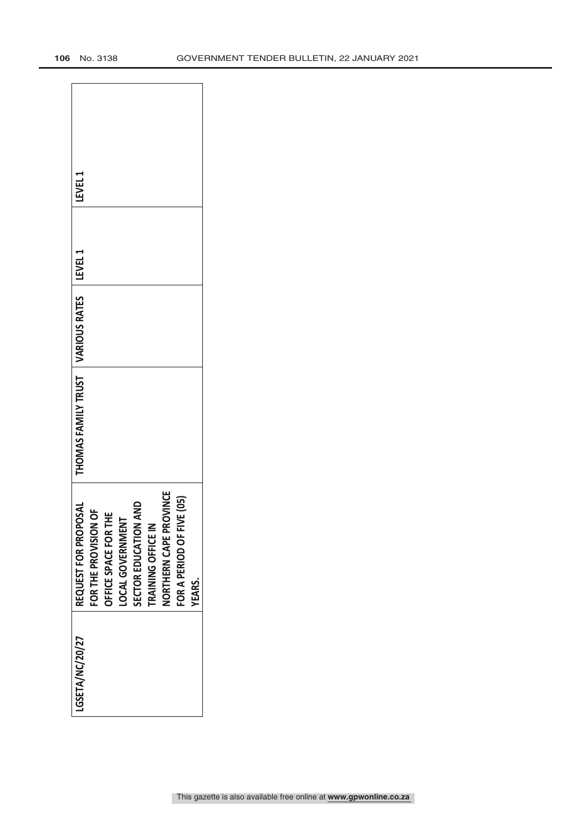| <b>LEVEL1</b>                                 |                      |                      |                  |                      |                    |                        |                           |               |
|-----------------------------------------------|----------------------|----------------------|------------------|----------------------|--------------------|------------------------|---------------------------|---------------|
|                                               |                      |                      |                  |                      |                    |                        |                           |               |
|                                               |                      |                      |                  |                      |                    |                        |                           |               |
| THOMAS FAMILY TRUST   VARIOUS RATES   LEVEL 1 |                      |                      |                  |                      |                    |                        |                           |               |
| REQUEST FOR PROPOSAL                          | FOR THE PROVISION OF | OFFICE SPACE FOR THE | LOCAL GOVERNMENT | SECTOR EDUCATION AND | TRAINING OFFICE IN | NORTHERN CAPE PROVINCE | FOR A PERIOD OF FIVE (05) | <b>YEARS.</b> |
| LGSETA/NC/20/27                               |                      |                      |                  |                      |                    |                        |                           |               |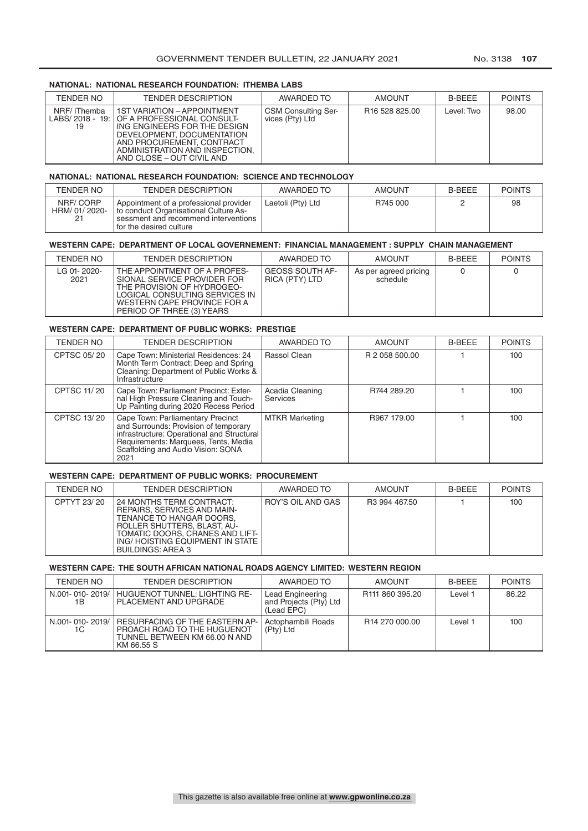## **NATIONAL: NATIONAL RESEARCH FOUNDATION: ITHEMBA LABS**

| TENDER NO         | <b>TENDER DESCRIPTION</b>                                                                                                                                                                                                                  | AWARDED TO                                    | <b>AMOUNT</b>              | <b>B-BEEE</b> | <b>POINTS</b> |
|-------------------|--------------------------------------------------------------------------------------------------------------------------------------------------------------------------------------------------------------------------------------------|-----------------------------------------------|----------------------------|---------------|---------------|
| NRF/iThemba<br>19 | <b>1ST VARIATION - APPOINTMENT</b><br>LABS/2018 - 19: OF A PROFESSIONAL CONSULT-<br>ING ENGINEERS FOR THE DESIGN<br>DEVELOPMENT, DOCUMENTATION<br>AND PROCUREMENT, CONTRACT<br>ADMINISTRATION AND INSPECTION.<br>AND CLOSE – OUT CIVIL AND | <b>CSM Consulting Ser-</b><br>vices (Pty) Ltd | R <sub>16</sub> 528 825.00 | Level: Two    | 98.00         |

## **NATIONAL: NATIONAL RESEARCH FOUNDATION: SCIENCE AND TECHNOLOGY**

| <b>TENDER NO</b>               | TENDER DESCRIPTION                                                                                                                                 | AWARDED TO        | <b>AMOUNT</b> | <b>B-BEEE</b> | <b>POINTS</b> |
|--------------------------------|----------------------------------------------------------------------------------------------------------------------------------------------------|-------------------|---------------|---------------|---------------|
| NRF/CORP<br>HRM/01/2020-<br>21 | Appointment of a professional provider<br>to conduct Organisational Culture As-<br>sessment and recommend interventions<br>for the desired culture | Laetoli (Pty) Ltd | R745 000      |               | 98            |

# **WESTERN CAPE: DEPARTMENT OF LOCAL GOVERNEMENT: FINANCIAL MANAGEMENT : SUPPLY CHAIN MANAGEMENT**

| TENDER NO           | <b>TENDER DESCRIPTION</b>                                                                                                                                                               | AWARDED TO                        | <b>AMOUNT</b>                     | <b>B-BEEE</b> | <b>POINTS</b> |
|---------------------|-----------------------------------------------------------------------------------------------------------------------------------------------------------------------------------------|-----------------------------------|-----------------------------------|---------------|---------------|
| LG 01-2020-<br>2021 | THE APPOINTMENT OF A PROFES-<br>SIONAL SERVICE PROVIDER FOR<br>THE PROVISION OF HYDROGEO-<br>LOGICAL CONSULTING SERVICES IN<br>WESTERN CAPE PROVINCE FOR A<br>PERIOD OF THREE (3) YEARS | GEOSS SOUTH AF-<br>RICA (PTY) LTD | As per agreed pricing<br>schedule |               |               |

## **WESTERN CAPE: DEPARTMENT OF PUBLIC WORKS: PRESTIGE**

| <b>TENDER NO</b>   | <b>TENDER DESCRIPTION</b>                                                                                                                                                                                      | AWARDED TO                  | <b>AMOUNT</b>  | <b>B-BEEE</b> | <b>POINTS</b> |
|--------------------|----------------------------------------------------------------------------------------------------------------------------------------------------------------------------------------------------------------|-----------------------------|----------------|---------------|---------------|
| CPTSC 05/20        | Cape Town: Ministerial Residences: 24<br>Month Term Contract: Deep and Spring<br>Cleaning: Department of Public Works &<br>Infrastructure                                                                      | Rassol Clean                | R 2 058 500.00 |               | 100           |
| <b>CPTSC 11/20</b> | Cape Town: Parliament Precinct: Exter-<br>nal High Pressure Cleaning and Touch-<br>Up Painting during 2020 Recess Period                                                                                       | Acadia Cleaning<br>Services | R744 289.20    |               | 100           |
| <b>CPTSC 13/20</b> | Cape Town: Parliamentary Precinct<br>and Surrounds: Provision of temporary<br>infrastructure: Operational and Structural<br>Requirements: Marquees, Tents, Media<br>Scaffolding and Audio Vision: SONA<br>2021 | <b>MTKR Marketing</b>       | R967 179.00    |               | 100           |

## **WESTERN CAPE: DEPARTMENT OF PUBLIC WORKS: PROCUREMENT**

| TENDER NO   | <b>TENDER DESCRIPTION</b>                                                                                                                                                                                            | AWARDED TO        | <b>AMOUNT</b>             | <b>B-BEEE</b> | <b>POINTS</b> |
|-------------|----------------------------------------------------------------------------------------------------------------------------------------------------------------------------------------------------------------------|-------------------|---------------------------|---------------|---------------|
| CPTYT 23/20 | 24 MONTHS TERM CONTRACT:<br>REPAIRS, SERVICES AND MAIN-<br>TENANCE TO HANGAR DOORS.<br>ROLLER SHUTTERS, BLAST, AU-<br>TOMATIC DOORS, CRANES AND LIFT-<br>ING/HOISTING EQUIPMENT IN STATE<br><b>BUILDINGS: AREA 3</b> | ROY'S OIL AND GAS | R <sub>3</sub> 994 467.50 |               | 100           |

## **WESTERN CAPE: THE SOUTH AFRICAN NATIONAL ROADS AGENCY LIMITED: WESTERN REGION**

| <b>TENDER NO</b>      | <b>TENDER DESCRIPTION</b>                                                                                           | AWARDED TO                                               | <b>AMOUNT</b>               | <b>B-BFFF</b> | <b>POINTS</b> |
|-----------------------|---------------------------------------------------------------------------------------------------------------------|----------------------------------------------------------|-----------------------------|---------------|---------------|
| N.001-010-2019/<br>1В | <b>HUGUENOT TUNNEL: LIGHTING RE-</b><br>PLACEMENT AND UPGRADE                                                       | Lead Engineering<br>and Projects (Pty) Ltd<br>(Lead EPC) | R <sub>111</sub> 860 395.20 | Level :       | 86.22         |
| N.001-010-2019/<br>1C | <b>RESURFACING OF THE EASTERN AP-</b><br>PROACH ROAD TO THE HUGUENOT<br>TUNNEL BETWEEN KM 66.00 N AND<br>KM 66.55 S | Actophambili Roads<br>$(Pty)$ Ltd                        | R <sub>14</sub> 270 000.00  | Level :       | 100           |